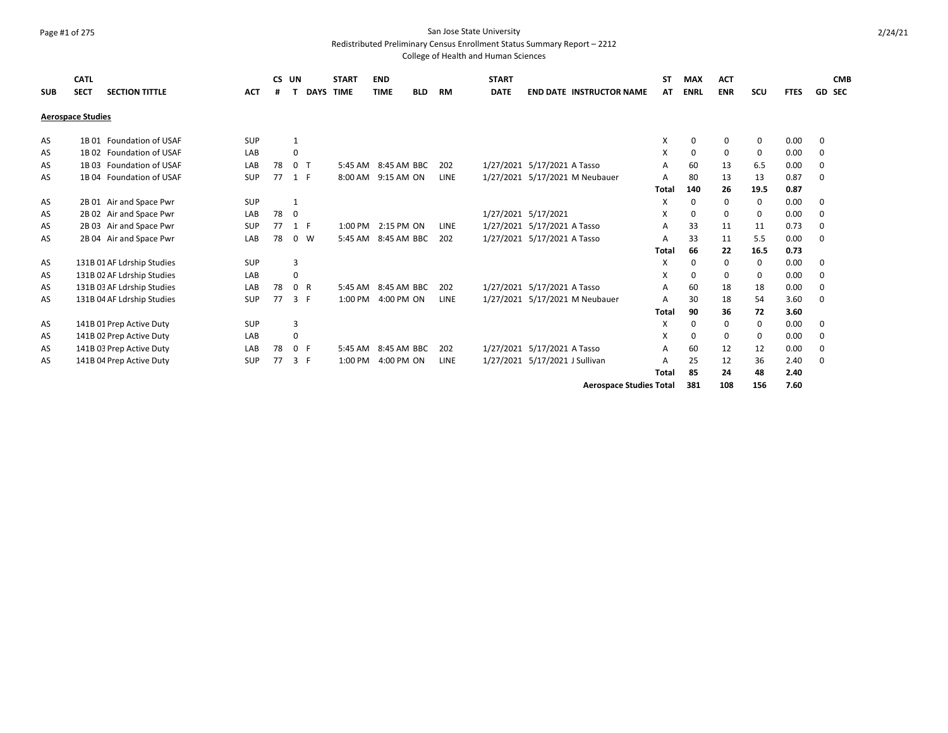### Page #1 of 275 San Jose State University

Redistributed Preliminary Census Enrollment Status Summary Report – 2212

College of Health and Human Sciences

| <b>SUB</b> | <b>CATL</b><br><b>SECT</b> | <b>SECTION TITTLE</b>      | <b>ACT</b> | CS UN |                | <b>DAYS TIME</b> | <b>START</b> | <b>END</b><br><b>TIME</b> | <b>BLD</b> | <b>RM</b>   | <b>START</b><br><b>DATE</b> | <b>END DATE INSTRUCTOR NAME</b> | SΤ<br>АΤ     | <b>MAX</b><br><b>ENRL</b> | <b>ACT</b><br><b>ENR</b> | SCU  | <b>FTES</b> | <b>CMB</b><br><b>GD SEC</b> |
|------------|----------------------------|----------------------------|------------|-------|----------------|------------------|--------------|---------------------------|------------|-------------|-----------------------------|---------------------------------|--------------|---------------------------|--------------------------|------|-------------|-----------------------------|
|            | <b>Aerospace Studies</b>   |                            |            |       |                |                  |              |                           |            |             |                             |                                 |              |                           |                          |      |             |                             |
| AS         |                            | 1B 01 Foundation of USAF   | SUP        |       | $\mathbf{1}$   |                  |              |                           |            |             |                             |                                 | X            | 0                         | 0                        | 0    | 0.00        | 0                           |
| AS         |                            | 1B 02 Foundation of USAF   | LAB        |       | 0              |                  |              |                           |            |             |                             |                                 | X            | 0                         | 0                        | 0    | 0.00        | 0                           |
| AS         |                            | 1B 03 Foundation of USAF   | LAB        | 78    | 0 <sub>T</sub> |                  | $5:45$ AM    | 8:45 AM BBC               |            | 202         |                             | 1/27/2021 5/17/2021 A Tasso     | A            | 60                        | 13                       | 6.5  | 0.00        | 0                           |
| AS         |                            | 1B 04 Foundation of USAF   | <b>SUP</b> | 77    | 1 F            |                  | 8:00 AM      | 9:15 AM ON                |            | <b>LINE</b> |                             | 1/27/2021 5/17/2021 M Neubauer  | A            | 80                        | 13                       | 13   | 0.87        | 0                           |
|            |                            |                            |            |       |                |                  |              |                           |            |             |                             |                                 | <b>Total</b> | 140                       | 26                       | 19.5 | 0.87        |                             |
| AS         |                            | 2B 01 Air and Space Pwr    | <b>SUP</b> |       | 1              |                  |              |                           |            |             |                             |                                 | X            | 0                         | 0                        | 0    | 0.00        | 0                           |
| AS         |                            | 2B 02 Air and Space Pwr    | LAB        | 78    | 0              |                  |              |                           |            |             |                             | 1/27/2021 5/17/2021             | X            | $\Omega$                  | 0                        | 0    | 0.00        | 0                           |
| AS         |                            | 2B 03 Air and Space Pwr    | <b>SUP</b> | 77    | 1 F            |                  |              | 1:00 PM 2:15 PM ON        |            | LINE        |                             | 1/27/2021 5/17/2021 A Tasso     | А            | 33                        | 11                       | 11   | 0.73        | 0                           |
| AS         |                            | 2B 04 Air and Space Pwr    | LAB        | 78    | $0 \quad W$    |                  | 5:45 AM      | 8:45 AM BBC               |            | 202         |                             | 1/27/2021 5/17/2021 A Tasso     | A            | 33                        | 11                       | 5.5  | 0.00        | 0                           |
|            |                            |                            |            |       |                |                  |              |                           |            |             |                             |                                 | <b>Total</b> | 66                        | 22                       | 16.5 | 0.73        |                             |
| AS         |                            | 131B 01 AF Ldrship Studies | <b>SUP</b> |       | 3              |                  |              |                           |            |             |                             |                                 | X            | 0                         | 0                        | 0    | 0.00        | 0                           |
| AS         |                            | 131B 02 AF Ldrship Studies | LAB        |       | $\Omega$       |                  |              |                           |            |             |                             |                                 | X            | 0                         | 0                        | 0    | 0.00        | 0                           |
| AS         |                            | 131B 03 AF Ldrship Studies | LAB        | 78    | 0 R            |                  | 5:45 AM      | 8:45 AM BBC               |            | 202         |                             | 1/27/2021 5/17/2021 A Tasso     | А            | 60                        | 18                       | 18   | 0.00        | 0                           |
| AS         |                            | 131B 04 AF Ldrship Studies | <b>SUP</b> | 77    | 3 F            |                  | 1:00 PM      | 4:00 PM ON                |            | LINE        |                             | 1/27/2021 5/17/2021 M Neubauer  | А            | 30                        | 18                       | 54   | 3.60        | 0                           |
|            |                            |                            |            |       |                |                  |              |                           |            |             |                             |                                 | <b>Total</b> | 90                        | 36                       | 72   | 3.60        |                             |
| AS         |                            | 141B 01 Prep Active Duty   | <b>SUP</b> |       | 3              |                  |              |                           |            |             |                             |                                 | X            | 0                         | 0                        | 0    | 0.00        | 0                           |
| AS         |                            | 141B 02 Prep Active Duty   | LAB        |       | 0              |                  |              |                           |            |             |                             |                                 | X            | 0                         | 0                        | 0    | 0.00        | 0                           |
| AS         |                            | 141B 03 Prep Active Duty   | LAB        | 78    | 0 F            |                  | 5:45 AM      | 8:45 AM BBC               |            | 202         |                             | 1/27/2021 5/17/2021 A Tasso     | A            | 60                        | 12                       | 12   | 0.00        | 0                           |
| AS         |                            | 141B 04 Prep Active Duty   | <b>SUP</b> | 77    | 3 F            |                  | 1:00 PM      | 4:00 PM ON                |            | LINE        |                             | 1/27/2021 5/17/2021 J Sullivan  | А            | 25                        | 12                       | 36   | 2.40        | 0                           |
|            |                            |                            |            |       |                |                  |              |                           |            |             |                             |                                 | <b>Total</b> | 85                        | 24                       | 48   | 2.40        |                             |
|            |                            |                            |            |       |                |                  |              |                           |            |             |                             |                                 |              |                           |                          |      |             |                             |

**Aerospace Studies Total 381 108 156 7.60**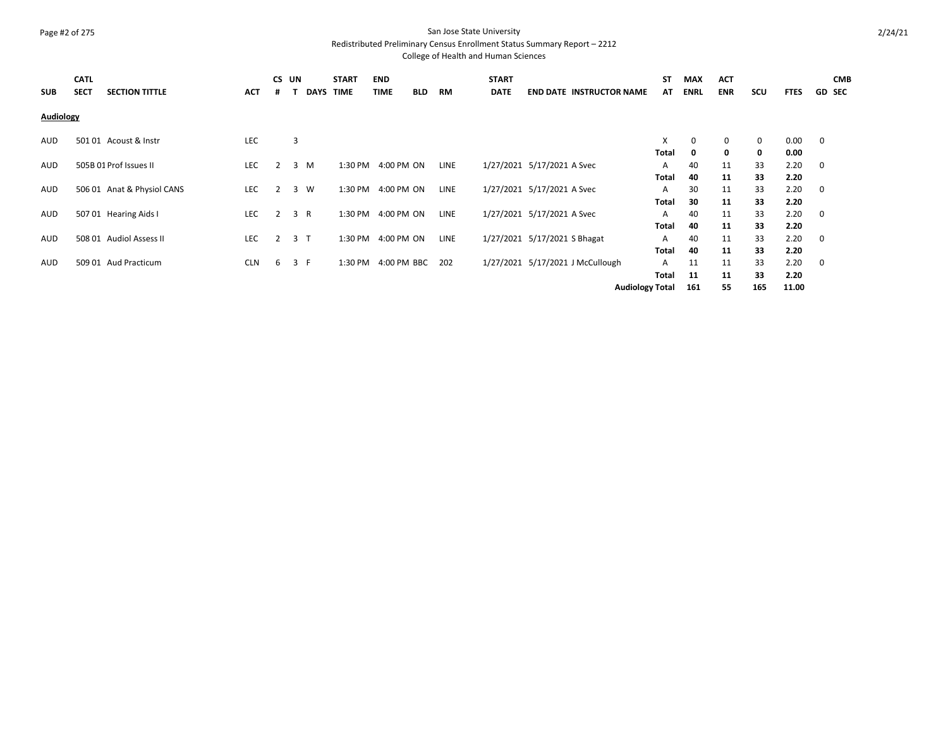# Page #2 of 275 San Jose State University

Redistributed Preliminary Census Enrollment Status Summary Report – 2212

| <b>SUB</b> | <b>CATL</b><br><b>SECT</b> | <b>SECTION TITTLE</b>      | ACT        | CS UN<br>#     | <b>DAYS</b>    | <b>START</b><br><b>TIME</b> | <b>END</b><br><b>TIME</b> | <b>BLD</b> | RM          | <b>START</b><br><b>DATE</b> | <b>END DATE INSTRUCTOR NAME</b>  | ST<br>AT               | <b>MAX</b><br><b>ENRL</b> | <b>ACT</b><br><b>ENR</b> | scu | <b>FTES</b> | <b>CMB</b><br><b>GD SEC</b> |
|------------|----------------------------|----------------------------|------------|----------------|----------------|-----------------------------|---------------------------|------------|-------------|-----------------------------|----------------------------------|------------------------|---------------------------|--------------------------|-----|-------------|-----------------------------|
| Audiology  |                            |                            |            |                |                |                             |                           |            |             |                             |                                  |                        |                           |                          |     |             |                             |
| AUD        |                            | 501 01 Acoust & Instr      | <b>LEC</b> |                | 3              |                             |                           |            |             |                             |                                  | X                      | 0                         | 0                        | 0   | 0.00        | $\overline{\mathbf{0}}$     |
|            |                            |                            |            |                |                |                             |                           |            |             |                             |                                  | <b>Total</b>           | 0                         | 0                        | 0   | 0.00        |                             |
| AUD        |                            | 505B 01 Prof Issues II     | <b>LEC</b> | 2              | 3 M            | 1:30 PM                     | 4:00 PM ON                |            | LINE        |                             | 1/27/2021 5/17/2021 A Svec       | Α                      | 40                        | 11                       | 33  | 2.20        | $\overline{\mathbf{0}}$     |
|            |                            |                            |            |                |                |                             |                           |            |             |                             |                                  | <b>Total</b>           | 40                        | 11                       | 33  | 2.20        |                             |
| AUD        |                            | 506 01 Anat & Physiol CANS | <b>LEC</b> | 2              | 3 W            | 1:30 PM                     | 4:00 PM ON                |            | <b>LINE</b> |                             | 1/27/2021 5/17/2021 A Svec       | A                      | 30                        | 11                       | 33  | 2.20        | $\overline{\mathbf{0}}$     |
|            |                            |                            |            |                |                |                             |                           |            |             |                             |                                  | Total                  | 30                        | 11                       | 33  | 2.20        |                             |
| AUD        |                            | 507 01 Hearing Aids I      | <b>LEC</b> | 2              | 3 R            | 1:30 PM                     | 4:00 PM ON                |            | <b>LINE</b> |                             | 1/27/2021 5/17/2021 A Svec       | A                      | 40                        | 11                       | 33  | 2.20        | $\overline{\mathbf{0}}$     |
|            |                            |                            |            |                |                |                             |                           |            |             |                             |                                  | <b>Total</b>           | 40                        | 11                       | 33  | 2.20        |                             |
| <b>AUD</b> |                            | 508 01 Audiol Assess II    | <b>LEC</b> | $\overline{2}$ | 3 <sub>T</sub> | 1:30 PM                     | 4:00 PM ON                |            | <b>LINE</b> |                             | 1/27/2021 5/17/2021 S Bhagat     | A                      | 40                        | 11                       | 33  | 2.20        | $\overline{\mathbf{0}}$     |
|            |                            |                            |            |                |                |                             |                           |            |             |                             |                                  | Total                  | 40                        | 11                       | 33  | 2.20        |                             |
| <b>AUD</b> |                            | 509 01 Aud Practicum       | <b>CLN</b> | 6              | 3 F            | 1:30 PM                     | 4:00 PM BBC               |            | 202         |                             | 1/27/2021 5/17/2021 J McCullough | A                      | 11                        | 11                       | 33  | 2.20        | $\overline{\mathbf{0}}$     |
|            |                            |                            |            |                |                |                             |                           |            |             |                             |                                  | <b>Total</b>           | 11                        | 11                       | 33  | 2.20        |                             |
|            |                            |                            |            |                |                |                             |                           |            |             |                             |                                  | <b>Audiology Total</b> | 161                       | 55                       | 165 | 11.00       |                             |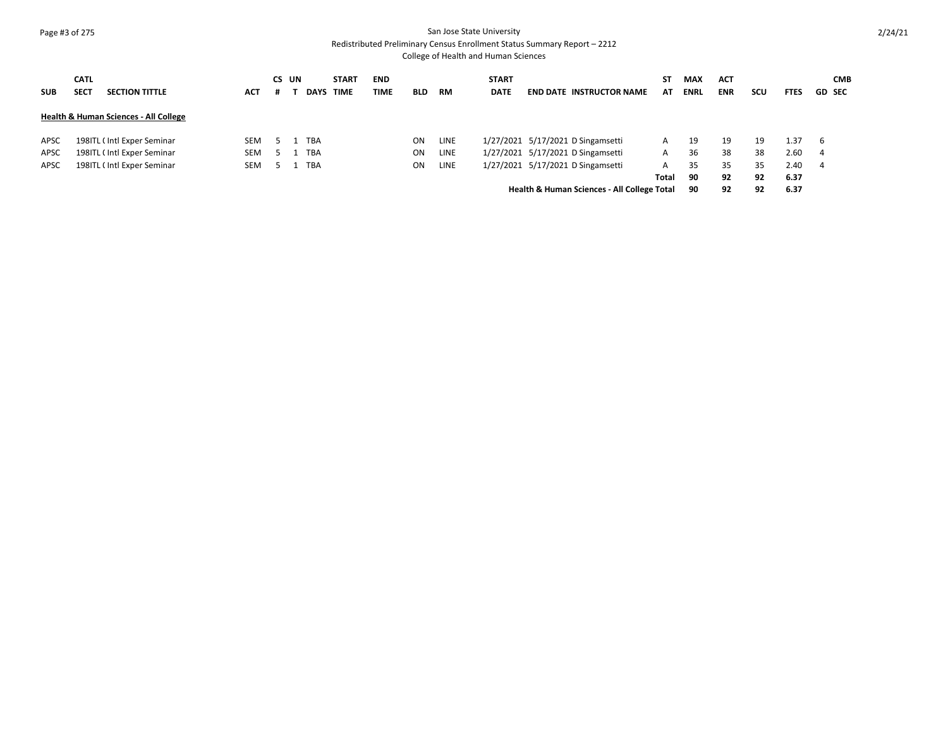### Page #3 of 275 San Jose State University Redistributed Preliminary Census Enrollment Status Summary Report – 2212

| <b>SUB</b>  | <b>CATL</b><br><b>SECT</b> | <b>SECTION TITTLE</b>                            | <b>ACT</b> | CS UN | <b>DAYS</b> | <b>START</b><br><b>TIME</b> | <b>END</b><br><b>TIME</b> | <b>BLD</b> | RM          | <b>START</b><br><b>DATE</b> | <b>END DATE INSTRUCTOR NAME</b>                        | SΤ<br>AT | <b>MAX</b><br><b>ENRL</b> | <b>ACT</b><br><b>ENR</b> | scu | <b>FTES</b> | <b>GD SEC</b> | <b>CMB</b> |
|-------------|----------------------------|--------------------------------------------------|------------|-------|-------------|-----------------------------|---------------------------|------------|-------------|-----------------------------|--------------------------------------------------------|----------|---------------------------|--------------------------|-----|-------------|---------------|------------|
|             |                            | <b>Health &amp; Human Sciences - All College</b> |            |       |             |                             |                           |            |             |                             |                                                        |          |                           |                          |     |             |               |            |
| APSC        |                            | 198ITL (Intl Exper Seminar                       | SEM        |       | <b>TBA</b>  |                             |                           | ON         | <b>LINE</b> |                             | 1/27/2021 5/17/2021 D Singamsetti                      | A        | 19                        | 19                       | 19  | 1.37        | - 6           |            |
| <b>APSC</b> |                            | 198ITL (Intl Exper Seminar                       | <b>SEM</b> |       | <b>TBA</b>  |                             |                           | ON         | <b>LINE</b> |                             | 1/27/2021 5/17/2021 D Singamsetti                      | A        | 36                        | 38                       | 38  | 2.60        | -4            |            |
| <b>APSC</b> |                            | 198ITL (Intl Exper Seminar                       | <b>SEM</b> |       | <b>TBA</b>  |                             |                           | <b>ON</b>  | <b>LINE</b> |                             | 1/27/2021 5/17/2021 D Singamsetti                      | A        | 35                        | 35                       | 35  | 2.40        | - 4           |            |
|             |                            |                                                  |            |       |             |                             |                           |            |             |                             |                                                        | Total    | 90                        | 92                       | 92  | 6.37        |               |            |
|             |                            |                                                  |            |       |             |                             |                           |            |             |                             | <b>Health &amp; Human Sciences - All College Total</b> |          | 90                        | 92                       | 92  | 6.37        |               |            |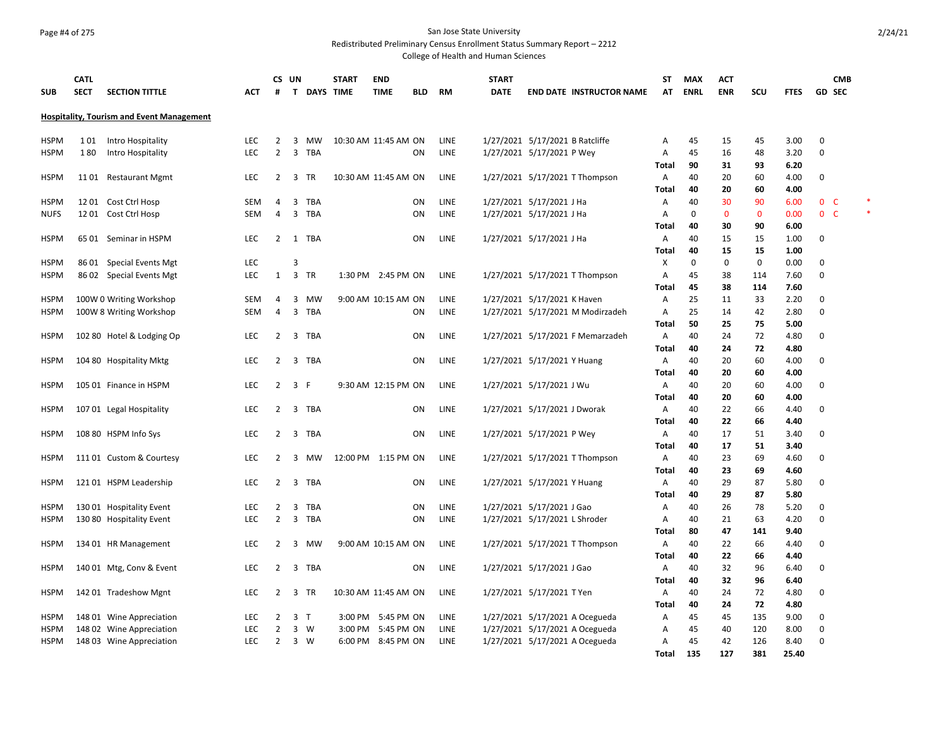## Page #4 of 275 San Jose State University

Redistributed Preliminary Census Enrollment Status Summary Report – 2212

| <b>SUB</b>  | <b>CATL</b><br><b>SECT</b> | <b>SECTION TITTLE</b>                            | <b>ACT</b> | #              | CS UN<br>T.    | <b>DAYS TIME</b> | <b>START</b>         | <b>END</b><br><b>TIME</b> | <b>BLD</b> | <b>RM</b>   | <b>START</b><br><b>DATE</b> | <b>END DATE INSTRUCTOR NAME</b>  | ST<br>AT   | <b>MAX</b><br><b>ENRL</b> | <b>ACT</b><br><b>ENR</b> | SCU          | <b>FTES</b>  |             | <b>CMB</b><br><b>GD SEC</b> |  |
|-------------|----------------------------|--------------------------------------------------|------------|----------------|----------------|------------------|----------------------|---------------------------|------------|-------------|-----------------------------|----------------------------------|------------|---------------------------|--------------------------|--------------|--------------|-------------|-----------------------------|--|
|             |                            | <b>Hospitality, Tourism and Event Management</b> |            |                |                |                  |                      |                           |            |             |                             |                                  |            |                           |                          |              |              |             |                             |  |
| <b>HSPM</b> | 101                        | Intro Hospitality                                | <b>LEC</b> | 2              | 3              | MW               | 10:30 AM 11:45 AM ON |                           |            | LINE        |                             | 1/27/2021 5/17/2021 B Ratcliffe  | Α          | 45                        | 15                       | 45           | 3.00         | 0           |                             |  |
| <b>HSPM</b> | 180                        | Intro Hospitality                                | <b>LEC</b> | $\overline{2}$ |                | 3 TBA            |                      |                           | ΟN         | LINE        |                             | 1/27/2021 5/17/2021 P Wey        | Α          | 45                        | 16                       | 48           | 3.20         | 0           |                             |  |
| <b>HSPM</b> |                            | 1101 Restaurant Mgmt                             | <b>LEC</b> | 2              | 3              | <b>TR</b>        |                      | 10:30 AM 11:45 AM ON      |            | <b>LINE</b> |                             | 1/27/2021 5/17/2021 T Thompson   | Total<br>Α | 90<br>40                  | 31<br>20                 | 93<br>60     | 6.20<br>4.00 | 0           |                             |  |
|             |                            |                                                  |            |                |                |                  |                      |                           |            |             |                             |                                  | Total      | 40                        | 20                       | 60           | 4.00         |             |                             |  |
| <b>HSPM</b> |                            | 1201 Cost Ctrl Hosp                              | <b>SEM</b> | $\overline{4}$ | 3              | <b>TBA</b>       |                      |                           | ON         | LINE        |                             | 1/27/2021 5/17/2021 J Ha         | Α          | 40                        | 30                       | 90           | 6.00         |             | 0 <sup>o</sup>              |  |
| <b>NUFS</b> |                            | 12 01 Cost Ctrl Hosp                             | <b>SEM</b> | $\overline{4}$ | 3              | TBA              |                      |                           | ON         | LINE        |                             | 1/27/2021 5/17/2021 J Ha         | A          | $\Omega$                  | $\mathbf{0}$             | $\mathbf{0}$ | 0.00         |             | 0 <sup>o</sup>              |  |
|             |                            |                                                  |            |                |                |                  |                      |                           |            |             |                             |                                  | Total      | 40                        | 30                       | 90           | 6.00         |             |                             |  |
| <b>HSPM</b> |                            | 65 01 Seminar in HSPM                            | <b>LEC</b> | $\overline{2}$ |                | 1 TBA            |                      |                           | ON         | LINE        |                             | 1/27/2021 5/17/2021 J Ha         | Α          | 40                        | 15                       | 15           | 1.00         | 0           |                             |  |
| <b>HSPM</b> |                            | 86 01 Special Events Mgt                         | LEC        |                | 3              |                  |                      |                           |            |             |                             |                                  | Total<br>X | 40<br>0                   | 15<br>0                  | 15<br>0      | 1.00<br>0.00 | 0           |                             |  |
| <b>HSPM</b> |                            | 86 02 Special Events Mgt                         | LEC        | 1              |                | 3 TR             |                      | 1:30 PM 2:45 PM ON        |            | LINE        |                             | 1/27/2021 5/17/2021 T Thompson   | Α          | 45                        | 38                       | 114          | 7.60         | 0           |                             |  |
|             |                            |                                                  |            |                |                |                  |                      |                           |            |             |                             |                                  | Total      | 45                        | 38                       | 114          | 7.60         |             |                             |  |
| <b>HSPM</b> |                            | 100W 0 Writing Workshop                          | SEM        | 4              | 3              | MW               |                      | 9:00 AM 10:15 AM ON       |            | LINE        |                             | 1/27/2021 5/17/2021 K Haven      | Α          | 25                        | 11                       | 33           | 2.20         | 0           |                             |  |
| <b>HSPM</b> |                            | 100W 8 Writing Workshop                          | SEM        | 4              | 3              | <b>TBA</b>       |                      |                           | ON         | <b>LINE</b> |                             | 1/27/2021 5/17/2021 M Modirzadeh | Α          | 25                        | 14                       | 42           | 2.80         | 0           |                             |  |
|             |                            |                                                  |            |                |                |                  |                      |                           |            |             |                             |                                  | Total      | 50                        | 25                       | 75           | 5.00         |             |                             |  |
| <b>HSPM</b> |                            | 102 80 Hotel & Lodging Op                        | <b>LEC</b> | 2              | 3              | TBA              |                      |                           | ΟN         | <b>LINE</b> |                             | 1/27/2021 5/17/2021 F Memarzadeh | A          | 40                        | 24                       | 72           | 4.80         | 0           |                             |  |
|             |                            |                                                  |            |                |                |                  |                      |                           |            |             |                             |                                  | Total      | 40                        | 24                       | 72           | 4.80         |             |                             |  |
| <b>HSPM</b> |                            | 104 80 Hospitality Mktg                          | LEC        | 2              | 3              | TBA              |                      |                           | ON         | LINE        |                             | 1/27/2021 5/17/2021 Y Huang      | Α<br>Total | 40<br>40                  | 20<br>20                 | 60<br>60     | 4.00<br>4.00 | 0           |                             |  |
| <b>HSPM</b> |                            | 105 01 Finance in HSPM                           | <b>LEC</b> | 2              | 3              | -F               |                      | 9:30 AM 12:15 PM ON       |            | LINE        |                             | 1/27/2021 5/17/2021 J Wu         | Α          | 40                        | 20                       | 60           | 4.00         | 0           |                             |  |
|             |                            |                                                  |            |                |                |                  |                      |                           |            |             |                             |                                  | Total      | 40                        | 20                       | 60           | 4.00         |             |                             |  |
| <b>HSPM</b> |                            | 107 01 Legal Hospitality                         | LEC        | 2              |                | 3 TBA            |                      |                           | ON         | LINE        |                             | 1/27/2021 5/17/2021 J Dworak     | Α          | 40                        | 22                       | 66           | 4.40         | $\Omega$    |                             |  |
|             |                            |                                                  |            |                |                |                  |                      |                           |            |             |                             |                                  | Total      | 40                        | 22                       | 66           | 4.40         |             |                             |  |
| <b>HSPM</b> |                            | 108 80 HSPM Info Sys                             | <b>LEC</b> | 2              | 3              | TBA              |                      |                           | ΟN         | LINE        |                             | 1/27/2021 5/17/2021 P Wey        | Α          | 40                        | 17                       | 51           | 3.40         | 0           |                             |  |
|             |                            |                                                  |            |                |                |                  |                      |                           |            |             |                             |                                  | Total      | 40                        | 17                       | 51           | 3.40         |             |                             |  |
| <b>HSPM</b> |                            | 111 01 Custom & Courtesy                         | LEC        | $\overline{2}$ | 3              | MW               | 12:00 PM 1:15 PM ON  |                           |            | LINE        |                             | 1/27/2021 5/17/2021 T Thompson   | Α          | 40                        | 23                       | 69           | 4.60         | 0           |                             |  |
|             |                            |                                                  |            |                |                |                  |                      |                           |            |             |                             |                                  | Total      | 40                        | 23                       | 69           | 4.60         |             |                             |  |
| <b>HSPM</b> |                            | 121 01 HSPM Leadership                           | LEC        | $\overline{2}$ | $\overline{3}$ | TBA              |                      |                           | ON         | LINE        |                             | 1/27/2021 5/17/2021 Y Huang      | Α<br>Total | 40<br>40                  | 29<br>29                 | 87<br>87     | 5.80<br>5.80 | 0           |                             |  |
| <b>HSPM</b> |                            | 130 01 Hospitality Event                         | LEC        | 2              | 3              | TBA              |                      |                           | ON         | LINE        |                             | 1/27/2021 5/17/2021 J Gao        | Α          | 40                        | 26                       | 78           | 5.20         | 0           |                             |  |
| <b>HSPM</b> |                            | 130 80 Hospitality Event                         | <b>LEC</b> | 2              | $\overline{3}$ | TBA              |                      |                           | ON         | LINE        |                             | 1/27/2021 5/17/2021 L Shroder    | Α          | 40                        | 21                       | 63           | 4.20         | 0           |                             |  |
|             |                            |                                                  |            |                |                |                  |                      |                           |            |             |                             |                                  | Total      | 80                        | 47                       | 141          | 9.40         |             |                             |  |
| <b>HSPM</b> |                            | 134 01 HR Management                             | <b>LEC</b> | $\overline{2}$ | 3              | MW               |                      | 9:00 AM 10:15 AM ON       |            | LINE        |                             | 1/27/2021 5/17/2021 T Thompson   | Α          | 40                        | 22                       | 66           | 4.40         | 0           |                             |  |
|             |                            |                                                  |            |                |                |                  |                      |                           |            |             |                             |                                  | Total      | 40                        | 22                       | 66           | 4.40         |             |                             |  |
| <b>HSPM</b> |                            | 140 01 Mtg, Conv & Event                         | <b>LEC</b> | 2              |                | 3 TBA            |                      |                           | ON         | <b>LINE</b> |                             | 1/27/2021 5/17/2021 J Gao        | Α          | 40                        | 32                       | 96           | 6.40         | 0           |                             |  |
|             |                            |                                                  |            |                |                |                  |                      |                           |            |             |                             |                                  | Total      | 40                        | 32                       | 96           | 6.40         |             |                             |  |
| <b>HSPM</b> |                            | 14201 Tradeshow Mgnt                             | LEC        | 2              | 3              | TR               |                      | 10:30 AM 11:45 AM ON      |            | LINE        |                             | 1/27/2021 5/17/2021 T Yen        | Α          | 40                        | 24                       | 72           | 4.80         | 0           |                             |  |
| <b>HSPM</b> |                            | 148 01 Wine Appreciation                         | <b>LEC</b> | 2              | 3 <sub>1</sub> |                  |                      | 3:00 PM 5:45 PM ON        |            | <b>LINE</b> |                             | 1/27/2021 5/17/2021 A Ocegueda   | Total<br>Α | 40<br>45                  | 24<br>45                 | 72<br>135    | 4.80<br>9.00 | 0           |                             |  |
| <b>HSPM</b> |                            | 148 02 Wine Appreciation                         | LEC        | $\overline{2}$ | 3              | W                |                      | 3:00 PM 5:45 PM ON        |            | LINE        |                             | 1/27/2021 5/17/2021 A Ocegueda   | Α          | 45                        | 40                       | 120          | 8.00         | $\mathbf 0$ |                             |  |
| <b>HSPM</b> |                            | 148 03 Wine Appreciation                         | <b>LEC</b> | $\overline{2}$ |                | 3 W              |                      | 6:00 PM 8:45 PM ON        |            | LINE        |                             | 1/27/2021 5/17/2021 A Ocegueda   | A          | 45                        | 42                       | 126          | 8.40         | $\Omega$    |                             |  |
|             |                            |                                                  |            |                |                |                  |                      |                           |            |             |                             |                                  | Total      | 135                       | 127                      | 381          | 25.40        |             |                             |  |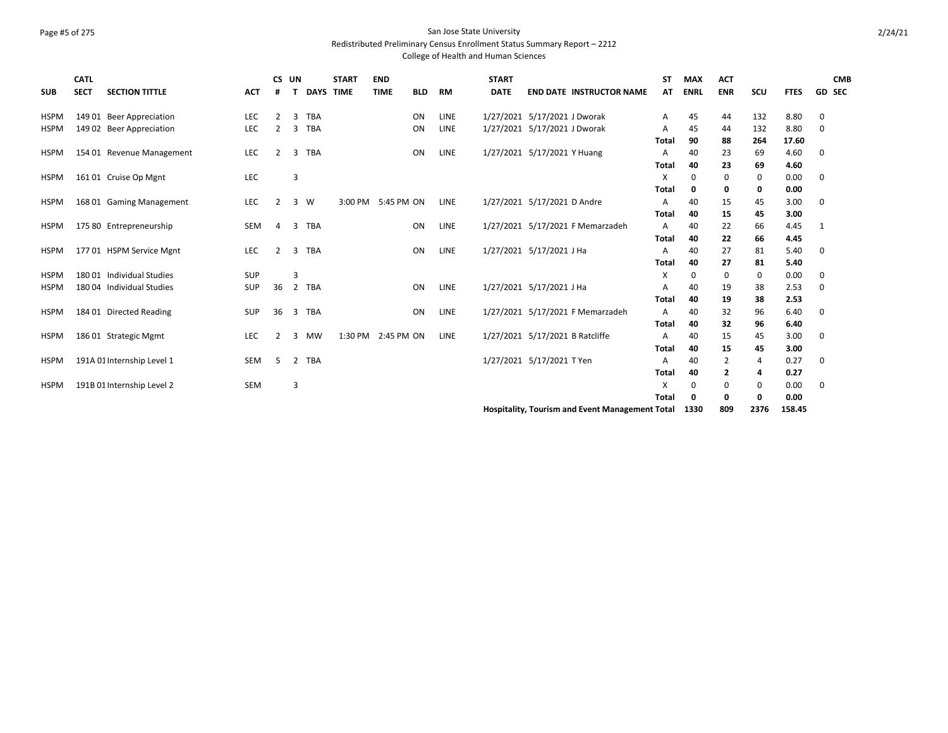# Page #5 of 275 San Jose State University

Redistributed Preliminary Census Enrollment Status Summary Report – 2212

College of Health and Human Sciences

| <b>SUB</b>  | <b>CATL</b><br><b>SECT</b> | <b>SECTION TITTLE</b>      | <b>ACT</b> | CS UN          |                | <b>DAYS TIME</b> | <b>START</b> | <b>END</b><br><b>TIME</b> | <b>BLD</b> | <b>RM</b>   | <b>START</b><br><b>DATE</b> | <b>END DATE INSTRUCTOR NAME</b>  | <b>ST</b><br>AT | <b>MAX</b><br><b>ENRL</b> | <b>ACT</b><br><b>ENR</b> | <b>SCU</b> | <b>FTES</b>  | <b>CMB</b><br><b>GD SEC</b> |
|-------------|----------------------------|----------------------------|------------|----------------|----------------|------------------|--------------|---------------------------|------------|-------------|-----------------------------|----------------------------------|-----------------|---------------------------|--------------------------|------------|--------------|-----------------------------|
| <b>HSPM</b> |                            | 149 01 Beer Appreciation   | LEC        | 2              | 3              | <b>TBA</b>       |              |                           | ON         | LINE        |                             | 1/27/2021 5/17/2021 J Dworak     | A               | 45                        | 44                       | 132        | 8.80         | 0                           |
| <b>HSPM</b> |                            | 149 02 Beer Appreciation   | LEC        | 2              | 3              | <b>TBA</b>       |              |                           | ON         | LINE        |                             | 1/27/2021 5/17/2021 J Dworak     | A               | 45                        | 44                       | 132        | 8.80         | 0                           |
|             |                            |                            |            |                |                |                  |              |                           |            |             |                             |                                  | <b>Total</b>    | 90                        | 88                       | 264        | 17.60        |                             |
| <b>HSPM</b> |                            | 154 01 Revenue Management  | LEC        | 2              | 3              | <b>TBA</b>       |              |                           | ON         | LINE        |                             | 1/27/2021 5/17/2021 Y Huang      | A               | 40                        | 23                       | 69         | 4.60         | 0                           |
|             |                            |                            | <b>LEC</b> |                | 3              |                  |              |                           |            |             |                             |                                  | Total<br>X      | 40                        | 23                       | 69         | 4.60         |                             |
| <b>HSPM</b> |                            | 161 01 Cruise Op Mgnt      |            |                |                |                  |              |                           |            |             |                             |                                  | <b>Total</b>    | 0<br>0                    | 0<br>0                   | 0<br>0     | 0.00<br>0.00 | 0                           |
| <b>HSPM</b> |                            | 168 01 Gaming Management   | <b>LEC</b> | $\overline{2}$ | 3 W            |                  |              | 3:00 PM 5:45 PM ON        |            | <b>LINE</b> |                             | 1/27/2021 5/17/2021 D Andre      | A               | 40                        | 15                       | 45         | 3.00         | 0                           |
|             |                            |                            |            |                |                |                  |              |                           |            |             |                             |                                  | Total           | 40                        | 15                       | 45         | 3.00         |                             |
| <b>HSPM</b> |                            | 175 80 Entrepreneurship    | <b>SEM</b> | 4              | 3              | TBA              |              |                           | ON         | LINE        |                             | 1/27/2021 5/17/2021 F Memarzadeh | A               | 40                        | 22                       | 66         | 4.45         | 1                           |
|             |                            |                            |            |                |                |                  |              |                           |            |             |                             |                                  | <b>Total</b>    | 40                        | 22                       | 66         | 4.45         |                             |
| <b>HSPM</b> |                            | 177 01 HSPM Service Mgnt   | <b>LEC</b> | $\overline{2}$ | 3              | <b>TBA</b>       |              |                           | ON         | <b>LINE</b> |                             | 1/27/2021 5/17/2021 J Ha         | A               | 40                        | 27                       | 81         | 5.40         | 0                           |
|             |                            |                            |            |                |                |                  |              |                           |            |             |                             |                                  | <b>Total</b>    | 40                        | 27                       | 81         | 5.40         |                             |
| <b>HSPM</b> |                            | 180 01 Individual Studies  | SUP        |                | 3              |                  |              |                           |            |             |                             |                                  | X               | 0                         | 0                        | 0          | 0.00         | 0                           |
| <b>HSPM</b> |                            | 180 04 Individual Studies  | SUP        | 36             | $\overline{2}$ | <b>TBA</b>       |              |                           | ON         | LINE        |                             | 1/27/2021 5/17/2021 J Ha         | A               | 40                        | 19                       | 38         | 2.53         | 0                           |
|             |                            |                            |            |                |                |                  |              |                           |            |             |                             |                                  | <b>Total</b>    | 40                        | 19                       | 38         | 2.53         |                             |
| <b>HSPM</b> |                            | 184 01 Directed Reading    | SUP        | 36             | 3              | <b>TBA</b>       |              |                           | ON         | LINE        |                             | 1/27/2021 5/17/2021 F Memarzadeh | A               | 40                        | 32                       | 96         | 6.40         | 0                           |
|             |                            |                            |            |                |                |                  |              |                           |            |             |                             |                                  | <b>Total</b>    | 40                        | 32                       | 96         | 6.40         |                             |
| <b>HSPM</b> |                            | 186 01 Strategic Mgmt      | LEC        | 2              | 3              | MW               | 1:30 PM      | 2:45 PM ON                |            | <b>LINE</b> |                             | 1/27/2021 5/17/2021 B Ratcliffe  | A               | 40                        | 15                       | 45         | 3.00         | 0                           |
|             |                            |                            |            |                |                |                  |              |                           |            |             |                             |                                  | <b>Total</b>    | 40                        | 15                       | 45         | 3.00         |                             |
| <b>HSPM</b> |                            | 191A 01 Internship Level 1 | <b>SEM</b> | 5              | 2              | <b>TBA</b>       |              |                           |            |             |                             | 1/27/2021 5/17/2021 T Yen        | A<br>Total      | 40<br>40                  | 2<br>2                   | 4<br>4     | 0.27<br>0.27 | 0                           |
| <b>HSPM</b> |                            | 191B 01 Internship Level 2 | <b>SEM</b> |                | 3              |                  |              |                           |            |             |                             |                                  | X               | 0                         | 0                        | 0          | 0.00         | 0                           |
|             |                            |                            |            |                |                |                  |              |                           |            |             |                             |                                  | Total           | 0                         | 0                        | 0          | 0.00         |                             |
|             |                            |                            |            |                |                |                  |              |                           |            |             |                             |                                  |                 |                           |                          |            |              |                             |

**Hospitality, Tourism and Event Management Total 1330 809 2376 158.45**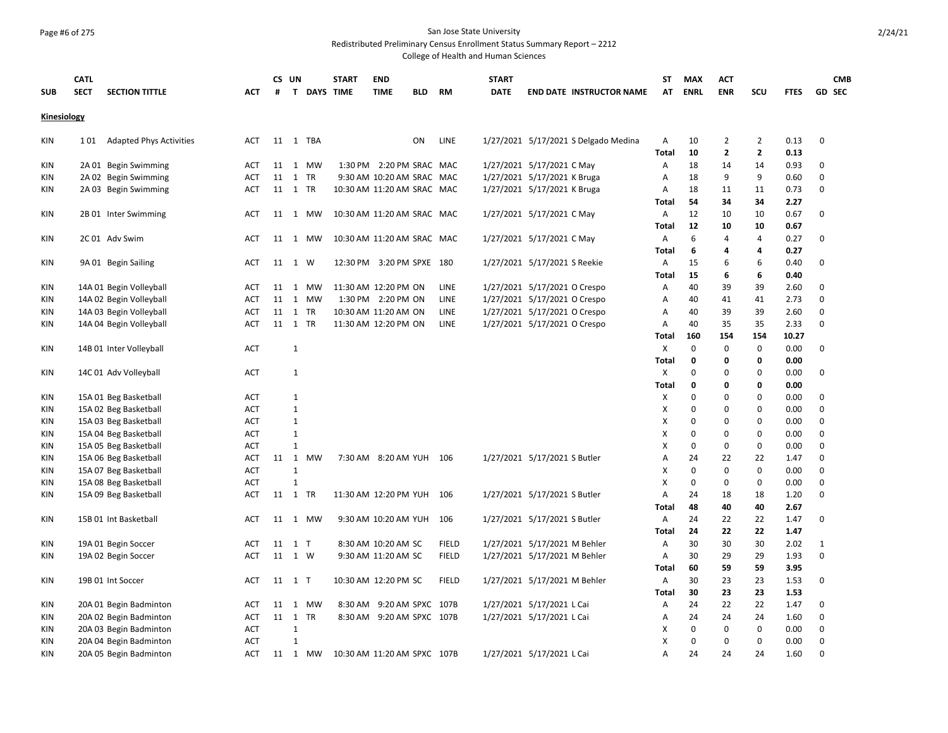## Page #6 of 275 San Jose State University

Redistributed Preliminary Census Enrollment Status Summary Report – 2212

|             | <b>CATL</b>                           |            |    | CS UN             |           | <b>START</b>     | <b>END</b>                  |            |              | <b>START</b> |                              |                                      | SΤ                | <b>MAX</b>   | <b>ACT</b>     |                |              | <b>CMB</b>    |  |
|-------------|---------------------------------------|------------|----|-------------------|-----------|------------------|-----------------------------|------------|--------------|--------------|------------------------------|--------------------------------------|-------------------|--------------|----------------|----------------|--------------|---------------|--|
| <b>SUB</b>  | <b>SECT</b><br><b>SECTION TITTLE</b>  | АСТ        | #  | T.                |           | <b>DAYS TIME</b> | <b>TIME</b>                 | <b>BLD</b> | <b>RM</b>    | <b>DATE</b>  |                              | <b>END DATE INSTRUCTOR NAME</b>      | AT                | <b>ENRL</b>  | <b>ENR</b>     | SCU            | <b>FTES</b>  | <b>GD SEC</b> |  |
| Kinesiology |                                       |            |    |                   |           |                  |                             |            |              |              |                              |                                      |                   |              |                |                |              |               |  |
| KIN         | 101<br><b>Adapted Phys Activities</b> | <b>ACT</b> |    | 11 1 TBA          |           |                  |                             | ON         | LINE         |              |                              | 1/27/2021 5/17/2021 S Delgado Medina | Α                 | 10           | $\overline{2}$ | $\overline{2}$ | 0.13         | $\mathbf 0$   |  |
|             |                                       |            |    |                   |           |                  |                             |            |              |              |                              |                                      | <b>Total</b>      | 10           | $\mathbf{2}$   | $\mathbf{2}$   | 0.13         |               |  |
| KIN         | 2A 01 Begin Swimming                  | <b>ACT</b> |    | 11 1              | MW        |                  | 1:30 PM 2:20 PM SRAC MAC    |            |              |              | 1/27/2021 5/17/2021 C May    |                                      | Α                 | 18           | 14             | 14             | 0.93         | $\mathbf 0$   |  |
| KIN         | 2A 02 Begin Swimming                  | <b>ACT</b> |    | 11 1<br><b>TR</b> |           |                  | 9:30 AM 10:20 AM SRAC MAC   |            |              |              | 1/27/2021 5/17/2021 K Bruga  |                                      | A                 | 18           | 9              | 9              | 0.60         | $\mathbf 0$   |  |
| KIN         | 2A 03 Begin Swimming                  | <b>ACT</b> |    | 11 1 TR           |           |                  | 10:30 AM 11:20 AM SRAC MAC  |            |              |              | 1/27/2021 5/17/2021 K Bruga  |                                      | Α                 | 18           | 11             | 11             | 0.73         | $\mathbf 0$   |  |
|             |                                       |            |    |                   |           |                  |                             |            |              |              |                              |                                      | <b>Total</b>      | 54           | 34<br>10       | 34             | 2.27         | $\mathbf 0$   |  |
| KIN         | 2B 01 Inter Swimming                  | ACT        |    | 11 1 MW           |           |                  | 10:30 AM 11:20 AM SRAC MAC  |            |              |              | 1/27/2021 5/17/2021 C May    |                                      | Α<br><b>Total</b> | 12<br>12     | 10             | 10<br>10       | 0.67<br>0.67 |               |  |
| KIN         | 2C 01 Adv Swim                        | ACT        |    | 11 1 MW           |           |                  | 10:30 AM 11:20 AM SRAC MAC  |            |              |              | 1/27/2021 5/17/2021 C May    |                                      | Α                 | 6            | $\overline{4}$ | 4              | 0.27         | $\mathbf 0$   |  |
|             |                                       |            |    |                   |           |                  |                             |            |              |              |                              |                                      | <b>Total</b>      | 6            | 4              | 4              | 0.27         |               |  |
| KIN         | 9A 01 Begin Sailing                   | <b>ACT</b> |    | 11 1 W            |           |                  | 12:30 PM 3:20 PM SPXE 180   |            |              |              | 1/27/2021 5/17/2021 S Reekie |                                      | Α                 | 15           | 6              | 6              | 0.40         | 0             |  |
|             |                                       |            |    |                   |           |                  |                             |            |              |              |                              |                                      | Total             | 15           | 6              | 6              | 0.40         |               |  |
| KIN         | 14A 01 Begin Volleyball               | <b>ACT</b> |    | 11 1 MW           |           |                  | 11:30 AM 12:20 PM ON        |            | <b>LINE</b>  |              | 1/27/2021 5/17/2021 O Crespo |                                      | Α                 | 40           | 39             | 39             | 2.60         | 0             |  |
| KIN         | 14A 02 Begin Volleyball               | <b>ACT</b> | 11 | 1 MW              |           |                  | 1:30 PM 2:20 PM ON          |            | LINE         |              | 1/27/2021 5/17/2021 O Crespo |                                      | Α                 | 40           | 41             | 41             | 2.73         | $\mathbf 0$   |  |
| KIN         | 14A 03 Begin Volleyball               | <b>ACT</b> |    | 11 1 TR           |           |                  | 10:30 AM 11:20 AM ON        |            | LINE         |              | 1/27/2021 5/17/2021 O Crespo |                                      | Α                 | 40           | 39             | 39             | 2.60         | 0             |  |
| KIN         | 14A 04 Begin Volleyball               | <b>ACT</b> |    | 11 1 TR           |           |                  | 11:30 AM 12:20 PM ON        |            | LINE         |              | 1/27/2021 5/17/2021 O Crespo |                                      | Α                 | 40           | 35             | 35             | 2.33         | $\mathbf 0$   |  |
|             |                                       |            |    |                   |           |                  |                             |            |              |              |                              |                                      | <b>Total</b>      | 160          | 154            | 154            | 10.27        |               |  |
| KIN         | 14B 01 Inter Volleyball               | <b>ACT</b> |    | $\mathbf{1}$      |           |                  |                             |            |              |              |                              |                                      | X                 | $\mathbf 0$  | 0              | 0              | 0.00         | 0             |  |
|             |                                       |            |    |                   |           |                  |                             |            |              |              |                              |                                      | <b>Total</b>      | $\mathbf 0$  | 0              | 0              | 0.00         |               |  |
| KIN         | 14C 01 Adv Volleyball                 | <b>ACT</b> |    | 1                 |           |                  |                             |            |              |              |                              |                                      | Χ                 | $\mathbf 0$  | 0              | $\mathbf 0$    | 0.00         | 0             |  |
|             |                                       |            |    |                   |           |                  |                             |            |              |              |                              |                                      | <b>Total</b>      | $\mathbf{0}$ | $\Omega$       | 0              | 0.00         |               |  |
| KIN         | 15A 01 Beg Basketball                 | <b>ACT</b> |    | 1                 |           |                  |                             |            |              |              |                              |                                      | х                 | 0            | $\Omega$       | 0              | 0.00         | $\mathbf 0$   |  |
| KIN         | 15A 02 Beg Basketball                 | <b>ACT</b> |    | $\mathbf{1}$      |           |                  |                             |            |              |              |                              |                                      | X                 | $\mathbf 0$  | $\Omega$       | $\mathbf 0$    | 0.00         | $\mathbf 0$   |  |
| KIN         | 15A 03 Beg Basketball                 | <b>ACT</b> |    | $\mathbf{1}$      |           |                  |                             |            |              |              |                              |                                      | X                 | $\mathbf 0$  | $\Omega$       | $\mathbf 0$    | 0.00         | 0             |  |
| KIN         | 15A 04 Beg Basketball                 | <b>ACT</b> |    | $\mathbf{1}$      |           |                  |                             |            |              |              |                              |                                      | X                 | $\mathbf 0$  | 0              | $\mathbf 0$    | 0.00         | $\pmb{0}$     |  |
| KIN         | 15A 05 Beg Basketball                 | <b>ACT</b> |    | $\mathbf{1}$      |           |                  |                             |            |              |              |                              |                                      | X                 | $\mathbf 0$  | $\Omega$       | $\mathbf 0$    | 0.00         | $\mathbf 0$   |  |
| KIN         | 15A 06 Beg Basketball                 | <b>ACT</b> |    | 11 1              | <b>MW</b> |                  | 7:30 AM 8:20 AM YUH         |            | 106          |              | 1/27/2021 5/17/2021 S Butler |                                      | Α                 | 24           | 22             | 22             | 1.47         | $\mathbf 0$   |  |
| KIN         | 15A 07 Beg Basketball                 | <b>ACT</b> |    | $\mathbf{1}$      |           |                  |                             |            |              |              |                              |                                      | Χ                 | $\pmb{0}$    | $\mathbf 0$    | $\mathbf 0$    | 0.00         | 0             |  |
| KIN         | 15A 08 Beg Basketball                 | <b>ACT</b> |    | $\mathbf{1}$      |           |                  |                             |            |              |              |                              |                                      | X                 | $\mathbf 0$  | 0              | $\mathbf 0$    | 0.00         | $\mathbf 0$   |  |
| KIN         | 15A 09 Beg Basketball                 | <b>ACT</b> |    | 11 1<br>TR        |           |                  | 11:30 AM 12:20 PM YUH       |            | 106          |              | 1/27/2021 5/17/2021 S Butler |                                      | Α                 | 24           | 18             | 18             | 1.20         | $\mathbf 0$   |  |
|             |                                       |            |    |                   |           |                  |                             |            |              |              |                              |                                      | Total             | 48           | 40             | 40             | 2.67         |               |  |
| KIN         | 15B 01 Int Basketball                 | ACT        | 11 | 1 MW              |           |                  | 9:30 AM 10:20 AM YUH 106    |            |              |              | 1/27/2021 5/17/2021 S Butler |                                      | Α                 | 24           | 22             | 22             | 1.47         | $\mathbf 0$   |  |
|             |                                       |            |    |                   |           |                  |                             |            |              |              |                              |                                      | <b>Total</b>      | 24           | 22             | 22             | 1.47         |               |  |
| KIN         | 19A 01 Begin Soccer                   | <b>ACT</b> |    | 11 1 T            |           |                  | 8:30 AM 10:20 AM SC         |            | <b>FIELD</b> |              | 1/27/2021 5/17/2021 M Behler |                                      | Α                 | 30           | 30             | 30             | 2.02         | $\mathbf{1}$  |  |
| KIN         | 19A 02 Begin Soccer                   | ACT        |    | 11 1 W            |           |                  | 9:30 AM 11:20 AM SC         |            | <b>FIELD</b> |              | 1/27/2021 5/17/2021 M Behler |                                      | A                 | 30           | 29             | 29             | 1.93         | $\mathbf 0$   |  |
|             |                                       |            |    |                   |           |                  |                             |            |              |              |                              |                                      | <b>Total</b>      | 60           | 59             | 59             | 3.95         |               |  |
| KIN         | 19B 01 Int Soccer                     | <b>ACT</b> |    | 11 1 T            |           |                  | 10:30 AM 12:20 PM SC        |            | <b>FIELD</b> |              | 1/27/2021 5/17/2021 M Behler |                                      | A                 | 30           | 23             | 23             | 1.53         | $\mathbf 0$   |  |
|             |                                       |            |    |                   |           |                  |                             |            |              |              |                              |                                      | Total             | 30           | 23             | 23             | 1.53         |               |  |
| KIN         | 20A 01 Begin Badminton                | <b>ACT</b> |    | 11 1              | <b>MW</b> |                  | 8:30 AM 9:20 AM SPXC 107B   |            |              |              | 1/27/2021 5/17/2021 L Cai    |                                      | Α                 | 24           | 22             | 22             | 1.47         | $\mathbf 0$   |  |
| KIN         | 20A 02 Begin Badminton                | <b>ACT</b> |    | 11 1<br><b>TR</b> |           |                  | 8:30 AM 9:20 AM SPXC 107B   |            |              |              | 1/27/2021 5/17/2021 L Cai    |                                      | Α                 | 24           | 24             | 24             | 1.60         | 0             |  |
| KIN         | 20A 03 Begin Badminton                | <b>ACT</b> |    | $\mathbf{1}$      |           |                  |                             |            |              |              |                              |                                      | X                 | $\mathbf 0$  | 0              | $\mathbf 0$    | 0.00         | 0             |  |
| KIN         | 20A 04 Begin Badminton                | <b>ACT</b> |    | 1                 |           |                  |                             |            |              |              |                              |                                      | X                 | $\mathbf 0$  | $\Omega$       | $\mathbf 0$    | 0.00         | 0             |  |
| KIN         | 20A 05 Begin Badminton                | <b>ACT</b> |    | 11 1 MW           |           |                  | 10:30 AM 11:20 AM SPXC 107B |            |              |              | 1/27/2021 5/17/2021 L Cai    |                                      | A                 | 24           | 24             | 24             | 1.60         | $\Omega$      |  |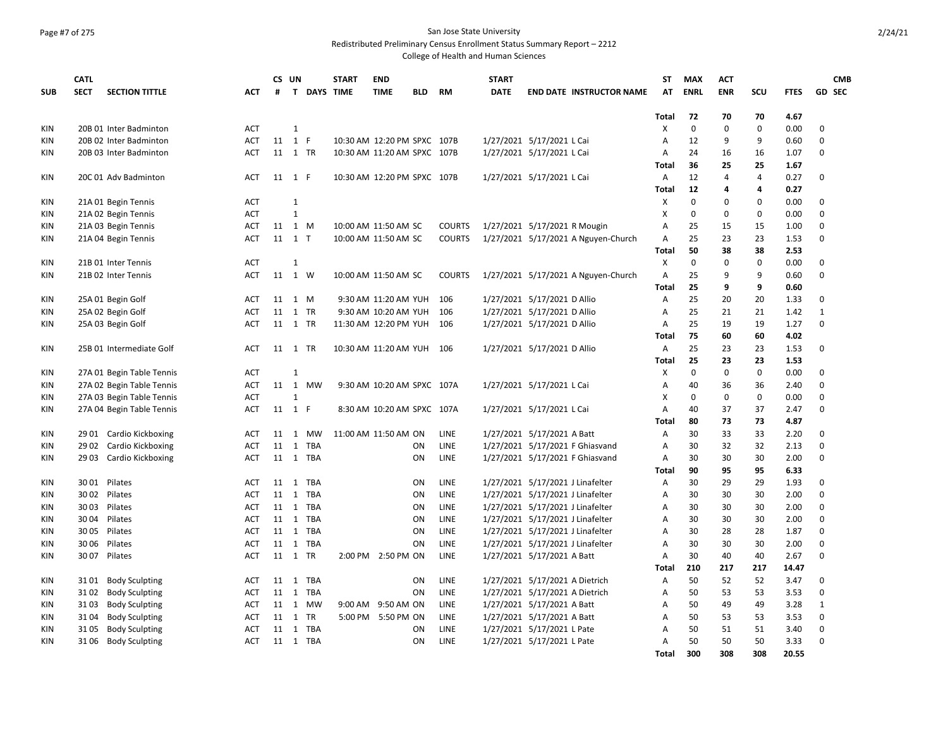## Page #7 of 275 San Jose State University

Redistributed Preliminary Census Enrollment Status Summary Report – 2212

|            | <b>CATL</b> |                           |                          |      | CS UN                       |                    | <b>START</b>                | <b>END</b>                  |            |                                | <b>START</b> |                                     | ST                | <b>MAX</b>        | <b>ACT</b>        |                   |              | <b>CMB</b>                 |
|------------|-------------|---------------------------|--------------------------|------|-----------------------------|--------------------|-----------------------------|-----------------------------|------------|--------------------------------|--------------|-------------------------------------|-------------------|-------------------|-------------------|-------------------|--------------|----------------------------|
| <b>SUB</b> | <b>SECT</b> | <b>SECTION TITTLE</b>     | ACT                      | #    |                             | <b>T DAYS TIME</b> |                             | <b>TIME</b>                 | <b>BLD</b> | <b>RM</b>                      | <b>DATE</b>  | <b>END DATE INSTRUCTOR NAME</b>     | AT                | <b>ENRL</b>       | <b>ENR</b>        | SCU               | <b>FTES</b>  | <b>GD SEC</b>              |
|            |             |                           |                          |      |                             |                    |                             |                             |            |                                |              |                                     |                   |                   |                   |                   |              |                            |
|            |             |                           | <b>ACT</b>               |      | $\mathbf{1}$                |                    |                             |                             |            |                                |              |                                     | <b>Total</b><br>X | 72<br>$\mathbf 0$ | 70<br>$\mathbf 0$ | 70<br>$\mathbf 0$ | 4.67<br>0.00 | $\mathbf 0$                |
| KIN        |             | 20B 01 Inter Badminton    |                          |      |                             |                    |                             |                             |            |                                |              |                                     |                   |                   |                   |                   |              |                            |
| <b>KIN</b> |             | 20B 02 Inter Badminton    | <b>ACT</b><br><b>ACT</b> | 11   | 1 F                         |                    |                             | 10:30 AM 12:20 PM SPXC 107B |            |                                |              | 1/27/2021 5/17/2021 L Cai           | A                 | 12<br>24          | 9                 | 9                 | 0.60         | $\mathbf 0$<br>$\Omega$    |
| KIN        |             | 20B 03 Inter Badminton    |                          |      | 11 1 TR                     |                    | 10:30 AM 11:20 AM SPXC 107B |                             |            |                                |              | 1/27/2021 5/17/2021 L Cai           | A                 | 36                | 16<br>25          | 16<br>25          | 1.07         |                            |
|            |             |                           |                          |      |                             |                    |                             |                             |            |                                |              |                                     | <b>Total</b>      |                   | $\overline{4}$    |                   | 1.67         | $\mathbf 0$                |
| KIN        |             | 20C 01 Adv Badminton      | <b>ACT</b>               |      | 11 1 F                      |                    | 10:30 AM 12:20 PM SPXC 107B |                             |            |                                |              | 1/27/2021 5/17/2021 L Cai           | Α                 | 12<br>12          | 4                 | 4<br>4            | 0.27<br>0.27 |                            |
|            |             |                           |                          |      |                             |                    |                             |                             |            |                                |              |                                     | Total             | $\pmb{0}$         | $\Omega$          | $\mathbf 0$       |              |                            |
| KIN        |             | 21A 01 Begin Tennis       | <b>ACT</b>               |      | $\mathbf{1}$<br>$\mathbf 1$ |                    |                             |                             |            |                                |              |                                     | X<br>X            | $\mathbf 0$       | $\mathbf 0$       | $\mathbf 0$       | 0.00<br>0.00 | $\mathbf 0$<br>$\mathbf 0$ |
| KIN        |             | 21A 02 Begin Tennis       | <b>ACT</b>               |      |                             |                    |                             |                             |            |                                |              |                                     | A                 |                   |                   |                   |              |                            |
| KIN        |             | 21A 03 Begin Tennis       | <b>ACT</b>               | 11   | 1 M<br>11 1 T               |                    | 10:00 AM 11:50 AM SC        |                             |            | <b>COURTS</b><br><b>COURTS</b> |              | 1/27/2021 5/17/2021 R Mougin        | A                 | 25<br>25          | 15<br>23          | 15<br>23          | 1.00         | $\mathbf 0$<br>$\mathbf 0$ |
| KIN        |             | 21A 04 Begin Tennis       | <b>ACT</b>               |      |                             |                    |                             | 10:00 AM 11:50 AM SC        |            |                                |              | 1/27/2021 5/17/2021 A Nguyen-Church |                   | 50                | 38                | 38                | 1.53         |                            |
|            |             |                           |                          |      |                             |                    |                             |                             |            |                                |              |                                     | <b>Total</b>      |                   |                   |                   | 2.53         |                            |
| <b>KIN</b> |             | 21B 01 Inter Tennis       | ACT                      |      | $\mathbf{1}$                |                    |                             |                             |            |                                |              |                                     | X                 | $\mathbf 0$       | 0                 | 0                 | 0.00         | $\mathbf 0$                |
| KIN        |             | 21B 02 Inter Tennis       | <b>ACT</b>               | 11   | 1 W                         |                    | 10:00 AM 11:50 AM SC        |                             |            | <b>COURTS</b>                  |              | 1/27/2021 5/17/2021 A Nguyen-Church | Α                 | 25                | 9                 | 9                 | 0.60         | $\mathbf 0$                |
|            |             |                           |                          |      |                             |                    |                             |                             |            |                                |              |                                     | <b>Total</b>      | 25                | 9                 | 9                 | 0.60         |                            |
| KIN        |             | 25A 01 Begin Golf         | <b>ACT</b>               |      | 11 1 M                      |                    |                             | 9:30 AM 11:20 AM YUH        |            | 106                            |              | 1/27/2021 5/17/2021 D Allio         | Α                 | 25                | 20                | 20                | 1.33         | 0                          |
| KIN        |             | 25A 02 Begin Golf         | <b>ACT</b>               | 11   | 1 TR                        |                    |                             | 9:30 AM 10:20 AM YUH        |            | 106                            |              | 1/27/2021 5/17/2021 D Allio         | Α                 | 25                | 21                | 21                | 1.42         | $\mathbf{1}$               |
| KIN        |             | 25A 03 Begin Golf         | <b>ACT</b>               |      | 11 1 TR                     |                    | 11:30 AM 12:20 PM YUH       |                             |            | 106                            |              | 1/27/2021 5/17/2021 D Allio         | Α                 | 25                | 19                | 19                | 1.27         | $\mathbf 0$                |
|            |             |                           |                          |      |                             |                    |                             |                             |            |                                |              |                                     | <b>Total</b>      | 75                | 60                | 60                | 4.02         |                            |
| KIN        |             | 25B 01 Intermediate Golf  | <b>ACT</b>               |      | 11 1 TR                     |                    | 10:30 AM 11:20 AM YUH 106   |                             |            |                                |              | 1/27/2021 5/17/2021 D Allio         | $\overline{A}$    | 25                | 23                | 23                | 1.53         | $\mathbf 0$                |
|            |             |                           |                          |      |                             |                    |                             |                             |            |                                |              |                                     | <b>Total</b>      | 25                | 23                | 23                | 1.53         |                            |
| KIN        |             | 27A 01 Begin Table Tennis | <b>ACT</b>               |      | 1                           |                    |                             |                             |            |                                |              |                                     | X                 | $\mathbf 0$       | $\mathbf 0$       | $\mathbf 0$       | 0.00         | $\mathbf 0$                |
| KIN        |             | 27A 02 Begin Table Tennis | <b>ACT</b>               |      | 11 1 MW                     |                    |                             | 9:30 AM 10:20 AM SPXC 107A  |            |                                |              | 1/27/2021 5/17/2021 L Cai           | Α                 | 40                | 36                | 36                | 2.40         | $\mathbf 0$                |
| KIN        |             | 27A 03 Begin Table Tennis | <b>ACT</b>               |      | $\mathbf{1}$                |                    |                             |                             |            |                                |              |                                     | X                 | $\mathbf 0$       | $\mathbf 0$       | $\mathsf 0$       | 0.00         | $\mathbf 0$                |
| KIN        |             | 27A 04 Begin Table Tennis | <b>ACT</b>               |      | 11 1 F                      |                    |                             | 8:30 AM 10:20 AM SPXC 107A  |            |                                |              | 1/27/2021 5/17/2021 L Cai           | A                 | 40                | 37                | 37                | 2.47         | $\Omega$                   |
|            |             |                           |                          |      |                             |                    |                             |                             |            |                                |              |                                     | <b>Total</b>      | 80                | 73                | 73                | 4.87         |                            |
| KIN        |             | 29 01 Cardio Kickboxing   | <b>ACT</b>               | 11 1 |                             | MW                 | 11:00 AM 11:50 AM ON        |                             |            | LINE                           |              | 1/27/2021 5/17/2021 A Batt          | Α                 | 30                | 33                | 33                | 2.20         | $\mathbf 0$                |
| KIN        | 29 02       | Cardio Kickboxing         | <b>ACT</b>               | 11   | $\mathbf{1}$                | TBA                |                             |                             | ΟN         | LINE                           |              | 1/27/2021 5/17/2021 F Ghiasvand     | A                 | 30                | 32                | 32                | 2.13         | $\mathbf 0$                |
| KIN        | 2903        | Cardio Kickboxing         | <b>ACT</b>               |      | 11 1 TBA                    |                    |                             |                             | ON         | LINE                           |              | 1/27/2021 5/17/2021 F Ghiasvand     | A                 | 30                | 30                | 30                | 2.00         | $\Omega$                   |
|            |             |                           |                          |      |                             |                    |                             |                             |            |                                |              |                                     | <b>Total</b>      | 90                | 95                | 95                | 6.33         |                            |
| <b>KIN</b> |             | 3001 Pilates              | ACT                      |      | 11 1 TBA                    |                    |                             |                             | ON         | LINE                           |              | 1/27/2021 5/17/2021 J Linafelter    | A                 | 30                | 29                | 29                | 1.93         | $\mathbf 0$                |
| KIN        |             | 3002 Pilates              | <b>ACT</b>               | 11   | 1 TBA                       |                    |                             |                             | ON         | LINE                           |              | 1/27/2021 5/17/2021 J Linafelter    | Α                 | 30                | 30                | 30                | 2.00         | $\mathbf 0$                |
| <b>KIN</b> | 3003        | Pilates                   | <b>ACT</b>               | 11   | 1                           | TBA                |                             |                             | ON         | <b>LINE</b>                    |              | 1/27/2021 5/17/2021 J Linafelter    | Α                 | 30                | 30                | 30                | 2.00         | $\mathbf 0$                |
| <b>KIN</b> |             | 3004 Pilates              | <b>ACT</b>               |      | 11 1 TBA                    |                    |                             |                             | ON         | LINE                           |              | 1/27/2021 5/17/2021 J Linafelter    | Α                 | 30                | 30                | 30                | 2.00         | $\mathbf 0$                |
| <b>KIN</b> | 3005        | Pilates                   | ACT                      | 11   | $\mathbf{1}$                | TBA                |                             |                             | ON         | LINE                           |              | 1/27/2021 5/17/2021 J Linafelter    | А                 | 30                | 28                | 28                | 1.87         | 0                          |
| <b>KIN</b> | 3006        | Pilates                   | <b>ACT</b>               | 11   | 1 TBA                       |                    |                             |                             | ON         | LINE                           |              | 1/27/2021 5/17/2021 J Linafelter    | А                 | 30                | 30                | 30                | 2.00         | $\mathbf 0$                |
| <b>KIN</b> | 3007        | Pilates                   | <b>ACT</b>               | 11   | 1 TR                        |                    |                             | 2:00 PM 2:50 PM ON          |            | LINE                           |              | 1/27/2021 5/17/2021 A Batt          | A                 | 30                | 40                | 40                | 2.67         | $\mathbf 0$                |
|            |             |                           |                          |      |                             |                    |                             |                             |            |                                |              |                                     | <b>Total</b>      | 210               | 217               | 217               | 14.47        |                            |
| KIN        | 31 01       | <b>Body Sculpting</b>     | <b>ACT</b>               | 11   | 1 TBA                       |                    |                             |                             | ON         | LINE                           |              | 1/27/2021 5/17/2021 A Dietrich      | Α                 | 50                | 52                | 52                | 3.47         | 0                          |
| <b>KIN</b> | 3102        | <b>Body Sculpting</b>     | <b>ACT</b>               | 11   | 1 TBA                       |                    |                             |                             | ON         | LINE                           |              | 1/27/2021 5/17/2021 A Dietrich      | Α                 | 50                | 53                | 53                | 3.53         | 0                          |
| KIN        | 3103        | <b>Body Sculpting</b>     | <b>ACT</b>               | 11 1 |                             | MW                 |                             | 9:00 AM 9:50 AM ON          |            | LINE                           |              | 1/27/2021 5/17/2021 A Batt          | A                 | 50                | 49                | 49                | 3.28         | $\mathbf{1}$               |
| <b>KIN</b> | 31 04       | <b>Body Sculpting</b>     | <b>ACT</b>               |      | 11 1 TR                     |                    |                             | 5:00 PM 5:50 PM ON          |            | LINE                           |              | 1/27/2021 5/17/2021 A Batt          | А                 | 50                | 53                | 53                | 3.53         | $\mathbf 0$                |
| KIN        | 3105        | <b>Body Sculpting</b>     | ACT                      | 11   | 1 TBA                       |                    |                             |                             | ΟN         | LINE                           |              | 1/27/2021 5/17/2021 L Pate          | А                 | 50                | 51                | 51                | 3.40         | $\mathbf 0$                |
| <b>KIN</b> | 3106        | <b>Body Sculpting</b>     | <b>ACT</b>               |      | 11 1 TBA                    |                    |                             |                             | <b>ON</b>  | LINE                           |              | 1/27/2021 5/17/2021 L Pate          | A                 | 50                | 50                | 50                | 3.33         | $\mathbf 0$                |
|            |             |                           |                          |      |                             |                    |                             |                             |            |                                |              |                                     | <b>Total</b>      | 300               | 308               | 308               | 20.55        |                            |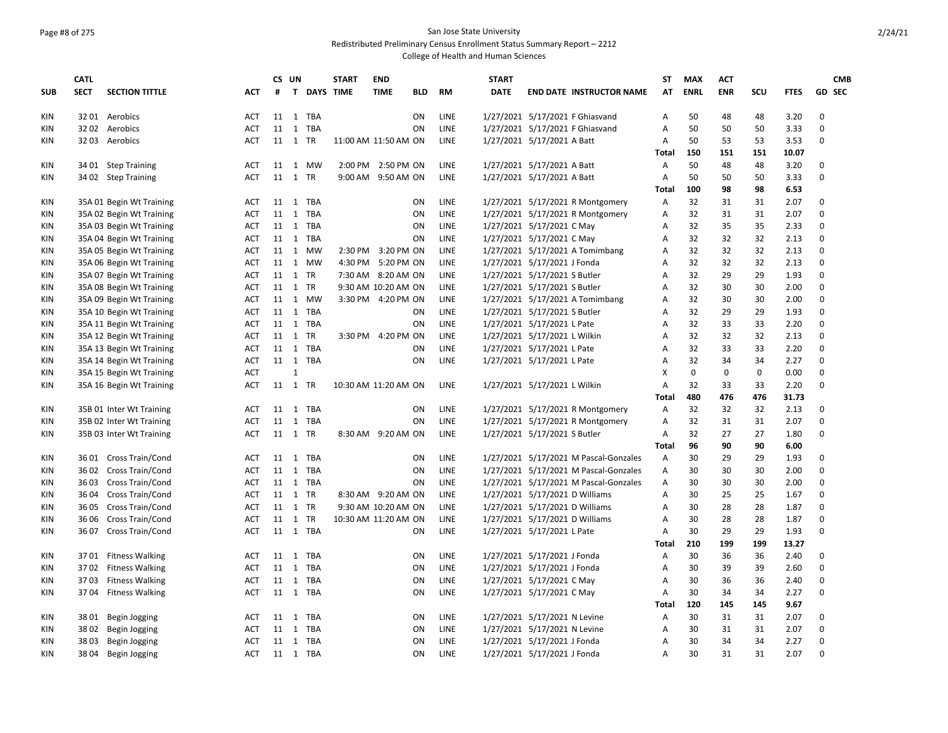### Page #8 of 275 San Jose State University Redistributed Preliminary Census Enrollment Status Summary Report – 2212

|            | <b>CATL</b> |                          |            |         | CS UN          |             | <b>START</b>         | <b>END</b>           |            |             | <b>START</b> |                                       | <b>ST</b>    | <b>MAX</b>  | <b>ACT</b>  |             |             | <b>CMB</b>    |
|------------|-------------|--------------------------|------------|---------|----------------|-------------|----------------------|----------------------|------------|-------------|--------------|---------------------------------------|--------------|-------------|-------------|-------------|-------------|---------------|
| <b>SUB</b> | <b>SECT</b> | <b>SECTION TITTLE</b>    | ACT        | #       |                | T DAYS TIME |                      | <b>TIME</b>          | <b>BLD</b> | <b>RM</b>   | <b>DATE</b>  | <b>END DATE INSTRUCTOR NAME</b>       | AΤ           | <b>ENRL</b> | <b>ENR</b>  | SCU         | <b>FTES</b> | <b>GD SEC</b> |
| KIN        |             | 3201 Aerobics            | ACT        |         |                | 11 1 TBA    |                      |                      | ON         | <b>LINE</b> |              | 1/27/2021 5/17/2021 F Ghiasvand       | Α            | 50          | 48          | 48          | 3.20        | 0             |
| <b>KIN</b> |             | 32 02 Aerobics           | <b>ACT</b> | 11      |                | 1 TBA       |                      |                      | ON         | LINE        |              | 1/27/2021 5/17/2021 F Ghiasvand       | A            | 50          | 50          | 50          | 3.33        | $\mathbf 0$   |
| KIN        | 3203        | Aerobics                 | <b>ACT</b> |         | 11 1 TR        |             |                      | 11:00 AM 11:50 AM ON |            | <b>LINE</b> |              | 1/27/2021 5/17/2021 A Batt            | Α            | 50          | 53          | 53          | 3.53        | $\mathbf 0$   |
|            |             |                          |            |         |                |             |                      |                      |            |             |              |                                       | <b>Total</b> | 150         | 151         | 151         | 10.07       |               |
| KIN        |             | 34 01 Step Training      | <b>ACT</b> | 11      |                | 1 MW        |                      | 2:00 PM 2:50 PM ON   |            | LINE        |              | 1/27/2021 5/17/2021 A Batt            | Α            | 50          | 48          | 48          | 3.20        | $\mathbf 0$   |
| <b>KIN</b> |             | 34 02 Step Training      | <b>ACT</b> | 11      | 1 TR           |             |                      | 9:00 AM 9:50 AM ON   |            | LINE        |              | 1/27/2021 5/17/2021 A Batt            | Α            | 50          | 50          | 50          | 3.33        | $\mathbf 0$   |
|            |             |                          |            |         |                |             |                      |                      |            |             |              |                                       | <b>Total</b> | 100         | 98          | 98          | 6.53        |               |
| ΚIΝ        |             | 35A 01 Begin Wt Training | ACT        | 11      | 1              | TBA         |                      |                      | ON         | <b>LINE</b> |              | 1/27/2021 5/17/2021 R Montgomery      | Α            | 32          | 31          | 31          | 2.07        | $\mathbf 0$   |
| KIN        |             | 35A 02 Begin Wt Training | <b>ACT</b> | 11      | 1              | TBA         |                      |                      | ON         | <b>LINE</b> |              | 1/27/2021 5/17/2021 R Montgomery      | Α            | 32          | 31          | 31          | 2.07        | $\Omega$      |
| KIN        |             | 35A 03 Begin Wt Training | <b>ACT</b> | 11      | 1              | TBA         |                      |                      | ON         | LINE        |              | 1/27/2021 5/17/2021 C May             | Α            | 32          | 35          | 35          | 2.33        | 0             |
| KIN        |             | 35A 04 Begin Wt Training | ACT        |         |                | 11 1 TBA    |                      |                      | ON         | LINE        |              | 1/27/2021 5/17/2021 C May             | Α            | 32          | 32          | 32          | 2.13        | $\mathbf 0$   |
| <b>KIN</b> |             | 35A 05 Begin Wt Training | <b>ACT</b> | 11      |                | 1 MW        |                      | 2:30 PM 3:20 PM ON   |            | LINE        |              | 1/27/2021 5/17/2021 A Tomimbang       | Α            | 32          | 32          | 32          | 2.13        | $\mathbf 0$   |
| KIN        |             | 35A 06 Begin Wt Training | <b>ACT</b> |         |                | 11 1 MW     |                      | 4:30 PM 5:20 PM ON   |            | LINE        |              | 1/27/2021 5/17/2021 J Fonda           | A            | 32          | 32          | 32          | 2.13        | $\mathbf 0$   |
| KIN        |             | 35A 07 Begin Wt Training | <b>ACT</b> | 11      | 1 TR           |             |                      | 7:30 AM 8:20 AM ON   |            | <b>LINE</b> |              | 1/27/2021 5/17/2021 S Butler          | Α            | 32          | 29          | 29          | 1.93        | $\Omega$      |
| <b>KIN</b> |             | 35A 08 Begin Wt Training | <b>ACT</b> |         | 11 1 TR        |             |                      | 9:30 AM 10:20 AM ON  |            | <b>LINE</b> |              | 1/27/2021 5/17/2021 S Butler          | A            | 32          | 30          | 30          | 2.00        | $\Omega$      |
| KIN        |             | 35A 09 Begin Wt Training | <b>ACT</b> |         |                | 11 1 MW     |                      | 3:30 PM 4:20 PM ON   |            | LINE        |              | 1/27/2021 5/17/2021 A Tomimbang       | А            | 32          | 30          | 30          | 2.00        | $\mathbf 0$   |
| KIN        |             | 35A 10 Begin Wt Training | <b>ACT</b> |         |                | 11 1 TBA    |                      |                      | <b>ON</b>  | LINE        |              | 1/27/2021 5/17/2021 S Butler          | Α            | 32          | 29          | 29          | 1.93        | $\mathbf 0$   |
| KIN        |             | 35A 11 Begin Wt Training | <b>ACT</b> | 11      | $\overline{1}$ | TBA         |                      |                      | ON         | LINE        |              | 1/27/2021 5/17/2021 L Pate            | Α            | 32          | 33          | 33          | 2.20        | $\mathbf 0$   |
| KIN        |             | 35A 12 Begin Wt Training | <b>ACT</b> | 11      | 1 TR           |             |                      | 3:30 PM 4:20 PM ON   |            | <b>LINE</b> |              | 1/27/2021 5/17/2021 L Wilkin          | Α            | 32          | 32          | 32          | 2.13        | $\mathbf 0$   |
| KIN        |             | 35A 13 Begin Wt Training | <b>ACT</b> |         |                | 11 1 TBA    |                      |                      | ON         | LINE        |              | 1/27/2021 5/17/2021 L Pate            | Α            | 32          | 33          | 33          | 2.20        | $\mathbf 0$   |
| KIN        |             | 35A 14 Begin Wt Training | ACT        |         |                | 11 1 TBA    |                      |                      | ON         | LINE        |              | 1/27/2021 5/17/2021 L Pate            | Α            | 32          | 34          | 34          | 2.27        | $\pmb{0}$     |
| KIN        |             | 35A 15 Begin Wt Training | <b>ACT</b> |         | $\mathbf{1}$   |             |                      |                      |            |             |              |                                       | Χ            | $\mathbf 0$ | $\mathbf 0$ | $\mathbf 0$ | 0.00        | $\mathbf 0$   |
| KIN        |             | 35A 16 Begin Wt Training | <b>ACT</b> | 11      | $\overline{1}$ | <b>TR</b>   |                      | 10:30 AM 11:20 AM ON |            | LINE        |              | 1/27/2021 5/17/2021 L Wilkin          | Α            | 32          | 33          | 33          | 2.20        | $\Omega$      |
|            |             |                          |            |         |                |             |                      |                      |            |             |              |                                       | <b>Total</b> | 480         | 476         | 476         | 31.73       |               |
| KIN        |             | 35B 01 Inter Wt Training | <b>ACT</b> | 11      |                | 1 TBA       |                      |                      | ON         | LINE        |              | 1/27/2021 5/17/2021 R Montgomery      | Α            | 32          | 32          | 32          | 2.13        | $\mathbf 0$   |
| <b>KIN</b> |             | 35B 02 Inter Wt Training | ACT        | 11      |                | 1 TBA       |                      |                      | ON         | LINE        |              | 1/27/2021 5/17/2021 R Montgomery      | А            | 32          | 31          | 31          | 2.07        | $\mathbf 0$   |
| ΚIΝ        |             | 35B 03 Inter Wt Training | <b>ACT</b> |         | 11 1 TR        |             |                      | 8:30 AM 9:20 AM ON   |            | LINE        |              | 1/27/2021 5/17/2021 S Butler          | Α            | 32          | 27          | 27          | 1.80        | $\mathbf 0$   |
|            |             |                          |            |         |                |             |                      |                      |            |             |              |                                       | <b>Total</b> | 96          | 90          | 90          | 6.00        |               |
| ΚIΝ        |             | 36 01 Cross Train/Cond   | <b>ACT</b> | 11      |                | 1 TBA       |                      |                      | ON         | LINE        |              | 1/27/2021 5/17/2021 M Pascal-Gonzales | A            | 30          | 29          | 29          | 1.93        | $\mathbf 0$   |
| <b>KIN</b> |             | 36 02 Cross Train/Cond   | ACT        | 11      |                | 1 TBA       |                      |                      | ON         | LINE        |              | 1/27/2021 5/17/2021 M Pascal-Gonzales | Α            | 30          | 30          | 30          | 2.00        | $\mathbf 0$   |
| KIN        | 3603        | Cross Train/Cond         | <b>ACT</b> |         |                | 11 1 TBA    |                      |                      | ON         | LINE        |              | 1/27/2021 5/17/2021 M Pascal-Gonzales | А            | 30          | 30          | 30          | 2.00        | $\mathbf 0$   |
| KIN        | 36 04       | Cross Train/Cond         | <b>ACT</b> |         | 11 1 TR        |             |                      | 8:30 AM 9:20 AM ON   |            | LINE        |              | 1/27/2021 5/17/2021 D Williams        | Α            | 30          | 25          | 25          | 1.67        | $\mathbf 0$   |
| <b>KIN</b> | 3605        | Cross Train/Cond         | <b>ACT</b> |         | 11 1 TR        |             |                      | 9:30 AM 10:20 AM ON  |            | <b>LINE</b> |              | 1/27/2021 5/17/2021 D Williams        | A            | 30          | 28          | 28          | 1.87        | $\Omega$      |
| <b>KIN</b> | 3606        | Cross Train/Cond         | <b>ACT</b> | 11 1 TR |                |             | 10:30 AM 11:20 AM ON |                      |            | LINE        |              | 1/27/2021 5/17/2021 D Williams        | Α            | 30          | 28          | 28          | 1.87        | $\mathbf 0$   |
| <b>KIN</b> |             | 36 07 Cross Train/Cond   | <b>ACT</b> |         |                | 11 1 TBA    |                      |                      | <b>ON</b>  | LINE        |              | 1/27/2021 5/17/2021 L Pate            | Α            | 30          | 29          | 29          | 1.93        | $\mathbf 0$   |
|            |             |                          |            |         |                |             |                      |                      |            |             |              |                                       | Total        | 210         | 199         | 199         | 13.27       |               |
| KIN        |             | 3701 Fitness Walking     | ACT        |         |                | 11 1 TBA    |                      |                      | ON         | LINE        |              | 1/27/2021 5/17/2021 J Fonda           | А            | 30          | 36          | 36          | 2.40        | $\mathbf 0$   |
| KIN        |             | 3702 Fitness Walking     | <b>ACT</b> | 11      | $\mathbf{1}$   | TBA         |                      |                      | ON         | LINE        |              | 1/27/2021 5/17/2021 J Fonda           | Α            | 30          | 39          | 39          | 2.60        | $\mathbf 0$   |
| KIN        | 3703        | <b>Fitness Walking</b>   | ACT        | 11      | 1              | TBA         |                      |                      | ON         | LINE        |              | 1/27/2021 5/17/2021 C May             | А            | 30          | 36          | 36          | 2.40        | 0             |
| <b>KIN</b> |             | 37 04 Fitness Walking    | ACT        | 11      |                | 1 TBA       |                      |                      | ON         | LINE        |              | 1/27/2021 5/17/2021 C May             | Α            | 30          | 34          | 34          | 2.27        | $\mathbf 0$   |
|            |             |                          |            |         |                |             |                      |                      |            |             |              |                                       | Total        | 120         | 145         | 145         | 9.67        |               |
| KIN        | 3801        | Begin Jogging            | <b>ACT</b> |         |                | 11 1 TBA    |                      |                      | ON         | LINE        |              | 1/27/2021 5/17/2021 N Levine          | Α            | 30          | 31          | 31          | 2.07        | 0             |
| KIN        | 3802        | Begin Jogging            | <b>ACT</b> | 11      | 1              | TBA         |                      |                      | ON         | LINE        |              | 1/27/2021 5/17/2021 N Levine          | А            | 30          | 31          | 31          | 2.07        | $\mathbf 0$   |
| <b>KIN</b> | 3803        | Begin Jogging            | <b>ACT</b> |         |                | 11 1 TBA    |                      |                      | ON         | LINE        |              | 1/27/2021 5/17/2021 J Fonda           | A            | 30          | 34          | 34          | 2.27        | $\Omega$      |
| <b>KIN</b> | 38 04       | Begin Jogging            | <b>ACT</b> |         |                | 11 1 TBA    |                      |                      | ON         | LINE        |              | 1/27/2021 5/17/2021 J Fonda           | A            | 30          | 31          | 31          | 2.07        | $\Omega$      |
|            |             |                          |            |         |                |             |                      |                      |            |             |              |                                       |              |             |             |             |             |               |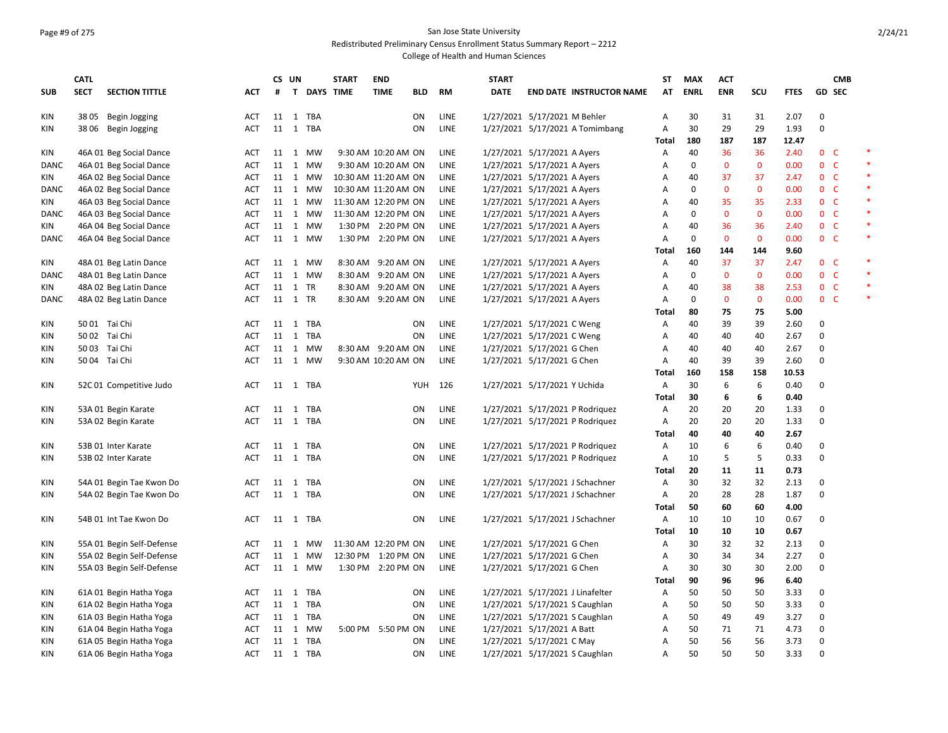# Page #9 of 275 San Jose State University

Redistributed Preliminary Census Enrollment Status Summary Report – 2212

|             | <b>CATL</b> |                           |            | CS UN   |              |                  | <b>START</b>         | <b>END</b>          |            |             | <b>START</b> |                                  | ST           | <b>MAX</b>  | <b>ACT</b>   |              |             |                | <b>CMB</b> |        |
|-------------|-------------|---------------------------|------------|---------|--------------|------------------|----------------------|---------------------|------------|-------------|--------------|----------------------------------|--------------|-------------|--------------|--------------|-------------|----------------|------------|--------|
| <b>SUB</b>  | <b>SECT</b> | <b>SECTION TITTLE</b>     | <b>ACT</b> | #       | $\mathbf{T}$ | <b>DAYS TIME</b> |                      | <b>TIME</b>         | <b>BLD</b> | <b>RM</b>   | <b>DATE</b>  | <b>END DATE INSTRUCTOR NAME</b>  | AT           | <b>ENRL</b> | <b>ENR</b>   | SCU          | <b>FTES</b> |                | GD SEC     |        |
| KIN         |             | 38 05 Begin Jogging       | ACT        |         |              | 11 1 TBA         |                      |                     | ON         | LINE        |              | 1/27/2021 5/17/2021 M Behler     | Α            | 30          | 31           | 31           | 2.07        | 0              |            |        |
| KIN         |             | 38 06 Begin Jogging       | <b>ACT</b> |         |              | 11 1 TBA         |                      |                     | ON         | LINE        |              | 1/27/2021 5/17/2021 A Tomimbang  | Α            | 30          | 29           | 29           | 1.93        | $\mathbf 0$    |            |        |
|             |             |                           |            |         |              |                  |                      |                     |            |             |              |                                  | Total        | 180         | 187          | 187          | 12.47       |                |            |        |
| KIN         |             | 46A 01 Beg Social Dance   | ACT        |         |              | 11 1 MW          |                      | 9:30 AM 10:20 AM ON |            | LINE        |              | 1/27/2021 5/17/2021 A Ayers      | Α            | 40          | 36           | 36           | 2.40        | 0 <sub>c</sub> |            |        |
| <b>DANC</b> |             | 46A 01 Beg Social Dance   | <b>ACT</b> | 11      |              | 1 MW             |                      | 9:30 AM 10:20 AM ON |            | <b>LINE</b> |              | 1/27/2021 5/17/2021 A Ayers      | A            | 0           | $\mathbf{0}$ | $\mathbf{0}$ | 0.00        | 0 <sup>o</sup> |            | $\ast$ |
| KIN         |             | 46A 02 Beg Social Dance   | <b>ACT</b> |         |              | 11 1 MW          | 10:30 AM 11:20 AM ON |                     |            | LINE        |              | 1/27/2021 5/17/2021 A Ayers      | Α            | 40          | 37           | 37           | 2.47        | 0 <sup>o</sup> |            | $\ast$ |
| DANC        |             | 46A 02 Beg Social Dance   | <b>ACT</b> |         |              | 11 1 MW          | 10:30 AM 11:20 AM ON |                     |            | LINE        |              | 1/27/2021 5/17/2021 A Ayers      | Α            | $\mathbf 0$ | $\mathbf{0}$ | $\mathbf{0}$ | 0.00        | 0 <sub>c</sub> |            | *      |
| KIN         |             | 46A 03 Beg Social Dance   | ACT        |         |              | 11 1 MW          | 11:30 AM 12:20 PM ON |                     |            | LINE        |              | 1/27/2021 5/17/2021 A Ayers      | Α            | 40          | 35           | 35           | 2.33        | 0 <sup>o</sup> |            | $\ast$ |
| DANC        |             | 46A 03 Beg Social Dance   | <b>ACT</b> | 11      |              | 1 MW             | 11:30 AM 12:20 PM ON |                     |            | LINE        |              | 1/27/2021 5/17/2021 A Ayers      | Α            | $\mathbf 0$ | $\mathbf{0}$ | $\mathbf{0}$ | 0.00        | $0-$           |            |        |
| KIN         |             | 46A 04 Beg Social Dance   | ACT        | 11      |              | 1 MW             |                      | 1:30 PM 2:20 PM ON  |            | LINE        |              | 1/27/2021 5/17/2021 A Ayers      | A            | 40          | 36           | 36           | 2.40        | $0-$           |            | $\ast$ |
| DANC        |             | 46A 04 Beg Social Dance   | <b>ACT</b> |         |              | 11 1 MW          |                      | 1:30 PM 2:20 PM ON  |            | <b>LINE</b> |              | 1/27/2021 5/17/2021 A Ayers      | Α            | $\mathbf 0$ | $\mathbf{0}$ | $\mathbf 0$  | 0.00        | 0 <sub>c</sub> |            | $\ast$ |
|             |             |                           |            |         |              |                  |                      |                     |            |             |              |                                  | Total        | 160         | 144          | 144          | 9.60        |                |            |        |
| KIN         |             | 48A 01 Beg Latin Dance    | <b>ACT</b> | 11      |              | 1 MW             | 8:30 AM              | 9:20 AM ON          |            | LINE        |              | 1/27/2021 5/17/2021 A Ayers      | Α            | 40          | 37           | 37           | 2.47        | 0 <sup>o</sup> |            |        |
| DANC        |             | 48A 01 Beg Latin Dance    | <b>ACT</b> | 11      |              | 1 MW             | 8:30 AM              | 9:20 AM ON          |            | LINE        |              | 1/27/2021 5/17/2021 A Ayers      | Α            | 0           | $\mathbf 0$  | $\mathbf 0$  | 0.00        | 0 <sup>o</sup> |            | $\ast$ |
| KIN         |             | 48A 02 Beg Latin Dance    | <b>ACT</b> | 11 1 TR |              |                  |                      | 8:30 AM 9:20 AM ON  |            | LINE        |              | 1/27/2021 5/17/2021 A Ayers      | Α            | 40          | 38           | 38           | 2.53        | 0 <sup>o</sup> |            |        |
| DANC        |             | 48A 02 Beg Latin Dance    | <b>ACT</b> | 11 1 TR |              |                  |                      | 8:30 AM 9:20 AM ON  |            | LINE        |              | 1/27/2021 5/17/2021 A Ayers      | Α            | 0           | $\mathbf 0$  | $\mathbf 0$  | 0.00        | 0 <sup>o</sup> |            | $\ast$ |
|             |             |                           |            |         |              |                  |                      |                     |            |             |              |                                  | Total        | 80          | 75           | 75           | 5.00        |                |            |        |
| KIN         |             | 50 01 Tai Chi             | <b>ACT</b> | 11      |              | 1 TBA            |                      |                     | ON         | LINE        |              | 1/27/2021 5/17/2021 C Weng       | Α            | 40          | 39           | 39           | 2.60        | 0              |            |        |
| <b>KIN</b>  |             | 50 02 Tai Chi             | <b>ACT</b> |         |              | 11 1 TBA         |                      |                     | 0N         | LINE        |              | 1/27/2021 5/17/2021 C Weng       | Α            | 40          | 40           | 40           | 2.67        | $\mathbf 0$    |            |        |
| KIN         |             | 50 03 Tai Chi             | <b>ACT</b> |         |              | 11 1 MW          |                      | 8:30 AM 9:20 AM ON  |            | LINE        |              | 1/27/2021 5/17/2021 G Chen       | Α            | 40          | 40           | 40           | 2.67        | 0              |            |        |
| KIN         |             | 50 04 Tai Chi             | ACT        |         |              | 11 1 MW          |                      | 9:30 AM 10:20 AM ON |            | LINE        |              | 1/27/2021 5/17/2021 G Chen       | Α            | 40          | 39           | 39           | 2.60        | $\mathbf 0$    |            |        |
|             |             |                           |            |         |              |                  |                      |                     |            |             |              |                                  | <b>Total</b> | 160         | 158          | 158          | 10.53       |                |            |        |
| KIN         |             | 52C 01 Competitive Judo   | ACT        |         |              | 11 1 TBA         |                      |                     | YUH        | 126         |              | 1/27/2021 5/17/2021 Y Uchida     | Α            | 30          | 6            | 6            | 0.40        | 0              |            |        |
|             |             |                           |            |         |              |                  |                      |                     |            |             |              |                                  | Total        | 30          | 6            | 6            | 0.40        |                |            |        |
| KIN         |             | 53A 01 Begin Karate       | ACT        | 11      |              | 1 TBA            |                      |                     | ON         | LINE        |              | 1/27/2021 5/17/2021 P Rodriquez  | Α            | 20          | 20           | 20           | 1.33        | 0              |            |        |
| KIN         |             | 53A 02 Begin Karate       | <b>ACT</b> |         |              | 11 1 TBA         |                      |                     | ON         | LINE        |              | 1/27/2021 5/17/2021 P Rodriquez  | Α            | 20          | 20           | 20           | 1.33        | $\mathbf 0$    |            |        |
|             |             |                           |            |         |              |                  |                      |                     |            |             |              |                                  | Total        | 40          | 40           | 40           | 2.67        |                |            |        |
| KIN         |             | 53B 01 Inter Karate       | <b>ACT</b> |         |              | 11 1 TBA         |                      |                     | ON         | LINE        |              | 1/27/2021 5/17/2021 P Rodriquez  | Α            | 10          | 6            | 6            | 0.40        | $\mathbf 0$    |            |        |
| ΚIΝ         |             | 53B 02 Inter Karate       | ACT        |         |              | 11 1 TBA         |                      |                     | ON         | LINE        |              | 1/27/2021 5/17/2021 P Rodriquez  | Α            | 10          | 5            | 5            | 0.33        | $\mathbf 0$    |            |        |
|             |             |                           |            |         |              |                  |                      |                     |            |             |              |                                  | Total        | 20          | 11           | 11           | 0.73        |                |            |        |
| KIN         |             | 54A 01 Begin Tae Kwon Do  | <b>ACT</b> | 11      |              | 1 TBA            |                      |                     | ON         | LINE        |              | 1/27/2021 5/17/2021 J Schachner  | Α            | 30          | 32           | 32           | 2.13        | $\mathbf 0$    |            |        |
| KIN         |             | 54A 02 Begin Tae Kwon Do  | <b>ACT</b> |         |              | 11 1 TBA         |                      |                     | ON         | <b>LINE</b> |              | 1/27/2021 5/17/2021 J Schachner  | Α            | 20          | 28           | 28           | 1.87        | $\mathbf 0$    |            |        |
|             |             |                           |            |         |              |                  |                      |                     |            |             |              |                                  | <b>Total</b> | 50          | 60           | 60           | 4.00        |                |            |        |
| KIN         |             | 54B 01 Int Tae Kwon Do    | <b>ACT</b> | 11      |              | 1 TBA            |                      |                     | ON         | LINE        |              | 1/27/2021 5/17/2021 J Schachner  | Α            | 10          | 10           | 10           | 0.67        | 0              |            |        |
|             |             |                           |            |         |              |                  |                      |                     |            |             |              |                                  | Total        | 10          | 10           | 10           | 0.67        |                |            |        |
| KIN         |             | 55A 01 Begin Self-Defense | ACT        | 11      | 1            | MW               | 11:30 AM 12:20 PM ON |                     |            | LINE        |              | 1/27/2021 5/17/2021 G Chen       | Α            | 30          | 32           | 32           | 2.13        | $\mathbf 0$    |            |        |
| KIN         |             | 55A 02 Begin Self-Defense | <b>ACT</b> | 11      |              | 1 MW             | 12:30 PM 1:20 PM ON  |                     |            | LINE        |              | 1/27/2021 5/17/2021 G Chen       | Α            | 30          | 34           | 34           | 2.27        | $\mathbf 0$    |            |        |
| KIN         |             | 55A 03 Begin Self-Defense | <b>ACT</b> |         |              | 11 1 MW          |                      | 1:30 PM 2:20 PM ON  |            | LINE        |              | 1/27/2021 5/17/2021 G Chen       | Α            | 30          | 30           | 30           | 2.00        | $\mathbf 0$    |            |        |
|             |             |                           |            |         |              |                  |                      |                     |            |             |              |                                  | Total        | 90          | 96           | 96           | 6.40        |                |            |        |
| KIN         |             | 61A 01 Begin Hatha Yoga   | ACT        | 11      |              | 1 TBA            |                      |                     | ON         | LINE        |              | 1/27/2021 5/17/2021 J Linafelter | Α            | 50          | 50           | 50           | 3.33        | 0              |            |        |
| KIN         |             | 61A 02 Begin Hatha Yoga   | <b>ACT</b> |         |              | 11 1 TBA         |                      |                     | 0N         | LINE        |              | 1/27/2021 5/17/2021 S Caughlan   | Α            | 50          | 50           | 50           | 3.33        | 0              |            |        |
| KIN         |             | 61A 03 Begin Hatha Yoga   | ACT        |         |              | 11 1 TBA         |                      |                     | ON         | LINE        |              | 1/27/2021 5/17/2021 S Caughlan   | Α            | 50          | 49           | 49           | 3.27        | 0              |            |        |
| KIN         |             | 61A 04 Begin Hatha Yoga   | <b>ACT</b> | 11      |              | 1 MW             |                      | 5:00 PM 5:50 PM ON  |            | <b>LINE</b> |              | 1/27/2021 5/17/2021 A Batt       | A            | 50          | 71           | 71           | 4.73        | $\mathbf 0$    |            |        |
| KIN         |             | 61A 05 Begin Hatha Yoga   | ACT        | 11      |              | 1 TBA            |                      |                     | ON         | LINE        |              | 1/27/2021 5/17/2021 C May        | Α            | 50          | 56           | 56           | 3.73        | 0              |            |        |
| KIN         |             | 61A 06 Begin Hatha Yoga   | <b>ACT</b> |         |              | 11 1 TBA         |                      |                     | ON         | LINE        |              | 1/27/2021 5/17/2021 S Caughlan   | A            | 50          | 50           | 50           | 3.33        | $\mathbf 0$    |            |        |
|             |             |                           |            |         |              |                  |                      |                     |            |             |              |                                  |              |             |              |              |             |                |            |        |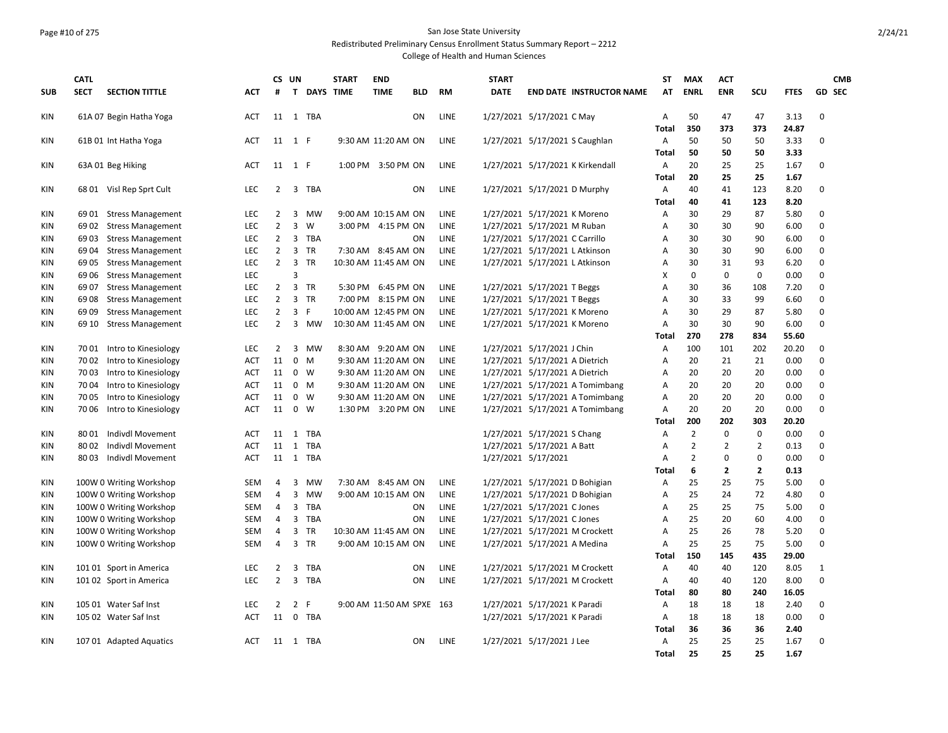## Page #10 of 275 San Jose State University

Redistributed Preliminary Census Enrollment Status Summary Report – 2212

|            | <b>CATL</b>   |                                                     |                          |                | CS UN                         |                   | <b>START</b>         | <b>END</b>                |            |             | <b>START</b> |                                                           |                                  | ST                  | <b>MAX</b>            | <b>ACT</b>        |                     |              | <b>CMB</b>    |
|------------|---------------|-----------------------------------------------------|--------------------------|----------------|-------------------------------|-------------------|----------------------|---------------------------|------------|-------------|--------------|-----------------------------------------------------------|----------------------------------|---------------------|-----------------------|-------------------|---------------------|--------------|---------------|
| <b>SUB</b> | <b>SECT</b>   | <b>SECTION TITTLE</b>                               | <b>ACT</b>               | #              |                               | T DAYS TIME       |                      | <b>TIME</b>               | <b>BLD</b> | <b>RM</b>   | <b>DATE</b>  |                                                           | <b>END DATE INSTRUCTOR NAME</b>  | AT                  | <b>ENRL</b>           | <b>ENR</b>        | SCU                 | <b>FTES</b>  | <b>GD SEC</b> |
| KIN        |               | 61A 07 Begin Hatha Yoga                             | ACT                      | 11             |                               | 1 TBA             |                      |                           | ΟN         | <b>LINE</b> |              | 1/27/2021 5/17/2021 C May                                 |                                  | A                   | 50                    | 47                | 47                  | 3.13         | 0             |
|            |               |                                                     |                          |                |                               |                   |                      |                           |            |             |              |                                                           |                                  | Total               | 350                   | 373               | 373                 | 24.87        |               |
| KIN        |               | 61B 01 Int Hatha Yoga                               | <b>ACT</b>               | 11             | 1 F                           |                   |                      | 9:30 AM 11:20 AM ON       |            | LINE        |              | 1/27/2021 5/17/2021 S Caughlan                            |                                  | А<br>Total          | 50<br>50              | 50<br>50          | 50<br>50            | 3.33<br>3.33 | 0             |
| KIN        |               | 63A 01 Beg Hiking                                   | <b>ACT</b>               | 11             | 1 F                           |                   |                      | 1:00 PM 3:50 PM ON        |            | <b>LINE</b> |              |                                                           | 1/27/2021 5/17/2021 K Kirkendall | A                   | 20                    | 25                | 25                  | 1.67         | 0             |
|            |               |                                                     |                          |                |                               |                   |                      |                           |            |             |              |                                                           |                                  | Total               | 20                    | 25                | 25                  | 1.67         |               |
| KIN        |               | 68 01 Visl Rep Sprt Cult                            | LEC                      | 2              |                               | 3 TBA             |                      |                           | <b>ON</b>  | <b>LINE</b> |              | 1/27/2021 5/17/2021 D Murphy                              |                                  | Α                   | 40                    | 41                | 123                 | 8.20         | 0             |
|            |               |                                                     |                          |                |                               |                   |                      |                           |            |             |              |                                                           |                                  | Total               | 40                    | 41                | 123                 | 8.20         |               |
| <b>KIN</b> |               | 69 01 Stress Management                             | <b>LEC</b>               | 2              | 3                             | <b>MW</b>         |                      | 9:00 AM 10:15 AM ON       |            | <b>LINE</b> |              | 1/27/2021 5/17/2021 K Moreno                              |                                  | A                   | 30                    | 29                | 87                  | 5.80         | 0             |
| KIN        |               | 69 02 Stress Management                             | <b>LEC</b>               | $\overline{2}$ | 3                             | W                 |                      | 3:00 PM 4:15 PM ON        |            | <b>LINE</b> |              | 1/27/2021 5/17/2021 M Ruban                               |                                  | A                   | 30                    | 30                | 90                  | 6.00         | 0             |
| KIN        |               | 69 03 Stress Management                             | <b>LEC</b>               | $\overline{2}$ |                               | 3 TBA             |                      |                           | <b>ON</b>  | <b>LINE</b> |              | 1/27/2021 5/17/2021 C Carrillo                            |                                  | A                   | 30                    | 30                | 90                  | 6.00         | 0             |
| KIN        |               | 69 04 Stress Management                             | <b>LEC</b>               | $\overline{2}$ |                               | 3 TR              |                      | 7:30 AM 8:45 AM ON        |            | LINE        |              | 1/27/2021 5/17/2021 L Atkinson                            |                                  | Α                   | 30                    | 30                | 90                  | 6.00         | 0             |
| <b>KIN</b> | 69 05         | <b>Stress Management</b>                            | LEC<br><b>LEC</b>        | $2^{\circ}$    | $\overline{\mathbf{3}}$<br>3  | <b>TR</b>         |                      | 10:30 AM 11:45 AM ON      |            | LINE        |              | 1/27/2021 5/17/2021 L Atkinson                            |                                  | Α<br>X              | 30<br>$\mathbf 0$     | 31<br>$\mathbf 0$ | 93<br>0             | 6.20<br>0.00 | 0<br>0        |
| KIN<br>KIN | 6907          | 69 06 Stress Management<br><b>Stress Management</b> | <b>LEC</b>               | $\overline{2}$ |                               | 3 TR              |                      | 5:30 PM 6:45 PM ON        |            | <b>LINE</b> |              | 1/27/2021 5/17/2021 T Beggs                               |                                  | A                   | 30                    | 36                | 108                 | 7.20         | 0             |
| KIN        | 6908          | <b>Stress Management</b>                            | LEC                      | $\overline{2}$ |                               | 3 TR              |                      | 7:00 PM 8:15 PM ON        |            | LINE        |              | 1/27/2021 5/17/2021 T Beggs                               |                                  | Α                   | 30                    | 33                | 99                  | 6.60         | 0             |
| KIN        | 6909          | <b>Stress Management</b>                            | <b>LEC</b>               | $\overline{2}$ | 3 F                           |                   | 10:00 AM 12:45 PM ON |                           |            | LINE        |              | 1/27/2021 5/17/2021 K Moreno                              |                                  | Α                   | 30                    | 29                | 87                  | 5.80         | 0             |
| KIN        | 69 10         | <b>Stress Management</b>                            | <b>LEC</b>               | $\overline{2}$ |                               | 3 MW              | 10:30 AM 11:45 AM ON |                           |            | <b>LINE</b> |              | 1/27/2021 5/17/2021 K Moreno                              |                                  | A                   | 30                    | 30                | 90                  | 6.00         | 0             |
|            |               |                                                     |                          |                |                               |                   |                      |                           |            |             |              |                                                           |                                  | Total               | 270                   | 278               | 834                 | 55.60        |               |
| KIN        |               | 70 01 Intro to Kinesiology                          | <b>LEC</b>               | $\overline{2}$ |                               | 3 MW              |                      | 8:30 AM 9:20 AM ON        |            | <b>LINE</b> |              | 1/27/2021 5/17/2021 J Chin                                |                                  | А                   | 100                   | 101               | 202                 | 20.20        | 0             |
| KIN        |               | 70 02 Intro to Kinesiology                          | <b>ACT</b>               | 11             |                               | $0 \quad M$       |                      | 9:30 AM 11:20 AM ON       |            | LINE        |              | 1/27/2021 5/17/2021 A Dietrich                            |                                  | Α                   | 20                    | 21                | 21                  | 0.00         | 0             |
| KIN        | 7003          | Intro to Kinesiology                                | <b>ACT</b>               | 11             | $0 \quad W$                   |                   |                      | 9:30 AM 11:20 AM ON       |            | <b>LINE</b> |              | 1/27/2021 5/17/2021 A Dietrich                            |                                  | A                   | 20                    | 20                | 20                  | 0.00         | 0             |
| KIN        |               | 70 04 Intro to Kinesiology                          | ACT                      | 11             |                               | $0 \quad M$       |                      | 9:30 AM 11:20 AM ON       |            | LINE        |              |                                                           | 1/27/2021 5/17/2021 A Tomimbang  | Α                   | 20                    | 20                | 20                  | 0.00         | 0             |
| KIN        | 7005          | Intro to Kinesiology                                | <b>ACT</b>               | 11             | $\mathbf 0$                   | W                 |                      | 9:30 AM 11:20 AM ON       |            | <b>LINE</b> |              |                                                           | 1/27/2021 5/17/2021 A Tomimbang  | A                   | 20                    | 20                | 20                  | 0.00         | 0             |
| KIN        |               | 70 06 Intro to Kinesiology                          | <b>ACT</b>               | 11             | $0 \quad W$                   |                   |                      | 1:30 PM 3:20 PM ON        |            | <b>LINE</b> |              |                                                           | 1/27/2021 5/17/2021 A Tomimbang  | А                   | 20                    | 20                | 20                  | 0.00         | 0             |
|            |               |                                                     |                          |                |                               |                   |                      |                           |            |             |              |                                                           |                                  | <b>Total</b>        | 200<br>$\overline{2}$ | 202               | 303                 | 20.20        | 0             |
| KIN<br>KIN | 80 01<br>8002 | Indivdl Movement<br>Indivdl Movement                | <b>ACT</b><br><b>ACT</b> | 11<br>11       | 1<br>1                        | TBA<br><b>TBA</b> |                      |                           |            |             |              | 1/27/2021 5/17/2021 S Chang<br>1/27/2021 5/17/2021 A Batt |                                  | Α<br>A              | $\overline{2}$        | 0<br>2            | 0<br>$\overline{2}$ | 0.00<br>0.13 | 0             |
| KIN        |               | 8003 Indivdl Movement                               | <b>ACT</b>               |                |                               | 11 1 TBA          |                      |                           |            |             |              | 1/27/2021 5/17/2021                                       |                                  | Α                   | $\overline{2}$        | $\Omega$          | $\Omega$            | 0.00         | 0             |
|            |               |                                                     |                          |                |                               |                   |                      |                           |            |             |              |                                                           |                                  | <b>Total</b>        | 6                     | 2                 | 2                   | 0.13         |               |
| KIN        |               | 100W 0 Writing Workshop                             | <b>SEM</b>               | 4              | 3                             | <b>MW</b>         |                      | 7:30 AM 8:45 AM ON        |            | LINE        |              | 1/27/2021 5/17/2021 D Bohigian                            |                                  | Α                   | 25                    | 25                | 75                  | 5.00         | 0             |
| KIN        |               | 100W 0 Writing Workshop                             | <b>SEM</b>               | 4              | 3                             | <b>MW</b>         |                      | 9:00 AM 10:15 AM ON       |            | LINE        |              | 1/27/2021 5/17/2021 D Bohigian                            |                                  | A                   | 25                    | 24                | 72                  | 4.80         | 0             |
| KIN        |               | 100W 0 Writing Workshop                             | SEM                      | 4              | 3                             | TBA               |                      |                           | ON         | LINE        |              | 1/27/2021 5/17/2021 C Jones                               |                                  | А                   | 25                    | 25                | 75                  | 5.00         | 0             |
| KIN        |               | 100W 0 Writing Workshop                             | SEM                      | 4              | 3                             | TBA               |                      |                           | ON         | LINE        |              | 1/27/2021 5/17/2021 C Jones                               |                                  | Α                   | 25                    | 20                | 60                  | 4.00         | 0             |
| <b>KIN</b> |               | 100W 0 Writing Workshop                             | <b>SEM</b>               | 4              | 3                             | <b>TR</b>         | 10:30 AM 11:45 AM ON |                           |            | LINE        |              |                                                           | 1/27/2021 5/17/2021 M Crockett   | A                   | 25                    | 26                | 78                  | 5.20         | 0             |
| KIN        |               | 100W 0 Writing Workshop                             | SEM                      | 4              | $\overline{3}$                | TR                |                      | 9:00 AM 10:15 AM ON       |            | LINE        |              | 1/27/2021 5/17/2021 A Medina                              |                                  | А                   | 25                    | 25                | 75                  | 5.00         | 0             |
|            |               |                                                     |                          |                |                               |                   |                      |                           |            |             |              |                                                           |                                  | Total               | 150                   | 145               | 435                 | 29.00        |               |
| KIN        |               | 101 01 Sport in America                             | LEC                      | $\overline{2}$ | 3                             | TBA               |                      |                           | ON         | LINE        |              |                                                           | 1/27/2021 5/17/2021 M Crockett   | Α                   | 40                    | 40                | 120                 | 8.05         | 1             |
| KIN        |               | 101 02 Sport in America                             | LEC                      | $\overline{2}$ | $\overline{3}$                | TBA               |                      |                           | ON         | LINE        |              |                                                           | 1/27/2021 5/17/2021 M Crockett   | Α                   | 40                    | 40                | 120                 | 8.00         | 0             |
|            |               |                                                     |                          |                |                               |                   |                      |                           |            |             |              |                                                           |                                  | Total               | 80                    | 80                | 240                 | 16.05        |               |
| KIN<br>KIN |               | 105 01 Water Saf Inst<br>105 02 Water Saf Inst      | <b>LEC</b><br><b>ACT</b> | 2<br>11        | $\overline{2}$<br>$\mathbf 0$ | -F<br>TBA         |                      | 9:00 AM 11:50 AM SPXE 163 |            |             |              | 1/27/2021 5/17/2021 K Paradi                              |                                  | A<br>$\overline{A}$ | 18<br>18              | 18<br>18          | 18<br>18            | 2.40<br>0.00 | 0<br>0        |
|            |               |                                                     |                          |                |                               |                   |                      |                           |            |             |              | 1/27/2021 5/17/2021 K Paradi                              |                                  | Total               | 36                    | 36                | 36                  | 2.40         |               |
| KIN        |               | 107 01 Adapted Aquatics                             | <b>ACT</b>               |                |                               | 11 1 TBA          |                      |                           | ON         | LINE        |              | 1/27/2021 5/17/2021 J Lee                                 |                                  | Α                   | 25                    | 25                | 25                  | 1.67         | 0             |
|            |               |                                                     |                          |                |                               |                   |                      |                           |            |             |              |                                                           |                                  | Total               | 25                    | 25                | 25                  | 1.67         |               |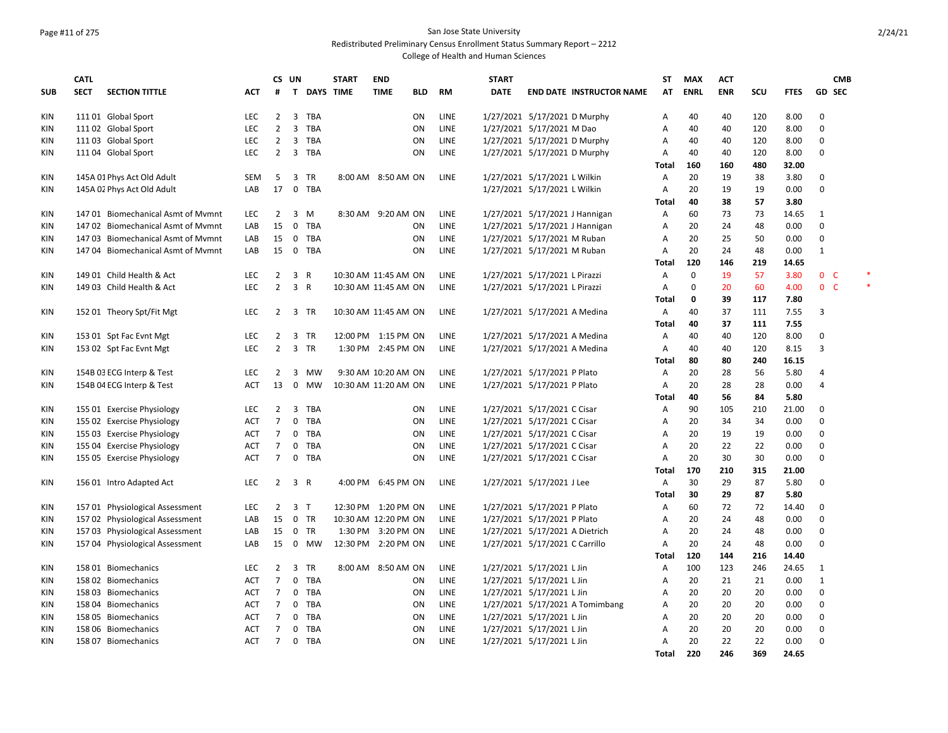# Page #11 of 275 San Jose State University

Redistributed Preliminary Census Enrollment Status Summary Report – 2212

|            | <b>CATL</b> |                                    |            |                | CS UN          |             | <b>START</b> | <b>END</b>           |            |             | <b>START</b> |                                 | ST           | <b>MAX</b>  | <b>ACT</b> |     |             |                | <b>CMB</b> |  |
|------------|-------------|------------------------------------|------------|----------------|----------------|-------------|--------------|----------------------|------------|-------------|--------------|---------------------------------|--------------|-------------|------------|-----|-------------|----------------|------------|--|
| <b>SUB</b> | <b>SECT</b> | <b>SECTION TITTLE</b>              | ACT        | #              |                | T DAYS TIME |              | <b>TIME</b>          | <b>BLD</b> | RM          | <b>DATE</b>  | <b>END DATE INSTRUCTOR NAME</b> | AT           | <b>ENRL</b> | <b>ENR</b> | scu | <b>FTES</b> | <b>GD SEC</b>  |            |  |
| KIN        |             | 11101 Global Sport                 | <b>LEC</b> | $\overline{2}$ |                | 3 TBA       |              |                      | <b>ON</b>  | LINE        |              | 1/27/2021 5/17/2021 D Murphy    | A            | 40          | 40         | 120 | 8.00        | $\mathbf 0$    |            |  |
| KIN        |             | 111 02 Global Sport                | <b>LEC</b> | $\overline{2}$ | 3              | <b>TBA</b>  |              |                      | <b>ON</b>  | LINE        |              | 1/27/2021 5/17/2021 M Dao       | Α            | 40          | 40         | 120 | 8.00        | $\mathbf 0$    |            |  |
| KIN        |             | 111 03 Global Sport                | LEC        | $\overline{2}$ | 3              | TBA         |              |                      | ON         | LINE        |              | 1/27/2021 5/17/2021 D Murphy    | Α            | 40          | 40         | 120 | 8.00        | 0              |            |  |
| KIN        |             | 111 04 Global Sport                | <b>LEC</b> | $\overline{2}$ |                | 3 TBA       |              |                      | ON         | LINE        |              | 1/27/2021 5/17/2021 D Murphy    | Α            | 40          | 40         | 120 | 8.00        | 0              |            |  |
|            |             |                                    |            |                |                |             |              |                      |            |             |              |                                 | Total        | 160         | 160        | 480 | 32.00       |                |            |  |
| KIN        |             | 145A 01 Phys Act Old Adult         | <b>SEM</b> | -5             |                | 3 TR        |              | 8:00 AM 8:50 AM ON   |            | LINE        |              | 1/27/2021 5/17/2021 L Wilkin    | A            | 20          | 19         | 38  | 3.80        | 0              |            |  |
| KIN        |             | 145A 02 Phys Act Old Adult         | LAB        | 17             |                | 0 TBA       |              |                      |            |             |              | 1/27/2021 5/17/2021 L Wilkin    | Α            | 20          | 19         | 19  | 0.00        | $\mathbf 0$    |            |  |
|            |             |                                    |            |                |                |             |              |                      |            |             |              |                                 | Total        | 40          | 38         | 57  | 3.80        |                |            |  |
| KIN        |             | 14701 Biomechanical Asmt of Mymnt  | <b>LEC</b> | $\overline{2}$ | 3              | M           |              | 8:30 AM 9:20 AM ON   |            | LINE        |              | 1/27/2021 5/17/2021 J Hannigan  | Α            | 60          | 73         | 73  | 14.65       | 1              |            |  |
| KIN        |             | 147 02 Biomechanical Asmt of Mymnt | LAB        | 15             | $\mathbf 0$    | <b>TBA</b>  |              |                      | <b>ON</b>  | <b>LINE</b> |              | 1/27/2021 5/17/2021 J Hannigan  | Α            | 20          | 24         | 48  | 0.00        | 0              |            |  |
| KIN        |             | 147 03 Biomechanical Asmt of Mymnt | LAB        | 15             | $\mathbf 0$    | TBA         |              |                      | ON         | LINE        |              | 1/27/2021 5/17/2021 M Ruban     | Α            | 20          | 25         | 50  | 0.00        | 0              |            |  |
| <b>KIN</b> |             | 147 04 Biomechanical Asmt of Mymnt | LAB        | 15             | $\mathbf 0$    | TBA         |              |                      | ON         | <b>LINE</b> |              | 1/27/2021 5/17/2021 M Ruban     | A            | 20          | 24         | 48  | 0.00        | $\mathbf{1}$   |            |  |
|            |             |                                    |            |                |                |             |              |                      |            |             |              |                                 | Total        | 120         | 146        | 219 | 14.65       |                |            |  |
| KIN        |             | 149 01 Child Health & Act          | <b>LEC</b> | 2              | 3 R            |             |              | 10:30 AM 11:45 AM ON |            | <b>LINE</b> |              | 1/27/2021 5/17/2021 L Pirazzi   | A            | $\Omega$    | 19         | 57  | 3.80        | 0 <sup>o</sup> |            |  |
| <b>KIN</b> |             | 149 03 Child Health & Act          | <b>LEC</b> | $\overline{2}$ | 3 R            |             |              | 10:30 AM 11:45 AM ON |            | LINE        |              | 1/27/2021 5/17/2021 L Pirazzi   | Α            | $\Omega$    | 20         | 60  | 4.00        | $0-$           |            |  |
|            |             |                                    |            |                |                |             |              |                      |            |             |              |                                 | Total        | 0           | 39         | 117 | 7.80        |                |            |  |
| KIN        |             | 152 01 Theory Spt/Fit Mgt          | <b>LEC</b> | $\overline{2}$ |                | 3 TR        |              | 10:30 AM 11:45 AM ON |            | LINE        |              | 1/27/2021 5/17/2021 A Medina    | Α            | 40          | 37         | 111 | 7.55        | 3              |            |  |
|            |             |                                    |            |                |                |             |              |                      |            |             |              |                                 | Total        | 40          | 37         | 111 | 7.55        |                |            |  |
| KIN        |             | 153 01 Spt Fac Evnt Mgt            | <b>LEC</b> | 2              |                | 3 TR        |              | 12:00 PM 1:15 PM ON  |            | LINE        |              | 1/27/2021 5/17/2021 A Medina    | Α            | 40          | 40         | 120 | 8.00        | 0              |            |  |
| <b>KIN</b> |             | 153 02 Spt Fac Evnt Mgt            | LEC        | $\overline{2}$ |                | 3 TR        |              | 1:30 PM 2:45 PM ON   |            | LINE        |              | 1/27/2021 5/17/2021 A Medina    | Α            | 40          | 40         | 120 | 8.15        | 3              |            |  |
|            |             |                                    |            |                |                |             |              |                      |            |             |              |                                 | Total        | 80          | 80         | 240 | 16.15       |                |            |  |
| KIN        |             | 154B 03 ECG Interp & Test          | <b>LEC</b> | $\overline{2}$ | 3              | MW          |              | 9:30 AM 10:20 AM ON  |            | <b>LINE</b> |              | 1/27/2021 5/17/2021 P Plato     | A            | 20          | 28         | 56  | 5.80        | $\overline{4}$ |            |  |
| KIN        |             | 154B 04 ECG Interp & Test          | <b>ACT</b> | 13             | 0              | MW          |              | 10:30 AM 11:20 AM ON |            | LINE        |              | 1/27/2021 5/17/2021 P Plato     | Α            | 20          | 28         | 28  | 0.00        | $\overline{4}$ |            |  |
|            |             |                                    |            |                |                |             |              |                      |            |             |              |                                 | Total        | 40          | 56         | 84  | 5.80        |                |            |  |
| KIN        |             | 155 01 Exercise Physiology         | <b>LEC</b> | $\overline{2}$ | 3              | TBA         |              |                      | <b>ON</b>  | LINE        |              | 1/27/2021 5/17/2021 C Cisar     | A            | 90          | 105        | 210 | 21.00       | $\mathbf 0$    |            |  |
| KIN        |             | 155 02 Exercise Physiology         | <b>ACT</b> | $\overline{7}$ | $\mathbf 0$    | <b>TBA</b>  |              |                      | <b>ON</b>  | <b>LINE</b> |              | 1/27/2021 5/17/2021 C Cisar     | A            | 20          | 34         | 34  | 0.00        | 0              |            |  |
| KIN        |             | 155 03 Exercise Physiology         | <b>ACT</b> | $\overline{7}$ | $\mathbf 0$    | TBA         |              |                      | ON         | LINE        |              | 1/27/2021 5/17/2021 C Cisar     | Α            | 20          | 19         | 19  | 0.00        | $\pmb{0}$      |            |  |
| <b>KIN</b> |             | 155 04 Exercise Physiology         | <b>ACT</b> | 7              | $\mathbf 0$    | <b>TBA</b>  |              |                      | ON         | LINE        |              | 1/27/2021 5/17/2021 C Cisar     | Α            | 20          | 22         | 22  | 0.00        | 0              |            |  |
| <b>KIN</b> |             | 155 05 Exercise Physiology         | <b>ACT</b> | $\overline{7}$ |                | 0 TBA       |              |                      | ON         | LINE        |              | 1/27/2021 5/17/2021 C Cisar     | Α            | 20          | 30         | 30  | 0.00        | $\mathbf 0$    |            |  |
|            |             |                                    |            |                |                |             |              |                      |            |             |              |                                 | Total        | 170         | 210        | 315 | 21.00       |                |            |  |
| KIN        |             | 156 01 Intro Adapted Act           | <b>LEC</b> | $\overline{2}$ | 3 R            |             |              | 4:00 PM 6:45 PM ON   |            | LINE        |              | 1/27/2021 5/17/2021 J Lee       | А            | 30          | 29         | 87  | 5.80        | $\mathbf 0$    |            |  |
|            |             |                                    |            |                |                |             |              |                      |            |             |              |                                 | <b>Total</b> | 30          | 29         | 87  | 5.80        |                |            |  |
| KIN        |             | 157 01 Physiological Assessment    | <b>LEC</b> | 2              | 3 <sub>T</sub> |             |              | 12:30 PM 1:20 PM ON  |            | LINE        |              | 1/27/2021 5/17/2021 P Plato     | Α            | 60          | 72         | 72  | 14.40       | 0              |            |  |
| KIN        |             | 157 02 Physiological Assessment    | LAB        | 15             |                | 0 TR        |              | 10:30 AM 12:20 PM ON |            | <b>LINE</b> |              | 1/27/2021 5/17/2021 P Plato     | Α            | 20          | 24         | 48  | 0.00        | 0              |            |  |
| <b>KIN</b> |             | 157 03 Physiological Assessment    | LAB        | 15             |                | $0$ TR      |              | 1:30 PM 3:20 PM ON   |            | <b>LINE</b> |              | 1/27/2021 5/17/2021 A Dietrich  | Α            | 20          | 24         | 48  | 0.00        | 0              |            |  |
| <b>KIN</b> |             | 157 04 Physiological Assessment    | LAB        | 15             |                | 0 MW        |              | 12:30 PM 2:20 PM ON  |            | LINE        |              | 1/27/2021 5/17/2021 C Carrillo  | A            | 20          | 24         | 48  | 0.00        | $\mathbf 0$    |            |  |
|            |             |                                    |            |                |                |             |              |                      |            |             |              |                                 | Total        | 120         | 144        | 216 | 14.40       |                |            |  |
| KIN        |             | 158 01 Biomechanics                | <b>LEC</b> | $\overline{2}$ |                | 3 TR        |              | 8:00 AM 8:50 AM ON   |            | LINE        |              | 1/27/2021 5/17/2021 L Jin       | Α            | 100         | 123        | 246 | 24.65       | 1              |            |  |
| <b>KIN</b> |             | 158 02 Biomechanics                | <b>ACT</b> | $\overline{7}$ | $\mathbf{0}$   | <b>TBA</b>  |              |                      | ON         | LINE        |              | 1/27/2021 5/17/2021 L Jin       | Α            | 20          | 21         | 21  | 0.00        | $\mathbf{1}$   |            |  |
| <b>KIN</b> |             | 158 03 Biomechanics                | <b>ACT</b> | $\overline{7}$ | $\mathsf{O}$   | <b>TBA</b>  |              |                      | <b>ON</b>  | LINE        |              | 1/27/2021 5/17/2021 L Jin       | Α            | 20          | 20         | 20  | 0.00        | $\mathbf 0$    |            |  |
| <b>KIN</b> |             | 158 04 Biomechanics                | <b>ACT</b> | $\overline{7}$ | $\mathbf 0$    | <b>TBA</b>  |              |                      | ON         | LINE        |              | 1/27/2021 5/17/2021 A Tomimbang | Α            | 20          | 20         | 20  | 0.00        | $\mathbf 0$    |            |  |
| KIN        |             | 158 05 Biomechanics                | ACT        | 7              | 0              | TBA         |              |                      | ON         | LINE        |              | 1/27/2021 5/17/2021 L Jin       | A            | 20          | 20         | 20  | 0.00        | $\pmb{0}$      |            |  |
| <b>KIN</b> |             | 158 06 Biomechanics                | <b>ACT</b> | 7              | $\mathbf 0$    | TBA         |              |                      | ON         | <b>LINE</b> |              | 1/27/2021 5/17/2021 L Jin       | Α            | 20          | 20         | 20  | 0.00        | 0              |            |  |
| KIN        |             | 158 07 Biomechanics                | <b>ACT</b> | $\overline{7}$ | $\mathbf{0}$   | TBA         |              |                      | ON         | LINE        |              | 1/27/2021 5/17/2021 L Jin       | A            | 20          | 22         | 22  | 0.00        | $\mathbf 0$    |            |  |
|            |             |                                    |            |                |                |             |              |                      |            |             |              |                                 | Total        | 220         | 246        | 369 | 24.65       |                |            |  |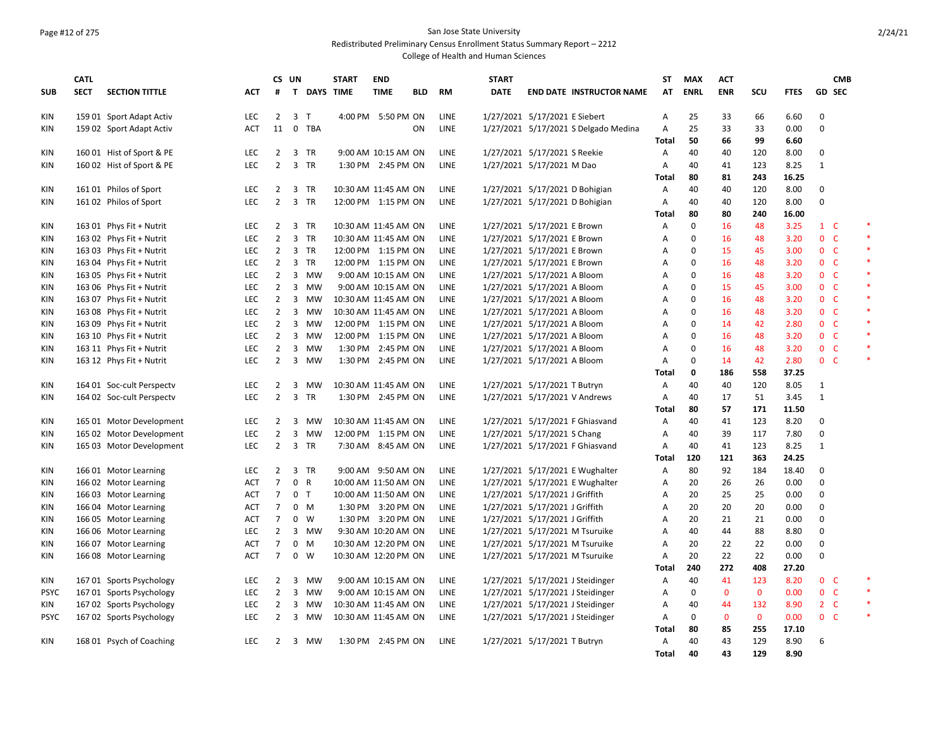### Page #12 of 275 San Jose State University Redistributed Preliminary Census Enrollment Status Summary Report – 2212

|                          | <b>CATL</b> |                                                      |                          | CS UN                            |                |                  | <b>START</b>         | <b>END</b>                                 |            |                            | <b>START</b> |                                                                      | ST           | <b>MAX</b>  | <b>ACT</b>   |              |              |                          | <b>CMB</b>    |        |
|--------------------------|-------------|------------------------------------------------------|--------------------------|----------------------------------|----------------|------------------|----------------------|--------------------------------------------|------------|----------------------------|--------------|----------------------------------------------------------------------|--------------|-------------|--------------|--------------|--------------|--------------------------|---------------|--------|
| <b>SUB</b>               | <b>SECT</b> | <b>SECTION TITTLE</b>                                | <b>ACT</b>               | #                                | $\mathbf{T}$   | <b>DAYS TIME</b> |                      | <b>TIME</b>                                | <b>BLD</b> | <b>RM</b>                  | <b>DATE</b>  | <b>END DATE INSTRUCTOR NAME</b>                                      | AT           | <b>ENRL</b> | <b>ENR</b>   | SCU          | <b>FTES</b>  |                          | <b>GD SEC</b> |        |
| KIN                      |             | 159 01 Sport Adapt Activ                             | <b>LEC</b>               | 2                                |                | 3 T              |                      | 4:00 PM 5:50 PM ON                         |            | <b>LINE</b>                |              | 1/27/2021 5/17/2021 E Siebert                                        | Α            | 25          | 33           | 66           | 6.60         | $\Omega$                 |               |        |
| <b>KIN</b>               |             | 159 02 Sport Adapt Activ                             | <b>ACT</b>               |                                  |                | 11 0 TBA         |                      |                                            | ON         | <b>LINE</b>                |              | 1/27/2021 5/17/2021 S Delgado Medina                                 | А<br>Total   | 25<br>50    | 33<br>66     | 33<br>99     | 0.00<br>6.60 | $\Omega$                 |               |        |
| <b>KIN</b>               |             | 160 01 Hist of Sport & PE                            | <b>LEC</b>               | $\overline{2}$                   |                | 3 TR             |                      | 9:00 AM 10:15 AM ON                        |            | <b>LINE</b>                |              | 1/27/2021 5/17/2021 S Reekie                                         | Α            | 40          | 40           | 120          | 8.00         | $\Omega$                 |               |        |
| <b>KIN</b>               |             | 160 02 Hist of Sport & PE                            | <b>LEC</b>               | $\overline{2}$                   |                | 3 TR             |                      | 1:30 PM 2:45 PM ON                         |            | LINE                       |              | 1/27/2021 5/17/2021 M Dao                                            | Α            | 40          | 41           | 123          | 8.25         | $\mathbf{1}$             |               |        |
|                          |             |                                                      |                          |                                  |                |                  |                      |                                            |            |                            |              |                                                                      | Total        | 80          | 81           | 243          | 16.25        |                          |               |        |
| KIN                      |             | 161 01 Philos of Sport                               | <b>LEC</b>               | 2                                |                | 3 TR             | 10:30 AM 11:45 AM ON |                                            |            | LINE                       |              | 1/27/2021 5/17/2021 D Bohigian                                       | Α            | 40          | 40           | 120          | 8.00         | $\mathbf 0$              |               |        |
| <b>KIN</b>               |             | 161 02 Philos of Sport                               | <b>LEC</b>               | $\overline{2}$                   | $\overline{3}$ | <b>TR</b>        |                      | 12:00 PM 1:15 PM ON                        |            | LINE                       |              | 1/27/2021 5/17/2021 D Bohigian                                       | A            | 40          | 40           | 120          | 8.00         | $\Omega$                 |               |        |
|                          |             |                                                      |                          |                                  |                |                  |                      |                                            |            |                            |              |                                                                      | Total        | 80          | 80           | 240          | 16.00        |                          |               |        |
| KIN                      |             | 163 01 Phys Fit + Nutrit                             | <b>LEC</b>               | $\overline{2}$                   | 3              | <b>TR</b>        | 10:30 AM 11:45 AM ON |                                            |            | <b>LINE</b>                |              | 1/27/2021 5/17/2021 E Brown                                          | Α            | $\mathbf 0$ | 16           | 48           | 3.25         | $1\quad C$               |               | $\ast$ |
| <b>KIN</b>               |             | 163 02 Phys Fit + Nutrit                             | <b>LEC</b>               | $\overline{2}$                   |                | 3 TR             | 10:30 AM 11:45 AM ON |                                            |            | LINE                       |              | 1/27/2021 5/17/2021 E Brown                                          | A            | $\mathbf 0$ | 16           | 48           | 3.20         | 0 <sub>c</sub>           |               | $\ast$ |
| <b>KIN</b>               |             | 163 03 Phys Fit + Nutrit                             | LEC                      | $\overline{2}$                   |                | 3 TR             |                      | 12:00 PM 1:15 PM ON                        |            | LINE                       |              | 1/27/2021 5/17/2021 E Brown                                          | Α            | 0           | 15           | 45           | 3.00         | 0 <sub>c</sub>           |               | $\ast$ |
| <b>KIN</b>               |             | 163 04 Phys Fit + Nutrit                             | <b>LEC</b>               | $\overline{2}$                   |                | 3 TR             |                      | 12:00 PM 1:15 PM ON                        |            | <b>LINE</b>                |              | 1/27/2021 5/17/2021 E Brown                                          | Α            | $\mathbf 0$ | 16           | 48           | 3.20         | 0 <sub>c</sub>           |               | $\ast$ |
| <b>KIN</b>               |             | 163 05 Phys Fit + Nutrit                             | <b>LEC</b>               | $\overline{2}$                   |                | 3 MW             |                      | 9:00 AM 10:15 AM ON                        |            | <b>LINE</b>                |              | 1/27/2021 5/17/2021 A Bloom                                          | Α            | $\mathbf 0$ | 16           | 48           | 3.20         | 0 <sup>o</sup>           |               | $\ast$ |
| <b>KIN</b>               |             | 163 06 Phys Fit + Nutrit                             | LEC                      | $\overline{2}$                   |                | 3 MW             |                      | 9:00 AM 10:15 AM ON                        |            | LINE                       |              | 1/27/2021 5/17/2021 A Bloom                                          | А            | $\mathbf 0$ | 15           | 45           | 3.00         | 0 <sub>c</sub>           |               | $\ast$ |
| <b>KIN</b>               |             | 163 07 Phys Fit + Nutrit                             | LEC                      | $\overline{2}$                   |                | 3 MW             | 10:30 AM 11:45 AM ON |                                            |            | LINE                       |              | 1/27/2021 5/17/2021 A Bloom                                          | А            | 0           | 16           | 48           | 3.20         | 0 <sup>o</sup>           |               | $\ast$ |
| <b>KIN</b>               |             | 163 08 Phys Fit + Nutrit                             | <b>LEC</b>               | $\overline{2}$                   | $\overline{3}$ | <b>MW</b>        | 10:30 AM 11:45 AM ON |                                            |            | LINE                       |              | 1/27/2021 5/17/2021 A Bloom                                          | Α            | $\mathbf 0$ | 16           | 48           | 3.20         | 0 <sup>o</sup>           |               | $\ast$ |
| <b>KIN</b>               |             | 163 09 Phys Fit + Nutrit                             | LEC                      | $\overline{2}$                   | $\overline{3}$ | <b>MW</b>        |                      | 12:00 PM 1:15 PM ON                        |            | LINE                       |              | 1/27/2021 5/17/2021 A Bloom                                          | Α            | $\Omega$    | 14           | 42           | 2.80         | 0 <sup>o</sup>           |               | $\ast$ |
| <b>KIN</b>               |             | 163 10 Phys Fit + Nutrit                             | <b>LEC</b>               | $\overline{2}$                   | 3              | <b>MW</b>        |                      | 12:00 PM 1:15 PM ON                        |            | <b>LINE</b>                |              | 1/27/2021 5/17/2021 A Bloom                                          | Α            | $\mathbf 0$ | 16           | 48           | 3.20         | 0 <sub>c</sub>           |               | $\ast$ |
| <b>KIN</b>               |             | 163 11 Phys Fit + Nutrit                             | <b>LEC</b>               | $\overline{2}$                   |                | 3 MW             |                      | 1:30 PM 2:45 PM ON                         |            | <b>LINE</b>                |              | 1/27/2021 5/17/2021 A Bloom                                          | A            | 0           | 16           | 48           | 3.20         | 0 <sub>c</sub>           |               | $\ast$ |
| <b>KIN</b>               |             | 163 12 Phys Fit + Nutrit                             | LEC                      | $\overline{2}$                   |                | 3 MW             |                      | 1:30 PM 2:45 PM ON                         |            | LINE                       |              | 1/27/2021 5/17/2021 A Bloom                                          | Α            | $\pmb{0}$   | 14           | 42           | 2.80         | 0 <sub>c</sub>           |               | $\ast$ |
|                          |             |                                                      |                          |                                  |                |                  |                      |                                            |            |                            |              |                                                                      | Total        | 0           | 186          | 558          | 37.25        |                          |               |        |
| <b>KIN</b>               |             | 164 01 Soc-cult Perspectv                            | <b>LEC</b>               | $\overline{2}$                   | 3              | MW               | 10:30 AM 11:45 AM ON |                                            |            | <b>LINE</b>                |              | 1/27/2021 5/17/2021 T Butryn                                         | Α            | 40          | 40           | 120          | 8.05         | 1                        |               |        |
| <b>KIN</b>               |             | 164 02 Soc-cult Perspectv                            | LEC                      | $\overline{2}$                   |                | 3 TR             |                      | 1:30 PM 2:45 PM ON                         |            | LINE                       |              | 1/27/2021 5/17/2021 V Andrews                                        | Α            | 40          | 17           | 51           | 3.45         | $\mathbf{1}$             |               |        |
|                          |             |                                                      |                          |                                  |                |                  |                      |                                            |            |                            |              |                                                                      | <b>Total</b> | 80          | 57           | 171          | 11.50        |                          |               |        |
| <b>KIN</b>               |             | 165 01 Motor Development                             | <b>LEC</b>               | $\overline{2}$                   | $\overline{3}$ | <b>MW</b>        | 10:30 AM 11:45 AM ON |                                            |            | LINE                       |              | 1/27/2021 5/17/2021 F Ghiasvand                                      | Α            | 40          | 41           | 123          | 8.20         | $\mathbf 0$              |               |        |
| <b>KIN</b>               |             | 165 02 Motor Development                             | LEC                      | $\overline{2}$                   | $\overline{3}$ | MW               |                      | 12:00 PM 1:15 PM ON                        |            | LINE                       |              | 1/27/2021 5/17/2021 S Chang                                          | Α            | 40          | 39           | 117          | 7.80         | $\Omega$                 |               |        |
| KIN                      |             | 165 03 Motor Development                             | <b>LEC</b>               | $\overline{2}$                   |                | 3 TR             |                      | 7:30 AM 8:45 AM ON                         |            | LINE                       |              | 1/27/2021 5/17/2021 F Ghiasvand                                      | Α            | 40          | 41           | 123          | 8.25         | $\mathbf{1}$             |               |        |
|                          |             |                                                      |                          |                                  |                |                  |                      |                                            |            |                            |              |                                                                      | Total        | 120         | 121          | 363          | 24.25        |                          |               |        |
| <b>KIN</b>               |             | 166 01 Motor Learning                                | LEC                      | $\overline{2}$                   |                | 3 TR             |                      | 9:00 AM 9:50 AM ON                         |            | LINE                       |              | 1/27/2021 5/17/2021 E Wughalter                                      | Α            | 80          | 92           | 184          | 18.40        | 0                        |               |        |
| KIN                      |             | 166 02 Motor Learning                                | <b>ACT</b>               | $\overline{7}$                   | 0              | $\mathsf{R}$     | 10:00 AM 11:50 AM ON |                                            |            | LINE                       |              | 1/27/2021 5/17/2021 E Wughalter                                      | A            | 20          | 26           | 26           | 0.00         | $\pmb{0}$                |               |        |
| KIN                      |             | 166 03 Motor Learning                                | <b>ACT</b>               | $\overline{7}$                   |                | 0 <sub>T</sub>   |                      | 10:00 AM 11:50 AM ON                       |            | LINE                       |              | 1/27/2021 5/17/2021 J Griffith                                       | Α            | 20          | 25           | 25           | 0.00         | $\mathbf 0$              |               |        |
| <b>KIN</b>               |             | 166 04 Motor Learning                                | ACT                      | $\overline{7}$                   | 0              | M                |                      | 1:30 PM 3:20 PM ON                         |            | <b>LINE</b>                |              | 1/27/2021 5/17/2021 J Griffith                                       | А            | 20          | 20           | 20           | 0.00         | $\mathbf 0$              |               |        |
| <b>KIN</b>               |             | 166 05 Motor Learning                                | <b>ACT</b>               | $\overline{7}$                   | $\mathsf{O}$   | W                |                      | 1:30 PM 3:20 PM ON                         |            | LINE                       |              | 1/27/2021 5/17/2021 J Griffith                                       | А            | 20          | 21           | 21           | 0.00         | $\pmb{0}$<br>$\mathbf 0$ |               |        |
| <b>KIN</b>               |             | 166 06 Motor Learning                                | <b>LEC</b><br><b>ACT</b> | $\overline{2}$<br>$\overline{7}$ | 0              | 3 MW<br>M        |                      | 9:30 AM 10:20 AM ON                        |            | <b>LINE</b><br><b>LINE</b> |              | 1/27/2021 5/17/2021 M Tsuruike                                       | Α            | 40<br>20    | 44<br>22     | 88<br>22     | 8.80<br>0.00 | $\Omega$                 |               |        |
| <b>KIN</b><br><b>KIN</b> |             | 166 07 Motor Learning                                |                          | $\overline{7}$                   | 0              | w                | 10:30 AM 12:20 PM ON | 10:30 AM 12:20 PM ON                       |            | LINE                       |              | 1/27/2021 5/17/2021 M Tsuruike                                       | Α            | 20          | 22           | 22           | 0.00         | $\Omega$                 |               |        |
|                          |             | 166 08 Motor Learning                                | ACT                      |                                  |                |                  |                      |                                            |            |                            |              | 1/27/2021 5/17/2021 M Tsuruike                                       | Α            | 240         | 272          | 408          | 27.20        |                          |               |        |
|                          |             |                                                      | <b>LEC</b>               | 2                                |                | 3 MW             |                      |                                            |            | LINE                       |              |                                                                      | Total        | 40          | 41           | 123          | 8.20         | 0 <sup>o</sup>           |               | $\ast$ |
| KIN<br><b>PSYC</b>       |             | 167 01 Sports Psychology<br>167 01 Sports Psychology | LEC                      | $\overline{2}$                   |                | 3 MW             |                      | 9:00 AM 10:15 AM ON<br>9:00 AM 10:15 AM ON |            | LINE                       |              | 1/27/2021 5/17/2021 J Steidinger<br>1/27/2021 5/17/2021 J Steidinger | Α<br>А       | $\pmb{0}$   | $\mathbf{0}$ | $\mathbf 0$  | 0.00         | 0 <sup>o</sup>           |               | $\ast$ |
| KIN                      |             | 167 02 Sports Psychology                             | <b>LEC</b>               | $\overline{2}$                   | 3              | MW               |                      | 10:30 AM 11:45 AM ON                       |            | LINE                       |              | 1/27/2021 5/17/2021 J Steidinger                                     | Α            | 40          | 44           | 132          | 8.90         | $2\degree$ C             |               | $\ast$ |
| <b>PSYC</b>              |             | 167 02 Sports Psychology                             | <b>LEC</b>               | $\overline{2}$                   |                | 3 MW             | 10:30 AM 11:45 AM ON |                                            |            | <b>LINE</b>                |              | 1/27/2021 5/17/2021 J Steidinger                                     | Α            | $\mathbf 0$ | $\mathbf{0}$ | $\mathbf{0}$ | 0.00         | 0 <sup>o</sup>           |               | $\ast$ |
|                          |             |                                                      |                          |                                  |                |                  |                      |                                            |            |                            |              |                                                                      | Total        | 80          | 85           | 255          | 17.10        |                          |               |        |
| KIN                      |             | 168 01 Psych of Coaching                             | <b>LEC</b>               | 2                                |                | 3 MW             |                      | 1:30 PM 2:45 PM ON                         |            | LINE                       |              | 1/27/2021 5/17/2021 T Butryn                                         | Α            | 40          | 43           | 129          | 8.90         | 6                        |               |        |
|                          |             |                                                      |                          |                                  |                |                  |                      |                                            |            |                            |              |                                                                      | Total        | 40          | 43           | 129          | 8.90         |                          |               |        |
|                          |             |                                                      |                          |                                  |                |                  |                      |                                            |            |                            |              |                                                                      |              |             |              |              |              |                          |               |        |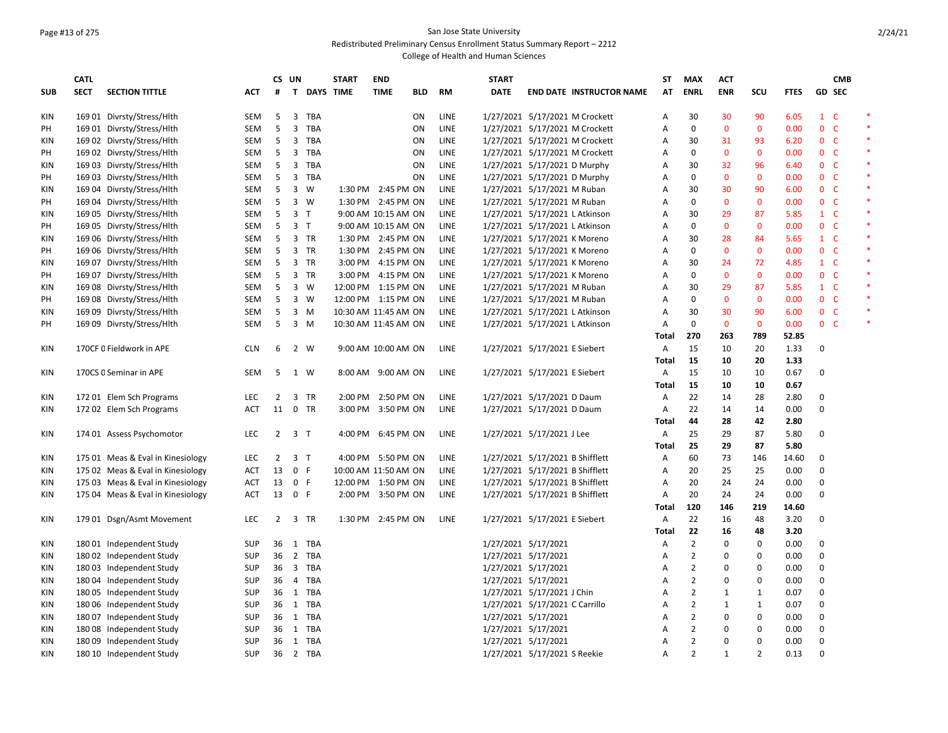# Page #13 of 275 San Jose State University

Redistributed Preliminary Census Enrollment Status Summary Report – 2212

|            | <b>CATL</b> |                                   |            | CS UN          |                |                    | <b>START</b> | <b>END</b>           |            |             | <b>START</b> |                                 | ST             | <b>MAX</b>     | <b>ACT</b>   |                          |             |                | <b>CMB</b>    |        |
|------------|-------------|-----------------------------------|------------|----------------|----------------|--------------------|--------------|----------------------|------------|-------------|--------------|---------------------------------|----------------|----------------|--------------|--------------------------|-------------|----------------|---------------|--------|
| <b>SUB</b> | <b>SECT</b> | <b>SECTION TITTLE</b>             | <b>ACT</b> | #              |                | <b>T DAYS TIME</b> |              | <b>TIME</b>          | <b>BLD</b> | RM          | <b>DATE</b>  | <b>END DATE INSTRUCTOR NAME</b> | AT             | <b>ENRL</b>    | <b>ENR</b>   | <b>SCU</b>               | <b>FTES</b> |                | <b>GD SEC</b> |        |
| <b>KIN</b> |             | 169 01 Divrsty/Stress/Hlth        | SEM        | 5              | 3              | TBA                |              |                      | ON         | <b>LINE</b> |              | 1/27/2021 5/17/2021 M Crockett  | Α              | 30             | 30           | 90                       | 6.05        | $1 \quad C$    |               |        |
| PH         |             | 169 01 Divrsty/Stress/Hlth        | <b>SEM</b> | 5              |                | 3 TBA              |              |                      | 0N         | <b>LINE</b> |              | 1/27/2021 5/17/2021 M Crockett  | $\overline{A}$ | $\mathbf 0$    | $\mathbf 0$  | $\mathbf{0}$             | 0.00        | 0 <sup>o</sup> |               |        |
| KIN        |             | 169 02 Divrsty/Stress/Hlth        | SEM        | 5              |                | 3 TBA              |              |                      | ON         | <b>LINE</b> |              | 1/27/2021 5/17/2021 M Crockett  | Α              | 30             | 31           | 93                       | 6.20        | 0 <sub>c</sub> |               |        |
| PH         |             | 169 02 Divrsty/Stress/Hlth        | SEM        | -5             |                | 3 TBA              |              |                      | ON         | <b>LINE</b> |              | 1/27/2021 5/17/2021 M Crockett  | A              | 0              | $\mathbf 0$  | 0                        | 0.00        | 0 <sub>c</sub> |               | $\ast$ |
| KIN        |             | 169 03 Divrsty/Stress/Hlth        | <b>SEM</b> | 5              |                | 3 TBA              |              |                      | ON         | <b>LINE</b> |              | 1/27/2021 5/17/2021 D Murphy    | A              | 30             | 32           | 96                       | 6.40        | 0 <sup>o</sup> |               |        |
| PH         |             | 169 03 Divrsty/Stress/Hlth        | <b>SEM</b> | 5              |                | 3 TBA              |              |                      | ON         | LINE        |              | 1/27/2021 5/17/2021 D Murphy    | A              | $\mathbf 0$    | $\mathbf 0$  | $\mathbf 0$              | 0.00        | 0 <sup>o</sup> |               | $\ast$ |
| KIN        |             | 169 04 Divrsty/Stress/Hlth        | SEM        | -5             |                | 3 W                |              | 1:30 PM 2:45 PM ON   |            | <b>LINE</b> |              | 1/27/2021 5/17/2021 M Ruban     | A              | 30             | 30           | 90                       | 6.00        | 0 <sub>c</sub> |               |        |
| PH         |             | 169 04 Divrsty/Stress/Hlth        | <b>SEM</b> | 5              |                | 3 W                |              | 1:30 PM 2:45 PM ON   |            | <b>LINE</b> |              | 1/27/2021 5/17/2021 M Ruban     | A              | $\mathbf 0$    | $\mathbf 0$  | $\mathbf 0$              | 0.00        | 0 <sub>c</sub> |               | $\ast$ |
| <b>KIN</b> |             | 169 05 Divrsty/Stress/Hlth        | SEM        | 5              | 3 <sub>T</sub> |                    |              | 9:00 AM 10:15 AM ON  |            | LINE        |              | 1/27/2021 5/17/2021 L Atkinson  | A              | 30             | 29           | 87                       | 5.85        | $1 \quad C$    |               |        |
| PH         |             | 169 05 Divrsty/Stress/Hlth        | <b>SEM</b> | 5              | 3 <sub>T</sub> |                    |              | 9:00 AM 10:15 AM ON  |            | <b>LINE</b> |              | 1/27/2021 5/17/2021 L Atkinson  | Α              | 0              | $\mathbf 0$  | $\mathbf 0$              | 0.00        | 0 <sub>c</sub> |               | $\ast$ |
| <b>KIN</b> |             | 169 06 Divrsty/Stress/Hlth        | <b>SEM</b> | 5              |                | 3 TR               |              | 1:30 PM 2:45 PM ON   |            | <b>LINE</b> |              | 1/27/2021 5/17/2021 K Moreno    | $\overline{A}$ | 30             | 28           | 84                       | 5.65        | $1 \quad C$    |               |        |
| PH         |             | 169 06 Divrsty/Stress/Hlth        | SEM        | 5              |                | 3 TR               |              | 1:30 PM 2:45 PM ON   |            | <b>LINE</b> |              | 1/27/2021 5/17/2021 K Moreno    | A              | 0              | $\mathbf 0$  | $\mathbf 0$              | 0.00        | 0 <sub>c</sub> |               | $\ast$ |
| KIN        |             | 169 07 Divrsty/Stress/Hlth        | SEM        | -5             |                | 3 TR               |              | 3:00 PM 4:15 PM ON   |            | <b>LINE</b> |              | 1/27/2021 5/17/2021 K Moreno    | A              | 30             | 24           | 72                       | 4.85        | $1 \quad C$    |               | $\ast$ |
| PH         |             | 169 07 Divrsty/Stress/Hlth        | SEM        | -5             |                | 3 TR               |              | 3:00 PM 4:15 PM ON   |            | LINE        |              | 1/27/2021 5/17/2021 K Moreno    | A              | $\mathbf 0$    | $\mathbf 0$  | $\mathbf 0$              | 0.00        | 0 <sub>c</sub> |               | $\ast$ |
| KIN        |             | 169 08 Divrsty/Stress/Hlth        | <b>SEM</b> | 5              |                | 3 W                |              | 12:00 PM 1:15 PM ON  |            | LINE        |              | 1/27/2021 5/17/2021 M Ruban     | $\overline{A}$ | 30             | 29           | 87                       | 5.85        | $1 \quad C$    |               |        |
| PH         |             | 169 08 Divrsty/Stress/Hlth        | SEM        | -5             |                | $3 \quad W$        |              | 12:00 PM 1:15 PM ON  |            | LINE        |              | 1/27/2021 5/17/2021 M Ruban     | A              | 0              | $\mathbf 0$  | $\mathbf 0$              | 0.00        | 0 <sub>c</sub> |               |        |
| KIN        |             | 169 09 Divrsty/Stress/Hlth        | <b>SEM</b> | 5              |                | 3 M                |              | 10:30 AM 11:45 AM ON |            | <b>LINE</b> |              | 1/27/2021 5/17/2021 L Atkinson  | A              | 30             | 30           | 90                       | 6.00        | 0 <sub>c</sub> |               | $\ast$ |
| PH         |             | 169 09 Divrsty/Stress/Hlth        | SEM        | 5              |                | $3 \, M$           |              | 10:30 AM 11:45 AM ON |            | LINE        |              | 1/27/2021 5/17/2021 L Atkinson  | A              | $\mathbf 0$    | $\mathbf 0$  | $\mathbf 0$              | 0.00        | 0 <sub>c</sub> |               |        |
|            |             |                                   |            |                |                |                    |              |                      |            |             |              |                                 | Total          | 270            | 263          | 789                      | 52.85       |                |               |        |
| KIN        |             | 170CF 0 Fieldwork in APE          | <b>CLN</b> | 6              |                | 2 W                |              | 9:00 AM 10:00 AM ON  |            | <b>LINE</b> |              | 1/27/2021 5/17/2021 E Siebert   | Α              | 15             | 10           | 20                       | 1.33        | 0              |               |        |
|            |             |                                   |            |                |                |                    |              |                      |            |             |              |                                 | <b>Total</b>   | 15             | 10           | 20                       | 1.33        |                |               |        |
| KIN        |             | 170CS 0 Seminar in APE            | SEM        | 5              | 1 W            |                    |              | 8:00 AM 9:00 AM ON   |            | LINE        |              | 1/27/2021 5/17/2021 E Siebert   | A              | 15             | 10           | 10                       | 0.67        | 0              |               |        |
|            |             |                                   |            |                |                |                    |              |                      |            |             |              |                                 | <b>Total</b>   | 15             | 10           | 10                       | 0.67        |                |               |        |
| KIN        |             | 172 01 Elem Sch Programs          | <b>LEC</b> | $\overline{2}$ |                | 3 TR               |              | 2:00 PM 2:50 PM ON   |            | LINE        |              | 1/27/2021 5/17/2021 D Daum      | A              | 22             | 14           | 28                       | 2.80        | 0              |               |        |
| KIN        |             | 172 02 Elem Sch Programs          | ACT        | 11             |                | 0 TR               |              | 3:00 PM 3:50 PM ON   |            | LINE        |              | 1/27/2021 5/17/2021 D Daum      | A              | 22             | 14           | 14                       | 0.00        | 0              |               |        |
|            |             |                                   |            |                |                |                    |              |                      |            |             |              |                                 | <b>Total</b>   | 44             | 28           | 42                       | 2.80        |                |               |        |
| <b>KIN</b> |             | 174 01 Assess Psychomotor         | <b>LEC</b> | $\overline{2}$ | 3 <sub>T</sub> |                    |              | 4:00 PM 6:45 PM ON   |            | <b>LINE</b> |              | 1/27/2021 5/17/2021 J Lee       | Α              | 25             | 29           | 87                       | 5.80        | $\Omega$       |               |        |
|            |             |                                   |            |                |                |                    |              |                      |            |             |              |                                 | Total          | 25             | 29           | 87                       | 5.80        |                |               |        |
| KIN        |             | 175 01 Meas & Eval in Kinesiology | <b>LEC</b> | 2              | 3 T            |                    |              | 4:00 PM 5:50 PM ON   |            | <b>LINE</b> |              | 1/27/2021 5/17/2021 B Shifflett | Α              | 60             | 73           | 146                      | 14.60       | 0              |               |        |
| KIN        |             | 175 02 Meas & Eval in Kinesiology | <b>ACT</b> | 13             | 0 F            |                    |              | 10:00 AM 11:50 AM ON |            | <b>LINE</b> |              | 1/27/2021 5/17/2021 B Shifflett | A              | 20             | 25           | 25                       | 0.00        | $\mathbf 0$    |               |        |
| KIN        |             | 175 03 Meas & Eval in Kinesiology | ACT        | 13             | 0 F            |                    |              | 12:00 PM 1:50 PM ON  |            | LINE        |              | 1/27/2021 5/17/2021 B Shifflett | A              | 20             | 24           | 24                       | 0.00        | 0              |               |        |
| KIN        |             | 175 04 Meas & Eval in Kinesiology | <b>ACT</b> | 13             | 0 F            |                    |              | 2:00 PM 3:50 PM ON   |            | LINE        |              | 1/27/2021 5/17/2021 B Shifflett | Α              | 20             | 24           | 24                       | 0.00        | 0              |               |        |
|            |             |                                   |            |                |                |                    |              |                      |            |             |              |                                 | Total          | 120            | 146          | 219                      | 14.60       |                |               |        |
| KIN        |             | 179 01 Dsgn/Asmt Movement         | <b>LEC</b> | 2              |                | 3 TR               |              | 1:30 PM 2:45 PM ON   |            | <b>LINE</b> |              | 1/27/2021 5/17/2021 E Siebert   | A              | 22             | 16           | 48                       | 3.20        | 0              |               |        |
|            |             |                                   |            |                |                |                    |              |                      |            |             |              |                                 | <b>Total</b>   | 22             | 16           | 48                       | 3.20        |                |               |        |
| KIN        |             | 180 01 Independent Study          | <b>SUP</b> | 36             |                | 1 TBA              |              |                      |            |             |              | 1/27/2021 5/17/2021             | Α              | $\overline{2}$ | $\mathbf 0$  | 0                        | 0.00        | 0              |               |        |
| <b>KIN</b> |             | 180 02 Independent Study          | <b>SUP</b> | 36             |                | 2 TBA              |              |                      |            |             |              | 1/27/2021 5/17/2021             | A              | $\overline{2}$ | $\mathbf 0$  | 0                        | 0.00        | $\mathbf 0$    |               |        |
| KIN        |             | 180 03 Independent Study          | SUP        | 36             |                | 3 TBA              |              |                      |            |             |              | 1/27/2021 5/17/2021             | A              | $\overline{2}$ | 0            | $\Omega$                 | 0.00        | 0              |               |        |
| <b>KIN</b> |             | 180 04 Independent Study          | <b>SUP</b> | 36             |                | 4 TBA              |              |                      |            |             |              | 1/27/2021 5/17/2021             | A              | $\overline{2}$ | $\mathbf 0$  | $\pmb{0}$                | 0.00        | $\mathbf 0$    |               |        |
| <b>KIN</b> |             | 180 05 Independent Study          | <b>SUP</b> |                |                | 36 1 TBA           |              |                      |            |             |              | 1/27/2021 5/17/2021 J Chin      | Α              | $\overline{2}$ | 1            | $\mathbf{1}$             | 0.07        | 0              |               |        |
| KIN        |             | 180 06 Independent Study          | <b>SUP</b> | 36             |                | 1 TBA              |              |                      |            |             |              | 1/27/2021 5/17/2021 C Carrillo  | A              | $\overline{2}$ | 1            | $\mathbf{1}$             | 0.07        | 0              |               |        |
| KIN        |             | 180 07 Independent Study          | <b>SUP</b> |                |                | 36 1 TBA           |              |                      |            |             |              | 1/27/2021 5/17/2021             | A              | $\overline{2}$ | $\mathbf 0$  | 0                        | 0.00        | 0              |               |        |
| <b>KIN</b> |             |                                   |            |                |                | 1 TBA              |              |                      |            |             |              |                                 | A              | $\overline{2}$ | $\mathbf 0$  | 0                        |             | 0              |               |        |
|            |             | 180 08 Independent Study          | <b>SUP</b> | 36             |                |                    |              |                      |            |             |              | 1/27/2021 5/17/2021             |                | $\overline{2}$ | $\mathbf 0$  | $\mathbf 0$              | 0.00        | $\mathbf 0$    |               |        |
| KIN        |             | 180 09 Independent Study          | <b>SUP</b> | 36             |                | 1 TBA              |              |                      |            |             |              | 1/27/2021 5/17/2021             | A              | $\overline{2}$ | $\mathbf{1}$ | $\overline{\phantom{a}}$ | 0.00        | $\Omega$       |               |        |
| <b>KIN</b> |             | 180 10 Independent Study          | <b>SUP</b> |                |                | 36 2 TBA           |              |                      |            |             |              | 1/27/2021 5/17/2021 S Reekie    | $\overline{A}$ |                |              |                          | 0.13        |                |               |        |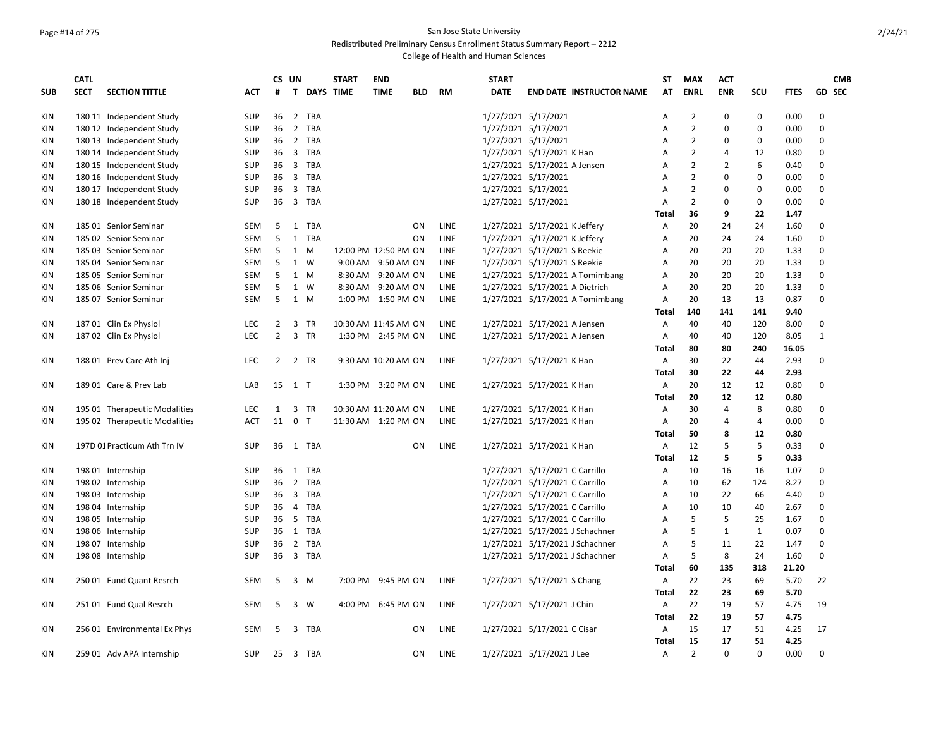# Page #14 of 275 San Jose State University

Redistributed Preliminary Census Enrollment Status Summary Report – 2212

|            | CATL        |                               |            |                | CS UN          |             | <b>START</b>        | <b>END</b>           |            |             | <b>START</b> |                                 | ST           | <b>MAX</b>     | <b>ACT</b>   |              |             | <b>CMB</b>    |
|------------|-------------|-------------------------------|------------|----------------|----------------|-------------|---------------------|----------------------|------------|-------------|--------------|---------------------------------|--------------|----------------|--------------|--------------|-------------|---------------|
| <b>SUB</b> | <b>SECT</b> | <b>SECTION TITTLE</b>         | <b>ACT</b> | #              |                | T DAYS TIME |                     | <b>TIME</b>          | <b>BLD</b> | <b>RM</b>   | <b>DATE</b>  | <b>END DATE INSTRUCTOR NAME</b> | AT           | <b>ENRL</b>    | <b>ENR</b>   | scu          | <b>FTES</b> | <b>GD SEC</b> |
| <b>KIN</b> |             | 180 11 Independent Study      | <b>SUP</b> | 36             |                | 2 TBA       |                     |                      |            |             |              | 1/27/2021 5/17/2021             | A            | 2              | 0            | 0            | 0.00        | $\mathbf 0$   |
| KIN        |             | 180 12 Independent Study      | <b>SUP</b> | 36             |                | 2 TBA       |                     |                      |            |             |              | 1/27/2021 5/17/2021             | Α            | 2              | 0            | 0            | 0.00        | $\mathbf 0$   |
| ΚIΝ        |             | 180 13 Independent Study      | <b>SUP</b> | 36             |                | 2 TBA       |                     |                      |            |             |              | 1/27/2021 5/17/2021             | A            | $\overline{2}$ | 0            | 0            | 0.00        | $\Omega$      |
| KIN        |             | 180 14 Independent Study      | <b>SUP</b> | 36             |                | 3 TBA       |                     |                      |            |             |              | 1/27/2021 5/17/2021 K Han       | A            | $\overline{2}$ | 4            | 12           | 0.80        | $\Omega$      |
| KIN        |             | 180 15 Independent Study      | <b>SUP</b> | 36             |                | 3 TBA       |                     |                      |            |             |              | 1/27/2021 5/17/2021 A Jensen    | A            | $\overline{2}$ | 2            | 6            | 0.40        | 0             |
| KIN        |             | 180 16 Independent Study      | <b>SUP</b> |                |                | 36 3 TBA    |                     |                      |            |             |              | 1/27/2021 5/17/2021             | A            | 2              | 0            | 0            | 0.00        | 0             |
| <b>KIN</b> |             | 180 17 Independent Study      | <b>SUP</b> | 36             |                | 3 TBA       |                     |                      |            |             |              | 1/27/2021 5/17/2021             | A            | $\overline{2}$ | 0            | 0            | 0.00        | $\mathbf 0$   |
| KIN        |             | 180 18 Independent Study      | <b>SUP</b> | 36             |                | 3 TBA       |                     |                      |            |             |              | 1/27/2021 5/17/2021             | A            | $\overline{2}$ | 0            | 0            | 0.00        | $\mathbf 0$   |
|            |             |                               |            |                |                |             |                     |                      |            |             |              |                                 | Total        | 36             | 9            | 22           | 1.47        |               |
| <b>KIN</b> |             | 185 01 Senior Seminar         | <b>SEM</b> | 5              |                | 1 TBA       |                     |                      | ON         | <b>LINE</b> |              | 1/27/2021 5/17/2021 K Jeffery   | Α            | 20             | 24           | 24           | 1.60        | 0             |
| <b>KIN</b> |             | 185 02 Senior Seminar         | <b>SEM</b> | 5              |                | 1 TBA       |                     |                      | ON         | LINE        |              | 1/27/2021 5/17/2021 K Jeffery   | A            | 20             | 24           | 24           | 1.60        | 0             |
| ΚIΝ        |             | 185 03 Senior Seminar         | SEM        | 5              | 1              | M           |                     | 12:00 PM 12:50 PM ON |            | LINE        |              | 1/27/2021 5/17/2021 S Reekie    | Α            | 20             | 20           | 20           | 1.33        | 0             |
| KIN        |             | 185 04 Senior Seminar         | <b>SEM</b> | 5              | 1 W            |             |                     | 9:00 AM 9:50 AM ON   |            | <b>LINE</b> |              | 1/27/2021 5/17/2021 S Reekie    | A            | 20             | 20           | 20           | 1.33        | $\Omega$      |
| KIN        |             | 185 05 Senior Seminar         | <b>SEM</b> | 5              | 1 M            |             |                     | 8:30 AM 9:20 AM ON   |            | <b>LINE</b> |              | 1/27/2021 5/17/2021 A Tomimbang | A            | 20             | 20           | 20           | 1.33        | $\Omega$      |
| <b>KIN</b> |             | 185 06 Senior Seminar         | <b>SEM</b> | 5              | 1 W            |             |                     | 8:30 AM 9:20 AM ON   |            | LINE        |              | 1/27/2021 5/17/2021 A Dietrich  | A            | 20             | 20           | 20           | 1.33        | 0             |
| KIN        |             | 185 07 Senior Seminar         | <b>SEM</b> | 5              | 1 M            |             |                     | 1:00 PM 1:50 PM ON   |            | LINE        |              | 1/27/2021 5/17/2021 A Tomimbang | Α            | 20             | 13           | 13           | 0.87        | 0             |
|            |             |                               |            |                |                |             |                     |                      |            |             |              |                                 | Total        | 140            | 141          | 141          | 9.40        |               |
| <b>KIN</b> |             | 187 01 Clin Ex Physiol        | LEC        | 2              | 3              | TR          |                     | 10:30 AM 11:45 AM ON |            | LINE        |              | 1/27/2021 5/17/2021 A Jensen    | Α            | 40             | 40           | 120          | 8.00        | $\Omega$      |
| <b>KIN</b> |             | 187 02 Clin Ex Physiol        | <b>LEC</b> | $\overline{2}$ |                | 3 TR        |                     | 1:30 PM 2:45 PM ON   |            | <b>LINE</b> |              | 1/27/2021 5/17/2021 A Jensen    | Α            | 40             | 40           | 120          | 8.05        | $\mathbf{1}$  |
|            |             |                               |            |                |                |             |                     |                      |            |             |              |                                 | Total        | 80             | 80           | 240          | 16.05       |               |
| KIN        |             | 188 01 Prev Care Ath Inj      | <b>LEC</b> | $\overline{2}$ |                | 2 TR        |                     | 9:30 AM 10:20 AM ON  |            | <b>LINE</b> |              | 1/27/2021 5/17/2021 K Han       | A            | 30             | 22           | 44           | 2.93        | $\mathbf 0$   |
|            |             |                               |            |                |                |             |                     |                      |            |             |              |                                 | Total        | 30             | 22           | 44           | 2.93        |               |
| <b>KIN</b> |             | 189 01 Care & Prev Lab        | LAB        | 15             | $1$ T          |             |                     | 1:30 PM 3:20 PM ON   |            | <b>LINE</b> |              | 1/27/2021 5/17/2021 K Han       | A            | 20             | 12           | 12           | 0.80        | 0             |
|            |             |                               |            |                |                |             |                     |                      |            |             |              |                                 | Total        | 20             | 12           | 12           | 0.80        |               |
| KIN        |             | 195 01 Therapeutic Modalities | <b>LEC</b> | $\mathbf{1}$   |                | 3 TR        |                     | 10:30 AM 11:20 AM ON |            | <b>LINE</b> |              | 1/27/2021 5/17/2021 K Han       | A            | 30             | 4            | 8            | 0.80        | $\mathbf 0$   |
| KIN        |             | 195 02 Therapeutic Modalities | <b>ACT</b> | 11             | 0 <sub>T</sub> |             | 11:30 AM 1:20 PM ON |                      |            | <b>LINE</b> |              | 1/27/2021 5/17/2021 K Han       | Α            | 20             | 4            | 4            | 0.00        | $\mathbf 0$   |
|            |             |                               |            |                |                |             |                     |                      |            |             |              |                                 | Total        | 50             | 8            | 12           | 0.80        |               |
| <b>KIN</b> |             | 197D 01 Practicum Ath Trn IV  | <b>SUP</b> | 36             |                | 1 TBA       |                     |                      | ON         | LINE        |              | 1/27/2021 5/17/2021 K Han       | A            | 12             | 5            | 5            | 0.33        | 0             |
|            |             |                               |            |                |                |             |                     |                      |            |             |              |                                 | Total        | 12             | 5            | 5            | 0.33        |               |
| KIN        |             | 19801 Internship              | <b>SUP</b> | 36             | 1              | TBA         |                     |                      |            |             |              | 1/27/2021 5/17/2021 C Carrillo  | A            | 10             | 16           | 16           | 1.07        | $\Omega$      |
| KIN        |             | 198 02 Internship             | <b>SUP</b> | 36             |                | 2 TBA       |                     |                      |            |             |              | 1/27/2021 5/17/2021 C Carrillo  | A            | 10             | 62           | 124          | 8.27        | $\Omega$      |
| KIN        |             | 198 03 Internship             | <b>SUP</b> | 36             |                | 3 TBA       |                     |                      |            |             |              | 1/27/2021 5/17/2021 C Carrillo  | A            | 10             | 22           | 66           | 4.40        | 0             |
| KIN        |             | 198 04 Internship             | <b>SUP</b> | 36             |                | 4 TBA       |                     |                      |            |             |              | 1/27/2021 5/17/2021 C Carrillo  | A            | 10             | 10           | 40           | 2.67        | 0             |
| KIN        |             | 198 05 Internship             | <b>SUP</b> | 36             |                | 5 TBA       |                     |                      |            |             |              | 1/27/2021 5/17/2021 C Carrillo  | A            | 5              | 5            | 25           | 1.67        | 0             |
| KIN        |             | 198 06 Internship             | <b>SUP</b> | 36             | 1              | <b>TBA</b>  |                     |                      |            |             |              | 1/27/2021 5/17/2021 J Schachner | A            | 5              | $\mathbf{1}$ | $\mathbf{1}$ | 0.07        | 0             |
| <b>KIN</b> |             | 198 07 Internship             | <b>SUP</b> | 36             | $\overline{2}$ | TBA         |                     |                      |            |             |              | 1/27/2021 5/17/2021 J Schachner | Α            | 5              | 11           | 22           | 1.47        | 0             |
| <b>KIN</b> |             | 198 08 Internship             | <b>SUP</b> | 36             |                | 3 TBA       |                     |                      |            |             |              | 1/27/2021 5/17/2021 J Schachner | Α            | 5              | 8            | 24           | 1.60        | 0             |
|            |             |                               |            |                |                |             |                     |                      |            |             |              |                                 | Total        | 60             | 135          | 318          | 21.20       |               |
| <b>KIN</b> |             | 250 01 Fund Quant Resrch      | <b>SEM</b> | 5              |                | 3 M         |                     | 7:00 PM 9:45 PM ON   |            | <b>LINE</b> |              | 1/27/2021 5/17/2021 S Chang     | A            | 22             | 23           | 69           | 5.70        | 22            |
|            |             |                               |            |                |                |             |                     |                      |            |             |              |                                 | <b>Total</b> | 22             | 23           | 69           | 5.70        |               |
| KIN        |             | 251 01 Fund Qual Resrch       | <b>SEM</b> | 5              | 3              | W           |                     | 4:00 PM 6:45 PM ON   |            | <b>LINE</b> |              | 1/27/2021 5/17/2021 J Chin      | A            | 22             | 19           | 57           | 4.75        | 19            |
|            |             |                               |            |                |                |             |                     |                      |            |             |              |                                 | Total        | 22             | 19           | 57           | 4.75        |               |
| <b>KIN</b> |             | 256 01 Environmental Ex Phys  | <b>SEM</b> | 5              |                | 3 TBA       |                     |                      | ON         | LINE        |              | 1/27/2021 5/17/2021 C Cisar     | A            | 15             | 17           | 51           | 4.25        | 17            |
|            |             |                               |            |                |                |             |                     |                      |            |             |              |                                 | Total        | 15             | 17           | 51           | 4.25        |               |
| KIN        |             | 259 01 Adv APA Internship     | <b>SUP</b> | 25             |                | 3 TBA       |                     |                      | ON         | LINE        |              | 1/27/2021 5/17/2021 J Lee       | A            | $\mathcal{P}$  | $\Omega$     | $\Omega$     | 0.00        | $\Omega$      |
|            |             |                               |            |                |                |             |                     |                      |            |             |              |                                 |              |                |              |              |             |               |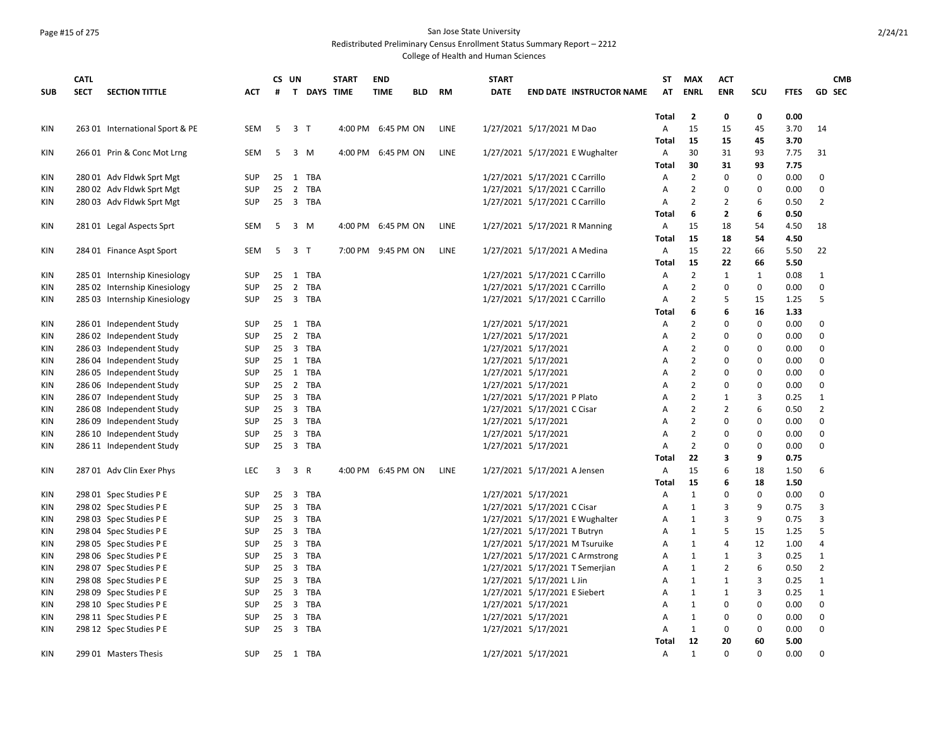## Page #15 of 275 San Jose State University

Redistributed Preliminary Census Enrollment Status Summary Report – 2212

|            | <b>CATL</b> |                                                      |                          |          | CS UN                   |             | <b>START</b> | <b>END</b>         |            |             | <b>START</b> |                                 | <b>ST</b>    | <b>MAX</b>                       | <b>ACT</b>        |              |              |                  | <b>CMB</b> |
|------------|-------------|------------------------------------------------------|--------------------------|----------|-------------------------|-------------|--------------|--------------------|------------|-------------|--------------|---------------------------------|--------------|----------------------------------|-------------------|--------------|--------------|------------------|------------|
| <b>SUB</b> | <b>SECT</b> | <b>SECTION TITTLE</b>                                | <b>ACT</b>               | #        |                         | T DAYS TIME |              | <b>TIME</b>        | <b>BLD</b> | RM          | <b>DATE</b>  | <b>END DATE INSTRUCTOR NAME</b> | AT           | <b>ENRL</b>                      | <b>ENR</b>        | SCU          | <b>FTES</b>  | <b>GD SEC</b>    |            |
|            |             |                                                      |                          |          |                         |             |              |                    |            |             |              |                                 |              |                                  |                   |              |              |                  |            |
|            |             |                                                      |                          |          |                         |             |              |                    |            |             |              |                                 | Total        | 2                                | 0                 | 0            | 0.00         |                  |            |
| KIN        |             | 263 01 International Sport & PE                      | SEM                      | -5       | 3 T                     |             |              | 4:00 PM 6:45 PM ON |            | LINE        |              | 1/27/2021 5/17/2021 M Dao       | A            | 15                               | 15                | 45           | 3.70         | 14               |            |
|            |             |                                                      |                          |          |                         |             |              |                    |            |             |              |                                 | Total        | 15                               | 15                | 45           | 3.70         |                  |            |
| KIN        |             | 266 01 Prin & Conc Mot Lrng                          | SEM                      | 5        | $3 \, M$                |             |              | 4:00 PM 6:45 PM ON |            | LINE        |              | 1/27/2021 5/17/2021 E Wughalter | A            | 30                               | 31                | 93           | 7.75         | 31               |            |
|            |             |                                                      |                          |          |                         |             |              |                    |            |             |              |                                 | <b>Total</b> | 30                               | 31                | 93           | 7.75         |                  |            |
| KIN        |             | 280 01 Adv Fldwk Sprt Mgt                            | <b>SUP</b>               | 25       | 1 TBA                   |             |              |                    |            |             |              | 1/27/2021 5/17/2021 C Carrillo  | A            | $\overline{2}$                   | 0                 | $\mathbf 0$  | 0.00         | $\mathbf 0$      |            |
| KIN        |             | 280 02 Adv Fldwk Sprt Mgt                            | <b>SUP</b>               | 25       |                         | 2 TBA       |              |                    |            |             |              | 1/27/2021 5/17/2021 C Carrillo  | Α            | $\overline{2}$                   | 0                 | $\pmb{0}$    | 0.00         | 0                |            |
| KIN        |             | 280 03 Adv Fldwk Sprt Mgt                            | <b>SUP</b>               | 25       | 3 TBA                   |             |              |                    |            |             |              | 1/27/2021 5/17/2021 C Carrillo  | A            | $\overline{2}$                   | $\overline{2}$    | 6<br>6       | 0.50         | $\overline{2}$   |            |
|            |             |                                                      |                          |          |                         |             |              |                    |            |             |              |                                 | <b>Total</b> | 6                                | $\mathbf{z}$      |              | 0.50         |                  |            |
| KIN        |             | 281 01 Legal Aspects Sprt                            | SEM                      | 5        | 3 M                     |             |              | 4:00 PM 6:45 PM ON |            | LINE        |              | 1/27/2021 5/17/2021 R Manning   | A            | 15                               | 18                | 54           | 4.50         | 18               |            |
|            |             |                                                      | <b>SEM</b>               | -5       | 3 <sub>1</sub>          |             |              |                    |            | <b>LINE</b> |              |                                 | Total<br>A   | 15<br>15                         | 18<br>22          | 54<br>66     | 4.50<br>5.50 | 22               |            |
| KIN        |             | 284 01 Finance Aspt Sport                            |                          |          |                         |             |              | 7:00 PM 9:45 PM ON |            |             |              | 1/27/2021 5/17/2021 A Medina    |              |                                  |                   |              |              |                  |            |
|            |             |                                                      |                          |          |                         |             |              |                    |            |             |              |                                 | <b>Total</b> | 15                               | 22                | 66           | 5.50         |                  |            |
| KIN        |             | 285 01 Internship Kinesiology                        | <b>SUP</b>               | 25       | 1 TBA                   |             |              |                    |            |             |              | 1/27/2021 5/17/2021 C Carrillo  | A            | $\overline{2}$                   | $\mathbf{1}$<br>0 | $\mathbf{1}$ | 0.08         | 1<br>$\mathbf 0$ |            |
| KIN        |             | 285 02 Internship Kinesiology                        | <b>SUP</b><br><b>SUP</b> | 25<br>25 | 2 TBA<br>3 TBA          |             |              |                    |            |             |              | 1/27/2021 5/17/2021 C Carrillo  | Α<br>A       | $\overline{2}$<br>$\overline{2}$ | 5                 | 0<br>15      | 0.00         | 5                |            |
| KIN        |             | 285 03 Internship Kinesiology                        |                          |          |                         |             |              |                    |            |             |              | 1/27/2021 5/17/2021 C Carrillo  | Total        | 6                                | 6                 | 16           | 1.25<br>1.33 |                  |            |
|            |             |                                                      | <b>SUP</b>               | 25       | 1 TBA                   |             |              |                    |            |             |              | 1/27/2021 5/17/2021             | Α            | $\overline{2}$                   | 0                 | 0            | 0.00         | 0                |            |
| KIN<br>KIN |             | 286 01 Independent Study<br>286 02 Independent Study | <b>SUP</b>               | 25       | 2 TBA                   |             |              |                    |            |             |              | 1/27/2021 5/17/2021             | A            | $\overline{2}$                   | 0                 | 0            | 0.00         | $\mathbf 0$      |            |
| KIN        |             | 286 03 Independent Study                             | <b>SUP</b>               | 25       | 3 TBA                   |             |              |                    |            |             |              | 1/27/2021 5/17/2021             | Α            | $\overline{2}$                   | $\Omega$          | $\pmb{0}$    | 0.00         | 0                |            |
| KIN        |             | 286 04 Independent Study                             | <b>SUP</b>               |          | 25 1 TBA                |             |              |                    |            |             |              | 1/27/2021 5/17/2021             | A            | $\overline{2}$                   | 0                 | 0            | 0.00         | $\mathbf 0$      |            |
| KIN        |             | 286 05 Independent Study                             | <b>SUP</b>               | 25       | 1 TBA                   |             |              |                    |            |             |              | 1/27/2021 5/17/2021             | A            | $\overline{2}$                   | 0                 | $\pmb{0}$    | 0.00         | 0                |            |
| KIN        |             | 286 06 Independent Study                             | <b>SUP</b>               | 25       | 2 TBA                   |             |              |                    |            |             |              | 1/27/2021 5/17/2021             | Α            | $\overline{2}$                   | 0                 | $\pmb{0}$    | 0.00         | 0                |            |
| KIN        |             | 286 07 Independent Study                             | <b>SUP</b>               | 25       | 3 TBA                   |             |              |                    |            |             |              | 1/27/2021 5/17/2021 P Plato     | Α            | $\overline{2}$                   | $\mathbf{1}$      | 3            | 0.25         | 1                |            |
| KIN        |             | 286 08 Independent Study                             | <b>SUP</b>               | 25       | 3 TBA                   |             |              |                    |            |             |              | 1/27/2021 5/17/2021 C Cisar     | A            | $\overline{2}$                   | $\overline{2}$    | 6            | 0.50         | $\overline{2}$   |            |
| KIN        |             | 286 09 Independent Study                             | <b>SUP</b>               | 25       | 3 TBA                   |             |              |                    |            |             |              | 1/27/2021 5/17/2021             | A            | $\overline{2}$                   | 0                 | $\pmb{0}$    | 0.00         | $\mathbf 0$      |            |
| KIN        |             | 286 10 Independent Study                             | SUP                      | 25       | 3 TBA                   |             |              |                    |            |             |              | 1/27/2021 5/17/2021             | A            | $\overline{2}$                   | 0                 | $\pmb{0}$    | 0.00         | $\mathbf 0$      |            |
| KIN        |             | 286 11 Independent Study                             | <b>SUP</b>               | 25       |                         | 3 TBA       |              |                    |            |             |              | 1/27/2021 5/17/2021             | A            | $\overline{2}$                   | 0                 | 0            | 0.00         | $\mathbf 0$      |            |
|            |             |                                                      |                          |          |                         |             |              |                    |            |             |              |                                 | Total        | 22                               | 3                 | 9            | 0.75         |                  |            |
| KIN        |             | 287 01 Adv Clin Exer Phys                            | <b>LEC</b>               | 3        | 3 R                     |             |              | 4:00 PM 6:45 PM ON |            | <b>LINE</b> |              | 1/27/2021 5/17/2021 A Jensen    | A            | 15                               | 6                 | 18           | 1.50         | 6                |            |
|            |             |                                                      |                          |          |                         |             |              |                    |            |             |              |                                 | Total        | 15                               | 6                 | 18           | 1.50         |                  |            |
| KIN        |             | 298 01 Spec Studies P E                              | <b>SUP</b>               | 25       | 3                       | TBA         |              |                    |            |             |              | 1/27/2021 5/17/2021             | A            | $\mathbf{1}$                     | 0                 | $\mathbf 0$  | 0.00         | 0                |            |
| KIN        |             | 298 02 Spec Studies P E                              | <b>SUP</b>               | 25       | $\overline{\mathbf{3}}$ | TBA         |              |                    |            |             |              | 1/27/2021 5/17/2021 C Cisar     | Α            | $\mathbf{1}$                     | 3                 | 9            | 0.75         | 3                |            |
| KIN        |             | 298 03 Spec Studies P E                              | <b>SUP</b>               | 25       | 3 TBA                   |             |              |                    |            |             |              | 1/27/2021 5/17/2021 E Wughalter | A            | $\mathbf{1}$                     | 3                 | 9            | 0.75         | $\overline{3}$   |            |
| KIN        |             | 298 04 Spec Studies P E                              | <b>SUP</b>               | 25       | 3 TBA                   |             |              |                    |            |             |              | 1/27/2021 5/17/2021 T Butryn    | A            | $\mathbf{1}$                     | 5                 | 15           | 1.25         | 5                |            |
| KIN        |             | 298 05 Spec Studies P E                              | <b>SUP</b>               | 25       | 3 TBA                   |             |              |                    |            |             |              | 1/27/2021 5/17/2021 M Tsuruike  | A            | $\mathbf{1}$                     | 4                 | 12           | 1.00         | 4                |            |
| KIN        |             | 298 06 Spec Studies P E                              | <b>SUP</b>               | 25       | 3 TBA                   |             |              |                    |            |             |              | 1/27/2021 5/17/2021 C Armstrong | Α            | $1\,$                            | $\mathbf{1}$      | 3            | 0.25         | $\mathbf{1}$     |            |
| KIN        |             | 298 07 Spec Studies P E                              | <b>SUP</b>               |          | 25 3 TBA                |             |              |                    |            |             |              | 1/27/2021 5/17/2021 T Semerjian | A            | $\mathbf{1}$                     | $\overline{2}$    | 6            | 0.50         | $\overline{2}$   |            |
| KIN        |             | 298 08 Spec Studies P E                              | <b>SUP</b>               | 25       | 3 TBA                   |             |              |                    |            |             |              | 1/27/2021 5/17/2021 L Jin       | A            | $\mathbf{1}$                     | $\mathbf{1}$      | 3            | 0.25         | $\mathbf{1}$     |            |
| KIN        |             | 298 09 Spec Studies P E                              | <b>SUP</b>               |          | 25 3 TBA                |             |              |                    |            |             |              | 1/27/2021 5/17/2021 E Siebert   | A            | $\mathbf{1}$                     | $\mathbf{1}$      | 3            | 0.25         | $\mathbf{1}$     |            |
| KIN        |             | 298 10 Spec Studies P E                              | <b>SUP</b>               |          | 25 3 TBA                |             |              |                    |            |             |              | 1/27/2021 5/17/2021             | Α            | $\mathbf{1}$                     | 0                 | 0            | 0.00         | $\mathbf 0$      |            |
| <b>KIN</b> |             | 298 11 Spec Studies P E                              | SUP                      | 25       | 3 TBA                   |             |              |                    |            |             |              | 1/27/2021 5/17/2021             | A            | $\mathbf{1}$                     | 0                 | 0            | 0.00         | 0                |            |
| KIN        |             | 298 12 Spec Studies P E                              | <b>SUP</b>               | 25       | 3 TBA                   |             |              |                    |            |             |              | 1/27/2021 5/17/2021             | A            | $\mathbf{1}$                     | 0                 | 0            | 0.00         | 0                |            |
|            |             |                                                      |                          |          |                         |             |              |                    |            |             |              |                                 | Total        | 12                               | 20                | 60           | 5.00         |                  |            |
| KIN        |             | 299 01 Masters Thesis                                | <b>SUP</b>               | 25       | 1 TBA                   |             |              |                    |            |             |              | 1/27/2021 5/17/2021             | A            | $\mathbf{1}$                     | $\Omega$          | $\Omega$     | 0.00         | 0                |            |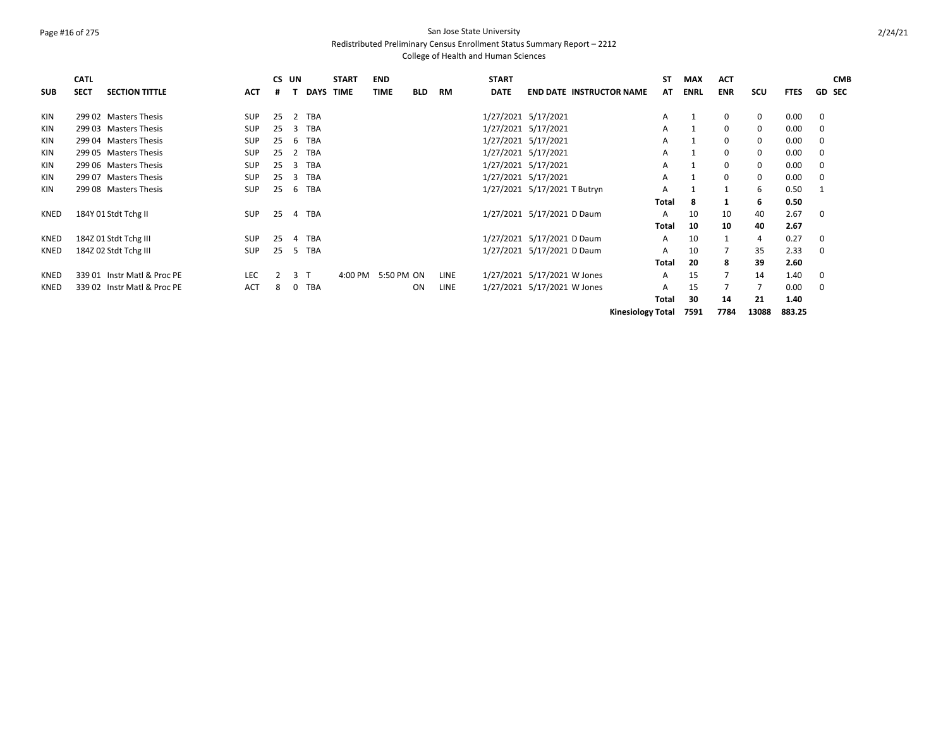### Page #16 of 275 San Jose State University Redistributed Preliminary Census Enrollment Status Summary Report – 2212

|             | <b>CATL</b> |                             |            | CS UN |                |            | <b>START</b>       | <b>END</b>  |            |      | <b>START</b> |                                 | ST                       | <b>MAX</b>  | <b>ACT</b>     |            |             | <b>CMB</b>    |
|-------------|-------------|-----------------------------|------------|-------|----------------|------------|--------------------|-------------|------------|------|--------------|---------------------------------|--------------------------|-------------|----------------|------------|-------------|---------------|
| <b>SUB</b>  | <b>SECT</b> | <b>SECTION TITTLE</b>       | <b>ACT</b> | #     |                |            | DAYS TIME          | <b>TIME</b> | <b>BLD</b> | RM   | <b>DATE</b>  | <b>END DATE INSTRUCTOR NAME</b> | AT                       | <b>ENRL</b> | <b>ENR</b>     | <b>SCU</b> | <b>FTES</b> | <b>GD SEC</b> |
| <b>KIN</b>  |             | 299 02 Masters Thesis       | <b>SUP</b> | 25    | 2              | <b>TBA</b> |                    |             |            |      |              | 1/27/2021 5/17/2021             | A                        |             | 0              | $\Omega$   | 0.00        | $\Omega$      |
| <b>KIN</b>  |             | 299 03 Masters Thesis       | <b>SUP</b> | 25    | 3              | <b>TBA</b> |                    |             |            |      |              | 1/27/2021 5/17/2021             | A                        |             | 0              | $\Omega$   | 0.00        | 0             |
| <b>KIN</b>  |             | 299 04 Masters Thesis       | <b>SUP</b> | 25    | 6              | <b>TBA</b> |                    |             |            |      |              | 1/27/2021 5/17/2021             | A                        |             | 0              | 0          | 0.00        | $\Omega$      |
| <b>KIN</b>  |             | 299 05 Masters Thesis       | <b>SUP</b> | 25    | 2              | <b>TBA</b> |                    |             |            |      |              | 1/27/2021 5/17/2021             | A                        |             | 0              | 0          | 0.00        | 0             |
| <b>KIN</b>  |             | 299 06 Masters Thesis       | <b>SUP</b> | 25    | 3              | <b>TBA</b> |                    |             |            |      |              | 1/27/2021 5/17/2021             | A                        |             | 0              | 0          | 0.00        | 0             |
| <b>KIN</b>  |             | 299 07 Masters Thesis       | <b>SUP</b> | 25    | 3              | <b>TBA</b> |                    |             |            |      |              | 1/27/2021 5/17/2021             | A                        |             | 0              | 0          | 0.00        | 0             |
| <b>KIN</b>  |             | 299 08 Masters Thesis       | <b>SUP</b> | 25    | 6              | <b>TBA</b> |                    |             |            |      |              | 1/27/2021 5/17/2021 T Butryn    | A                        |             |                | 6          | 0.50        | -1            |
|             |             |                             |            |       |                |            |                    |             |            |      |              |                                 | Total                    | 8           |                | 6          | 0.50        |               |
| KNED        |             | 184Y 01 Stdt Tchg II        | <b>SUP</b> | 25    | 4              | <b>TBA</b> |                    |             |            |      |              | 1/27/2021 5/17/2021 D Daum      | A                        | 10          | 10             | 40         | 2.67        | 0             |
|             |             |                             |            |       |                |            |                    |             |            |      |              |                                 | Total                    | 10          | 10             | 40         | 2.67        |               |
| KNED        |             | 184Z 01 Stdt Tchg III       | <b>SUP</b> | 25    | 4              | <b>TBA</b> |                    |             |            |      |              | 1/27/2021 5/17/2021 D Daum      | A                        | 10          |                | 4          | 0.27        | 0             |
| <b>KNED</b> |             | 184Z 02 Stdt Tchg III       | <b>SUP</b> | 25    | -5             | <b>TBA</b> |                    |             |            |      |              | 1/27/2021 5/17/2021 D Daum      | A                        | 10          |                | 35         | 2.33        | $\Omega$      |
|             |             |                             |            |       |                |            |                    |             |            |      |              |                                 | Total                    | 20          | 8              | 39         | 2.60        |               |
| KNED        |             | 339 01 Instr Matl & Proc PE | <b>LEC</b> | 2     | 3 <sub>1</sub> |            | 4:00 PM 5:50 PM ON |             |            | LINE |              | 1/27/2021 5/17/2021 W Jones     | A                        | 15          | $\overline{7}$ | 14         | 1.40        | 0             |
| KNED        |             | 339 02 Instr Matl & Proc PE | <b>ACT</b> | 8     | 0              | <b>TBA</b> |                    |             | ON         | LINE |              | 1/27/2021 5/17/2021 W Jones     | A                        | 15          |                | 7          | 0.00        | 0             |
|             |             |                             |            |       |                |            |                    |             |            |      |              |                                 | Total                    | 30          | 14             | 21         | 1.40        |               |
|             |             |                             |            |       |                |            |                    |             |            |      |              |                                 | <b>Kinesiology Total</b> | 7591        | 7784           | 13088      | 883.25      |               |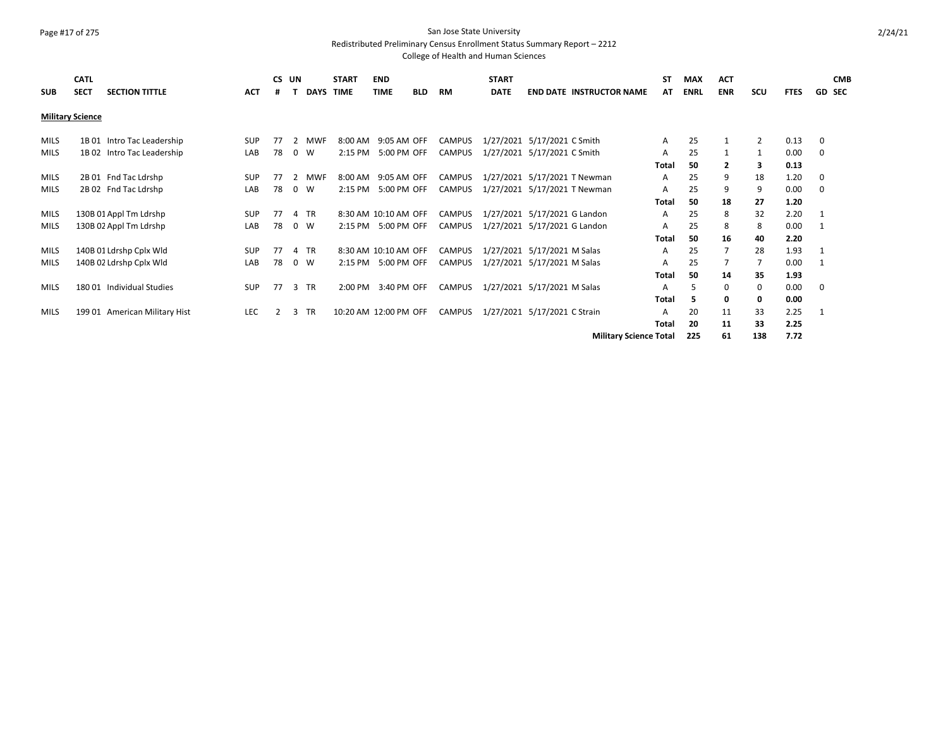### Page #17 of 275 San Jose State University Redistributed Preliminary Census Enrollment Status Summary Report – 2212

| <b>SUB</b>  | <b>CATL</b><br><b>SECT</b> | <b>SECTION TITTLE</b>         | ACT        | CS UN<br># |          | DAYS TIME  | <b>START</b>          | <b>END</b><br>TIME   | <b>BLD</b> | RM            | <b>START</b><br><b>DATE</b> | <b>END DATE INSTRUCTOR NAME</b> | <b>ST</b><br>AT. | <b>MAX</b><br><b>ENRL</b> | <b>ACT</b><br><b>ENR</b> | scu            | <b>FTES</b> |             | <b>CMB</b><br><b>GD SEC</b> |
|-------------|----------------------------|-------------------------------|------------|------------|----------|------------|-----------------------|----------------------|------------|---------------|-----------------------------|---------------------------------|------------------|---------------------------|--------------------------|----------------|-------------|-------------|-----------------------------|
|             | <b>Military Science</b>    |                               |            |            |          |            |                       |                      |            |               |                             |                                 |                  |                           |                          |                |             |             |                             |
| <b>MILS</b> |                            | 1B 01 Intro Tac Leadership    | <b>SUP</b> | 77         | 2        | <b>MWF</b> |                       | 8:00 AM 9:05 AM OFF  |            | <b>CAMPUS</b> |                             | 1/27/2021 5/17/2021 C Smith     | A                | 25                        | $\mathbf{1}$             | $\overline{2}$ | 0.13        | 0           |                             |
| <b>MILS</b> |                            | 1B 02 Intro Tac Leadership    | LAB        | 78         | $\Omega$ | W          |                       | 2:15 PM 5:00 PM OFF  |            | <b>CAMPUS</b> |                             | 1/27/2021 5/17/2021 C Smith     | A                | 25                        |                          | 1              | 0.00        | 0           |                             |
|             |                            |                               |            |            |          |            |                       |                      |            |               |                             |                                 | <b>Total</b>     | 50                        | 2                        | 3              | 0.13        |             |                             |
| <b>MILS</b> |                            | 2B 01 Fnd Tac Ldrshp          | <b>SUP</b> | 77         | 2        | <b>MWF</b> |                       | 8:00 AM 9:05 AM OFF  |            | <b>CAMPUS</b> |                             | 1/27/2021 5/17/2021 T Newman    | A                | 25                        | 9                        | 18             | 1.20        | 0           |                             |
| MILS        |                            | 2B 02 Fnd Tac Ldrshp          | LAB        | 78         | $\Omega$ | W          | 2:15 PM               | 5:00 PM OFF          |            | <b>CAMPUS</b> |                             | 1/27/2021 5/17/2021 T Newman    | A                | 25                        | 9                        | 9              | 0.00        | 0           |                             |
|             |                            |                               |            |            |          |            |                       |                      |            |               |                             |                                 | <b>Total</b>     | 50                        | 18                       | 27             | 1.20        |             |                             |
| <b>MILS</b> |                            | 130B 01 Appl Tm Ldrshp        | <b>SUP</b> | 77         | 4 TR     |            |                       | 8:30 AM 10:10 AM OFF |            | CAMPUS        |                             | 1/27/2021 5/17/2021 G Landon    | A                | 25                        | 8                        | 32             | 2.20        | 1           |                             |
| <b>MILS</b> |                            | 130B 02 Appl Tm Ldrshp        | LAB        | 78         | 0 W      |            |                       | 2:15 PM 5:00 PM OFF  |            | CAMPUS        |                             | 1/27/2021 5/17/2021 G Landon    | A                | 25                        | 8                        | 8              | 0.00        | 1           |                             |
|             |                            |                               |            |            |          |            |                       |                      |            |               |                             |                                 | <b>Total</b>     | 50                        | 16                       | 40             | 2.20        |             |                             |
| <b>MILS</b> |                            | 140B 01 Ldrshp Cplx Wld       | <b>SUP</b> | 77         | 4 TR     |            |                       | 8:30 AM 10:10 AM OFF |            | CAMPUS        |                             | 1/27/2021 5/17/2021 M Salas     | A                | 25                        | $\overline{7}$           | 28             | 1.93        | 1           |                             |
| <b>MILS</b> |                            | 140B 02 Ldrshp Cplx Wld       | LAB        | 78         | 0 W      |            |                       | 2:15 PM 5:00 PM OFF  |            | CAMPUS        |                             | 1/27/2021 5/17/2021 M Salas     | A                | 25                        |                          | 7              | 0.00        | 1           |                             |
|             |                            |                               |            |            |          |            |                       |                      |            |               |                             |                                 | Total            | 50                        | 14                       | 35             | 1.93        |             |                             |
| <b>MILS</b> |                            | 180 01 Individual Studies     | <b>SUP</b> | 77         | 3        | <b>TR</b>  | 2:00 PM               | 3:40 PM OFF          |            | <b>CAMPUS</b> |                             | 1/27/2021 5/17/2021 M Salas     | A                | 5                         | $\Omega$                 | $\mathbf 0$    | 0.00        | $\mathbf 0$ |                             |
|             |                            |                               |            |            |          |            |                       |                      |            |               |                             |                                 | <b>Total</b>     | 5                         | 0                        | 0              | 0.00        |             |                             |
| <b>MILS</b> |                            | 199 01 American Military Hist | <b>LEC</b> | 2          | 3        | TR         | 10:20 AM 12:00 PM OFF |                      |            | <b>CAMPUS</b> |                             | 1/27/2021 5/17/2021 C Strain    | A                | 20                        | 11                       | 33             | 2.25        | 1           |                             |
|             |                            |                               |            |            |          |            |                       |                      |            |               |                             |                                 | <b>Total</b>     | 20                        | 11                       | 33             | 2.25        |             |                             |
|             |                            |                               |            |            |          |            |                       |                      |            |               |                             | <b>Military Science Total</b>   |                  | 225                       | 61                       | 138            | 7.72        |             |                             |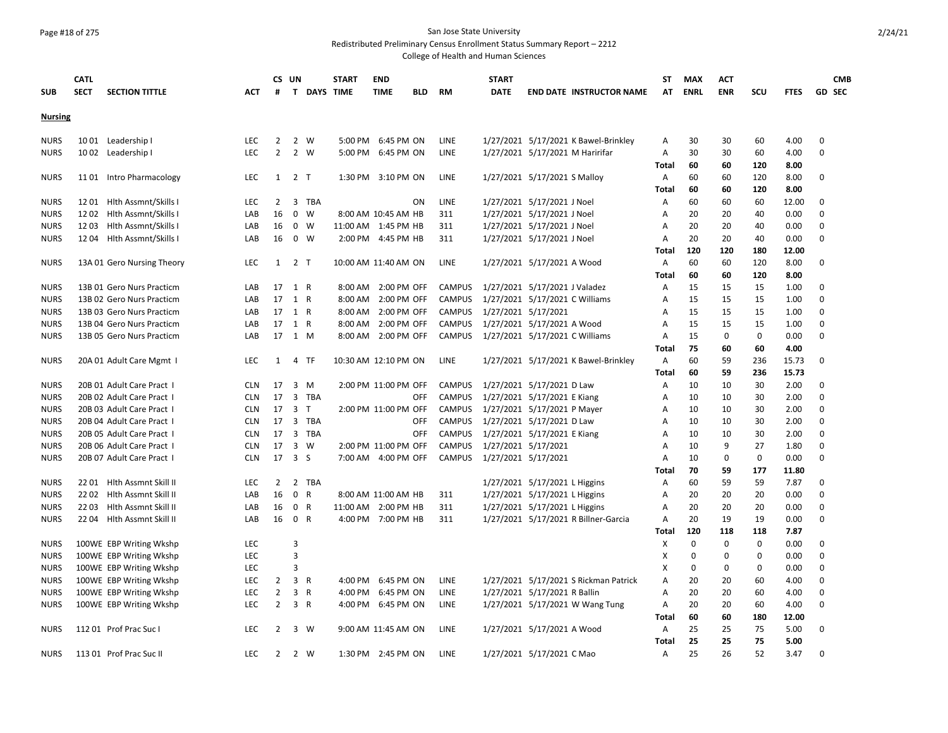### Page #18 of 275 San Jose State University

Redistributed Preliminary Census Enrollment Status Summary Report – 2212

|                | <b>CATL</b> |                            |            |                | CS UN                       | <b>START</b> | <b>END</b>           |            |               | <b>START</b>                   |                                |                                       | ST           | <b>MAX</b>  | <b>ACT</b>  |             |             |             | <b>CMB</b>    |
|----------------|-------------|----------------------------|------------|----------------|-----------------------------|--------------|----------------------|------------|---------------|--------------------------------|--------------------------------|---------------------------------------|--------------|-------------|-------------|-------------|-------------|-------------|---------------|
| <b>SUB</b>     | <b>SECT</b> | <b>SECTION TITTLE</b>      | ACT        | #              | T DAYS TIME                 |              | <b>TIME</b>          | <b>BLD</b> | RM            | <b>DATE</b>                    |                                | <b>END DATE INSTRUCTOR NAME</b>       | AT           | <b>ENRL</b> | <b>ENR</b>  | scu         | <b>FTES</b> |             | <b>GD SEC</b> |
| <b>Nursing</b> |             |                            |            |                |                             |              |                      |            |               |                                |                                |                                       |              |             |             |             |             |             |               |
| <b>NURS</b>    | 10 01       | Leadership I               | LEC        | 2              | 2<br>W                      | 5:00 PM      | 6:45 PM ON           |            | <b>LINE</b>   |                                |                                | 1/27/2021 5/17/2021 K Bawel-Brinkley  | Α            | 30          | 30          | 60          | 4.00        | 0           |               |
| <b>NURS</b>    |             | 1002 Leadership I          | <b>LEC</b> | $\overline{2}$ | 2<br>W                      |              | 5:00 PM 6:45 PM ON   |            | <b>LINE</b>   |                                |                                | 1/27/2021 5/17/2021 M Haririfar       | A            | 30          | 30          | 60          | 4.00        | $\mathbf 0$ |               |
|                |             |                            |            |                |                             |              |                      |            |               |                                |                                |                                       | <b>Total</b> | 60          | 60          | 120         | 8.00        |             |               |
| <b>NURS</b>    |             | 1101 Intro Pharmacology    | LEC        |                | $1 \quad 2 \quad T$         |              | 1:30 PM 3:10 PM ON   |            | LINE          |                                | 1/27/2021 5/17/2021 S Malloy   |                                       | Α            | 60          | 60          | 120         | 8.00        | 0           |               |
|                |             |                            |            |                |                             |              |                      |            |               |                                |                                |                                       | Total        | 60          | 60          | 120         | 8.00        |             |               |
| <b>NURS</b>    | 1201        | Hith Assmnt/Skills         | <b>LEC</b> | $\overline{2}$ | 3 TBA                       |              |                      | ON         | LINE          |                                | 1/27/2021 5/17/2021 J Noel     |                                       | Α            | 60          | 60          | 60          | 12.00       | 0           |               |
| <b>NURS</b>    | 1202        | Hlth Assmnt/Skills         | LAB        | 16             | $\mathbf 0$<br>W            |              | 8:00 AM 10:45 AM HB  |            | 311           |                                | 1/27/2021 5/17/2021 J Noel     |                                       | Α            | 20          | 20          | 40          | 0.00        | $\mathbf 0$ |               |
| <b>NURS</b>    | 1203        | Hith Assmnt/Skills         | LAB        | 16             | 0<br>W                      |              | 11:00 AM 1:45 PM HB  |            | 311           |                                | 1/27/2021 5/17/2021 J Noel     |                                       | Α            | 20          | 20          | 40          | 0.00        | 0           |               |
| <b>NURS</b>    |             | 12 04 Hlth Assmnt/Skills I | LAB        | 16             | 0 W                         |              | 2:00 PM 4:45 PM HB   |            | 311           |                                | 1/27/2021 5/17/2021 J Noel     |                                       | Α            | 20          | 20          | 40          | 0.00        | 0           |               |
|                |             |                            |            |                |                             |              |                      |            |               |                                |                                |                                       | Total        | 120         | 120         | 180         | 12.00       |             |               |
| <b>NURS</b>    |             | 13A 01 Gero Nursing Theory | <b>LEC</b> | 1              | 2 T                         |              | 10:00 AM 11:40 AM ON |            | LINE          |                                | 1/27/2021 5/17/2021 A Wood     |                                       | Α            | 60          | 60          | 120         | 8.00        | 0           |               |
|                |             |                            |            |                |                             |              |                      |            |               |                                |                                |                                       | <b>Total</b> | 60          | 60          | 120         | 8.00        |             |               |
| <b>NURS</b>    |             | 13B 01 Gero Nurs Practicm  | LAB        |                | 17 1 R                      |              | 8:00 AM 2:00 PM OFF  |            | <b>CAMPUS</b> |                                | 1/27/2021 5/17/2021 J Valadez  |                                       | Α            | 15          | 15          | 15          | 1.00        | 0           |               |
| <b>NURS</b>    |             | 13B 02 Gero Nurs Practicm  | LAB        |                | 17 1 R                      |              | 8:00 AM 2:00 PM OFF  |            | <b>CAMPUS</b> |                                | 1/27/2021 5/17/2021 C Williams |                                       | Α            | 15          | 15          | 15          | 1.00        | $\Omega$    |               |
| <b>NURS</b>    |             | 13B 03 Gero Nurs Practicm  | LAB        |                | 17 1 R                      |              | 8:00 AM 2:00 PM OFF  |            | <b>CAMPUS</b> | 1/27/2021 5/17/2021            |                                |                                       | Α            | 15          | 15          | 15          | 1.00        | 0           |               |
| <b>NURS</b>    |             | 13B 04 Gero Nurs Practicm  | LAB        |                | 17 1 R                      |              | 8:00 AM 2:00 PM OFF  |            | <b>CAMPUS</b> |                                | 1/27/2021 5/17/2021 A Wood     |                                       | A            | 15          | 15          | 15          | 1.00        | 0           |               |
| <b>NURS</b>    |             | 13B 05 Gero Nurs Practicm  | LAB        |                | 17 1 M                      |              | 8:00 AM 2:00 PM OFF  |            | <b>CAMPUS</b> | 1/27/2021 5/17/2021 C Williams |                                |                                       | Α            | 15          | $\mathbf 0$ | $\mathbf 0$ | 0.00        | $\mathbf 0$ |               |
|                |             |                            |            |                |                             |              |                      |            |               |                                |                                |                                       | Total        | 75          | 60          | 60          | 4.00        |             |               |
| <b>NURS</b>    |             | 20A 01 Adult Care Mgmt 1   | LEC        | 1              | 4<br>TF                     |              | 10:30 AM 12:10 PM ON |            | LINE          |                                |                                | 1/27/2021 5/17/2021 K Bawel-Brinkley  | Α            | 60          | 59          | 236         | 15.73       | 0           |               |
|                |             |                            |            |                |                             |              |                      |            |               |                                |                                |                                       | Total        | 60          | 59          | 236         | 15.73       |             |               |
| <b>NURS</b>    |             | 20B 01 Adult Care Pract 1  | <b>CLN</b> | 17             | 3<br>M                      |              | 2:00 PM 11:00 PM OFF |            | <b>CAMPUS</b> |                                | 1/27/2021 5/17/2021 D Law      |                                       | Α            | 10          | 10          | 30          | 2.00        | $\Omega$    |               |
| <b>NURS</b>    |             | 20B 02 Adult Care Pract I  | <b>CLN</b> |                | 17 3 TBA                    |              |                      | <b>OFF</b> | <b>CAMPUS</b> |                                | 1/27/2021 5/17/2021 E Kiang    |                                       | Α            | 10          | 10          | 30          | 2.00        | 0           |               |
| <b>NURS</b>    |             | 20B 03 Adult Care Pract 1  | <b>CLN</b> |                | 17 3 T                      |              | 2:00 PM 11:00 PM OFF |            | <b>CAMPUS</b> |                                | 1/27/2021 5/17/2021 P Mayer    |                                       | Α            | 10          | 10          | 30          | 2.00        | 0           |               |
| <b>NURS</b>    |             | 20B 04 Adult Care Pract 1  | <b>CLN</b> | 17             | 3 TBA                       |              |                      | <b>OFF</b> | <b>CAMPUS</b> |                                | 1/27/2021 5/17/2021 D Law      |                                       | Α            | 10          | 10          | 30          | 2.00        | $\mathbf 0$ |               |
| <b>NURS</b>    |             | 20B 05 Adult Care Pract 1  | <b>CLN</b> |                | 17 3 TBA                    |              |                      | OFF        | <b>CAMPUS</b> |                                | 1/27/2021 5/17/2021 E Kiang    |                                       | Α            | 10          | 10          | 30          | 2.00        | $\Omega$    |               |
| <b>NURS</b>    |             | 20B 06 Adult Care Pract 1  | <b>CLN</b> | 17             | 3<br>W                      |              | 2:00 PM 11:00 PM OFF |            | <b>CAMPUS</b> | 1/27/2021 5/17/2021            |                                |                                       | A            | 10          | 9           | 27          | 1.80        | 0           |               |
| <b>NURS</b>    |             | 20B 07 Adult Care Pract 1  | <b>CLN</b> |                | 17 3 S                      |              | 7:00 AM 4:00 PM OFF  |            | <b>CAMPUS</b> | 1/27/2021 5/17/2021            |                                |                                       | A            | 10          | 0           | 0           | 0.00        | 0           |               |
|                |             |                            |            |                |                             |              |                      |            |               |                                |                                |                                       | Total        | 70          | 59          | 177         | 11.80       |             |               |
| <b>NURS</b>    |             | 22 01 Hith Assmnt Skill II | <b>LEC</b> | $\overline{2}$ | 2 TBA                       |              |                      |            |               |                                | 1/27/2021 5/17/2021 L Higgins  |                                       | Α            | 60          | 59          | 59          | 7.87        | $\Omega$    |               |
| <b>NURS</b>    |             | 22 02 Hlth Assmnt Skill II | LAB        | 16             | $\mathbf 0$<br>$\mathsf{R}$ |              | 8:00 AM 11:00 AM HB  |            | 311           |                                | 1/27/2021 5/17/2021 L Higgins  |                                       | Α            | 20          | 20          | 20          | 0.00        | $\mathbf 0$ |               |
| <b>NURS</b>    | 2203        | Hlth Assmnt Skill II       | LAB        | 16             | $\mathsf{R}$<br>$\mathbf 0$ |              | 11:00 AM 2:00 PM HB  |            | 311           |                                | 1/27/2021 5/17/2021 L Higgins  |                                       | A            | 20          | 20          | 20          | 0.00        | 0           |               |
| <b>NURS</b>    |             | 22 04 Hith Assmnt Skill II | LAB        | 16             | 0 R                         |              | 4:00 PM 7:00 PM HB   |            | 311           |                                |                                | 1/27/2021 5/17/2021 R Billner-Garcia  | A            | 20          | 19          | 19          | 0.00        | $\mathbf 0$ |               |
|                |             |                            |            |                |                             |              |                      |            |               |                                |                                |                                       | <b>Total</b> | 120         | 118         | 118         | 7.87        |             |               |
| <b>NURS</b>    |             | 100WE EBP Writing Wkshp    | <b>LEC</b> |                | 3                           |              |                      |            |               |                                |                                |                                       | X            | 0           | 0           | 0           | 0.00        | 0           |               |
| <b>NURS</b>    |             | 100WE EBP Writing Wkshp    | <b>LEC</b> |                | 3                           |              |                      |            |               |                                |                                |                                       | X            | 0           | 0           | 0           | 0.00        | 0           |               |
| <b>NURS</b>    |             | 100WE EBP Writing Wkshp    | <b>LEC</b> |                | 3                           |              |                      |            |               |                                |                                |                                       | X            | $\mathbf 0$ | 0           | $\mathbf 0$ | 0.00        | $\mathbf 0$ |               |
| <b>NURS</b>    |             | 100WE EBP Writing Wkshp    | <b>LEC</b> | $\overline{2}$ | $\overline{3}$<br>R         |              | 4:00 PM 6:45 PM ON   |            | LINE          |                                |                                | 1/27/2021 5/17/2021 S Rickman Patrick | Α            | 20          | 20          | 60          | 4.00        | $\mathbf 0$ |               |
| <b>NURS</b>    |             | 100WE EBP Writing Wkshp    | LEC        | $\overline{2}$ | $\overline{3}$<br>R         |              | 4:00 PM 6:45 PM ON   |            | <b>LINE</b>   |                                | 1/27/2021 5/17/2021 R Ballin   |                                       | Α            | 20          | 20          | 60          | 4.00        | 0           |               |
| <b>NURS</b>    |             | 100WE EBP Writing Wkshp    | <b>LEC</b> | $\overline{2}$ | 3 R                         |              | 4:00 PM 6:45 PM ON   |            | <b>LINE</b>   |                                |                                | 1/27/2021 5/17/2021 W Wang Tung       | Α            | 20          | 20          | 60          | 4.00        | $\mathbf 0$ |               |
|                |             |                            |            |                |                             |              |                      |            |               |                                |                                |                                       | Total        | 60          | 60          | 180         | 12.00       |             |               |
| <b>NURS</b>    |             | 11201 Prof Prac Suc I      | <b>LEC</b> | 2              | 3<br>W                      |              | 9:00 AM 11:45 AM ON  |            | LINE          |                                | 1/27/2021 5/17/2021 A Wood     |                                       | Α            | 25          | 25          | 75          | 5.00        | $\mathbf 0$ |               |
|                |             |                            |            |                |                             |              |                      |            |               |                                |                                |                                       | <b>Total</b> | 25          | 25          | 75          | 5.00        |             |               |
| <b>NURS</b>    |             | 11301 Prof Prac Suc II     | <b>LEC</b> | 2              | 2 W                         |              | 1:30 PM 2:45 PM ON   |            | LINE          |                                | 1/27/2021 5/17/2021 C Mao      |                                       | Α            | 25          | 26          | 52          | 3.47        | $\Omega$    |               |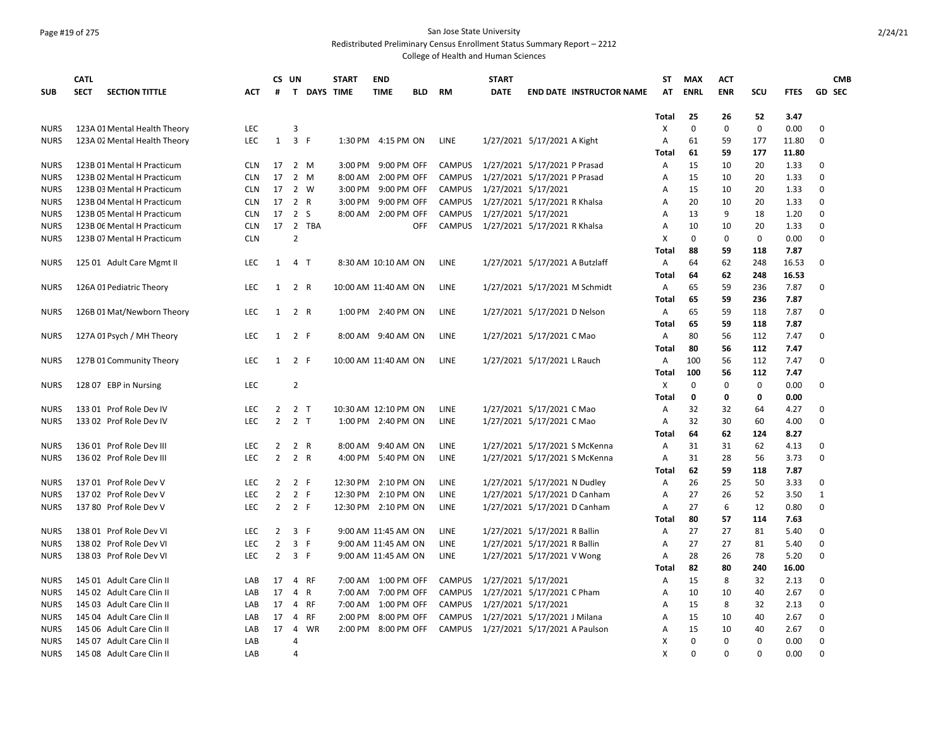## Page #19 of 275 San Jose State University

Redistributed Preliminary Census Enrollment Status Summary Report – 2212

|             | <b>CATL</b>                          |            |                | CS UN          |                    | <b>START</b>         | <b>END</b>          |            |               | <b>START</b>                  |                                |                                 | <b>ST</b>    | <b>MAX</b>  | <b>ACT</b>  |             |             |               | <b>CMB</b> |
|-------------|--------------------------------------|------------|----------------|----------------|--------------------|----------------------|---------------------|------------|---------------|-------------------------------|--------------------------------|---------------------------------|--------------|-------------|-------------|-------------|-------------|---------------|------------|
| <b>SUB</b>  | <b>SECT</b><br><b>SECTION TITTLE</b> | ACT        | #              |                | <b>T DAYS TIME</b> |                      | <b>TIME</b>         | <b>BLD</b> | <b>RM</b>     | <b>DATE</b>                   |                                | <b>END DATE INSTRUCTOR NAME</b> | AT           | <b>ENRL</b> | <b>ENR</b>  | scu         | <b>FTES</b> | <b>GD SEC</b> |            |
|             |                                      |            |                |                |                    |                      |                     |            |               |                               |                                |                                 |              |             |             |             |             |               |            |
|             |                                      |            |                |                |                    |                      |                     |            |               |                               |                                |                                 | <b>Total</b> | 25          | 26          | 52          | 3.47        |               |            |
| <b>NURS</b> | 123A 01 Mental Health Theory         | LEC        |                | 3              |                    |                      |                     |            |               |                               |                                |                                 | X            | $\mathbf 0$ | $\mathbf 0$ | $\mathbf 0$ | 0.00        | 0             |            |
| <b>NURS</b> | 123A 02 Mental Health Theory         | <b>LEC</b> | $\mathbf{1}$   | 3 F            |                    |                      | 1:30 PM 4:15 PM ON  |            | LINE          |                               | 1/27/2021 5/17/2021 A Kight    |                                 | Α            | 61          | 59          | 177         | 11.80       | 0             |            |
|             |                                      |            |                |                |                    |                      |                     |            |               |                               |                                |                                 | Total        | 61          | 59          | 177         | 11.80       |               |            |
| <b>NURS</b> | 123B 01 Mental H Practicum           | <b>CLN</b> | 17             | 2 M            |                    | 3:00 PM              | 9:00 PM OFF         |            | <b>CAMPUS</b> | 1/27/2021 5/17/2021 P Prasad  |                                |                                 | Α            | 15          | 10          | 20          | 1.33        | $\Omega$      |            |
| <b>NURS</b> | 123B 02 Mental H Practicum           | <b>CLN</b> | 17             | 2 M            |                    |                      | 8:00 AM 2:00 PM OFF |            | <b>CAMPUS</b> | 1/27/2021 5/17/2021 P Prasad  |                                |                                 | A            | 15          | 10          | 20          | 1.33        | 0             |            |
| <b>NURS</b> | 123B 03 Mental H Practicum           | <b>CLN</b> | 17             | 2 W            |                    |                      | 3:00 PM 9:00 PM OFF |            | <b>CAMPUS</b> | 1/27/2021 5/17/2021           |                                |                                 | А            | 15          | 10          | 20          | 1.33        | 0             |            |
| <b>NURS</b> | 123B 04 Mental H Practicum           | <b>CLN</b> | 17             | 2 R            |                    | 3:00 PM              | 9:00 PM OFF         |            | <b>CAMPUS</b> |                               | 1/27/2021 5/17/2021 R Khalsa   |                                 | A            | 20          | 10          | 20          | 1.33        | $\mathbf 0$   |            |
| <b>NURS</b> | 123B 05 Mental H Practicum           | <b>CLN</b> | 17             | 2 <sub>5</sub> |                    |                      | 8:00 AM 2:00 PM OFF |            | CAMPUS        | 1/27/2021 5/17/2021           |                                |                                 | Α            | 13          | 9           | 18          | 1.20        | $\mathbf 0$   |            |
| <b>NURS</b> | 123B 06 Mental H Practicum           | <b>CLN</b> | 17             | $\overline{2}$ | TBA                |                      |                     | <b>OFF</b> | <b>CAMPUS</b> | 1/27/2021 5/17/2021 R Khalsa  |                                |                                 | A            | 10          | 10          | 20          | 1.33        | 0             |            |
| <b>NURS</b> | 123B 07 Mental H Practicum           | <b>CLN</b> |                | $\overline{2}$ |                    |                      |                     |            |               |                               |                                |                                 | х            | $\mathbf 0$ | $\mathbf 0$ | $\mathbf 0$ | 0.00        | 0             |            |
|             |                                      |            |                |                |                    |                      |                     |            |               |                               |                                |                                 | Total        | 88          | 59          | 118         | 7.87        |               |            |
| <b>NURS</b> | 125 01 Adult Care Mgmt II            | LEC        | $\mathbf{1}$   | 4 T            |                    |                      | 8:30 AM 10:10 AM ON |            | LINE          |                               | 1/27/2021 5/17/2021 A Butzlaff |                                 | Α            | 64          | 62          | 248         | 16.53       | 0             |            |
|             |                                      |            |                |                |                    |                      |                     |            |               |                               |                                |                                 | <b>Total</b> | 64          | 62          | 248         | 16.53       |               |            |
| <b>NURS</b> | 126A 01 Pediatric Theory             | <b>LEC</b> | $\mathbf{1}$   | 2 R            |                    | 10:00 AM 11:40 AM ON |                     |            | LINE          |                               |                                | 1/27/2021 5/17/2021 M Schmidt   | Α            | 65          | 59          | 236         | 7.87        | $\Omega$      |            |
|             |                                      |            |                |                |                    |                      |                     |            |               |                               |                                |                                 | Total        | 65          | 59          | 236         | 7.87        |               |            |
| <b>NURS</b> | 126B 01 Mat/Newborn Theory           | LEC        | $\mathbf{1}$   | 2 R            |                    |                      | 1:00 PM 2:40 PM ON  |            | LINE          |                               | 1/27/2021 5/17/2021 D Nelson   |                                 | Α            | 65          | 59          | 118         | 7.87        | $\mathbf 0$   |            |
|             |                                      |            |                |                |                    |                      |                     |            |               |                               |                                |                                 | <b>Total</b> | 65          | 59          | 118         | 7.87        |               |            |
| <b>NURS</b> | 127A 01 Psych / MH Theory            | <b>LEC</b> | $\mathbf{1}$   | 2 F            |                    |                      | 8:00 AM 9:40 AM ON  |            | LINE          |                               | 1/27/2021 5/17/2021 C Mao      |                                 | Α            | 80          | 56          | 112         | 7.47        | 0             |            |
|             |                                      |            |                |                |                    |                      |                     |            |               |                               |                                |                                 | <b>Total</b> | 80          | 56          | 112         | 7.47        |               |            |
| <b>NURS</b> | 127B 01 Community Theory             | LEC        | 1              | 2 F            |                    | 10:00 AM 11:40 AM ON |                     |            | LINE          |                               | 1/27/2021 5/17/2021 L Rauch    |                                 | Α            | 100         | 56          | 112         | 7.47        | 0             |            |
|             |                                      |            |                |                |                    |                      |                     |            |               |                               |                                |                                 | Total        | 100         | 56          | 112         | 7.47        |               |            |
| <b>NURS</b> | 128 07 EBP in Nursing                | <b>LEC</b> |                | $\overline{2}$ |                    |                      |                     |            |               |                               |                                |                                 | Χ            | $\Omega$    | $\Omega$    | 0           | 0.00        | 0             |            |
|             |                                      |            |                |                |                    |                      |                     |            |               |                               |                                |                                 | <b>Total</b> | 0           | $\mathbf 0$ | 0           | 0.00        |               |            |
| <b>NURS</b> | 133 01 Prof Role Dev IV              | <b>LEC</b> | 2              | 2 T            |                    | 10:30 AM 12:10 PM ON |                     |            | LINE          |                               | 1/27/2021 5/17/2021 C Mao      |                                 | Α            | 32          | 32          | 64          | 4.27        | 0             |            |
| <b>NURS</b> | 133 02 Prof Role Dev IV              | <b>LEC</b> | $\overline{2}$ | 2 <sub>T</sub> |                    |                      | 1:00 PM 2:40 PM ON  |            | <b>LINE</b>   |                               | 1/27/2021 5/17/2021 C Mao      |                                 | Α            | 32          | 30          | 60          | 4.00        | 0             |            |
|             |                                      |            |                |                |                    |                      |                     |            |               |                               |                                |                                 | <b>Total</b> | 64          | 62          | 124         | 8.27        |               |            |
| <b>NURS</b> | 136 01 Prof Role Dev III             | LEC        | $\overline{2}$ | 2 R            |                    | 8:00 AM              | 9:40 AM ON          |            | LINE          |                               | 1/27/2021 5/17/2021 S McKenna  |                                 | Α            | 31          | 31          | 62          | 4.13        | $\mathbf 0$   |            |
| <b>NURS</b> | 136 02 Prof Role Dev III             | LEC        | $\overline{2}$ | 2 R            |                    |                      | 4:00 PM 5:40 PM ON  |            | LINE          |                               | 1/27/2021 5/17/2021 S McKenna  |                                 | Α            | 31          | 28          | 56          | 3.73        | 0             |            |
|             |                                      |            |                |                |                    |                      |                     |            |               |                               |                                |                                 | Total        | 62          | 59          | 118         | 7.87        |               |            |
| <b>NURS</b> | 137 01 Prof Role Dev V               | <b>LEC</b> | 2              | 2 F            |                    | 12:30 PM 2:10 PM ON  |                     |            | <b>LINE</b>   |                               | 1/27/2021 5/17/2021 N Dudley   |                                 | Α            | 26          | 25          | 50          | 3.33        | $\Omega$      |            |
| <b>NURS</b> | 137 02 Prof Role Dev V               | LEC        | $\overline{2}$ | 2 F            |                    | 12:30 PM 2:10 PM ON  |                     |            | LINE          |                               | 1/27/2021 5/17/2021 D Canham   |                                 | Α            | 27          | 26          | 52          | 3.50        | $\mathbf{1}$  |            |
| <b>NURS</b> | 137 80 Prof Role Dev V               | <b>LEC</b> | $2^{\circ}$    | 2 F            |                    | 12:30 PM 2:10 PM ON  |                     |            | <b>LINE</b>   |                               | 1/27/2021 5/17/2021 D Canham   |                                 | Α            | 27          | 6           | 12          | 0.80        | 0             |            |
|             |                                      |            |                |                |                    |                      |                     |            |               |                               |                                |                                 | Total        | 80          | 57          | 114         | 7.63        |               |            |
| <b>NURS</b> | 138 01 Prof Role Dev VI              | LEC.       | 2              | 3 F            |                    |                      | 9:00 AM 11:45 AM ON |            | LINE          |                               | 1/27/2021 5/17/2021 R Ballin   |                                 | Α            | 27          | 27          | 81          | 5.40        | 0             |            |
| <b>NURS</b> | 138 02 Prof Role Dev VI              | LEC        | 2              | 3 F            |                    |                      | 9:00 AM 11:45 AM ON |            | LINE          |                               | 1/27/2021 5/17/2021 R Ballin   |                                 | Α            | 27          | 27          | 81          | 5.40        | 0             |            |
| <b>NURS</b> | 138 03 Prof Role Dev VI              | LEC        | $\overline{2}$ | 3 F            |                    |                      | 9:00 AM 11:45 AM ON |            | LINE          |                               | 1/27/2021 5/17/2021 V Wong     |                                 | Α            | 28          | 26          | 78          | 5.20        | 0             |            |
|             |                                      |            |                |                |                    |                      |                     |            |               |                               |                                |                                 | Total        | 82          | 80          | 240         | 16.00       |               |            |
| <b>NURS</b> | 145 01 Adult Care Clin II            | LAB        | 17             | $\overline{4}$ | <b>RF</b>          |                      | 7:00 AM 1:00 PM OFF |            | <b>CAMPUS</b> | 1/27/2021 5/17/2021           |                                |                                 | Α            | 15          | 8           | 32          | 2.13        | 0             |            |
| <b>NURS</b> | 145 02 Adult Care Clin II            | LAB        | 17             | 4              | R                  |                      | 7:00 AM 7:00 PM OFF |            | <b>CAMPUS</b> | 1/27/2021 5/17/2021 C Pham    |                                |                                 | Α            | 10          | 10          | 40          | 2.67        | 0             |            |
| <b>NURS</b> | 145 03 Adult Care Clin II            | LAB        | 17             | 4              | RF                 |                      | 7:00 AM 1:00 PM OFF |            | <b>CAMPUS</b> | 1/27/2021 5/17/2021           |                                |                                 | Α            | 15          | 8           | 32          | 2.13        | $\mathbf 0$   |            |
| <b>NURS</b> | 145 04 Adult Care Clin II            | LAB        | 17             | 4              | <b>RF</b>          | 2:00 PM              | 8:00 PM OFF         |            | <b>CAMPUS</b> |                               | 1/27/2021 5/17/2021 J Milana   |                                 | A            | 15          | 10          | 40          | 2.67        | $\mathbf 0$   |            |
| <b>NURS</b> | 145 06 Adult Care Clin II            | LAB        | 17             | 4              | <b>WR</b>          |                      | 2:00 PM 8:00 PM OFF |            | CAMPUS        | 1/27/2021 5/17/2021 A Paulson |                                |                                 | Α            | 15          | 10          | 40          | 2.67        | $\mathbf 0$   |            |
| <b>NURS</b> | 145 07 Adult Care Clin II            | LAB        |                | 4              |                    |                      |                     |            |               |                               |                                |                                 | х            | $\mathbf 0$ | $\mathbf 0$ | $\Omega$    | 0.00        | 0             |            |
| <b>NURS</b> | 145 08 Adult Care Clin II            | LAB        |                | $\Delta$       |                    |                      |                     |            |               |                               |                                |                                 | X            | $\Omega$    | $\Omega$    | $\Omega$    | 0.00        | $\Omega$      |            |
|             |                                      |            |                |                |                    |                      |                     |            |               |                               |                                |                                 |              |             |             |             |             |               |            |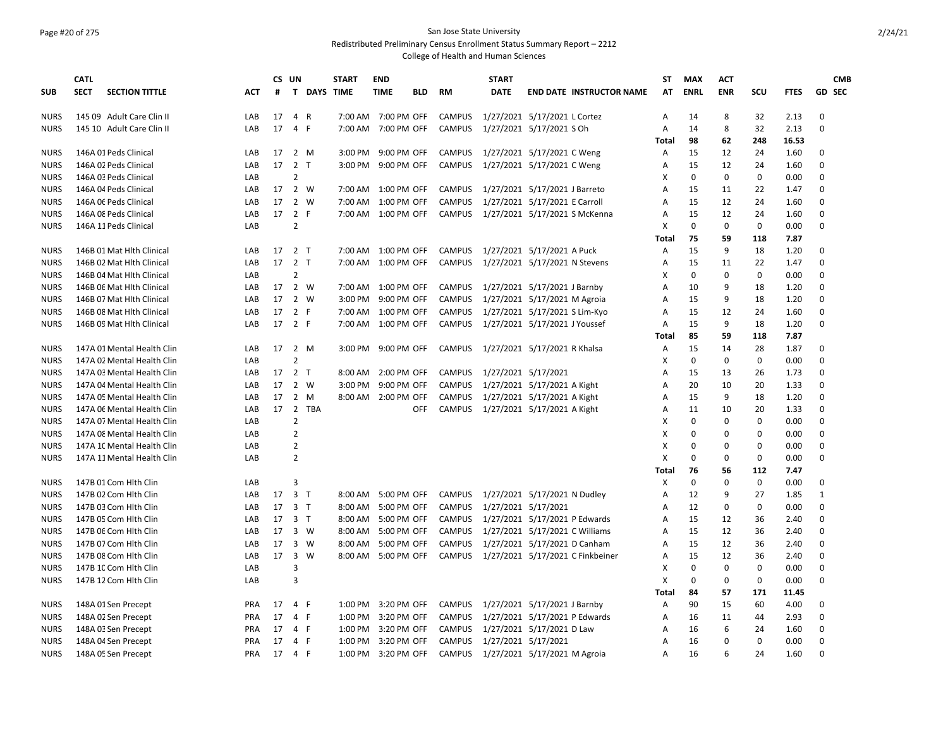### Page #20 of 275 San Jose State University Redistributed Preliminary Census Enrollment Status Summary Report – 2212

|             | <b>CATL</b>                          |            |    | CS UN          |             | <b>START</b> | <b>END</b>          |            |               | <b>START</b>        |                                  | <b>ST</b>    | <b>MAX</b>  | <b>ACT</b>  |             |             | <b>CMB</b>    |
|-------------|--------------------------------------|------------|----|----------------|-------------|--------------|---------------------|------------|---------------|---------------------|----------------------------------|--------------|-------------|-------------|-------------|-------------|---------------|
| <b>SUB</b>  | <b>SECT</b><br><b>SECTION TITTLE</b> | ACT        | #  |                | T DAYS TIME |              | <b>TIME</b>         | <b>BLD</b> | RM            | <b>DATE</b>         | <b>END DATE INSTRUCTOR NAME</b>  | AT           | <b>ENRL</b> | <b>ENR</b>  | scu         | <b>FTES</b> | <b>GD SEC</b> |
| <b>NURS</b> | 145 09 Adult Care Clin II            | LAB        | 17 | 4 R            |             |              | 7:00 AM 7:00 PM OFF |            | <b>CAMPUS</b> |                     | 1/27/2021 5/17/2021 L Cortez     | Α            | 14          | 8           | 32          | 2.13        | 0             |
| <b>NURS</b> | 145 10 Adult Care Clin II            | LAB        | 17 | 4 F            |             |              | 7:00 AM 7:00 PM OFF |            | CAMPUS        |                     | 1/27/2021 5/17/2021 S Oh         | Α            | 14          | 8           | 32          | 2.13        | $\mathbf 0$   |
|             |                                      |            |    |                |             |              |                     |            |               |                     |                                  | Total        | 98          | 62          | 248         | 16.53       |               |
| <b>NURS</b> | 146A 01 Peds Clinical                | LAB        | 17 | 2 M            |             | 3:00 PM      | 9:00 PM OFF         |            | <b>CAMPUS</b> |                     | 1/27/2021 5/17/2021 C Weng       | Α            | 15          | 12          | 24          | 1.60        | 0             |
| <b>NURS</b> | 146A 02 Peds Clinical                | LAB        | 17 | 2 <sub>T</sub> |             | 3:00 PM      | 9:00 PM OFF         |            | <b>CAMPUS</b> |                     | 1/27/2021 5/17/2021 C Weng       | Α            | 15          | 12          | 24          | 1.60        | $\Omega$      |
| <b>NURS</b> | 146A 03 Peds Clinical                | LAB        |    | $\overline{2}$ |             |              |                     |            |               |                     |                                  | X            | $\Omega$    | $\Omega$    | $\Omega$    | 0.00        | $\Omega$      |
| <b>NURS</b> | 146A 04 Peds Clinical                | LAB        | 17 | 2 W            |             |              | 7:00 AM 1:00 PM OFF |            | <b>CAMPUS</b> |                     | 1/27/2021 5/17/2021 J Barreto    | Α            | 15          | 11          | 22          | 1.47        | 0             |
| <b>NURS</b> | 146A OE Peds Clinical                | LAB        | 17 | 2 W            |             |              | 7:00 AM 1:00 PM OFF |            | <b>CAMPUS</b> |                     | 1/27/2021 5/17/2021 E Carroll    | A            | 15          | 12          | 24          | 1.60        | $\mathbf 0$   |
| <b>NURS</b> | 146A 08 Peds Clinical                | LAB        | 17 | 2 F            |             |              | 7:00 AM 1:00 PM OFF |            | CAMPUS        |                     | 1/27/2021 5/17/2021 S McKenna    | A            | 15          | 12          | 24          | 1.60        | $\mathbf 0$   |
| <b>NURS</b> | 146A 11 Peds Clinical                | LAB        |    | $\overline{2}$ |             |              |                     |            |               |                     |                                  | X            | $\mathbf 0$ | $\mathbf 0$ | $\mathbf 0$ | 0.00        | 0             |
|             |                                      |            |    |                |             |              |                     |            |               |                     |                                  | <b>Total</b> | 75          | 59          | 118         | 7.87        |               |
| <b>NURS</b> | 146B 01 Mat Hlth Clinical            | LAB        | 17 | 2 <sub>T</sub> |             |              | 7:00 AM 1:00 PM OFF |            | <b>CAMPUS</b> |                     | 1/27/2021 5/17/2021 A Puck       | Α            | 15          | 9           | 18          | 1.20        | $\mathbf 0$   |
| <b>NURS</b> | 146B 02 Mat Hlth Clinical            | LAB        |    | 17 2 T         |             |              | 7:00 AM 1:00 PM OFF |            | CAMPUS        |                     | 1/27/2021 5/17/2021 N Stevens    | A            | 15          | 11          | 22          | 1.47        | $\mathbf 0$   |
| <b>NURS</b> | 146B 04 Mat Hith Clinical            | LAB        |    | $\overline{2}$ |             |              |                     |            |               |                     |                                  | X            | $\Omega$    | $\Omega$    | $\Omega$    | 0.00        | $\Omega$      |
| <b>NURS</b> | 146B 06 Mat Hlth Clinical            | LAB        |    | 17 2 W         |             |              | 7:00 AM 1:00 PM OFF |            | CAMPUS        |                     | 1/27/2021 5/17/2021 J Barnby     | A            | 10          | 9           | 18          | 1.20        | $\mathbf 0$   |
| <b>NURS</b> | 146B 07 Mat Hith Clinical            | LAB        | 17 | 2 W            |             | 3:00 PM      | 9:00 PM OFF         |            | <b>CAMPUS</b> |                     | 1/27/2021 5/17/2021 M Agroia     | Α            | 15          | 9           | 18          | 1.20        | 0             |
| <b>NURS</b> | 146B 08 Mat Hith Clinical            | LAB        | 17 | 2 F            |             |              | 7:00 AM 1:00 PM OFF |            | <b>CAMPUS</b> |                     | 1/27/2021 5/17/2021 S Lim-Kyo    | A            | 15          | 12          | 24          | 1.60        | $\mathbf 0$   |
| <b>NURS</b> | 146B 09 Mat Hith Clinical            | LAB        | 17 | 2 F            |             | 7:00 AM      | 1:00 PM OFF         |            | CAMPUS        |                     | 1/27/2021 5/17/2021 J Youssef    | Α            | 15          | 9           | 18          | 1.20        | $\mathbf 0$   |
|             |                                      |            |    |                |             |              |                     |            |               |                     |                                  | Total        | 85          | 59          | 118         | 7.87        |               |
| <b>NURS</b> | 147A 01 Mental Health Clin           | LAB        | 17 | 2 M            |             |              | 3:00 PM 9:00 PM OFF |            | CAMPUS        |                     | 1/27/2021 5/17/2021 R Khalsa     | Α            | 15          | 14          | 28          | 1.87        | 0             |
| <b>NURS</b> | 147A 02 Mental Health Clin           | LAB        |    | $\overline{2}$ |             |              |                     |            |               |                     |                                  | X            | $\mathbf 0$ | $\mathbf 0$ | $\mathbf 0$ | 0.00        | 0             |
| <b>NURS</b> | 147A 03 Mental Health Clin           | LAB        |    | 17 2 T         |             | 8:00 AM      | 2:00 PM OFF         |            | <b>CAMPUS</b> | 1/27/2021 5/17/2021 |                                  | A            | 15          | 13          | 26          | 1.73        | 0             |
| <b>NURS</b> | 147A 04 Mental Health Clin           | LAB        | 17 | 2 W            |             | 3:00 PM      | 9:00 PM OFF         |            | <b>CAMPUS</b> |                     | 1/27/2021 5/17/2021 A Kight      | A            | 20          | 10          | 20          | 1.33        | $\Omega$      |
| <b>NURS</b> | 147A 05 Mental Health Clin           | LAB        | 17 | $\overline{2}$ | M           |              | 8:00 AM 2:00 PM OFF |            | <b>CAMPUS</b> |                     | 1/27/2021 5/17/2021 A Kight      | А            | 15          | 9           | 18          | 1.20        | $\mathbf 0$   |
| <b>NURS</b> | 147A 06 Mental Health Clin           | LAB        | 17 | $\overline{2}$ | <b>TBA</b>  |              |                     | <b>OFF</b> | CAMPUS        |                     | 1/27/2021 5/17/2021 A Kight      | Α            | 11          | 10          | 20          | 1.33        | $\mathbf 0$   |
| <b>NURS</b> | 147A 07 Mental Health Clin           | LAB        |    | $\overline{2}$ |             |              |                     |            |               |                     |                                  | X            | $\mathbf 0$ | $\mathbf 0$ | $\mathbf 0$ | 0.00        | $\mathbf 0$   |
| <b>NURS</b> | 147A 08 Mental Health Clin           | LAB        |    | $\overline{2}$ |             |              |                     |            |               |                     |                                  | X            | $\mathbf 0$ | $\mathbf 0$ | $\mathbf 0$ | 0.00        | 0             |
| <b>NURS</b> | 147A 1C Mental Health Clin           | LAB        |    | $\overline{2}$ |             |              |                     |            |               |                     |                                  | X            | $\mathbf 0$ | 0           | 0           | 0.00        | 0             |
| <b>NURS</b> | 147A 11 Mental Health Clin           | LAB        |    | $\overline{2}$ |             |              |                     |            |               |                     |                                  | X            | $\mathbf 0$ | $\mathbf 0$ | $\mathbf 0$ | 0.00        | $\mathbf 0$   |
|             |                                      |            |    |                |             |              |                     |            |               |                     |                                  | Total        | 76          | 56          | 112         | 7.47        |               |
| <b>NURS</b> | 147B 01 Com Hith Clin                | LAB        |    | 3              |             |              |                     |            |               |                     |                                  | х            | $\mathbf 0$ | $\mathbf 0$ | $\mathbf 0$ | 0.00        | 0             |
| <b>NURS</b> | 147B 02 Com Hith Clin                | LAB        | 17 | 3 <sub>T</sub> |             | 8:00 AM      | 5:00 PM OFF         |            | CAMPUS        |                     | 1/27/2021 5/17/2021 N Dudley     | A            | 12          | 9           | 27          | 1.85        | 1             |
| <b>NURS</b> | 147B 03 Com Hith Clin                | LAB        | 17 | 3 T            |             | 8:00 AM      | 5:00 PM OFF         |            | CAMPUS        | 1/27/2021 5/17/2021 |                                  | Α            | 12          | 0           | 0           | 0.00        | 0             |
| <b>NURS</b> | 147B 05 Com Hith Clin                | LAB        | 17 | 3 <sub>1</sub> |             | 8:00 AM      | 5:00 PM OFF         |            | CAMPUS        |                     | 1/27/2021 5/17/2021 P Edwards    | Α            | 15          | 12          | 36          | 2.40        | $\mathbf 0$   |
| <b>NURS</b> | 147B 06 Com Hlth Clin                | LAB        | 17 | 3 W            |             | 8:00 AM      | 5:00 PM OFF         |            | <b>CAMPUS</b> |                     | 1/27/2021 5/17/2021 C Williams   | A            | 15          | 12          | 36          | 2.40        | $\mathbf 0$   |
| <b>NURS</b> | 147B 07 Com Hith Clin                | LAB        | 17 | 3 W            |             | 8:00 AM      | 5:00 PM OFF         |            | <b>CAMPUS</b> |                     | 1/27/2021 5/17/2021 D Canham     | Α            | 15          | 12          | 36          | 2.40        | 0             |
| <b>NURS</b> | 147B 08 Com Hith Clin                | LAB        | 17 | 3              | W           | 8:00 AM      | 5:00 PM OFF         |            | <b>CAMPUS</b> |                     | 1/27/2021 5/17/2021 C Finkbeiner | A            | 15          | 12          | 36          | 2.40        | $\mathbf 0$   |
| <b>NURS</b> | 147B 10 Com Hlth Clin                | LAB        |    | 3              |             |              |                     |            |               |                     |                                  | Χ            | $\mathbf 0$ | $\mathbf 0$ | 0           | 0.00        | 0             |
| <b>NURS</b> | 147B 12 Com Hith Clin                | LAB        |    | $\overline{3}$ |             |              |                     |            |               |                     |                                  | х            | $\mathbf 0$ | 0           | 0           | 0.00        | 0             |
|             |                                      |            |    |                |             |              |                     |            |               |                     |                                  | Total        | 84          | 57          | 171         | 11.45       |               |
| <b>NURS</b> | 148A 01 Sen Precept                  | <b>PRA</b> | 17 | 4 F            |             | 1:00 PM      | 3:20 PM OFF         |            | <b>CAMPUS</b> |                     | 1/27/2021 5/17/2021 J Barnby     | Α            | 90          | 15          | 60          | 4.00        | 0             |
| <b>NURS</b> | 148A 02 Sen Precept                  | <b>PRA</b> | 17 | 4 F            |             | 1:00 PM      | 3:20 PM OFF         |            | <b>CAMPUS</b> |                     | 1/27/2021 5/17/2021 P Edwards    | A            | 16          | 11          | 44          | 2.93        | $\mathbf 0$   |
| <b>NURS</b> | 148A 03 Sen Precept                  | <b>PRA</b> | 17 | 4 F            |             | 1:00 PM      | 3:20 PM OFF         |            | <b>CAMPUS</b> |                     | 1/27/2021 5/17/2021 D Law        | Α            | 16          | 6           | 24          | 1.60        | $\mathbf 0$   |
| <b>NURS</b> | 148A 04 Sen Precept                  | <b>PRA</b> | 17 | 4 F            |             |              | 1:00 PM 3:20 PM OFF |            | CAMPUS        |                     | 1/27/2021 5/17/2021              | A            | 16          | $\Omega$    | $\Omega$    | 0.00        | $\mathbf 0$   |
| <b>NURS</b> | 148A 05 Sen Precept                  | <b>PRA</b> | 17 | 4 F            |             | 1:00 PM      | 3:20 PM OFF         |            | CAMPUS        |                     | 1/27/2021 5/17/2021 M Agroia     | A            | 16          | 6           | 24          | 1.60        | $\mathbf 0$   |
|             |                                      |            |    |                |             |              |                     |            |               |                     |                                  |              |             |             |             |             |               |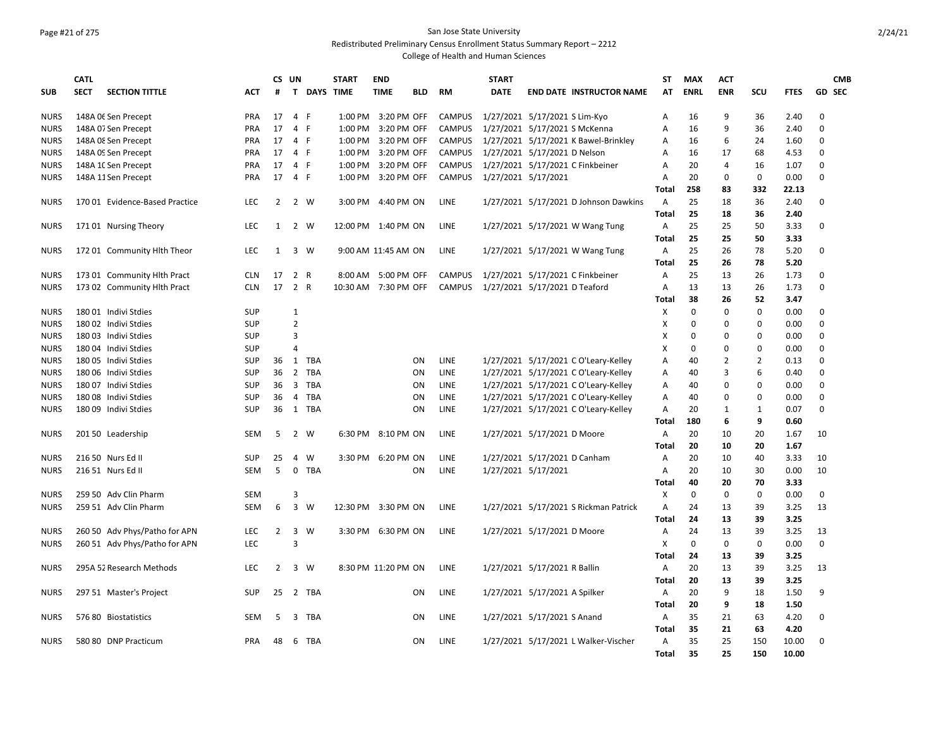# Page #21 of 275 San Jose State University

Redistributed Preliminary Census Enrollment Status Summary Report – 2212

|             | <b>CATL</b> |                                |            | <b>CS</b>      | UN             |             | <b>START</b>         | <b>END</b>  |             |               | <b>START</b>                  |                               |                                       | <b>ST</b>      | <b>MAX</b>  | <b>ACT</b>     |              |             | <b>CMB</b>  |
|-------------|-------------|--------------------------------|------------|----------------|----------------|-------------|----------------------|-------------|-------------|---------------|-------------------------------|-------------------------------|---------------------------------------|----------------|-------------|----------------|--------------|-------------|-------------|
| <b>SUB</b>  | <b>SECT</b> | <b>SECTION TITTLE</b>          | ACT        | #              |                | T DAYS TIME |                      | <b>TIME</b> | <b>BLD</b>  | RM            | <b>DATE</b>                   |                               | <b>END DATE INSTRUCTOR NAME</b>       | AT             | <b>ENRL</b> | <b>ENR</b>     | scu          | <b>FTES</b> | GD SEC      |
| <b>NURS</b> |             | 148A OE Sen Precept            | <b>PRA</b> | 17             | 4 F            |             | 1:00 PM 3:20 PM OFF  |             |             | <b>CAMPUS</b> | 1/27/2021 5/17/2021 S Lim-Kyo |                               |                                       | A              | 16          | 9              | 36           | 2.40        | $\Omega$    |
| <b>NURS</b> |             | 148A 07 Sen Precept            | <b>PRA</b> | 17             | 4 F            |             | 1:00 PM              |             | 3:20 PM OFF | <b>CAMPUS</b> |                               |                               | 1/27/2021 5/17/2021 S McKenna         | Α              | 16          | 9              | 36           | 2.40        | $\Omega$    |
| <b>NURS</b> |             | 148A 08 Sen Precept            | <b>PRA</b> | 17             | 4 F            |             | 1:00 PM              |             | 3:20 PM OFF | <b>CAMPUS</b> |                               |                               | 1/27/2021 5/17/2021 K Bawel-Brinkley  | А              | 16          | 6              | 24           | 1.60        | 0           |
| <b>NURS</b> |             | 148A OS Sen Precept            | <b>PRA</b> | 17             | 4 F            |             | 1:00 PM              |             | 3:20 PM OFF | <b>CAMPUS</b> | 1/27/2021 5/17/2021 D Nelson  |                               |                                       | A              | 16          | 17             | 68           | 4.53        | $\Omega$    |
| <b>NURS</b> |             | 148A 1C Sen Precept            | <b>PRA</b> | 17             | 4 F            |             | 1:00 PM              |             | 3:20 PM OFF | <b>CAMPUS</b> |                               |                               | 1/27/2021 5/17/2021 C Finkbeiner      | A              | 20          | 4              | 16           | 1.07        | $\Omega$    |
| <b>NURS</b> |             | 148A 11 Sen Precept            | <b>PRA</b> | 17             | 4 F            |             | 1:00 PM              |             | 3:20 PM OFF | <b>CAMPUS</b> | 1/27/2021 5/17/2021           |                               |                                       | Α              | 20          | $\Omega$       | 0            | 0.00        | $\Omega$    |
|             |             |                                |            |                |                |             |                      |             |             |               |                               |                               |                                       | Total          | 258         | 83             | 332          | 22.13       |             |
| <b>NURS</b> |             | 170 01 Evidence-Based Practice | <b>LEC</b> | $\overline{2}$ |                | 2 W         | 3:00 PM              | 4:40 PM ON  |             | LINE          |                               |                               | 1/27/2021 5/17/2021 D Johnson Dawkins | $\overline{A}$ | 25          | 18             | 36           | 2.40        | $\Omega$    |
|             |             |                                |            |                |                |             |                      |             |             |               |                               |                               |                                       | <b>Total</b>   | 25          | 18             | 36           | 2.40        |             |
| <b>NURS</b> |             | 17101 Nursing Theory           | LEC        | 1              | 2 W            |             | 12:00 PM 1:40 PM ON  |             |             | LINE          |                               |                               | 1/27/2021 5/17/2021 W Wang Tung       | A              | 25          | 25             | 50           | 3.33        | 0           |
|             |             |                                |            |                |                |             |                      |             |             |               |                               |                               |                                       | Total          | 25          | 25             | 50           | 3.33        |             |
| <b>NURS</b> |             | 172 01 Community Hlth Theor    | <b>LEC</b> | 1              |                | 3 W         | 9:00 AM 11:45 AM ON  |             |             | <b>LINE</b>   |                               |                               | 1/27/2021 5/17/2021 W Wang Tung       | Α              | 25          | 26             | 78           | 5.20        | $\Omega$    |
|             |             |                                |            |                |                |             |                      |             |             |               |                               |                               |                                       | <b>Total</b>   | 25          | 26             | 78           | 5.20        |             |
| <b>NURS</b> |             | 173 01 Community Hlth Pract    | <b>CLN</b> | 17             | 2 R            |             | 8:00 AM              |             | 5:00 PM OFF | <b>CAMPUS</b> |                               |                               | 1/27/2021 5/17/2021 C Finkbeiner      | A              | 25          | 13             | 26           | 1.73        | $\Omega$    |
| <b>NURS</b> |             | 173 02 Community Hlth Pract    | <b>CLN</b> | 17             | 2 R            |             | 10:30 AM 7:30 PM OFF |             |             | <b>CAMPUS</b> | 1/27/2021 5/17/2021 D Teaford |                               |                                       | A              | 13          | 13             | 26           | 1.73        | $\Omega$    |
|             |             |                                |            |                |                |             |                      |             |             |               |                               |                               |                                       | Total          | 38          | 26             | 52           | 3.47        |             |
| <b>NURS</b> |             | 180 01 Indivi Stdies           | SUP        |                | 1              |             |                      |             |             |               |                               |                               |                                       | Х              | $\Omega$    | $\Omega$       | 0            | 0.00        | $\Omega$    |
| <b>NURS</b> |             | 180 02 Indivi Stdies           | <b>SUP</b> |                | $\overline{2}$ |             |                      |             |             |               |                               |                               |                                       | Х              | $\Omega$    | $\Omega$       | $\mathbf 0$  | 0.00        | $\Omega$    |
| <b>NURS</b> |             | 180 03 Indivi Stdies           | SUP        |                | 3              |             |                      |             |             |               |                               |                               |                                       | X              | 0           | $\Omega$       | $\Omega$     | 0.00        | $\Omega$    |
| <b>NURS</b> |             | 180 04 Indivi Stdies           | <b>SUP</b> |                | $\overline{a}$ |             |                      |             |             |               |                               |                               |                                       | X              | 0           | $\Omega$       | $\mathbf 0$  | 0.00        | $\Omega$    |
| <b>NURS</b> |             | 180 05 Indivi Stdies           | <b>SUP</b> | 36             | 1              | TBA         |                      |             | ON          | LINE          |                               |                               | 1/27/2021 5/17/2021 C O'Leary-Kelley  | Α              | 40          | $\overline{2}$ | $\mathbf 2$  | 0.13        | $\mathbf 0$ |
| <b>NURS</b> |             | 180 06 Indivi Stdies           | <b>SUP</b> | 36             | $\overline{2}$ | TBA         |                      |             | ON          | LINE          |                               |                               | 1/27/2021 5/17/2021 C O'Leary-Kelley  | Α              | 40          | 3              | 6            | 0.40        | $\Omega$    |
| <b>NURS</b> |             | 18007 Indivi Stdies            | <b>SUP</b> | 36             | 3              | TBA         |                      |             | ON          | <b>LINE</b>   |                               |                               | 1/27/2021 5/17/2021 C O'Leary-Kelley  | A              | 40          | $\Omega$       | $\Omega$     | 0.00        | $\Omega$    |
| <b>NURS</b> |             | 18008 Indivi Stdies            | <b>SUP</b> | 36             | $\overline{4}$ | TBA         |                      |             | ON          | <b>LINE</b>   |                               |                               | 1/27/2021 5/17/2021 C O'Leary-Kelley  | A              | 40          | $\Omega$       | $\Omega$     | 0.00        | $\Omega$    |
| <b>NURS</b> |             | 180 09 Indivi Stdies           | SUP        | 36             |                | 1 TBA       |                      |             | ON          | LINE          |                               |                               | 1/27/2021 5/17/2021 C O'Leary-Kelley  | Α              | 20          | 1              | $\mathbf{1}$ | 0.07        | $\Omega$    |
|             |             |                                |            |                |                |             |                      |             |             |               |                               |                               |                                       | <b>Total</b>   | 180         | 6              | 9            | 0.60        |             |
| <b>NURS</b> |             | 201 50 Leadership              | SEM        | 5              |                | 2 W         | 6:30 PM              | 8:10 PM ON  |             | LINE          |                               | 1/27/2021 5/17/2021 D Moore   |                                       | $\overline{A}$ | 20          | 10             | 20           | 1.67        | 10          |
|             |             |                                |            |                |                |             |                      |             |             |               |                               |                               |                                       | Total          | 20          | 10             | 20           | 1.67        |             |
| <b>NURS</b> |             | 216 50 Nurs Ed II              | <b>SUP</b> | 25             | 4              | W           | 3:30 PM 6:20 PM ON   |             |             | LINE          |                               | 1/27/2021 5/17/2021 D Canham  |                                       | A              | 20          | 10             | 40           | 3.33        | 10          |
| <b>NURS</b> |             | 216 51 Nurs Ed II              | <b>SEM</b> | 5              | 0              | <b>TBA</b>  |                      |             | ON          | LINE          |                               | 1/27/2021 5/17/2021           |                                       | Α              | 20          | 10             | 30           | 0.00        | 10          |
|             |             |                                |            |                |                |             |                      |             |             |               |                               |                               |                                       | Total          | 40          | 20             | 70           | 3.33        |             |
| <b>NURS</b> |             | 259 50 Adv Clin Pharm          | <b>SEM</b> |                | $\overline{3}$ |             |                      |             |             |               |                               |                               |                                       | X              | $\Omega$    | $\Omega$       | 0            | 0.00        | $\Omega$    |
| <b>NURS</b> |             | 259 51 Adv Clin Pharm          | <b>SEM</b> | 6              | $\overline{3}$ | W           | 12:30 PM 3:30 PM ON  |             |             | <b>LINE</b>   |                               |                               | 1/27/2021 5/17/2021 S Rickman Patrick | A              | 24          | 13             | 39           | 3.25        | 13          |
|             |             |                                |            |                |                |             |                      |             |             |               |                               |                               |                                       | <b>Total</b>   | 24          | 13             | 39           | 3.25        |             |
| <b>NURS</b> |             | 260 50 Adv Phys/Patho for APN  | <b>LEC</b> | $\overline{2}$ | 3              | W           | 3:30 PM 6:30 PM ON   |             |             | <b>LINE</b>   |                               | 1/27/2021 5/17/2021 D Moore   |                                       | Α              | 24          | 13             | 39           | 3.25        | 13          |
| <b>NURS</b> |             | 260 51 Adv Phys/Patho for APN  | LEC        |                | $\overline{3}$ |             |                      |             |             |               |                               |                               |                                       | X              | 0           | 0              | $\pmb{0}$    | 0.00        | $\Omega$    |
|             |             |                                |            |                |                |             |                      |             |             |               |                               |                               |                                       | Total          | 24          | 13             | 39           | 3.25        |             |
| <b>NURS</b> |             | 295A 52 Research Methods       | <b>LEC</b> | $\overline{2}$ |                | 3 W         | 8:30 PM 11:20 PM ON  |             |             | <b>LINE</b>   |                               | 1/27/2021 5/17/2021 R Ballin  |                                       | Α              | 20          | 13             | 39           | 3.25        | 13          |
|             |             |                                |            |                |                |             |                      |             |             |               |                               |                               |                                       | <b>Total</b>   | 20          | 13             | 39           | 3.25        |             |
| <b>NURS</b> |             | 297 51 Master's Project        | SUP        | 25             |                | 2 TBA       |                      |             | ΟN          | LINE          |                               | 1/27/2021 5/17/2021 A Spilker |                                       | Α              | 20          | 9              | 18           | 1.50        | 9           |
|             |             |                                |            |                |                |             |                      |             |             |               |                               |                               |                                       | Total          | 20          | 9              | 18           | 1.50        |             |
| <b>NURS</b> |             | 576 80 Biostatistics           | <b>SEM</b> | 5              |                | 3 TBA       |                      |             | ON          | LINE          |                               | 1/27/2021 5/17/2021 S Anand   |                                       | $\overline{A}$ | 35          | 21             | 63           | 4.20        | $\Omega$    |
|             |             |                                |            |                |                |             |                      |             |             |               |                               |                               |                                       | <b>Total</b>   | 35          | 21             | 63           | 4.20        |             |
| <b>NURS</b> |             | 580 80 DNP Practicum           | <b>PRA</b> | 48             |                | 6 TBA       |                      |             | ΟN          | LINE          |                               |                               | 1/27/2021 5/17/2021 L Walker-Vischer  | Α              | 35          | 25             | 150          | 10.00       | $\Omega$    |
|             |             |                                |            |                |                |             |                      |             |             |               |                               |                               |                                       | Total          | 35          | 25             | 150          | 10.00       |             |
|             |             |                                |            |                |                |             |                      |             |             |               |                               |                               |                                       |                |             |                |              |             |             |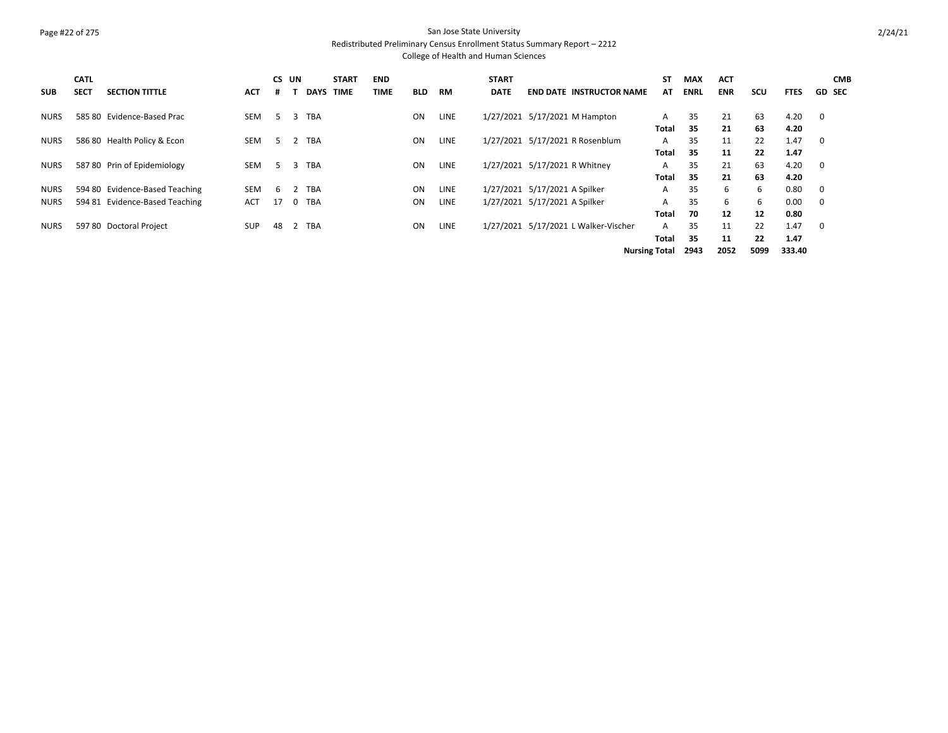## Page #22 of 275 San Jose State University

Redistributed Preliminary Census Enrollment Status Summary Report – 2212

| <b>SUB</b>  | <b>CATL</b><br><b>SECT</b> | <b>SECTION TITTLE</b>          | <b>ACT</b> | CS UN<br># |          | <b>DAYS TIME</b> | <b>START</b> | <b>END</b><br><b>TIME</b> | <b>BLD</b> | <b>RM</b>   | <b>START</b><br><b>DATE</b> | <b>END DATE INSTRUCTOR NAME</b>      | <b>ST</b><br>AT      | <b>MAX</b><br><b>ENRL</b> | <b>ACT</b><br><b>ENR</b> | scu  | <b>FTES</b> | <b>CMB</b><br><b>GD SEC</b> |
|-------------|----------------------------|--------------------------------|------------|------------|----------|------------------|--------------|---------------------------|------------|-------------|-----------------------------|--------------------------------------|----------------------|---------------------------|--------------------------|------|-------------|-----------------------------|
| <b>NURS</b> |                            | 585 80 Evidence-Based Prac     | <b>SEM</b> | 5          | 3        | <b>TBA</b>       |              |                           | <b>ON</b>  | <b>LINE</b> |                             | 1/27/2021 5/17/2021 M Hampton        | A                    | 35                        | 21                       | 63   | 4.20        | $\overline{\mathbf{0}}$     |
|             |                            |                                |            |            |          |                  |              |                           |            |             |                             |                                      | Total                | 35                        | 21                       | 63   | 4.20        |                             |
| <b>NURS</b> |                            | 586 80 Health Policy & Econ    | <b>SEM</b> | 5          |          | <b>TBA</b>       |              |                           | <b>ON</b>  | <b>LINE</b> |                             | 1/27/2021 5/17/2021 R Rosenblum      | A                    | 35                        | 11                       | 22   | 1.47        | $\overline{\mathbf{0}}$     |
|             |                            |                                |            |            |          |                  |              |                           |            |             |                             |                                      | Total                | 35                        | 11                       | 22   | 1.47        |                             |
| <b>NURS</b> |                            | 587 80 Prin of Epidemiology    | <b>SEM</b> | 5          | 3        | <b>TBA</b>       |              |                           | <b>ON</b>  | <b>LINE</b> |                             | 1/27/2021 5/17/2021 R Whitney        | A                    | 35                        | 21                       | 63   | 4.20        | $\overline{\mathbf{0}}$     |
|             |                            |                                |            |            |          |                  |              |                           |            |             |                             |                                      | Total                | 35                        | 21                       | 63   | 4.20        |                             |
| <b>NURS</b> |                            | 594 80 Evidence-Based Teaching | <b>SEM</b> | -6         |          | <b>TBA</b>       |              |                           | <b>ON</b>  | <b>LINE</b> |                             | 1/27/2021 5/17/2021 A Spilker        | A                    | 35                        | 6                        | 6    | 0.80        | $\overline{\mathbf{0}}$     |
| <b>NURS</b> | 594 81                     | <b>Evidence-Based Teaching</b> | <b>ACT</b> | 17         | $\Omega$ | <b>TBA</b>       |              |                           | <b>ON</b>  | <b>LINE</b> |                             | 1/27/2021 5/17/2021 A Spilker        | A                    | 35                        | 6                        | 6    | 0.00        | $\overline{\mathbf{0}}$     |
|             |                            |                                |            |            |          |                  |              |                           |            |             |                             |                                      | Total                | 70                        | 12                       | 12   | 0.80        |                             |
| <b>NURS</b> |                            | 597 80 Doctoral Project        | <b>SUP</b> | 48         |          | <b>TBA</b>       |              |                           | <b>ON</b>  | <b>LINE</b> |                             | 1/27/2021 5/17/2021 L Walker-Vischer | A                    | 35                        | 11                       | 22   | 1.47        | $\overline{\mathbf{0}}$     |
|             |                            |                                |            |            |          |                  |              |                           |            |             |                             |                                      | Total                | 35                        | 11                       | 22   | 1.47        |                             |
|             |                            |                                |            |            |          |                  |              |                           |            |             |                             |                                      | <b>Nursing Total</b> | 2943                      | 2052                     | 5099 | 333.40      |                             |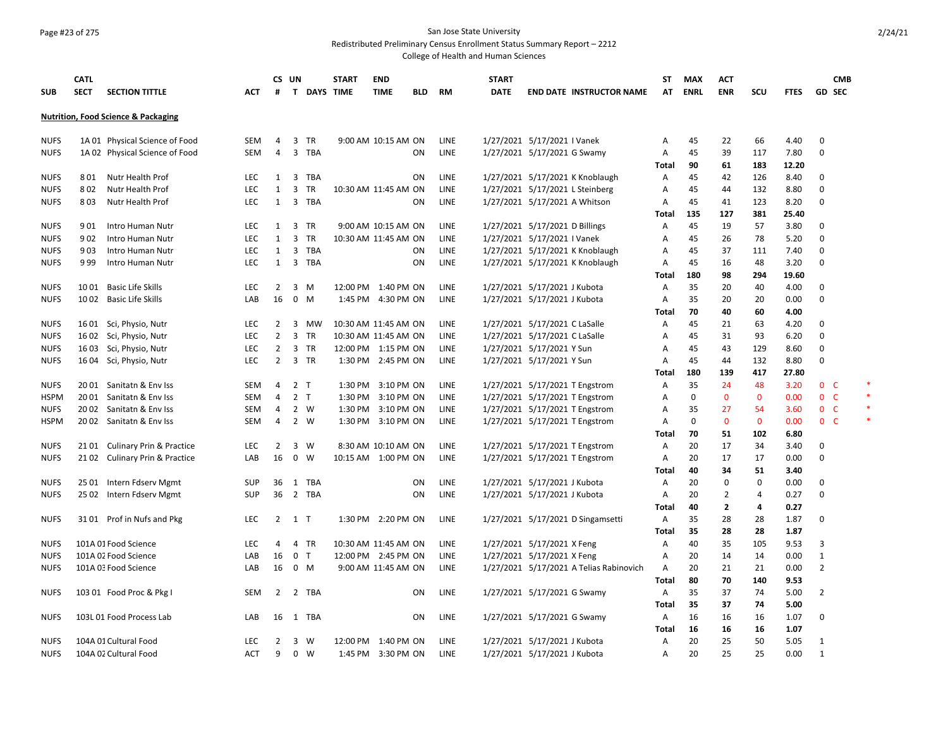## Page #23 of 275 San Jose State University

Redistributed Preliminary Census Enrollment Status Summary Report – 2212

|             | <b>CATL</b> |                                                |            |                | CS UN          |                  | <b>START</b> | <b>END</b>           |            |             | <b>START</b> |                                         | ST           | <b>MAX</b> | <b>ACT</b>     |              |             |                     | <b>CMB</b> |  |
|-------------|-------------|------------------------------------------------|------------|----------------|----------------|------------------|--------------|----------------------|------------|-------------|--------------|-----------------------------------------|--------------|------------|----------------|--------------|-------------|---------------------|------------|--|
| <b>SUB</b>  | <b>SECT</b> | <b>SECTION TITTLE</b>                          | АСТ        | #              | T.             | <b>DAYS TIME</b> |              | <b>TIME</b>          | <b>BLD</b> | RM          | <b>DATE</b>  | <b>END DATE INSTRUCTOR NAME</b>         | AT           | ENRL       | <b>ENR</b>     | <b>SCU</b>   | <b>FTES</b> | <b>GD SEC</b>       |            |  |
|             |             | <b>Nutrition, Food Science &amp; Packaging</b> |            |                |                |                  |              |                      |            |             |              |                                         |              |            |                |              |             |                     |            |  |
| <b>NUFS</b> |             | 1A 01 Physical Science of Food                 | SEM        | $\overline{4}$ | 3              | TR               |              | 9:00 AM 10:15 AM ON  |            | LINE        |              | 1/27/2021 5/17/2021 I Vanek             | Α            | 45         | 22             | 66           | 4.40        | 0                   |            |  |
| <b>NUFS</b> |             | 1A 02 Physical Science of Food                 | SEM        | 4              |                | 3 TBA            |              |                      | ON         | LINE        |              | 1/27/2021 5/17/2021 G Swamy             | Α            | 45         | 39             | 117          | 7.80        | 0                   |            |  |
|             |             |                                                |            |                |                |                  |              |                      |            |             |              |                                         | Total        | 90         | 61             | 183          | 12.20       |                     |            |  |
| <b>NUFS</b> |             | 801 Nutr Health Prof                           | <b>LEC</b> | $\mathbf{1}$   |                | 3 TBA            |              |                      | ON         | <b>LINE</b> |              | 1/27/2021 5/17/2021 K Knoblaugh         | Α            | 45         | 42             | 126          | 8.40        | 0                   |            |  |
| <b>NUFS</b> | 802         | Nutr Health Prof                               | LEC.       | $\mathbf{1}$   | 3              | TR               |              | 10:30 AM 11:45 AM ON |            | <b>LINE</b> |              | 1/27/2021 5/17/2021 L Steinberg         | A            | 45         | 44             | 132          | 8.80        | $\mathsf{O}\xspace$ |            |  |
| <b>NUFS</b> | 803         | Nutr Health Prof                               | LEC        | 1              |                | 3 TBA            |              |                      | ON         | LINE        |              | 1/27/2021 5/17/2021 A Whitson           | Α            | 45         | 41             | 123          | 8.20        | 0                   |            |  |
|             |             |                                                |            |                |                |                  |              |                      |            |             |              |                                         | Total        | 135        | 127            | 381          | 25.40       |                     |            |  |
| <b>NUFS</b> | 9 0 1       | Intro Human Nutr                               | <b>LEC</b> | 1              |                | 3 TR             |              | 9:00 AM 10:15 AM ON  |            | <b>LINE</b> |              | 1/27/2021 5/17/2021 D Billings          | Α            | 45         | 19             | 57           | 3.80        | $\mathbf 0$         |            |  |
| <b>NUFS</b> | 902         | Intro Human Nutr                               | <b>LEC</b> | $\mathbf{1}$   | $\overline{3}$ | TR               |              | 10:30 AM 11:45 AM ON |            | LINE        |              | 1/27/2021 5/17/2021 I Vanek             | Α            | 45         | 26             | 78           | 5.20        | 0                   |            |  |
| <b>NUFS</b> | 903         | Intro Human Nutr                               | <b>LEC</b> | 1              |                | 3 TBA            |              |                      | ON         | LINE        |              | 1/27/2021 5/17/2021 K Knoblaugh         | Α            | 45         | 37             | 111          | 7.40        | 0                   |            |  |
| <b>NUFS</b> | 9 9 9       | Intro Human Nutr                               | <b>LEC</b> | $\mathbf{1}$   |                | 3 TBA            |              |                      | ON         | LINE        |              | 1/27/2021 5/17/2021 K Knoblaugh         | Α            | 45         | 16             | 48           | 3.20        | 0                   |            |  |
|             |             |                                                |            |                |                |                  |              |                      |            |             |              |                                         | Total        | 180        | 98             | 294          | 19.60       |                     |            |  |
| <b>NUFS</b> |             | 1001 Basic Life Skills                         | <b>LEC</b> | 2              | 3 M            |                  |              | 12:00 PM 1:40 PM ON  |            | LINE        |              | 1/27/2021 5/17/2021 J Kubota            | Α            | 35         | 20             | 40           | 4.00        | 0                   |            |  |
| <b>NUFS</b> |             | 1002 Basic Life Skills                         | LAB        | 16             |                | $0 \quad M$      |              | 1:45 PM 4:30 PM ON   |            | <b>LINE</b> |              | 1/27/2021 5/17/2021 J Kubota            | Α            | 35         | 20             | 20           | 0.00        | $\mathbf 0$         |            |  |
|             |             |                                                |            |                |                |                  |              |                      |            |             |              |                                         | Total        | 70         | 40             | 60           | 4.00        |                     |            |  |
| <b>NUFS</b> | 16 01       | Sci, Physio, Nutr                              | LEC        | 2              | 3              | MW               |              | 10:30 AM 11:45 AM ON |            | LINE        |              | 1/27/2021 5/17/2021 C LaSalle           | Α            | 45         | 21             | 63           | 4.20        | 0                   |            |  |
| <b>NUFS</b> |             | 1602 Sci, Physio, Nutr                         | <b>LEC</b> | $\overline{2}$ |                | 3 TR             |              | 10:30 AM 11:45 AM ON |            | LINE        |              | 1/27/2021 5/17/2021 C LaSalle           | Α            | 45         | 31             | 93           | 6.20        | 0                   |            |  |
| <b>NUFS</b> |             | 16 03 Sci, Physio, Nutr                        | <b>LEC</b> | $\overline{2}$ |                | 3 TR             |              | 12:00 PM 1:15 PM ON  |            | LINE        |              | 1/27/2021 5/17/2021 Y Sun               | A            | 45         | 43             | 129          | 8.60        | 0                   |            |  |
| <b>NUFS</b> |             | 16 04 Sci, Physio, Nutr                        | <b>LEC</b> | $\overline{2}$ |                | 3 TR             |              | 1:30 PM 2:45 PM ON   |            | LINE        |              | 1/27/2021 5/17/2021 Y Sun               | Α            | 45         | 44             | 132          | 8.80        | 0                   |            |  |
|             |             |                                                |            |                |                |                  |              |                      |            |             |              |                                         | Total        | 180        | 139            | 417          | 27.80       |                     |            |  |
| <b>NUFS</b> |             | 2001 Sanitatn & Env Iss                        | <b>SEM</b> | 4              | 2 <sub>T</sub> |                  | 1:30 PM      | 3:10 PM ON           |            | <b>LINE</b> |              | 1/27/2021 5/17/2021 T Engstrom          | A            | 35         | 24             | 48           | 3.20        | 0 <sub>c</sub>      |            |  |
| <b>HSPM</b> |             | 2001 Sanitatn & Env Iss                        | SEM        | 4              | 2 <sub>T</sub> |                  | 1:30 PM      | 3:10 PM ON           |            | LINE        |              | 1/27/2021 5/17/2021 T Engstrom          | Α            | 0          | 0              | $\mathbf 0$  | 0.00        | 0 <sup>o</sup>      |            |  |
| <b>NUFS</b> |             | 2002 Sanitatn & Env Iss                        | SEM        | 4              |                | 2 W              | 1:30 PM      | 3:10 PM ON           |            | LINE        |              | 1/27/2021 5/17/2021 T Engstrom          | Α            | 35         | 27             | 54           | 3.60        | $0-$                |            |  |
| <b>HSPM</b> |             | 2002 Sanitatn & Env Iss                        | <b>SEM</b> | $\overline{4}$ | 2 W            |                  |              | 1:30 PM 3:10 PM ON   |            | LINE        |              | 1/27/2021 5/17/2021 T Engstrom          | Α            | 0          | $\mathbf 0$    | $\mathbf{0}$ | 0.00        | 0 <sub>c</sub>      |            |  |
|             |             |                                                |            |                |                |                  |              |                      |            |             |              |                                         | Total        | 70         | 51             | 102          | 6.80        |                     |            |  |
| <b>NUFS</b> |             | 21 01 Culinary Prin & Practice                 | <b>LEC</b> | 2              |                | 3 W              |              | 8:30 AM 10:10 AM ON  |            | LINE        |              | 1/27/2021 5/17/2021 T Engstrom          | Α            | 20         | 17             | 34           | 3.40        | 0                   |            |  |
| <b>NUFS</b> |             | 2102 Culinary Prin & Practice                  | LAB        | 16             | $\mathbf 0$    | W                |              | 10:15 AM  1:00 PM ON |            | LINE        |              | 1/27/2021 5/17/2021 T Engstrom          | Α            | 20         | 17             | 17           | 0.00        | 0                   |            |  |
|             |             |                                                |            |                |                |                  |              |                      |            |             |              |                                         | Total        | 40         | 34             | 51           | 3.40        |                     |            |  |
| <b>NUFS</b> | 25 01       | Intern Fdserv Mgmt                             | SUP        | 36             |                | 1 TBA            |              |                      | ON         | LINE        |              | 1/27/2021 5/17/2021 J Kubota            | Α            | 20         | $\mathbf 0$    | 0            | 0.00        | 0                   |            |  |
| <b>NUFS</b> |             | 25 02 Intern Fdserv Mgmt                       | <b>SUP</b> | 36             |                | 2 TBA            |              |                      | ON         | LINE        |              | 1/27/2021 5/17/2021 J Kubota            | Α            | 20         | $\overline{2}$ | 4            | 0.27        | 0                   |            |  |
|             |             |                                                |            |                |                |                  |              |                      |            |             |              |                                         | Total        | 40         | 2              | 4            | 0.27        |                     |            |  |
| <b>NUFS</b> |             | 3101 Prof in Nufs and Pkg                      | LEC        | $\overline{2}$ | $1$ T          |                  |              | 1:30 PM 2:20 PM ON   |            | LINE        |              | 1/27/2021 5/17/2021 D Singamsetti       | Α            | 35         | 28             | 28           | 1.87        | 0                   |            |  |
|             |             |                                                |            |                |                |                  |              |                      |            |             |              |                                         | Total        | 35         | 28             | 28           | 1.87        |                     |            |  |
| <b>NUFS</b> |             | 101A 01 Food Science                           | <b>LEC</b> | 4              |                | 4 TR             |              | 10:30 AM 11:45 AM ON |            | LINE        |              | 1/27/2021 5/17/2021 X Feng              | Α            | 40         | 35             | 105          | 9.53        | 3                   |            |  |
| <b>NUFS</b> |             | 101A 02 Food Science                           | LAB        | 16             | 0 <sub>T</sub> |                  |              | 12:00 PM 2:45 PM ON  |            | LINE        |              | 1/27/2021 5/17/2021 X Feng              | Α            | 20         | 14             | 14           | 0.00        | 1                   |            |  |
| <b>NUFS</b> |             | 101A 03 Food Science                           | LAB        | 16             |                | 0 M              |              | 9:00 AM 11:45 AM ON  |            | LINE        |              | 1/27/2021 5/17/2021 A Telias Rabinovich | Α            | 20         | 21             | 21           | 0.00        | 2                   |            |  |
|             |             |                                                |            |                |                |                  |              |                      |            |             |              |                                         | <b>Total</b> | 80         | 70             | 140          | 9.53        |                     |            |  |
| <b>NUFS</b> |             | 103 01 Food Proc & Pkg I                       | SEM        | $\overline{2}$ |                | 2 TBA            |              |                      | ΟN         | LINE        |              | 1/27/2021 5/17/2021 G Swamy             | Α            | 35         | 37             | 74           | 5.00        | $\overline{2}$      |            |  |
|             |             |                                                |            |                |                |                  |              |                      |            |             |              |                                         | Total        | 35         | 37             | 74           | 5.00        |                     |            |  |
| <b>NUFS</b> |             | 103L 01 Food Process Lab                       | LAB        |                |                | 16 1 TBA         |              |                      | ΟN         | LINE        |              | 1/27/2021 5/17/2021 G Swamy             | Α            | 16         | 16             | 16           | 1.07        | 0                   |            |  |
|             |             |                                                |            |                |                |                  |              |                      |            |             |              |                                         | Total        | 16         | 16             | 16           | 1.07        |                     |            |  |
| <b>NUFS</b> |             | 104A 01 Cultural Food                          | <b>LEC</b> | 2              |                | $3 \quad W$      |              | 12:00 PM 1:40 PM ON  |            | LINE        |              | 1/27/2021 5/17/2021 J Kubota            | Α            | 20         | 25             | 50           | 5.05        | 1                   |            |  |
| <b>NUFS</b> |             | 104A 02 Cultural Food                          | <b>ACT</b> | 9              |                | $0 \quad W$      |              | 1:45 PM 3:30 PM ON   |            | LINE        |              | 1/27/2021 5/17/2021 J Kubota            | A            | 20         | 25             | 25           | 0.00        | 1                   |            |  |
|             |             |                                                |            |                |                |                  |              |                      |            |             |              |                                         |              |            |                |              |             |                     |            |  |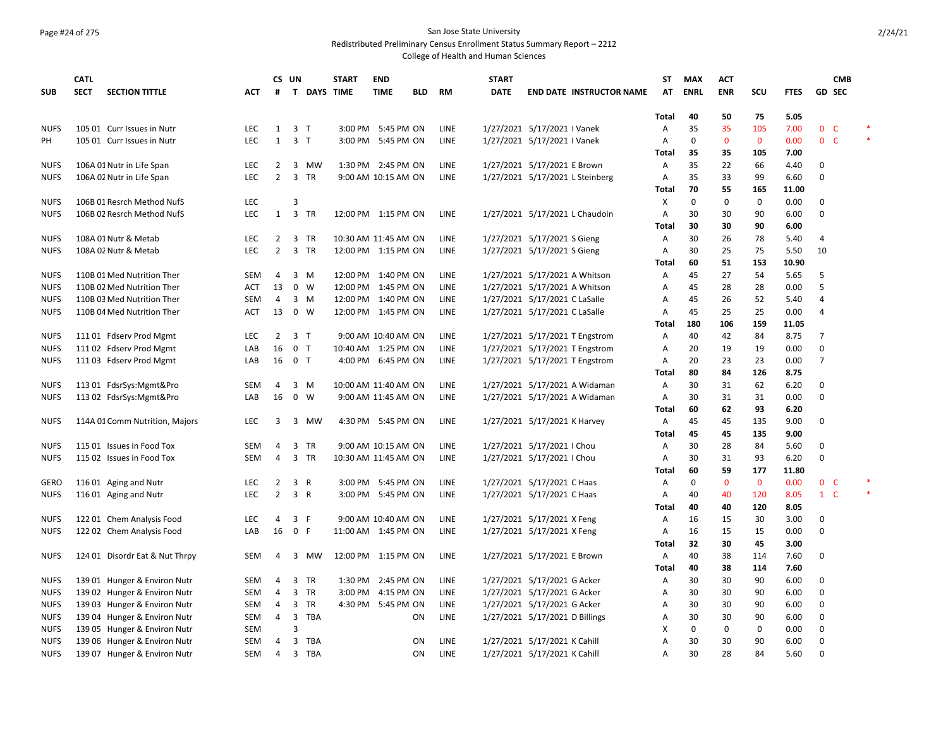## Page #24 of 275 San Jose State University

Redistributed Preliminary Census Enrollment Status Summary Report – 2212

|                            | <b>CATL</b>                          |                   |                | CS UN          |                   | <b>START</b> | <b>END</b>                                  |     |             | <b>START</b>                   |                                 | <b>ST</b>      | <b>MAX</b>  | <b>ACT</b>   |              |              |                  | <b>CMB</b>   |        |
|----------------------------|--------------------------------------|-------------------|----------------|----------------|-------------------|--------------|---------------------------------------------|-----|-------------|--------------------------------|---------------------------------|----------------|-------------|--------------|--------------|--------------|------------------|--------------|--------|
| <b>SUB</b>                 | <b>SECT</b><br><b>SECTION TITTLE</b> | АСТ               | #              |                | T DAYS TIME       |              | <b>TIME</b>                                 | BLD | RM          | <b>DATE</b>                    | <b>END DATE INSTRUCTOR NAME</b> | AT             | <b>ENRL</b> | <b>ENR</b>   | SCU          | <b>FTES</b>  | <b>GD SEC</b>    |              |        |
|                            |                                      |                   |                |                |                   |              |                                             |     |             |                                |                                 |                |             |              |              |              |                  |              |        |
|                            |                                      | <b>LEC</b>        |                |                | $\top$            |              |                                             |     |             |                                |                                 | Total          | 40          | 50<br>35     | 75<br>105    | 5.05<br>7.00 | $\mathbf 0$      | $\mathsf{C}$ |        |
| <b>NUFS</b>                | 105 01 Curr Issues in Nutr           |                   | $\mathbf{1}$   | 3              |                   |              | 3:00 PM 5:45 PM ON                          |     | LINE        | 1/27/2021 5/17/2021 I Vanek    |                                 | Α              | 35          |              |              |              |                  |              | $\ast$ |
| PH                         | 105 01 Curr Issues in Nutr           | <b>LEC</b>        | $\mathbf{1}$   |                | 3 <sub>1</sub>    |              | 3:00 PM 5:45 PM ON                          |     | <b>LINE</b> | 1/27/2021 5/17/2021 I Vanek    |                                 | $\overline{A}$ | $\mathbf 0$ | $\mathbf{0}$ | $\mathbf{0}$ | 0.00         | 0 <sup>o</sup>   |              |        |
|                            |                                      |                   |                |                |                   |              |                                             |     |             |                                |                                 | Total          | 35          | 35           | 105          | 7.00         |                  |              |        |
| <b>NUFS</b>                | 106A 01 Nutr in Life Span            | LEC               | 2              |                | 3 MW              |              | 1:30 PM 2:45 PM ON                          |     | LINE        | 1/27/2021 5/17/2021 E Brown    |                                 | Α              | 35          | 22<br>33     | 66           | 4.40         | 0<br>$\Omega$    |              |        |
| <b>NUFS</b>                | 106A 02 Nutr in Life Span            | <b>LEC</b>        | $\overline{2}$ |                | 3 TR              |              | 9:00 AM 10:15 AM ON                         |     | LINE        |                                | 1/27/2021 5/17/2021 L Steinberg | A              | 35<br>70    | 55           | 99<br>165    | 6.60         |                  |              |        |
|                            |                                      |                   |                | 3              |                   |              |                                             |     |             |                                |                                 | Total          |             | 0            |              | 11.00        |                  |              |        |
| <b>NUFS</b>                | 106B 01 Resrch Method NufS           | LEC<br><b>LEC</b> |                |                | TR                |              |                                             |     |             |                                |                                 | х              | 0           |              | 0            | 0.00<br>6.00 | 0<br>$\mathbf 0$ |              |        |
| <b>NUFS</b>                | 106B 02 Resrch Method NufS           |                   | 1              | $\overline{3}$ |                   |              | 12:00 PM 1:15 PM ON                         |     | LINE        |                                | 1/27/2021 5/17/2021 L Chaudoin  | Α<br>Total     | 30<br>30    | 30<br>30     | 90<br>90     | 6.00         |                  |              |        |
| <b>NUFS</b>                |                                      | <b>LEC</b>        | 2              |                |                   |              |                                             |     | LINE        | 1/27/2021 5/17/2021 S Gieng    |                                 | Α              | 30          | 26           | 78           | 5.40         | 4                |              |        |
| <b>NUFS</b>                | 108A 01 Nutr & Metab                 | <b>LEC</b>        | $\overline{2}$ | 3              | 3 TR<br><b>TR</b> |              | 10:30 AM 11:45 AM ON<br>12:00 PM 1:15 PM ON |     | <b>LINE</b> | 1/27/2021 5/17/2021 S Gieng    |                                 | Α              | 30          | 25           | 75           | 5.50         | 10               |              |        |
|                            | 108A 02 Nutr & Metab                 |                   |                |                |                   |              |                                             |     |             |                                |                                 |                |             | 51           | 153          | 10.90        |                  |              |        |
| <b>NUFS</b>                | 110B 01 Med Nutrition Ther           | <b>SEM</b>        | 4              | 3              | M                 |              | 12:00 PM 1:40 PM ON                         |     | LINE        | 1/27/2021 5/17/2021 A Whitson  |                                 | Total<br>Α     | 60<br>45    | 27           | 54           | 5.65         | 5                |              |        |
|                            | 110B 02 Med Nutrition Ther           | ACT               | 13             |                | $0 \quad W$       |              | 12:00 PM 1:45 PM ON                         |     | LINE        |                                | 1/27/2021 5/17/2021 A Whitson   | A              | 45          | 28           | 28           | 0.00         | 5                |              |        |
| <b>NUFS</b><br><b>NUFS</b> | 110B 03 Med Nutrition Ther           | <b>SEM</b>        | $\overline{4}$ |                | 3 M               |              | 12:00 PM 1:40 PM ON                         |     | <b>LINE</b> | 1/27/2021 5/17/2021 C LaSalle  |                                 | A              | 45          | 26           | 52           | 5.40         | 4                |              |        |
| <b>NUFS</b>                | 110B 04 Med Nutrition Ther           | <b>ACT</b>        | 13             |                | $0 \quad W$       |              | 12:00 PM 1:45 PM ON                         |     | LINE        | 1/27/2021 5/17/2021 C LaSalle  |                                 | $\overline{A}$ | 45          | 25           | 25           | 0.00         | 4                |              |        |
|                            |                                      |                   |                |                |                   |              |                                             |     |             |                                |                                 | Total          | 180         | 106          | 159          | 11.05        |                  |              |        |
| <b>NUFS</b>                | 11101 Fdserv Prod Mgmt               | <b>LEC</b>        | $\overline{2}$ | 3 T            |                   |              | 9:00 AM 10:40 AM ON                         |     | LINE        |                                | 1/27/2021 5/17/2021 T Engstrom  | A              | 40          | 42           | 84           | 8.75         | 7                |              |        |
| <b>NUFS</b>                | 111 02 Fdserv Prod Mgmt              | LAB               | 16             |                | 0 <sub>T</sub>    |              | 10:40 AM 1:25 PM ON                         |     | LINE        |                                | 1/27/2021 5/17/2021 T Engstrom  | $\overline{A}$ | 20          | 19           | 19           | 0.00         | $\mathbf 0$      |              |        |
| <b>NUFS</b>                | 111 03 Fdserv Prod Mgmt              | LAB               | 16             |                | 0 <sub>T</sub>    |              | 4:00 PM 6:45 PM ON                          |     | LINE        |                                | 1/27/2021 5/17/2021 T Engstrom  | Α              | 20          | 23           | 23           | 0.00         | 7                |              |        |
|                            |                                      |                   |                |                |                   |              |                                             |     |             |                                |                                 | Total          | 80          | 84           | 126          | 8.75         |                  |              |        |
| <b>NUFS</b>                | 11301 FdsrSys:Mgmt&Pro               | <b>SEM</b>        | 4              | 3              | M                 |              | 10:00 AM 11:40 AM ON                        |     | <b>LINE</b> |                                | 1/27/2021 5/17/2021 A Widaman   | A              | 30          | 31           | 62           | 6.20         | 0                |              |        |
| <b>NUFS</b>                | 113 02 FdsrSys:Mgmt&Pro              | LAB               | 16             |                | $0 \quad W$       |              | 9:00 AM 11:45 AM ON                         |     | LINE        |                                | 1/27/2021 5/17/2021 A Widaman   | Α              | 30          | 31           | 31           | 0.00         | $\Omega$         |              |        |
|                            |                                      |                   |                |                |                   |              |                                             |     |             |                                |                                 | Total          | 60          | 62           | 93           | 6.20         |                  |              |        |
| <b>NUFS</b>                | 114A 01 Comm Nutrition, Majors       | <b>LEC</b>        | 3              |                | 3 MW              |              | 4:30 PM 5:45 PM ON                          |     | LINE        | 1/27/2021 5/17/2021 K Harvey   |                                 | Α              | 45          | 45           | 135          | 9.00         | 0                |              |        |
|                            |                                      |                   |                |                |                   |              |                                             |     |             |                                |                                 | Total          | 45          | 45           | 135          | 9.00         |                  |              |        |
| <b>NUFS</b>                | 115 01 Issues in Food Tox            | SEM               | 4              |                | 3 TR              |              | 9:00 AM 10:15 AM ON                         |     | LINE        | 1/27/2021 5/17/2021   Chou     |                                 | Α              | 30          | 28           | 84           | 5.60         | 0                |              |        |
| <b>NUFS</b>                | 115 02 Issues in Food Tox            | <b>SEM</b>        | $\overline{4}$ |                | 3 TR              |              | 10:30 AM 11:45 AM ON                        |     | LINE        | 1/27/2021 5/17/2021   Chou     |                                 | Α              | 30          | 31           | 93           | 6.20         | $\Omega$         |              |        |
|                            |                                      |                   |                |                |                   |              |                                             |     |             |                                |                                 | Total          | 60          | 59           | 177          | 11.80        |                  |              |        |
| <b>GERO</b>                | 116 01 Aging and Nutr                | LEC               | $\overline{2}$ |                | 3 R               |              | 3:00 PM 5:45 PM ON                          |     | LINE        | 1/27/2021 5/17/2021 C Haas     |                                 | Α              | 0           | $\mathbf 0$  | $\mathbf 0$  | 0.00         | $\mathbf{0}$     | - C          |        |
| <b>NUFS</b>                | 116 01 Aging and Nutr                | LEC               | $\overline{2}$ |                | 3 R               |              | 3:00 PM 5:45 PM ON                          |     | LINE        | 1/27/2021 5/17/2021 C Haas     |                                 | Α              | 40          | 40           | 120          | 8.05         | $1 \quad C$      |              | $\ast$ |
|                            |                                      |                   |                |                |                   |              |                                             |     |             |                                |                                 | Total          | 40          | 40           | 120          | 8.05         |                  |              |        |
| <b>NUFS</b>                | 122 01 Chem Analysis Food            | LEC               | 4              |                | 3 F               |              | 9:00 AM 10:40 AM ON                         |     | LINE        | 1/27/2021 5/17/2021 X Feng     |                                 | Α              | 16          | 15           | 30           | 3.00         | 0                |              |        |
| <b>NUFS</b>                | 122 02 Chem Analysis Food            | LAB               | 16             | 0 F            |                   |              | 11:00 AM 1:45 PM ON                         |     | LINE        | 1/27/2021 5/17/2021 X Feng     |                                 | Α              | 16          | 15           | 15           | 0.00         | 0                |              |        |
|                            |                                      |                   |                |                |                   |              |                                             |     |             |                                |                                 | Total          | 32          | 30           | 45           | 3.00         |                  |              |        |
| <b>NUFS</b>                | 124 01 Disordr Eat & Nut Thrpy       | <b>SEM</b>        | 4              |                | 3 MW              |              | 12:00 PM 1:15 PM ON                         |     | LINE        | 1/27/2021 5/17/2021 E Brown    |                                 | A              | 40          | 38           | 114          | 7.60         | $\mathbf 0$      |              |        |
|                            |                                      |                   |                |                |                   |              |                                             |     |             |                                |                                 | Total          | 40          | 38           | 114          | 7.60         |                  |              |        |
| <b>NUFS</b>                | 139 01 Hunger & Environ Nutr         | <b>SEM</b>        | 4              | 3              | TR                |              | 1:30 PM 2:45 PM ON                          |     | LINE        | 1/27/2021 5/17/2021 G Acker    |                                 | Α              | 30          | 30           | 90           | 6.00         | 0                |              |        |
| <b>NUFS</b>                | 139 02 Hunger & Environ Nutr         | <b>SEM</b>        | 4              | 3              | <b>TR</b>         |              | 3:00 PM 4:15 PM ON                          |     | LINE        | 1/27/2021 5/17/2021 G Acker    |                                 | A              | 30          | 30           | 90           | 6.00         | 0                |              |        |
| <b>NUFS</b>                | 139 03 Hunger & Environ Nutr         | <b>SEM</b>        | 4              | 3              | TR                | 4:30 PM      | 5:45 PM ON                                  |     | LINE        | 1/27/2021 5/17/2021 G Acker    |                                 | Α              | 30          | 30           | 90           | 6.00         | 0                |              |        |
| <b>NUFS</b>                | 139 04 Hunger & Environ Nutr         | SEM               | 4              | 3              | TBA               |              |                                             | ON  | LINE        | 1/27/2021 5/17/2021 D Billings |                                 | А              | 30          | 30           | 90           | 6.00         | 0                |              |        |
| <b>NUFS</b>                | 139 05 Hunger & Environ Nutr         | <b>SEM</b>        |                | 3              |                   |              |                                             |     |             |                                |                                 | X              | 0           | 0            | 0            | 0.00         | 0                |              |        |
| <b>NUFS</b>                | 139 06 Hunger & Environ Nutr         | <b>SEM</b>        | 4              | 3              | TBA               |              |                                             | ON  | LINE        | 1/27/2021 5/17/2021 K Cahill   |                                 | А              | 30          | 30           | 90           | 6.00         | 0                |              |        |
| <b>NUFS</b>                | 139 07 Hunger & Environ Nutr         | <b>SEM</b>        | $\overline{4}$ |                | 3 TBA             |              |                                             | ON  | LINE        | 1/27/2021 5/17/2021 K Cahill   |                                 | A              | 30          | 28           | 84           | 5.60         | $\mathbf 0$      |              |        |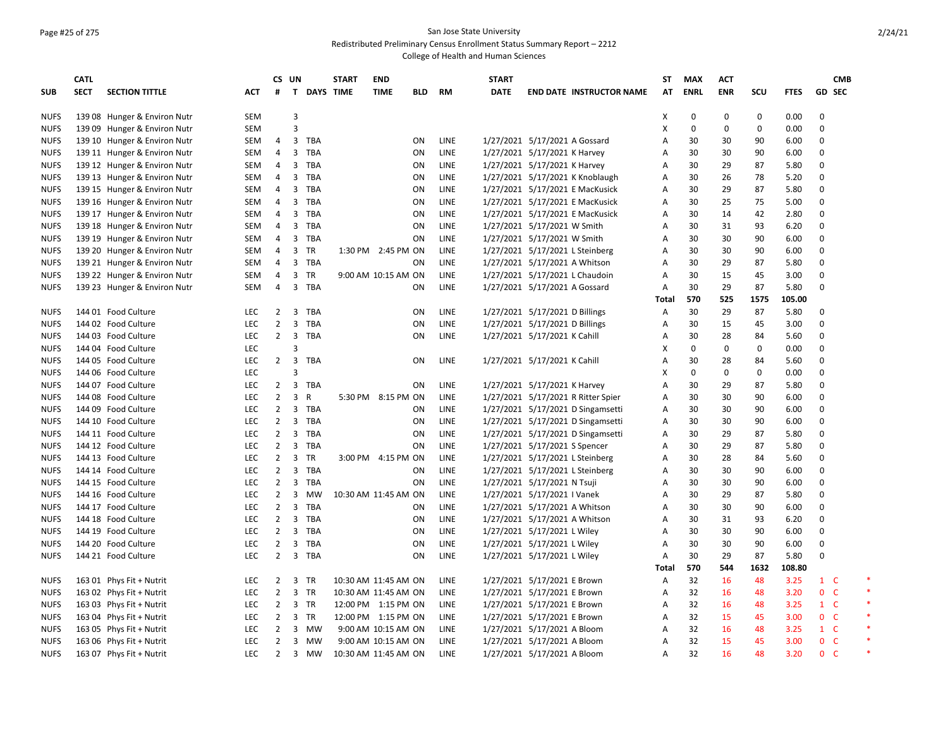### Page #25 of 275 San Jose State University Redistributed Preliminary Census Enrollment Status Summary Report – 2212

|             | <b>CATL</b> |                              |            | CS UN                            |                         |                  | <b>START</b>         | <b>END</b>          |            |             | <b>START</b> |                                    | ST         | MAX         | <b>ACT</b>       |             |                |                               | <b>CMB</b> |
|-------------|-------------|------------------------------|------------|----------------------------------|-------------------------|------------------|----------------------|---------------------|------------|-------------|--------------|------------------------------------|------------|-------------|------------------|-------------|----------------|-------------------------------|------------|
| <b>SUB</b>  | <b>SECT</b> | <b>SECTION TITTLE</b>        | <b>ACT</b> | #                                | T.                      | <b>DAYS TIME</b> |                      | <b>TIME</b>         | <b>BLD</b> | <b>RM</b>   | <b>DATE</b>  | <b>END DATE INSTRUCTOR NAME</b>    | AT         | <b>ENRL</b> | <b>ENR</b>       | SCU         | <b>FTES</b>    | <b>GD SEC</b>                 |            |
|             |             |                              |            |                                  |                         |                  |                      |                     |            |             |              |                                    |            |             |                  |             |                |                               |            |
| <b>NUFS</b> |             | 139 08 Hunger & Environ Nutr | <b>SEM</b> |                                  | 3                       |                  |                      |                     |            |             |              |                                    | Х          | 0           | 0                | 0           | 0.00           | 0                             |            |
| <b>NUFS</b> |             | 139 09 Hunger & Environ Nutr | <b>SEM</b> |                                  | 3                       |                  |                      |                     |            |             |              |                                    | X          | $\mathbf 0$ | 0                | $\mathbf 0$ | 0.00           | 0                             |            |
| <b>NUFS</b> |             | 139 10 Hunger & Environ Nutr | <b>SEM</b> | 4                                | 3                       | TBA              |                      |                     | OΝ         | LINE        |              | 1/27/2021 5/17/2021 A Gossard      | A          | 30          | 30               | 90          | 6.00           | $\mathbf 0$                   |            |
| <b>NUFS</b> |             | 139 11 Hunger & Environ Nutr | <b>SEM</b> | $\overline{4}$                   |                         | 3 TBA            |                      |                     | ON         | LINE        |              | 1/27/2021 5/17/2021 K Harvey       | Α          | 30          | 30               | 90          | 6.00           | 0                             |            |
| <b>NUFS</b> |             | 139 12 Hunger & Environ Nutr | <b>SEM</b> | $\overline{4}$                   | $\overline{\mathbf{3}}$ | TBA              |                      |                     | ON         | LINE        |              | 1/27/2021 5/17/2021 K Harvey       | Α          | 30          | 29               | 87          | 5.80           | 0                             |            |
| <b>NUFS</b> |             | 139 13 Hunger & Environ Nutr | <b>SEM</b> | $\overline{4}$                   |                         | 3 TBA            |                      |                     | ON         | <b>LINE</b> |              | 1/27/2021 5/17/2021 K Knoblaugh    | A          | 30          | 26               | 78          | 5.20           | $\mathbf 0$                   |            |
| <b>NUFS</b> |             | 139 15 Hunger & Environ Nutr | <b>SEM</b> | 4                                | 3                       | TBA              |                      |                     | ON         | LINE        |              | 1/27/2021 5/17/2021 E MacKusick    | Α          | 30          | 29               | 87          | 5.80           | 0                             |            |
| <b>NUFS</b> |             | 139 16 Hunger & Environ Nutr | <b>SEM</b> | 4                                | 3                       | TBA              |                      |                     | ON         | <b>LINE</b> |              | 1/27/2021 5/17/2021 E MacKusick    | Α          | 30          | 25               | 75          | 5.00           | 0                             |            |
| <b>NUFS</b> |             | 139 17 Hunger & Environ Nutr | <b>SEM</b> | 4                                | 3                       | TBA              |                      |                     | ON         | LINE        |              | 1/27/2021 5/17/2021 E MacKusick    | Α          | 30          | 14               | 42          | 2.80           | $\Omega$                      |            |
| <b>NUFS</b> |             | 139 18 Hunger & Environ Nutr | <b>SEM</b> | 4                                | 3                       | TBA              |                      |                     | ON         | LINE        |              | 1/27/2021 5/17/2021 W Smith        | Α          | 30          | 31               | 93          | 6.20           | 0                             |            |
| <b>NUFS</b> |             | 139 19 Hunger & Environ Nutr | <b>SEM</b> | $\overline{4}$                   |                         | 3 TBA            |                      |                     | ON         | LINE        |              | 1/27/2021 5/17/2021 W Smith        | Α          | 30          | 30               | 90          | 6.00           | 0                             |            |
| <b>NUFS</b> |             | 139 20 Hunger & Environ Nutr | <b>SEM</b> | $\overline{4}$                   | $\overline{3}$          | <b>TR</b>        |                      | 1:30 PM 2:45 PM ON  |            | <b>LINE</b> |              | 1/27/2021 5/17/2021 L Steinberg    | A          | 30          | 30               | 90          | 6.00           | 0                             |            |
| <b>NUFS</b> |             | 139 21 Hunger & Environ Nutr | <b>SEM</b> | $\overline{4}$                   |                         | 3 TBA            |                      |                     | ON         | LINE        |              | 1/27/2021 5/17/2021 A Whitson      | Α          | 30          | 29               | 87          | 5.80           | 0                             |            |
| <b>NUFS</b> |             | 139 22 Hunger & Environ Nutr | <b>SEM</b> | $\overline{4}$                   |                         | 3 TR             |                      | 9:00 AM 10:15 AM ON |            | LINE        |              | 1/27/2021 5/17/2021 L Chaudoin     | Α          | 30          | 15               | 45          | 3.00           | $\Omega$                      |            |
| <b>NUFS</b> |             | 139 23 Hunger & Environ Nutr | <b>SEM</b> | $\overline{4}$                   |                         | 3 TBA            |                      |                     | ON         | LINE        |              | 1/27/2021 5/17/2021 A Gossard      | A          | 30          | 29               | 87          | 5.80           | $\Omega$                      |            |
|             |             |                              |            |                                  |                         |                  |                      |                     |            |             |              |                                    | Total      | 570         | 525              | 1575        | 105.00         |                               |            |
| <b>NUFS</b> |             | 144 01 Food Culture          | <b>LEC</b> | $\overline{2}$                   | $\overline{\mathbf{3}}$ | <b>TBA</b>       |                      |                     | ΟN         | LINE        |              | 1/27/2021 5/17/2021 D Billings     | Α          | 30          | 29               | 87          | 5.80           | 0                             |            |
| <b>NUFS</b> |             | 144 02 Food Culture          | <b>LEC</b> | $\overline{2}$                   | 3                       | TBA              |                      |                     | ON         | <b>LINE</b> |              | 1/27/2021 5/17/2021 D Billings     | Α          | 30          | 15               | 45          | 3.00           | $\Omega$                      |            |
| <b>NUFS</b> |             | 144 03 Food Culture          | LEC        | $\overline{2}$                   | $\overline{3}$          | <b>TBA</b>       |                      |                     | ON         | LINE        |              | 1/27/2021 5/17/2021 K Cahill       | Α          | 30          | 28               | 84          | 5.60           | $\mathbf 0$                   |            |
| <b>NUFS</b> |             | 144 04 Food Culture          | <b>LEC</b> |                                  | 3                       |                  |                      |                     |            |             |              |                                    | х          | 0           | 0                | 0           | 0.00           | 0                             |            |
| <b>NUFS</b> |             | 144 05 Food Culture          | <b>LEC</b> | $\overline{2}$                   | $\overline{3}$          | <b>TBA</b>       |                      |                     | ON         | <b>LINE</b> |              | 1/27/2021 5/17/2021 K Cahill       | A          | 30          | 28               | 84          | 5.60           | 0                             |            |
| <b>NUFS</b> |             | 144 06 Food Culture          | LEC        |                                  | 3                       |                  |                      |                     |            |             |              |                                    | X          | $\mathbf 0$ | $\mathbf 0$      | $\mathbf 0$ | 0.00           | $\mathbf 0$                   |            |
| <b>NUFS</b> |             | 144 07 Food Culture          | <b>LEC</b> | 2                                | $\overline{\mathbf{3}}$ | TBA              |                      |                     | ON         | LINE        |              | 1/27/2021 5/17/2021 K Harvey       | Α          | 30          | 29               | 87          | 5.80           | $\Omega$                      |            |
| <b>NUFS</b> |             | 144 08 Food Culture          | LEC        | $\overline{2}$                   | $\overline{3}$          | $\mathsf{R}$     |                      | 5:30 PM 8:15 PM ON  |            | <b>LINE</b> |              | 1/27/2021 5/17/2021 R Ritter Spier | Α          | 30          | 30               | 90          | 6.00           | $\mathbf 0$                   |            |
| <b>NUFS</b> |             | 144 09 Food Culture          | <b>LEC</b> | $\overline{2}$                   | 3                       | <b>TBA</b>       |                      |                     | ΟN         | LINE        |              | 1/27/2021 5/17/2021 D Singamsetti  | Α          | 30          | 30               | 90          | 6.00           | 0                             |            |
| <b>NUFS</b> |             | 144 10 Food Culture          | <b>LEC</b> | $\overline{2}$                   | 3                       | <b>TBA</b>       |                      |                     | ON         | LINE        |              | 1/27/2021 5/17/2021 D Singamsetti  | Α          | 30          | 30               | 90          | 6.00           | 0                             |            |
| <b>NUFS</b> |             | 144 11 Food Culture          | <b>LEC</b> | $\overline{2}$                   | 3                       | TBA              |                      |                     | ON         | <b>LINE</b> |              | 1/27/2021 5/17/2021 D Singamsetti  | Α          | 30          | 29               | 87          | 5.80           | $\mathbf 0$                   |            |
| <b>NUFS</b> |             | 144 12 Food Culture          | LEC        | $\overline{2}$                   | 3                       | TBA              |                      |                     | ON         | LINE        |              | 1/27/2021 5/17/2021 S Spencer      | Α          | 30          | 29               | 87          | 5.80           | 0                             |            |
| <b>NUFS</b> |             | 144 13 Food Culture          | LEC        | $\overline{2}$                   |                         | 3 TR             |                      | 3:00 PM 4:15 PM ON  |            | LINE        |              | 1/27/2021 5/17/2021 L Steinberg    | Α          | 30          | 28               | 84          | 5.60           | 0                             |            |
| <b>NUFS</b> |             | 144 14 Food Culture          | <b>LEC</b> | $\overline{2}$                   | 3                       | <b>TBA</b>       |                      |                     | ON         | <b>LINE</b> |              | 1/27/2021 5/17/2021 L Steinberg    | A          | 30          | 30               | 90          | 6.00           | 0                             |            |
| <b>NUFS</b> |             | 144 15 Food Culture          | LEC.       | $\overline{2}$                   |                         | 3 TBA            |                      |                     | ON         | LINE        |              | 1/27/2021 5/17/2021 N Tsuji        | Α          | 30          | 30               | 90          | 6.00           | 0                             |            |
| <b>NUFS</b> |             | 144 16 Food Culture          | <b>LEC</b> | $\overline{2}$                   | 3                       | MW               | 10:30 AM 11:45 AM ON |                     |            | LINE        |              | 1/27/2021 5/17/2021 I Vanek        | Α          | 30          | 29               | 87          | 5.80           | 0                             |            |
| <b>NUFS</b> |             | 144 17 Food Culture          | <b>LEC</b> | $\overline{2}$                   |                         | 3 TBA            |                      |                     | ON         | <b>LINE</b> |              | 1/27/2021 5/17/2021 A Whitson      | A          | 30          | 30               | 90          | 6.00           | $\mathbf 0$                   |            |
| <b>NUFS</b> |             | 144 18 Food Culture          | LEC        | $\overline{2}$                   | 3                       | TBA              |                      |                     | ON         | LINE        |              | 1/27/2021 5/17/2021 A Whitson      | Α          | 30          | 31               | 93          | 6.20           | 0                             |            |
| <b>NUFS</b> |             | 144 19 Food Culture          | <b>LEC</b> | $\overline{2}$                   | 3                       | <b>TBA</b>       |                      |                     | ON         | LINE        |              | 1/27/2021 5/17/2021 L Wiley        | Α          | 30          | 30               | 90          | 6.00           | 0                             |            |
| <b>NUFS</b> |             | 144 20 Food Culture          | <b>LEC</b> | $\overline{2}$                   | 3                       | TBA              |                      |                     | ON         | <b>LINE</b> |              | 1/27/2021 5/17/2021 L Wiley        | Α          | 30          | 30               | 90          | 6.00           | 0                             |            |
| <b>NUFS</b> |             | 144 21 Food Culture          | <b>LEC</b> | $\overline{2}$                   | $\overline{3}$          | <b>TBA</b>       |                      |                     | ON         | LINE        |              | 1/27/2021 5/17/2021 L Wiley        | A          | 30          | 29               | 87          | 5.80           | $\Omega$                      |            |
|             |             |                              |            |                                  |                         |                  |                      |                     |            |             |              |                                    |            |             |                  |             |                |                               |            |
| <b>NUFS</b> |             | 163 01 Phys Fit + Nutrit     | <b>LEC</b> | 2                                | 3                       | <b>TR</b>        | 10:30 AM 11:45 AM ON |                     |            | LINE        |              | 1/27/2021 5/17/2021 E Brown        | Total<br>A | 570<br>32   | 544<br><b>16</b> | 1632<br>48  | 108.80<br>3.25 | $1\quad$ C                    |            |
| <b>NUFS</b> |             | 163 02 Phys Fit + Nutrit     | <b>LEC</b> | $\overline{2}$                   |                         | 3 TR             | 10:30 AM 11:45 AM ON |                     |            | <b>LINE</b> |              | 1/27/2021 5/17/2021 E Brown        | A          | 32          | <b>16</b>        | 48          | 3.20           | 0 <sup>o</sup>                |            |
| <b>NUFS</b> |             | 163 03 Phys Fit + Nutrit     | <b>LEC</b> | $\overline{2}$                   |                         | 3 TR             | 12:00 PM 1:15 PM ON  |                     |            | LINE        |              | 1/27/2021 5/17/2021 E Brown        | Α          | 32          | 16               | 48          | 3.25           | $1\quad C$                    |            |
| <b>NUFS</b> |             | 163 04 Phys Fit + Nutrit     | <b>LEC</b> | 2                                |                         | 3 TR             | 12:00 PM 1:15 PM ON  |                     |            | LINE        |              | 1/27/2021 5/17/2021 E Brown        | Α          | 32          | 15               | 45          | 3.00           | 0 <sup>o</sup>                |            |
| <b>NUFS</b> |             |                              | <b>LEC</b> | $\overline{2}$                   | 3                       | MW               |                      | 9:00 AM 10:15 AM ON |            | LINE        |              |                                    |            | 32          | 16               | 48          |                |                               |            |
|             |             | 163 05 Phys Fit + Nutrit     | LEC        |                                  |                         | MW               |                      |                     |            |             |              | 1/27/2021 5/17/2021 A Bloom        | A          | 32          |                  | 45          | 3.25           | $1 \quad C$<br>0 <sup>o</sup> |            |
| <b>NUFS</b> |             | 163 06 Phys Fit + Nutrit     | <b>LEC</b> | $\overline{2}$<br>$\overline{2}$ | 3                       |                  |                      | 9:00 AM 10:15 AM ON |            | LINE        |              | 1/27/2021 5/17/2021 A Bloom        | A          | 32          | 15<br>16         |             | 3.00           | $\mathsf{C}$<br>$\Omega$      |            |
| <b>NUFS</b> |             | 163 07 Phys Fit + Nutrit     |            |                                  | 3                       | MW               | 10:30 AM 11:45 AM ON |                     |            | <b>LINE</b> |              | 1/27/2021 5/17/2021 A Bloom        | A          |             |                  | 48          | 3.20           |                               |            |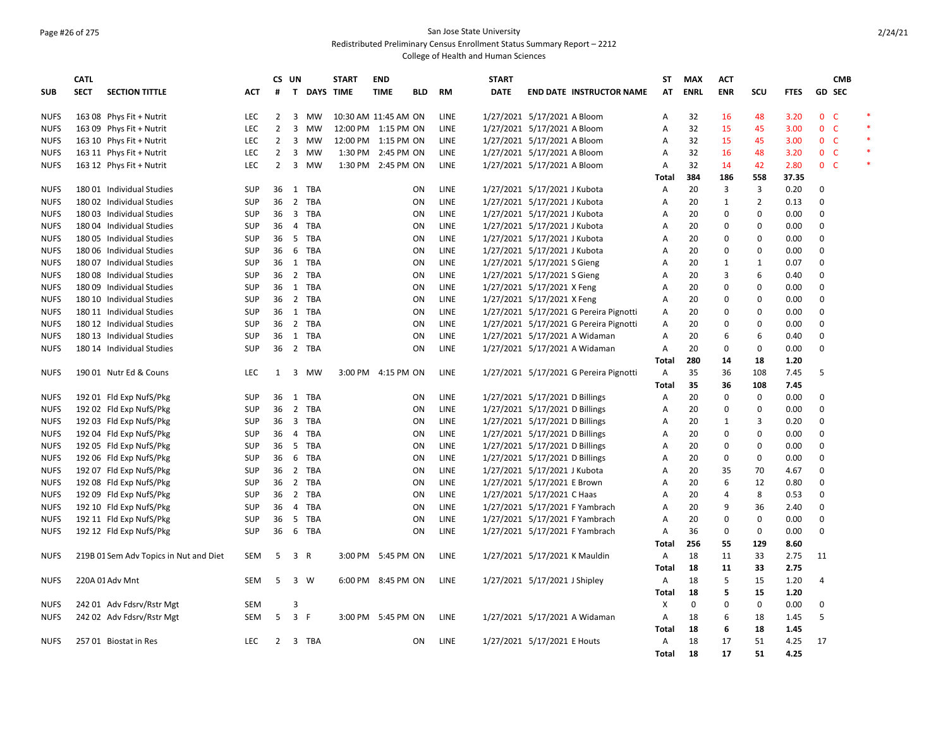### Page #26 of 275 San Jose State University Redistributed Preliminary Census Enrollment Status Summary Report – 2212

|                            | <b>CATL</b> |                                                        |                          |                | CS UN          |              | <b>START</b>         | <b>END</b>          |            |              | <b>START</b>                                                 |                                        | <b>ST</b>    | <b>MAX</b>  | <b>ACT</b>     |                |              |                  | <b>CMB</b> |                  |
|----------------------------|-------------|--------------------------------------------------------|--------------------------|----------------|----------------|--------------|----------------------|---------------------|------------|--------------|--------------------------------------------------------------|----------------------------------------|--------------|-------------|----------------|----------------|--------------|------------------|------------|------------------|
| <b>SUB</b>                 | <b>SECT</b> | <b>SECTION TITTLE</b>                                  | АСТ                      | #              |                | T DAYS TIME  |                      | <b>TIME</b>         | <b>BLD</b> | RM           | <b>DATE</b>                                                  | <b>END DATE INSTRUCTOR NAME</b>        | AT           | <b>ENRL</b> | <b>ENR</b>     | scu            | <b>FTES</b>  | <b>GD SEC</b>    |            |                  |
| <b>NUFS</b>                |             | 163 08 Phys Fit + Nutrit                               | <b>LEC</b>               | $\overline{2}$ |                | 3 MW         | 10:30 AM 11:45 AM ON |                     |            | LINE         | 1/27/2021 5/17/2021 A Bloom                                  |                                        | Α            | 32          | 16             | 48             | 3.20         | 0 <sup>o</sup>   |            | $\ast$           |
| <b>NUFS</b>                |             | 163 09 Phys Fit + Nutrit                               | LEC                      | $\overline{2}$ | 3              | MW           |                      | 12:00 PM 1:15 PM ON |            | LINE         | 1/27/2021 5/17/2021 A Bloom                                  |                                        | A            | 32          | 15             | 45             | 3.00         | 0 <sub>c</sub>   |            | $\ast$           |
| <b>NUFS</b>                |             | 163 10 Phys Fit + Nutrit                               | <b>LEC</b>               | $\overline{2}$ | 3              | MW           |                      | 12:00 PM 1:15 PM ON |            | LINE         | 1/27/2021 5/17/2021 A Bloom                                  |                                        | Α            | 32          | 15             | 45             | 3.00         | 0 <sup>o</sup>   |            | $\ast$           |
| <b>NUFS</b>                |             | 163 11 Phys Fit + Nutrit                               | <b>LEC</b>               | $\overline{2}$ | 3              | MW           |                      | 1:30 PM 2:45 PM ON  |            | <b>LINE</b>  | 1/27/2021 5/17/2021 A Bloom                                  |                                        | A            | 32          | 16             | 48             | 3.20         | 0 <sup>o</sup>   |            | $\ast$<br>$\ast$ |
| <b>NUFS</b>                |             | 163 12 Phys Fit + Nutrit                               | LEC                      | $\overline{2}$ | 3              | MW           |                      | 1:30 PM 2:45 PM ON  |            | LINE         | 1/27/2021 5/17/2021 A Bloom                                  |                                        | Α            | 32          | 14             | 42             | 2.80         | 0 <sub>c</sub>   |            |                  |
|                            |             |                                                        |                          |                |                |              |                      |                     |            |              |                                                              |                                        | Total        | 384         | 186            | 558            | 37.35        |                  |            |                  |
| <b>NUFS</b>                |             | 180 01 Individual Studies                              | <b>SUP</b>               | 36             |                | 1 TBA        |                      |                     | ON         | LINE         | 1/27/2021 5/17/2021 J Kubota                                 |                                        | Α            | 20          | 3              | 3              | 0.20         | 0<br>$\Omega$    |            |                  |
| <b>NUFS</b>                |             | 180 02 Individual Studies                              | <b>SUP</b>               | 36             |                | 2 TBA        |                      |                     | ON         | <b>LINE</b>  | 1/27/2021 5/17/2021 J Kubota                                 |                                        | Α            | 20          | 1<br>$\Omega$  | $\overline{2}$ | 0.13         |                  |            |                  |
| <b>NUFS</b>                |             | 180 03 Individual Studies<br>180 04 Individual Studies | <b>SUP</b><br><b>SUP</b> | 36<br>36       | $\overline{4}$ | 3 TBA<br>TBA |                      |                     | ON         | LINE<br>LINE | 1/27/2021 5/17/2021 J Kubota<br>1/27/2021 5/17/2021 J Kubota |                                        | Α<br>A       | 20<br>20    | $\mathbf 0$    | 0<br>0         | 0.00<br>0.00 | 0<br>$\mathbf 0$ |            |                  |
| <b>NUFS</b><br><b>NUFS</b> |             | 180 05 Individual Studies                              | <b>SUP</b>               | 36             |                | 5 TBA        |                      |                     | ON<br>ON   | LINE         | 1/27/2021 5/17/2021 J Kubota                                 |                                        | Α            | 20          | $\Omega$       | 0              | 0.00         | $\Omega$         |            |                  |
| <b>NUFS</b>                |             | 180 06 Individual Studies                              | <b>SUP</b>               | 36             | 6              | TBA          |                      |                     | ON         | <b>LINE</b>  | 1/27/2021 5/17/2021 J Kubota                                 |                                        | A            | 20          | $\Omega$       | 0              | 0.00         | $\Omega$         |            |                  |
| <b>NUFS</b>                |             | 180 07 Individual Studies                              | <b>SUP</b>               | 36             |                | 1 TBA        |                      |                     | ON         | LINE         | 1/27/2021 5/17/2021 S Gieng                                  |                                        | A            | 20          | $\mathbf{1}$   | $\mathbf{1}$   | 0.07         | $\Omega$         |            |                  |
| <b>NUFS</b>                |             | 180 08 Individual Studies                              | SUP                      | 36             |                | 2 TBA        |                      |                     | ON         | LINE         | 1/27/2021 5/17/2021 S Gieng                                  |                                        | A            | 20          | 3              | 6              | 0.40         | $\Omega$         |            |                  |
| <b>NUFS</b>                |             | 180 09 Individual Studies                              | <b>SUP</b>               | 36             |                | 1 TBA        |                      |                     | ON         | LINE         | 1/27/2021 5/17/2021 X Feng                                   |                                        | A            | 20          | $\Omega$       | 0              | 0.00         | 0                |            |                  |
| <b>NUFS</b>                |             | 180 10 Individual Studies                              | <b>SUP</b>               | 36             |                | 2 TBA        |                      |                     | ΟN         | LINE         | 1/27/2021 5/17/2021 X Feng                                   |                                        | Α            | 20          | $\Omega$       | 0              | 0.00         | $\Omega$         |            |                  |
| <b>NUFS</b>                |             | 180 11 Individual Studies                              | <b>SUP</b>               | 36             |                | 1 TBA        |                      |                     | ON         | <b>LINE</b>  |                                                              | 1/27/2021 5/17/2021 G Pereira Pignotti | Α            | 20          | $\Omega$       | 0              | 0.00         | $\mathbf 0$      |            |                  |
| <b>NUFS</b>                |             | 180 12 Individual Studies                              | <b>SUP</b>               | 36             |                | 2 TBA        |                      |                     | ON         | LINE         |                                                              | 1/27/2021 5/17/2021 G Pereira Pignotti | A            | 20          | $\mathbf 0$    | 0              | 0.00         | $\Omega$         |            |                  |
| <b>NUFS</b>                |             | 180 13 Individual Studies                              | <b>SUP</b>               | 36             | 1              | TBA          |                      |                     | ON         | LINE         |                                                              | 1/27/2021 5/17/2021 A Widaman          | A            | 20          | 6              | 6              | 0.40         | $\Omega$         |            |                  |
| <b>NUFS</b>                |             | 180 14 Individual Studies                              | <b>SUP</b>               | 36             |                | 2 TBA        |                      |                     | ON         | <b>LINE</b>  |                                                              | 1/27/2021 5/17/2021 A Widaman          | Α            | 20          | $\Omega$       | 0              | 0.00         | $\Omega$         |            |                  |
|                            |             |                                                        |                          |                |                |              |                      |                     |            |              |                                                              |                                        | Total        | 280         | 14             | 18             | 1.20         |                  |            |                  |
| <b>NUFS</b>                |             | 190 01 Nutr Ed & Couns                                 | LEC                      | 1              |                | 3 MW         |                      | 3:00 PM 4:15 PM ON  |            | LINE         |                                                              | 1/27/2021 5/17/2021 G Pereira Pignotti | Α            | 35          | 36             | 108            | 7.45         | 5                |            |                  |
|                            |             |                                                        |                          |                |                |              |                      |                     |            |              |                                                              |                                        | Total        | 35          | 36             | 108            | 7.45         |                  |            |                  |
| <b>NUFS</b>                |             | 192 01 Fld Exp NufS/Pkg                                | <b>SUP</b>               | 36             |                | 1 TBA        |                      |                     | ON         | <b>LINE</b>  | 1/27/2021 5/17/2021 D Billings                               |                                        | A            | 20          | $\Omega$       | $\mathbf 0$    | 0.00         | $\Omega$         |            |                  |
| <b>NUFS</b>                |             | 192 02 Fld Exp NufS/Pkg                                | <b>SUP</b>               | 36             |                | 2 TBA        |                      |                     | ON         | LINE         | 1/27/2021 5/17/2021 D Billings                               |                                        | Α            | 20          | $\Omega$       | 0              | 0.00         | $\Omega$         |            |                  |
| <b>NUFS</b>                |             | 192 03 Fld Exp NufS/Pkg                                | <b>SUP</b>               | 36             |                | 3 TBA        |                      |                     | ON         | LINE         | 1/27/2021 5/17/2021 D Billings                               |                                        | Α            | 20          | $\mathbf{1}$   | 3              | 0.20         | $\pmb{0}$        |            |                  |
| <b>NUFS</b>                |             | 192 04 Fld Exp NufS/Pkg                                | <b>SUP</b>               | 36             | $\overline{4}$ | TBA          |                      |                     | ON         | LINE         | 1/27/2021 5/17/2021 D Billings                               |                                        | A            | 20          | 0              | 0              | 0.00         | $\Omega$         |            |                  |
| <b>NUFS</b>                |             | 192 05 Fld Exp NufS/Pkg                                | <b>SUP</b>               | 36             | 5              | TBA          |                      |                     | ON         | <b>LINE</b>  | 1/27/2021 5/17/2021 D Billings                               |                                        | A            | 20          | $\Omega$       | 0              | 0.00         | $\Omega$         |            |                  |
| <b>NUFS</b>                |             | 192 06 Fld Exp NufS/Pkg                                | <b>SUP</b>               | 36             |                | 6 TBA        |                      |                     | ON         | <b>LINE</b>  | 1/27/2021 5/17/2021 D Billings                               |                                        | A            | 20          | $\Omega$       | 0              | 0.00         | $\Omega$         |            |                  |
| <b>NUFS</b>                |             | 192 07 Fld Exp NufS/Pkg                                | <b>SUP</b>               | 36             |                | 2 TBA        |                      |                     | ON         | LINE         | 1/27/2021 5/17/2021 J Kubota                                 |                                        | Α            | 20          | 35             | 70             | 4.67         | $\mathbf 0$      |            |                  |
| <b>NUFS</b>                |             | 192 08 Fld Exp NufS/Pkg                                | <b>SUP</b>               | 36             |                | 2 TBA        |                      |                     | ON         | LINE         | 1/27/2021 5/17/2021 E Brown                                  |                                        | A            | 20          | 6              | 12             | 0.80         | 0                |            |                  |
| <b>NUFS</b>                |             | 192 09 Fld Exp NufS/Pkg                                | <b>SUP</b>               | 36             |                | 2 TBA        |                      |                     | ON         | LINE         | 1/27/2021 5/17/2021 C Haas                                   |                                        | Α            | 20          | $\overline{4}$ | 8              | 0.53         | $\mathbf 0$      |            |                  |
| <b>NUFS</b>                |             | 192 10 Fld Exp NufS/Pkg                                | <b>SUP</b>               | 36             | $\overline{4}$ | <b>TBA</b>   |                      |                     | ON         | <b>LINE</b>  |                                                              | 1/27/2021 5/17/2021 F Yambrach         | A            | 20          | 9              | 36             | 2.40         | $\mathbf 0$      |            |                  |
| <b>NUFS</b>                |             | 192 11 Fld Exp NufS/Pkg                                | <b>SUP</b>               | 36             |                | 5 TBA        |                      |                     | ON         | LINE         |                                                              | 1/27/2021 5/17/2021 F Yambrach         | Α            | 20          | $\mathbf 0$    | 0              | 0.00         | $\mathbf 0$      |            |                  |
| <b>NUFS</b>                |             | 192 12 Fld Exp NufS/Pkg                                | <b>SUP</b>               | 36             | 6              | TBA          |                      |                     | ON         | LINE         |                                                              | 1/27/2021 5/17/2021 F Yambrach         | Α            | 36          | $\mathbf 0$    | 0              | 0.00         | $\mathbf 0$      |            |                  |
|                            |             |                                                        |                          |                |                |              |                      |                     |            |              |                                                              |                                        | Total        | 256         | 55             | 129            | 8.60         |                  |            |                  |
| <b>NUFS</b>                |             | 219B 01 Sem Adv Topics in Nut and Diet                 | <b>SEM</b>               | -5             | 3              | R            |                      | 3:00 PM 5:45 PM ON  |            | LINE         |                                                              | 1/27/2021 5/17/2021 K Mauldin          | A            | 18          | 11             | 33             | 2.75         | 11               |            |                  |
|                            |             |                                                        |                          |                |                |              |                      |                     |            |              |                                                              |                                        | Total        | 18          | 11             | 33             | 2.75         |                  |            |                  |
| <b>NUFS</b>                |             | 220A 01 Adv Mnt                                        | <b>SEM</b>               | -5             |                | 3 W          |                      | 6:00 PM 8:45 PM ON  |            | LINE         | 1/27/2021 5/17/2021 J Shipley                                |                                        | Α            | 18          | 5              | 15             | 1.20         | 4                |            |                  |
|                            |             |                                                        |                          |                |                |              |                      |                     |            |              |                                                              |                                        | Total        | 18          | 5              | 15             | 1.20         |                  |            |                  |
| <b>NUFS</b>                |             | 242 01 Adv Fdsrv/Rstr Mgt                              | <b>SEM</b>               |                | 3              |              |                      |                     |            |              |                                                              |                                        | X            | $\mathbf 0$ | $\Omega$       | $\mathbf 0$    | 0.00         | $\Omega$         |            |                  |
| <b>NUFS</b>                |             | 242 02 Adv Fdsrv/Rstr Mgt                              | SEM                      | 5              | 3 F            |              |                      | 3:00 PM 5:45 PM ON  |            | LINE         |                                                              | 1/27/2021 5/17/2021 A Widaman          | Α            | 18          | 6              | 18             | 1.45         | 5                |            |                  |
|                            |             |                                                        |                          |                |                |              |                      |                     |            |              |                                                              |                                        | Total        | 18          | 6              | 18             | 1.45         |                  |            |                  |
| <b>NUFS</b>                |             | 257 01 Biostat in Res                                  | <b>LEC</b>               | $\overline{2}$ |                | 3 TBA        |                      |                     | ON         | <b>LINE</b>  | 1/27/2021 5/17/2021 E Houts                                  |                                        | Α            | 18          | 17             | 51             | 4.25         | 17               |            |                  |
|                            |             |                                                        |                          |                |                |              |                      |                     |            |              |                                                              |                                        | <b>Total</b> | 18          | 17             | 51             | 4.25         |                  |            |                  |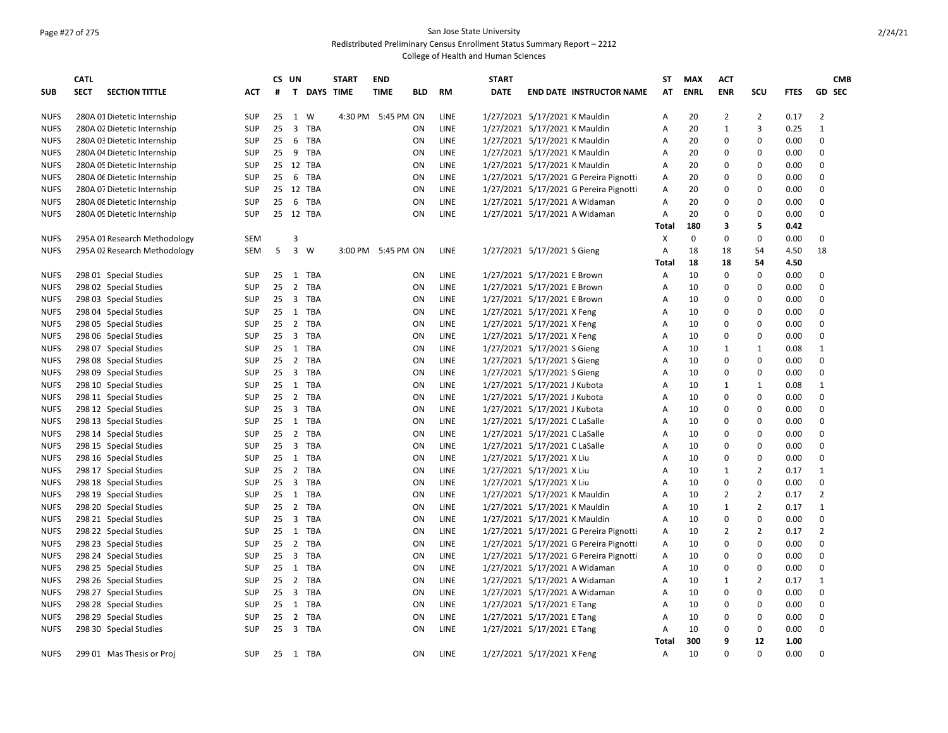### Page #27 of 275 San Jose State University Redistributed Preliminary Census Enrollment Status Summary Report – 2212

|             | <b>CATL</b> |                              |            | CS UN |                         |                    | <b>START</b> | <b>END</b>         |           |             | <b>START</b> |                                        | SΤ           | <b>MAX</b>  | <b>ACT</b>     |                |             |                | <b>CMB</b> |
|-------------|-------------|------------------------------|------------|-------|-------------------------|--------------------|--------------|--------------------|-----------|-------------|--------------|----------------------------------------|--------------|-------------|----------------|----------------|-------------|----------------|------------|
| <b>SUB</b>  | <b>SECT</b> | <b>SECTION TITTLE</b>        | ACT        | #     |                         | <b>T DAYS TIME</b> |              | <b>TIME</b>        | BLD       | <b>RM</b>   | <b>DATE</b>  | <b>END DATE INSTRUCTOR NAME</b>        | AT           | <b>ENRL</b> | <b>ENR</b>     | SCU            | <b>FTES</b> | <b>GD SEC</b>  |            |
| <b>NUFS</b> |             | 280A 01 Dietetic Internship  | <b>SUP</b> | 25    | 1                       | W                  |              | 4:30 PM 5:45 PM ON |           | LINE        |              | 1/27/2021 5/17/2021 K Mauldin          | Α            | 20          | 2              | 2              | 0.17        | $\overline{2}$ |            |
| <b>NUFS</b> |             | 280A 02 Dietetic Internship  | <b>SUP</b> | 25    | 3 TBA                   |                    |              |                    | ΟN        | LINE        |              | 1/27/2021 5/17/2021 K Mauldin          | Α            | 20          | 1              | 3              | 0.25        | $\mathbf{1}$   |            |
| <b>NUFS</b> |             | 280A 03 Dietetic Internship  | <b>SUP</b> | 25    | 6                       | TBA                |              |                    | ON        | LINE        |              | 1/27/2021 5/17/2021 K Mauldin          | A            | 20          | 0              | $\Omega$       | 0.00        | $\Omega$       |            |
| <b>NUFS</b> |             | 280A 04 Dietetic Internship  | SUP        |       | 25 9 TBA                |                    |              |                    | ON        | LINE        |              | 1/27/2021 5/17/2021 K Mauldin          | Α            | 20          | 0              | $\pmb{0}$      | 0.00        | $\Omega$       |            |
| <b>NUFS</b> |             | 280A 05 Dietetic Internship  | <b>SUP</b> |       | 25 12 TBA               |                    |              |                    | ON        | LINE        |              | 1/27/2021 5/17/2021 K Mauldin          | Α            | 20          | 0              | 0              | 0.00        | 0              |            |
| <b>NUFS</b> |             | 280A 06 Dietetic Internship  | SUP        | 25    | 6 TBA                   |                    |              |                    | ON        | LINE        |              | 1/27/2021 5/17/2021 G Pereira Pignotti | A            | 20          | 0              | $\mathbf 0$    | 0.00        | 0              |            |
| <b>NUFS</b> |             | 280A 07 Dietetic Internship  | SUP        |       | 25 12 TBA               |                    |              |                    | ON        | LINE        |              | 1/27/2021 5/17/2021 G Pereira Pignotti | A            | 20          | 0              | $\pmb{0}$      | 0.00        | 0              |            |
| <b>NUFS</b> |             | 280A 08 Dietetic Internship  | <b>SUP</b> | 25    | 6                       | TBA                |              |                    | ON        | <b>LINE</b> |              | 1/27/2021 5/17/2021 A Widaman          | Α            | 20          | 0              | 0              | 0.00        | 0              |            |
| <b>NUFS</b> |             | 280A 09 Dietetic Internship  | <b>SUP</b> |       | 25 12 TBA               |                    |              |                    | ON        | LINE        |              | 1/27/2021 5/17/2021 A Widaman          | Α            | 20          | 0              | $\pmb{0}$      | 0.00        | 0              |            |
|             |             |                              |            |       |                         |                    |              |                    |           |             |              |                                        | <b>Total</b> | 180         | 3              | 5              | 0.42        |                |            |
| <b>NUFS</b> |             | 295A 01 Research Methodology | <b>SEM</b> |       | 3                       |                    |              |                    |           |             |              |                                        | Χ            | 0           | 0              | $\pmb{0}$      | 0.00        | 0              |            |
| <b>NUFS</b> |             | 295A 02 Research Methodology | <b>SEM</b> | 5     | $\overline{3}$          | W                  |              | 3:00 PM 5:45 PM ON |           | <b>LINE</b> |              | 1/27/2021 5/17/2021 S Gieng            | A            | 18          | 18             | 54             | 4.50        | 18             |            |
|             |             |                              |            |       |                         |                    |              |                    |           |             |              |                                        | <b>Total</b> | 18          | 18             | 54             | 4.50        |                |            |
| <b>NUFS</b> |             | 298 01 Special Studies       | SUP        | 25    | 1                       | TBA                |              |                    | ΟN        | LINE        |              | 1/27/2021 5/17/2021 E Brown            | Α            | 10          | 0              | 0              | 0.00        | 0              |            |
| <b>NUFS</b> |             | 298 02 Special Studies       | SUP        | 25    | 2                       | TBA                |              |                    | ON        | LINE        |              | 1/27/2021 5/17/2021 E Brown            | Α            | 10          | 0              | 0              | 0.00        | 0              |            |
| <b>NUFS</b> |             | 298 03 Special Studies       | <b>SUP</b> | 25    | $\overline{\mathbf{3}}$ | TBA                |              |                    | ON        | <b>LINE</b> |              | 1/27/2021 5/17/2021 E Brown            | A            | 10          | 0              | $\mathbf 0$    | 0.00        | 0              |            |
| <b>NUFS</b> |             | 298 04 Special Studies       | <b>SUP</b> | 25    | 1                       | TBA                |              |                    | ON        | LINE        |              | 1/27/2021 5/17/2021 X Feng             | Α            | 10          | 0              | $\pmb{0}$      | 0.00        | 0              |            |
| <b>NUFS</b> |             | 298 05 Special Studies       | <b>SUP</b> | 25    | 2 TBA                   |                    |              |                    | ON        | LINE        |              | 1/27/2021 5/17/2021 X Feng             | Α            | 10          | 0              | 0              | 0.00        | 0              |            |
| <b>NUFS</b> |             | 298 06 Special Studies       | <b>SUP</b> | 25    | 3 TBA                   |                    |              |                    | ON        | LINE        |              | 1/27/2021 5/17/2021 X Feng             | A            | 10          | 0              | 0              | 0.00        | 0              |            |
| <b>NUFS</b> |             | 298 07 Special Studies       | <b>SUP</b> | 25    | 1 TBA                   |                    |              |                    | ON        | LINE        |              | 1/27/2021 5/17/2021 S Gieng            | Α            | 10          | 1              | $\mathbf{1}$   | 0.08        | $\mathbf{1}$   |            |
| <b>NUFS</b> |             | 298 08 Special Studies       | <b>SUP</b> | 25    | $\overline{2}$          | TBA                |              |                    | ΟN        | <b>LINE</b> |              | 1/27/2021 5/17/2021 S Gieng            | A            | 10          | 0              | 0              | 0.00        | 0              |            |
| <b>NUFS</b> |             | 298 09 Special Studies       | <b>SUP</b> |       | 25 3 TBA                |                    |              |                    | ON        | LINE        |              | 1/27/2021 5/17/2021 S Gieng            | A            | 10          | 0              | 0              | 0.00        | $\Omega$       |            |
| <b>NUFS</b> |             | 298 10 Special Studies       | <b>SUP</b> | 25    | 1 TBA                   |                    |              |                    | ON        | LINE        |              | 1/27/2021 5/17/2021 J Kubota           | Α            | 10          | $\mathbf{1}$   | $\mathbf{1}$   | 0.08        | $\overline{1}$ |            |
| <b>NUFS</b> |             | 298 11 Special Studies       | <b>SUP</b> | 25    | 2 TBA                   |                    |              |                    | ON        | LINE        |              | 1/27/2021 5/17/2021 J Kubota           | Α            | 10          | 0              | $\pmb{0}$      | 0.00        | 0              |            |
| <b>NUFS</b> |             | 298 12 Special Studies       | <b>SUP</b> | 25    | 3 TBA                   |                    |              |                    | ON        | <b>LINE</b> |              | 1/27/2021 5/17/2021 J Kubota           | A            | 10          | 0              | 0              | 0.00        | 0              |            |
| <b>NUFS</b> |             | 298 13 Special Studies       | <b>SUP</b> | 25    | 1                       | <b>TBA</b>         |              |                    | ON        | LINE        |              | 1/27/2021 5/17/2021 C LaSalle          | A            | 10          | 0              | 0              | 0.00        | $\mathbf 0$    |            |
| <b>NUFS</b> |             | 298 14 Special Studies       | <b>SUP</b> | 25    | 2 TBA                   |                    |              |                    | ON        | LINE        |              | 1/27/2021 5/17/2021 C LaSalle          | Α            | 10          | 0              | $\pmb{0}$      | 0.00        | 0              |            |
| <b>NUFS</b> |             | 298 15 Special Studies       | <b>SUP</b> | 25    | $\overline{\mathbf{3}}$ | TBA                |              |                    | ON        | LINE        |              | 1/27/2021 5/17/2021 C LaSalle          | A            | 10          | 0              | 0              | 0.00        | 0              |            |
| <b>NUFS</b> |             | 298 16 Special Studies       | <b>SUP</b> | 25    | 1 TBA                   |                    |              |                    | ON        | LINE        |              | 1/27/2021 5/17/2021 X Liu              | A            | 10          | 0              | $\mathbf 0$    | 0.00        | 0              |            |
| <b>NUFS</b> |             | 298 17 Special Studies       | <b>SUP</b> | 25    | $\overline{2}$          | TBA                |              |                    | ON        | LINE        |              | 1/27/2021 5/17/2021 X Liu              | A            | 10          | $\mathbf{1}$   | $\overline{2}$ | 0.17        | $\mathbf{1}$   |            |
| <b>NUFS</b> |             | 298 18 Special Studies       | <b>SUP</b> | 25    | 3 TBA                   |                    |              |                    | ON        | LINE        |              | 1/27/2021 5/17/2021 X Liu              | A            | 10          | 0              | $\pmb{0}$      | 0.00        | 0              |            |
| <b>NUFS</b> |             | 298 19 Special Studies       | <b>SUP</b> |       | 25 1 TBA                |                    |              |                    | ON        | LINE        |              | 1/27/2021 5/17/2021 K Mauldin          | A            | 10          | $\overline{2}$ | $\overline{2}$ | 0.17        | $\overline{2}$ |            |
| <b>NUFS</b> |             | 298 20 Special Studies       | <b>SUP</b> | 25    | 2 TBA                   |                    |              |                    | ON        | LINE        |              | 1/27/2021 5/17/2021 K Mauldin          | Α            | 10          | $\mathbf{1}$   | $\overline{2}$ | 0.17        | $\mathbf{1}$   |            |
| <b>NUFS</b> |             | 298 21 Special Studies       | <b>SUP</b> | 25    | 3 TBA                   |                    |              |                    | ON        | LINE        |              | 1/27/2021 5/17/2021 K Mauldin          | A            | 10          | 0              | $\pmb{0}$      | 0.00        | 0              |            |
| <b>NUFS</b> |             | 298 22 Special Studies       | <b>SUP</b> | 25    | 1                       | TBA                |              |                    | ON        | LINE        |              | 1/27/2021 5/17/2021 G Pereira Pignotti | Α            | 10          | $\overline{2}$ | $\overline{2}$ | 0.17        | $\overline{2}$ |            |
| <b>NUFS</b> |             | 298 23 Special Studies       | <b>SUP</b> | 25    | 2 TBA                   |                    |              |                    | ON        | LINE        |              | 1/27/2021 5/17/2021 G Pereira Pignotti | Α            | 10          | 0              | 0              | 0.00        | 0              |            |
| <b>NUFS</b> |             | 298 24 Special Studies       | SUP        | 25    | $\overline{3}$          | TBA                |              |                    | ON        | LINE        |              | 1/27/2021 5/17/2021 G Pereira Pignotti | Α            | 10          | 0              | $\pmb{0}$      | 0.00        | 0              |            |
| <b>NUFS</b> |             | 298 25 Special Studies       | <b>SUP</b> | 25    | 1 TBA                   |                    |              |                    | ΟN        | <b>LINE</b> |              | 1/27/2021 5/17/2021 A Widaman          | A            | 10          | 0              | $\mathbf 0$    | 0.00        | $\Omega$       |            |
| <b>NUFS</b> |             | 298 26 Special Studies       | <b>SUP</b> | 25    | 2 TBA                   |                    |              |                    | ON        | <b>LINE</b> |              | 1/27/2021 5/17/2021 A Widaman          | A            | 10          | $\mathbf{1}$   | $\overline{2}$ | 0.17        | $\mathbf{1}$   |            |
| <b>NUFS</b> |             | 298 27 Special Studies       | SUP        | 25    | 3 TBA                   |                    |              |                    | ON        | LINE        |              | 1/27/2021 5/17/2021 A Widaman          | Α            | 10          | 0              | $\pmb{0}$      | 0.00        | 0              |            |
| <b>NUFS</b> |             | 298 28 Special Studies       | <b>SUP</b> | 25    | 1 TBA                   |                    |              |                    | ON        | LINE        |              | 1/27/2021 5/17/2021 E Tang             | Α            | 10          | 0              | 0              | 0.00        | 0              |            |
| <b>NUFS</b> |             | 298 29 Special Studies       | <b>SUP</b> | 25    | 2 TBA                   |                    |              |                    | ON        | LINE        |              | 1/27/2021 5/17/2021 E Tang             | A            | 10          | 0              | 0              | 0.00        | 0              |            |
| <b>NUFS</b> |             | 298 30 Special Studies       | <b>SUP</b> | 25    | 3 TBA                   |                    |              |                    | ON        | LINE        |              | 1/27/2021 5/17/2021 E Tang             | Α            | 10          | 0              | $\pmb{0}$      | 0.00        | $\Omega$       |            |
|             |             |                              |            |       |                         |                    |              |                    |           |             |              |                                        | Total        | 300         | 9              | 12             | 1.00        |                |            |
| <b>NUFS</b> |             | 299 01 Mas Thesis or Proj    | <b>SUP</b> | 25    | 1 TBA                   |                    |              |                    | <b>ON</b> | LINE        |              | 1/27/2021 5/17/2021 X Feng             | A            | 10          | U              | $\Omega$       | 0.00        | 0              |            |
|             |             |                              |            |       |                         |                    |              |                    |           |             |              |                                        |              |             |                |                |             |                |            |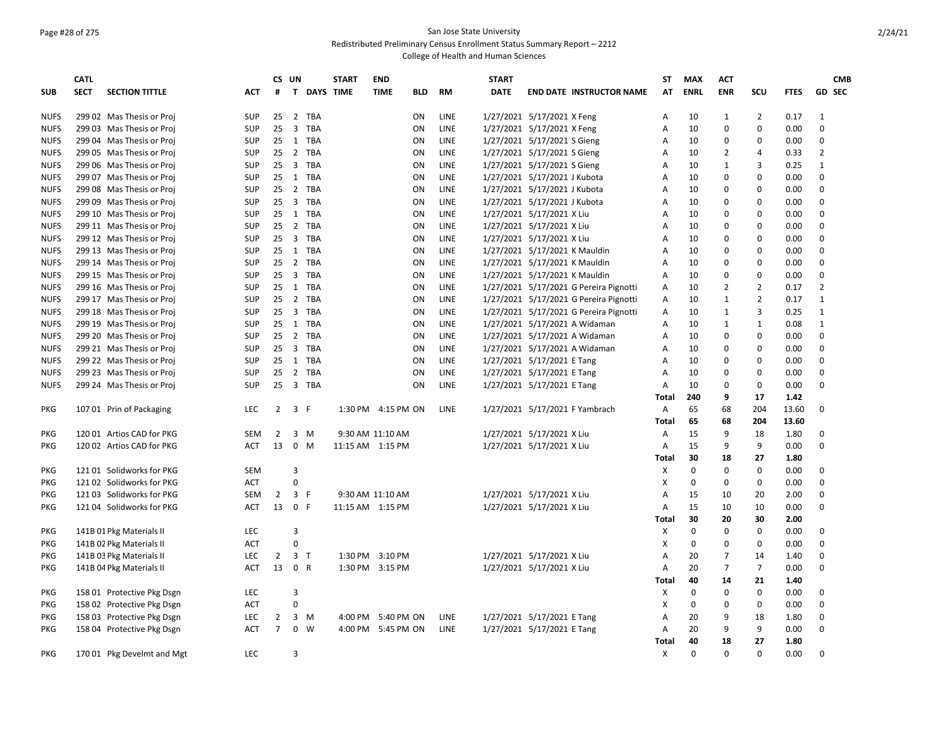# Page #28 of 275 San Jose State University

Redistributed Preliminary Census Enrollment Status Summary Report – 2212

|             | <b>CATL</b> |                            |            |                | CS UN                   |             | <b>START</b>     | <b>END</b>                |             | <b>START</b> |                               |                                        | <b>ST</b>    | <b>MAX</b>  | <b>ACT</b>     |                |             | <b>CMB</b>     |
|-------------|-------------|----------------------------|------------|----------------|-------------------------|-------------|------------------|---------------------------|-------------|--------------|-------------------------------|----------------------------------------|--------------|-------------|----------------|----------------|-------------|----------------|
| <b>SUB</b>  | <b>SECT</b> | <b>SECTION TITTLE</b>      | ACT        | #              |                         | T DAYS TIME |                  | <b>TIME</b><br><b>BLD</b> | <b>RM</b>   | <b>DATE</b>  |                               | <b>END DATE INSTRUCTOR NAME</b>        | AT           | <b>ENRL</b> | <b>ENR</b>     | scu            | <b>FTES</b> | <b>GD SEC</b>  |
| <b>NUFS</b> |             | 299 02 Mas Thesis or Proj  | <b>SUP</b> | 25             |                         | 2 TBA       |                  | <b>ON</b>                 | <b>LINE</b> |              | 1/27/2021 5/17/2021 X Feng    |                                        | A            | 10          | 1              | 2              | 0.17        | 1              |
| <b>NUFS</b> |             | 299 03 Mas Thesis or Proj  | SUP        | 25             |                         | 3 TBA       |                  | ON                        | LINE        |              | 1/27/2021 5/17/2021 X Feng    |                                        | Α            | 10          | $\mathbf 0$    | 0              | 0.00        | 0              |
| <b>NUFS</b> |             | 299 04 Mas Thesis or Proj  | <b>SUP</b> | 25             |                         | 1 TBA       |                  | ON                        | <b>LINE</b> |              | 1/27/2021 5/17/2021 S Gieng   |                                        | A            | 10          | 0              | $\Omega$       | 0.00        | 0              |
| <b>NUFS</b> |             | 299 05 Mas Thesis or Proj  | <b>SUP</b> | 25             | $\overline{2}$          | TBA         |                  | ON                        | <b>LINE</b> |              | 1/27/2021 5/17/2021 S Gieng   |                                        | A            | 10          | 2              | 4              | 0.33        | $\overline{2}$ |
| <b>NUFS</b> |             | 299 06 Mas Thesis or Proj  | <b>SUP</b> | 25             | $\overline{\mathbf{3}}$ | TBA         |                  | ON                        | LINE        |              | 1/27/2021 5/17/2021 S Gieng   |                                        | A            | 10          | 1              | 3              | 0.25        | $\mathbf 1$    |
| <b>NUFS</b> |             | 299 07 Mas Thesis or Proj  | <b>SUP</b> |                |                         | 25 1 TBA    |                  | ON                        | LINE        |              | 1/27/2021 5/17/2021 J Kubota  |                                        | A            | 10          | $\Omega$       | $\Omega$       | 0.00        | 0              |
| <b>NUFS</b> |             | 299 08 Mas Thesis or Proj  | <b>SUP</b> | 25             |                         | 2 TBA       |                  | ON                        | LINE        |              | 1/27/2021 5/17/2021 J Kubota  |                                        | Α            | 10          | 0              | $\Omega$       | 0.00        | 0              |
| <b>NUFS</b> |             | 299 09 Mas Thesis or Proj  | <b>SUP</b> | 25             |                         | 3 TBA       |                  | ON                        | <b>LINE</b> |              | 1/27/2021 5/17/2021 J Kubota  |                                        | A            | 10          | 0              | $\Omega$       | 0.00        | 0              |
| <b>NUFS</b> |             | 299 10 Mas Thesis or Proj  | <b>SUP</b> | 25             |                         | 1 TBA       |                  | ON                        | LINE        |              | 1/27/2021 5/17/2021 X Liu     |                                        | A            | 10          | $\Omega$       | $\Omega$       | 0.00        | 0              |
| <b>NUFS</b> |             | 299 11 Mas Thesis or Proj  | <b>SUP</b> | 25             |                         | 2 TBA       |                  | ON                        | <b>LINE</b> |              | 1/27/2021 5/17/2021 X Liu     |                                        | A            | 10          | 0              | 0              | 0.00        | 0              |
| <b>NUFS</b> |             | 299 12 Mas Thesis or Proj  | <b>SUP</b> | 25             |                         | 3 TBA       |                  | ON                        | LINE        |              | 1/27/2021 5/17/2021 X Liu     |                                        | Α            | 10          | 0              | $\Omega$       | 0.00        | 0              |
| <b>NUFS</b> |             | 299 13 Mas Thesis or Proj  | <b>SUP</b> | 25             |                         | 1 TBA       |                  | ON                        | LINE        |              | 1/27/2021 5/17/2021 K Mauldin |                                        | A            | 10          | $\Omega$       | $\Omega$       | 0.00        | 0              |
| <b>NUFS</b> |             | 299 14 Mas Thesis or Proj  | SUP        | 25             | $\overline{2}$          | TBA         |                  | ON                        | LINE        |              | 1/27/2021 5/17/2021 K Mauldin |                                        | A            | 10          | 0              | 0              | 0.00        | 0              |
| <b>NUFS</b> |             | 299 15 Mas Thesis or Proj  | <b>SUP</b> | 25             | $\overline{\mathbf{3}}$ | TBA         |                  | ON                        | <b>LINE</b> |              | 1/27/2021 5/17/2021 K Mauldin |                                        | A            | 10          | $\Omega$       | $\Omega$       | 0.00        | 0              |
| <b>NUFS</b> |             | 299 16 Mas Thesis or Proj  | <b>SUP</b> |                |                         | 25 1 TBA    |                  | ON                        | LINE        |              |                               | 1/27/2021 5/17/2021 G Pereira Pignotti | A            | 10          | 2              | 2              | 0.17        | $\overline{2}$ |
| <b>NUFS</b> |             | 299 17 Mas Thesis or Proj  | <b>SUP</b> | 25             |                         | 2 TBA       |                  | ON                        | <b>LINE</b> |              |                               | 1/27/2021 5/17/2021 G Pereira Pignotti | A            | 10          | 1              | $\overline{2}$ | 0.17        | $\mathbf{1}$   |
| <b>NUFS</b> |             | 299 18 Mas Thesis or Proj  | SUP        | 25             |                         | 3 TBA       |                  | ON                        | LINE        |              |                               | 1/27/2021 5/17/2021 G Pereira Pignotti | Α            | 10          | 1              | 3              | 0.25        | $1\,$          |
| <b>NUFS</b> |             | 299 19 Mas Thesis or Proj  | <b>SUP</b> | 25             |                         | 1 TBA       |                  | ON                        | <b>LINE</b> |              |                               | 1/27/2021 5/17/2021 A Widaman          | A            | 10          | 1              | $\mathbf{1}$   | 0.08        | $\mathbf{1}$   |
| <b>NUFS</b> |             | 299 20 Mas Thesis or Proj  | <b>SUP</b> | 25             |                         | 2 TBA       |                  | ON                        | <b>LINE</b> |              |                               | 1/27/2021 5/17/2021 A Widaman          | A            | 10          | $\Omega$       | 0              | 0.00        | 0              |
| <b>NUFS</b> |             | 299 21 Mas Thesis or Proj  | <b>SUP</b> | 25             |                         | 3 TBA       |                  | ON                        | LINE        |              |                               | 1/27/2021 5/17/2021 A Widaman          | Α            | 10          | $\Omega$       | $\Omega$       | 0.00        | 0              |
| <b>NUFS</b> |             | 299 22 Mas Thesis or Proj  | <b>SUP</b> | 25             | 1                       | TBA         |                  | ON                        | LINE        |              | 1/27/2021 5/17/2021 E Tang    |                                        | Α            | 10          | 0              | 0              | 0.00        | 0              |
| <b>NUFS</b> |             | 299 23 Mas Thesis or Proj  | SUP        | 25             | $\overline{2}$          | TBA         |                  | ON                        | LINE        |              | 1/27/2021 5/17/2021 E Tang    |                                        | A            | 10          | 0              | $\Omega$       | 0.00        | 0              |
| <b>NUFS</b> |             | 299 24 Mas Thesis or Proj  | <b>SUP</b> | 25             |                         | 3 TBA       |                  | ON                        | LINE        |              | 1/27/2021 5/17/2021 E Tang    |                                        | A            | 10          | $\Omega$       | 0              | 0.00        | 0              |
|             |             |                            |            |                |                         |             |                  |                           |             |              |                               |                                        | Total        | 240         | 9              | 17             | 1.42        |                |
| PKG         |             | 107 01 Prin of Packaging   | <b>LEC</b> | 2              | 3 F                     |             |                  | 1:30 PM 4:15 PM ON        | LINE        |              |                               | 1/27/2021 5/17/2021 F Yambrach         | A            | 65          | 68             | 204            | 13.60       | 0              |
|             |             |                            |            |                |                         |             |                  |                           |             |              |                               |                                        | Total        | 65          | 68             | 204            | 13.60       |                |
| <b>PKG</b>  |             | 120 01 Artios CAD for PKG  | <b>SEM</b> | 2              |                         | 3 M         | 9:30 AM 11:10 AM |                           |             |              | 1/27/2021 5/17/2021 X Liu     |                                        | A            | 15          | 9              | 18             | 1.80        | 0              |
| PKG         |             | 120 02 Artios CAD for PKG  | ACT        | 13             | $0 \quad M$             |             | 11:15 AM 1:15 PM |                           |             |              | 1/27/2021 5/17/2021 X Liu     |                                        | Α            | 15          | 9              | 9              | 0.00        | 0              |
|             |             |                            |            |                |                         |             |                  |                           |             |              |                               |                                        | Total        | 30          | 18             | 27             | 1.80        |                |
| <b>PKG</b>  |             | 121 01 Solidworks for PKG  | <b>SEM</b> |                | $\overline{3}$          |             |                  |                           |             |              |                               |                                        | X            | $\mathbf 0$ | $\Omega$       | 0              | 0.00        | 0              |
| <b>PKG</b>  |             | 121 02 Solidworks for PKG  | <b>ACT</b> |                | $\Omega$                |             |                  |                           |             |              |                               |                                        | X            | 0           | $\Omega$       | 0              | 0.00        | 0              |
| PKG         |             | 121 03 Solidworks for PKG  | <b>SEM</b> | $\overline{2}$ | 3 F                     |             | 9:30 AM 11:10 AM |                           |             |              | 1/27/2021 5/17/2021 X Liu     |                                        | Α            | 15          | 10             | 20             | 2.00        | 0              |
| <b>PKG</b>  |             | 121 04 Solidworks for PKG  | <b>ACT</b> | 13             | 0 F                     |             | 11:15 AM 1:15 PM |                           |             |              | 1/27/2021 5/17/2021 X Liu     |                                        | A            | 15          | 10             | 10             | 0.00        | 0              |
|             |             |                            |            |                |                         |             |                  |                           |             |              |                               |                                        | Total        | 30          | 20             | 30             | 2.00        |                |
| <b>PKG</b>  |             | 141B 01 Pkg Materials II   | LEC.       |                | $\overline{3}$          |             |                  |                           |             |              |                               |                                        | X            | $\Omega$    | 0              | $\Omega$       | 0.00        | 0              |
| PKG         |             | 141B 02 Pkg Materials II   | <b>ACT</b> |                | 0                       |             |                  |                           |             |              |                               |                                        | Χ            | 0           | 0              | 0              | 0.00        | 0              |
| PKG         |             | 141B 03 Pkg Materials II   | <b>LEC</b> | $\overline{2}$ | 3 <sub>T</sub>          |             | 1:30 PM 3:10 PM  |                           |             |              | 1/27/2021 5/17/2021 X Liu     |                                        | Α            | 20          | $\overline{7}$ | 14             | 1.40        | 0              |
| PKG         |             | 141B 04 Pkg Materials II   | <b>ACT</b> | 13             | 0 R                     |             | 1:30 PM 3:15 PM  |                           |             |              | 1/27/2021 5/17/2021 X Liu     |                                        | A            | 20          | $\overline{7}$ | $\overline{7}$ | 0.00        | 0              |
|             |             |                            |            |                |                         |             |                  |                           |             |              |                               |                                        | Total        | 40          | 14             | 21             | 1.40        |                |
| PKG         |             | 158 01 Protective Pkg Dsgn | <b>LEC</b> |                | 3                       |             |                  |                           |             |              |                               |                                        | Х            | $\Omega$    | 0              | $\mathbf 0$    | 0.00        | 0              |
| PKG         |             | 158 02 Protective Pkg Dsgn | <b>ACT</b> |                | 0                       |             |                  |                           |             |              |                               |                                        | Χ            | 0           | 0              | 0              | 0.00        | 0              |
| <b>PKG</b>  |             | 158 03 Protective Pkg Dsgn | <b>LEC</b> | $\overline{2}$ |                         | $3 \, M$    |                  | 4:00 PM 5:40 PM ON        | <b>LINE</b> |              | 1/27/2021 5/17/2021 E Tang    |                                        | Α            | 20          | 9              | 18             | 1.80        | 0              |
| PKG         |             | 158 04 Protective Pkg Dsgn | <b>ACT</b> | $\overline{7}$ |                         | $0 \quad W$ |                  | 4:00 PM 5:45 PM ON        | LINE        |              | 1/27/2021 5/17/2021 E Tang    |                                        | Α            | 20          | 9              | 9              | 0.00        | 0              |
|             |             |                            |            |                |                         |             |                  |                           |             |              |                               |                                        | Total        | 40          | 18             | 27             | 1.80        |                |
| <b>PKG</b>  |             | 170 01 Pkg Develmt and Mgt | LEC.       |                | 3                       |             |                  |                           |             |              |                               |                                        | $\mathsf{x}$ | $\Omega$    | $\Omega$       | $\Omega$       | 0.00        | $\Omega$       |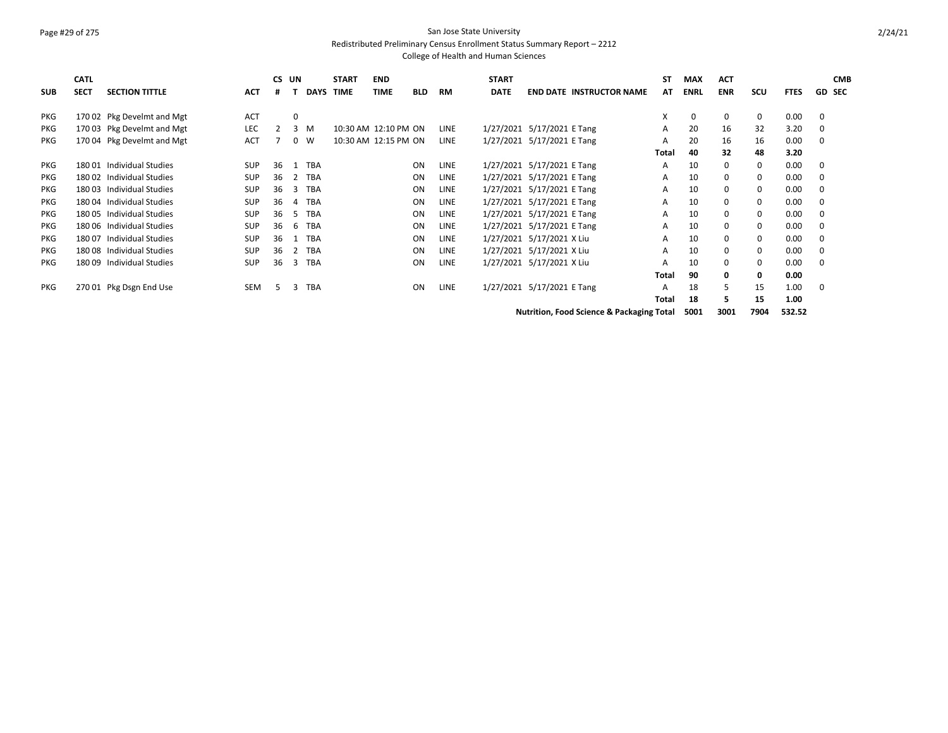# Page #29 of 275 San Jose State University

Redistributed Preliminary Census Enrollment Status Summary Report – 2212

| <b>SUB</b> | <b>CATL</b><br><b>SECT</b> | <b>SECTION TITTLE</b>      | <b>ACT</b> | CS UN<br># |    |            | <b>START</b><br><b>DAYS TIME</b> | <b>END</b><br><b>TIME</b> | <b>BLD</b> | <b>RM</b>   | <b>START</b><br><b>DATE</b> | <b>END DATE INSTRUCTOR NAME</b>                      | <b>ST</b><br>AT | <b>MAX</b><br><b>ENRL</b> | <b>ACT</b><br><b>ENR</b> | SCU      | <b>FTES</b> | <b>CMB</b><br><b>GD SEC</b> |
|------------|----------------------------|----------------------------|------------|------------|----|------------|----------------------------------|---------------------------|------------|-------------|-----------------------------|------------------------------------------------------|-----------------|---------------------------|--------------------------|----------|-------------|-----------------------------|
| <b>PKG</b> |                            | 170 02 Pkg Develmt and Mgt | <b>ACT</b> |            | 0  |            |                                  |                           |            |             |                             |                                                      | Χ               | 0                         | 0                        | 0        | 0.00        | 0                           |
| <b>PKG</b> |                            | 170 03 Pkg Develmt and Mgt | LEC        |            |    | 3 M        | 10:30 AM 12:10 PM ON             |                           |            | <b>LINE</b> |                             | 1/27/2021 5/17/2021 E Tang                           | A               | 20                        | 16                       | 32       | 3.20        |                             |
| PKG        |                            | 170 04 Pkg Develmt and Mgt | <b>ACT</b> |            | 0  | W          | 10:30 AM 12:15 PM ON             |                           |            | <b>LINE</b> |                             | 1/27/2021 5/17/2021 E Tang                           | A               | 20                        | 16                       | 16       | 0.00        | $\Omega$                    |
|            |                            |                            |            |            |    |            |                                  |                           |            |             |                             |                                                      | Total           | 40                        | 32                       | 48       | 3.20        |                             |
| <b>PKG</b> | 180 01                     | Individual Studies         | <b>SUP</b> | 36         | -1 | <b>TBA</b> |                                  |                           | ON         | <b>LINE</b> |                             | 1/27/2021 5/17/2021 E Tang                           | A               | 10                        | 0                        | 0        | 0.00        | $\Omega$                    |
| <b>PKG</b> |                            | 180 02 Individual Studies  | <b>SUP</b> | 36         | 2  | <b>TBA</b> |                                  |                           | ON         | <b>LINE</b> |                             | 1/27/2021 5/17/2021 E Tang                           | A               | 10                        | 0                        | 0        | 0.00        | 0                           |
| PKG        | 18003                      | Individual Studies         | <b>SUP</b> | 36         | 3  | <b>TBA</b> |                                  |                           | ON         | <b>LINE</b> |                             | 1/27/2021 5/17/2021 E Tang                           | A               | 10                        | 0                        | 0        | 0.00        | 0                           |
| <b>PKG</b> | 18004                      | Individual Studies         | <b>SUP</b> | 36         | 4  | <b>TBA</b> |                                  |                           | ON         | <b>LINE</b> |                             | 1/27/2021 5/17/2021 E Tang                           | A               | 10                        | 0                        | 0        | 0.00        | 0                           |
| PKG        |                            | 18005 Individual Studies   | <b>SUP</b> | 36         | .5 | <b>TBA</b> |                                  |                           | ON         | <b>LINE</b> |                             | 1/27/2021 5/17/2021 E Tang                           | A               | 10                        | 0                        | 0        | 0.00        | $\Omega$                    |
| PKG        |                            | 180 06 Individual Studies  | <b>SUP</b> | 36         | 6  | <b>TBA</b> |                                  |                           | ON         | <b>LINE</b> |                             | 1/27/2021 5/17/2021 E Tang                           | A               | 10                        | 0                        | 0        | 0.00        | $\Omega$                    |
| PKG        | 180 07                     | Individual Studies         | <b>SUP</b> | 36         |    | <b>TBA</b> |                                  |                           | ON         | <b>LINE</b> |                             | 1/27/2021 5/17/2021 X Liu                            | A               | 10                        |                          | 0        | 0.00        | $\Omega$                    |
| <b>PKG</b> | 18008                      | Individual Studies         | <b>SUP</b> | 36         | 2  | <b>TBA</b> |                                  |                           | ON         | <b>LINE</b> |                             | 1/27/2021 5/17/2021 X Liu                            | A               | 10                        | 0                        | $\Omega$ | 0.00        | $\Omega$                    |
| <b>PKG</b> | 18009                      | Individual Studies         | <b>SUP</b> | 36         | 3  | <b>TBA</b> |                                  |                           | ON         | <b>LINE</b> |                             | 1/27/2021 5/17/2021 X Liu                            | A               | 10                        | 0                        | 0        | 0.00        | $\Omega$                    |
|            |                            |                            |            |            |    |            |                                  |                           |            |             |                             |                                                      | Total           | 90                        | 0                        | 0        | 0.00        |                             |
| <b>PKG</b> |                            | 270 01 Pkg Dsgn End Use    | <b>SEM</b> | 5          | 3  | <b>TBA</b> |                                  |                           | ON         | LINE        |                             | 1/27/2021 5/17/2021 E Tang                           | A               | 18                        | 5                        | 15       | 1.00        | 0                           |
|            |                            |                            |            |            |    |            |                                  |                           |            |             |                             |                                                      | Total           | 18                        | 5.                       | 15       | 1.00        |                             |
|            |                            |                            |            |            |    |            |                                  |                           |            |             |                             | <b>Nutrition, Food Science &amp; Packaging Total</b> |                 | 5001                      | 3001                     | 7904     | 532.52      |                             |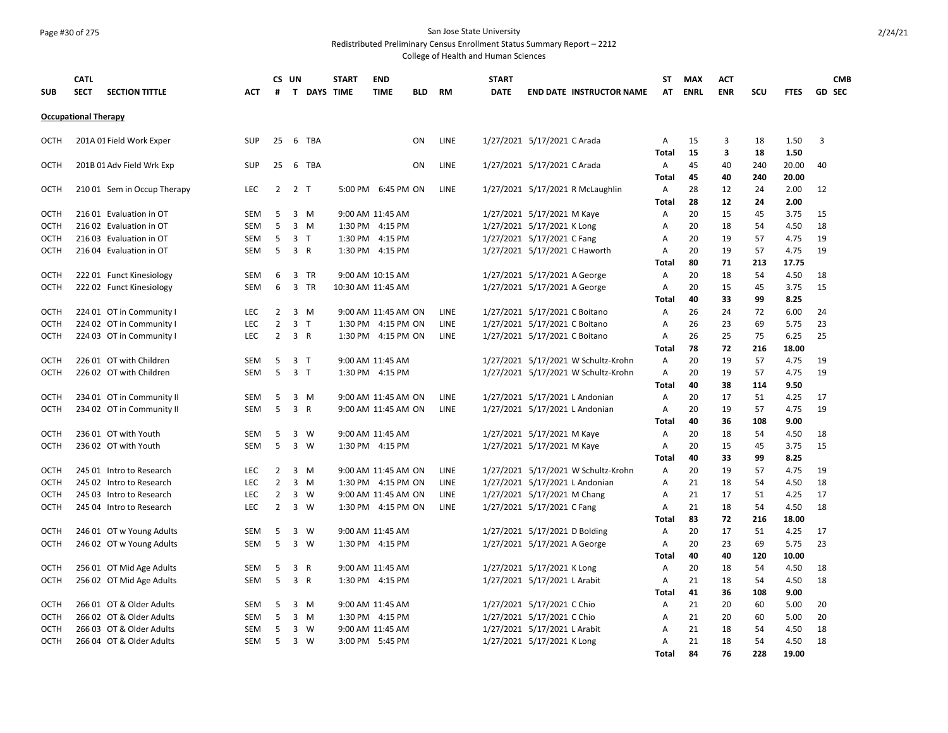## Page #30 of 275 San Jose State University

Redistributed Preliminary Census Enrollment Status Summary Report – 2212

|             | <b>CATL</b>                 |                             |            |                | CS UN                          | <b>START</b> | <b>END</b>          |            |             | <b>START</b> |                                     | ST           | <b>MAX</b>  | <b>ACT</b> |          |              | <b>CMB</b>    |
|-------------|-----------------------------|-----------------------------|------------|----------------|--------------------------------|--------------|---------------------|------------|-------------|--------------|-------------------------------------|--------------|-------------|------------|----------|--------------|---------------|
| <b>SUB</b>  | <b>SECT</b>                 | <b>SECTION TITTLE</b>       | ACT        | #              | <b>T DAYS TIME</b>             |              | <b>TIME</b>         | <b>BLD</b> | <b>RM</b>   | <b>DATE</b>  | <b>END DATE INSTRUCTOR NAME</b>     | AT           | <b>ENRL</b> | <b>ENR</b> | scu      | <b>FTES</b>  | <b>GD SEC</b> |
|             | <b>Occupational Therapy</b> |                             |            |                |                                |              |                     |            |             |              |                                     |              |             |            |          |              |               |
|             |                             |                             |            |                |                                |              |                     |            |             |              |                                     |              |             |            |          |              |               |
| OCTH        |                             | 201A 01 Field Work Exper    | <b>SUP</b> | 25             | 6<br>TBA                       |              |                     | ON         | LINE        |              | 1/27/2021 5/17/2021 C Arada         | Α            | 15          | 3          | 18       | 1.50         | 3             |
|             |                             |                             |            |                |                                |              |                     |            |             |              |                                     | <b>Total</b> | 15          | 3          | 18       | 1.50         |               |
| <b>OCTH</b> |                             | 201B 01 Adv Field Wrk Exp   | <b>SUP</b> | 25             | - 6<br>TBA                     |              |                     | <b>ON</b>  | <b>LINE</b> |              | 1/27/2021 5/17/2021 C Arada         | A            | 45          | 40         | 240      | 20.00        | 40            |
|             |                             |                             |            |                |                                |              |                     |            |             |              |                                     | <b>Total</b> | 45          | 40         | 240      | 20.00        |               |
| <b>OCTH</b> |                             | 210 01 Sem in Occup Therapy | LEC        | $\overline{2}$ | 2 <sub>T</sub>                 |              | 5:00 PM 6:45 PM ON  |            | LINE        |              | 1/27/2021 5/17/2021 R McLaughlin    | Α            | 28          | 12         | 24       | 2.00         | 12            |
|             |                             |                             |            |                |                                |              |                     |            |             |              |                                     | Total        | 28          | 12         | 24       | 2.00         |               |
| <b>OCTH</b> |                             | 216 01 Evaluation in OT     | <b>SEM</b> | 5              | 3<br>M                         |              | 9:00 AM 11:45 AM    |            |             |              | 1/27/2021 5/17/2021 M Kaye          | Α            | 20          | 15         | 45       | 3.75         | 15            |
| <b>OCTH</b> |                             | 216 02 Evaluation in OT     | <b>SEM</b> | 5              | 3<br>M                         |              | 1:30 PM 4:15 PM     |            |             |              | 1/27/2021 5/17/2021 K Long          | Α            | 20          | 18         | 54       | 4.50         | 18            |
| OCTH        |                             | 216 03 Evaluation in OT     | SEM        | 5              | 3 <sub>T</sub>                 |              | 1:30 PM 4:15 PM     |            |             |              | 1/27/2021 5/17/2021 C Fang          | Α            | 20          | 19         | 57       | 4.75         | 19            |
| <b>OCTH</b> |                             | 216 04 Evaluation in OT     | SEM        | 5              | $\overline{\mathbf{3}}$<br>R   |              | 1:30 PM 4:15 PM     |            |             |              | 1/27/2021 5/17/2021 C Haworth       | Α            | 20          | 19         | 57       | 4.75         | 19            |
|             |                             |                             |            |                |                                |              |                     |            |             |              |                                     | Total        | 80          | 71         | 213      | 17.75        |               |
| <b>OCTH</b> |                             | 222 01 Funct Kinesiology    | <b>SEM</b> | 6              | 3<br>TR                        |              | 9:00 AM 10:15 AM    |            |             |              | 1/27/2021 5/17/2021 A George        | Α            | 20          | 18         | 54       | 4.50         | 18            |
| <b>OCTH</b> |                             | 222 02 Funct Kinesiology    | SEM        | 6              | $\overline{3}$<br>TR           |              | 10:30 AM 11:45 AM   |            |             |              | 1/27/2021 5/17/2021 A George        | A            | 20          | 15         | 45       | 3.75         | 15            |
|             |                             |                             |            |                |                                |              |                     |            |             |              |                                     | Total        | 40          | 33         | 99       | 8.25         |               |
| <b>OCTH</b> |                             | 224 01 OT in Community I    | <b>LEC</b> | $\overline{2}$ | 3 M                            |              | 9:00 AM 11:45 AM ON |            | <b>LINE</b> |              | 1/27/2021 5/17/2021 C Boitano       | Α            | 26          | 24         | 72       | 6.00         | 24            |
| <b>OCTH</b> |                             | 224 02 OT in Community I    | <b>LEC</b> | $\overline{2}$ | 3 <sub>T</sub>                 |              | 1:30 PM 4:15 PM ON  |            | <b>LINE</b> |              | 1/27/2021 5/17/2021 C Boitano       | A            | 26          | 23         | 69       | 5.75         | 23            |
| OCTH        |                             | 224 03 OT in Community I    | <b>LEC</b> | $\overline{2}$ | $\overline{3}$<br>$\mathsf{R}$ |              | 1:30 PM 4:15 PM ON  |            | <b>LINE</b> |              | 1/27/2021 5/17/2021 C Boitano       | A            | 26          | 25         | 75       | 6.25         | 25            |
|             |                             |                             |            |                |                                |              |                     |            |             |              |                                     | Total        | 78          | 72         | 216      | 18.00        |               |
| <b>OCTH</b> |                             | 226 01 OT with Children     | SEM        | 5              | 3<br>$\top$                    |              | 9:00 AM 11:45 AM    |            |             |              | 1/27/2021 5/17/2021 W Schultz-Krohn | Α            | 20          | 19         | 57       | 4.75         | 19            |
| <b>OCTH</b> |                             | 226 02 OT with Children     | <b>SEM</b> | 5              | 3 <sub>1</sub>                 |              | 1:30 PM 4:15 PM     |            |             |              | 1/27/2021 5/17/2021 W Schultz-Krohn | Α            | 20          | 19         | 57       | 4.75         | 19            |
|             |                             |                             |            |                |                                |              |                     |            |             |              |                                     | <b>Total</b> | 40          | 38         | 114      | 9.50         |               |
| <b>OCTH</b> |                             | 234 01 OT in Community II   | SEM        | 5              | 3 M                            |              | 9:00 AM 11:45 AM ON |            | LINE        |              | 1/27/2021 5/17/2021 L Andonian      | A            | 20          | 17         | 51       | 4.25         | 17            |
| <b>OCTH</b> |                             | 234 02 OT in Community II   | SEM        | 5              | 3 R                            |              | 9:00 AM 11:45 AM ON |            | <b>LINE</b> |              | 1/27/2021 5/17/2021 L Andonian      | Α            | 20          | 19         | 57       | 4.75         | 19            |
|             |                             |                             |            |                |                                |              |                     |            |             |              |                                     | Total        | 40          | 36         | 108      | 9.00         |               |
| <b>OCTH</b> |                             | 236 01 OT with Youth        | SEM        | 5              | 3<br>W                         |              | 9:00 AM 11:45 AM    |            |             |              | 1/27/2021 5/17/2021 M Kaye          | Α            | 20          | 18         | 54       | 4.50         | 18            |
| <b>OCTH</b> |                             | 236 02 OT with Youth        | SEM        | 5              | 3<br>W                         |              | 1:30 PM 4:15 PM     |            |             |              | 1/27/2021 5/17/2021 M Kaye          | Α            | 20<br>40    | 15<br>33   | 45       | 3.75<br>8.25 | 15            |
| <b>OCTH</b> |                             | 245 01 Intro to Research    | <b>LEC</b> | 2              | $\overline{3}$<br>M            |              | 9:00 AM 11:45 AM ON |            | <b>LINE</b> |              | 1/27/2021 5/17/2021 W Schultz-Krohn | Total<br>Α   | 20          | 19         | 99<br>57 | 4.75         | 19            |
| <b>OCTH</b> |                             | 245 02 Intro to Research    | <b>LEC</b> | $\overline{2}$ | $\overline{\mathbf{3}}$<br>M   |              | 1:30 PM 4:15 PM ON  |            | <b>LINE</b> |              | 1/27/2021 5/17/2021 L Andonian      | A            | 21          | 18         | 54       | 4.50         | 18            |
| <b>OCTH</b> |                             | 245 03 Intro to Research    | <b>LEC</b> | 2              | 3<br>W                         |              | 9:00 AM 11:45 AM ON |            | LINE        |              | 1/27/2021 5/17/2021 M Chang         | Α            | 21          | 17         | 51       | 4.25         | 17            |
| <b>OCTH</b> |                             | 245 04 Intro to Research    | <b>LEC</b> | $\overline{2}$ | $\mathbf{3}$<br>W              |              | 1:30 PM 4:15 PM ON  |            | <b>LINE</b> |              | 1/27/2021 5/17/2021 C Fang          | Α            | 21          | 18         | 54       | 4.50         | 18            |
|             |                             |                             |            |                |                                |              |                     |            |             |              |                                     | Total        | 83          | 72         | 216      | 18.00        |               |
| <b>OCTH</b> |                             | 246 01 OT w Young Adults    | SEM        | 5              | 3<br>W                         |              | 9:00 AM 11:45 AM    |            |             |              | 1/27/2021 5/17/2021 D Bolding       | Α            | 20          | 17         | 51       | 4.25         | 17            |
| <b>OCTH</b> |                             | 246 02 OT w Young Adults    | SEM        | 5              | $\overline{\mathbf{3}}$<br>W   |              | 1:30 PM 4:15 PM     |            |             |              | 1/27/2021 5/17/2021 A George        | Α            | 20          | 23         | 69       | 5.75         | 23            |
|             |                             |                             |            |                |                                |              |                     |            |             |              |                                     | Total        | 40          | 40         | 120      | 10.00        |               |
| <b>OCTH</b> |                             | 256 01 OT Mid Age Adults    | SEM        | 5              | $\overline{3}$<br>R            |              | 9:00 AM 11:45 AM    |            |             |              | 1/27/2021 5/17/2021 K Long          | Α            | 20          | 18         | 54       | 4.50         | 18            |
| <b>OCTH</b> |                             | 256 02 OT Mid Age Adults    | SEM        | 5              | 3 R                            |              | 1:30 PM 4:15 PM     |            |             |              | 1/27/2021 5/17/2021 L Arabit        | Α            | 21          | 18         | 54       | 4.50         | 18            |
|             |                             |                             |            |                |                                |              |                     |            |             |              |                                     | Total        | 41          | 36         | 108      | 9.00         |               |
| OCTH        |                             | 266 01 OT & Older Adults    | SEM        | 5              | 3<br>M                         |              | 9:00 AM 11:45 AM    |            |             |              | 1/27/2021 5/17/2021 C Chio          | Α            | 21          | 20         | 60       | 5.00         | 20            |
| <b>OCTH</b> |                             | 266 02 OT & Older Adults    | SEM        | 5              | $\overline{3}$<br>M            |              | 1:30 PM 4:15 PM     |            |             |              | 1/27/2021 5/17/2021 C Chio          | Α            | 21          | 20         | 60       | 5.00         | 20            |
| <b>OCTH</b> |                             | 266 03 OT & Older Adults    | SEM        | 5              | 3<br>W                         |              | 9:00 AM 11:45 AM    |            |             |              | 1/27/2021 5/17/2021 L Arabit        | Α            | 21          | 18         | 54       | 4.50         | 18            |
| <b>OCTH</b> |                             | 266 04 OT & Older Adults    | SEM        | -5             | $\overline{\mathbf{3}}$<br>W   |              | 3:00 PM 5:45 PM     |            |             |              | 1/27/2021 5/17/2021 K Long          | Α            | 21          | 18         | 54       | 4.50         | 18            |
|             |                             |                             |            |                |                                |              |                     |            |             |              |                                     | <b>Total</b> | 84          | 76         | 228      | 19.00        |               |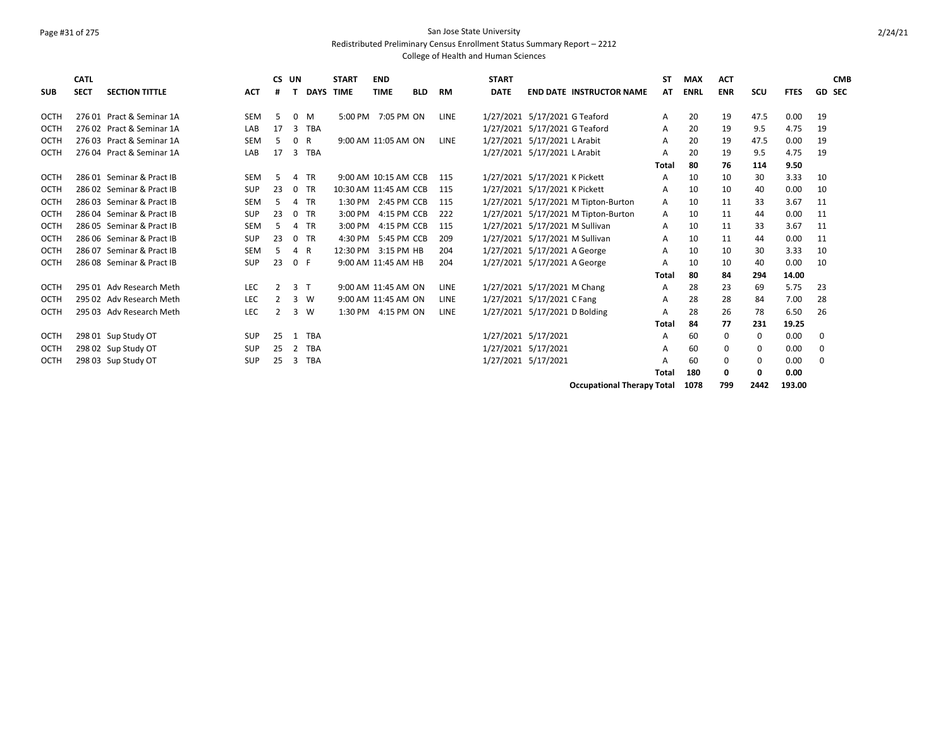### Page #31 of 275 San Jose State University Redistributed Preliminary Census Enrollment Status Summary Report – 2212

College of Health and Human Sciences

| <b>SUB</b>  | <b>CATL</b><br><b>SECT</b> | <b>SECTION TITTLE</b>     | <b>ACT</b> | CS UN<br>#    |          |            | <b>START</b><br><b>DAYS TIME</b> | <b>END</b><br><b>TIME</b> | <b>BLD</b> | <b>RM</b>   | <b>START</b><br><b>DATE</b> | <b>END DATE INSTRUCTOR NAME</b>     | <b>ST</b><br>AT | <b>MAX</b><br><b>ENRL</b> | <b>ACT</b><br><b>ENR</b> | scu  | <b>FTES</b> | <b>CMB</b><br><b>GD SEC</b> |
|-------------|----------------------------|---------------------------|------------|---------------|----------|------------|----------------------------------|---------------------------|------------|-------------|-----------------------------|-------------------------------------|-----------------|---------------------------|--------------------------|------|-------------|-----------------------------|
| OCTH        |                            | 276 01 Pract & Seminar 1A | <b>SEM</b> | 5             | $\Omega$ | M          |                                  | 5:00 PM 7:05 PM ON        |            | <b>LINE</b> |                             | 1/27/2021 5/17/2021 G Teaford       | A               | 20                        | 19                       | 47.5 | 0.00        | 19                          |
| OCTH        |                            | 276 02 Pract & Seminar 1A | LAB        | 17            | 3        | <b>TBA</b> |                                  |                           |            |             |                             | 1/27/2021 5/17/2021 G Teaford       | A               | 20                        | 19                       | 9.5  | 4.75        | 19                          |
| <b>OCTH</b> |                            | 276 03 Pract & Seminar 1A | <b>SEM</b> | 5.            | $\Omega$ | R          |                                  | 9:00 AM 11:05 AM ON       |            | LINE        |                             | 1/27/2021 5/17/2021 L Arabit        | A               | 20                        | 19                       | 47.5 | 0.00        | 19                          |
| <b>OCTH</b> |                            | 276 04 Pract & Seminar 1A | LAB        | 17            | 3        | <b>TBA</b> |                                  |                           |            |             |                             | 1/27/2021 5/17/2021 L Arabit        | A               | 20                        | 19                       | 9.5  | 4.75        | 19                          |
|             |                            |                           |            |               |          |            |                                  |                           |            |             |                             |                                     | Total           | 80                        | 76                       | 114  | 9.50        |                             |
| OCTH        |                            | 286 01 Seminar & Pract IB | <b>SEM</b> | -5            | 4        | TR         |                                  | 9:00 AM 10:15 AM CCB      |            | 115         |                             | 1/27/2021 5/17/2021 K Pickett       | A               | 10                        | 10                       | 30   | 3.33        | 10                          |
| <b>OCTH</b> |                            | 286 02 Seminar & Pract IB | <b>SUP</b> | 23            | $\Omega$ | TR         | 10:30 AM 11:45 AM CCB            |                           |            | 115         |                             | 1/27/2021 5/17/2021 K Pickett       | A               | 10                        | 10                       | 40   | 0.00        | 10                          |
| <b>OCTH</b> |                            | 286 03 Seminar & Pract IB | <b>SEM</b> | 5             | Δ        | <b>TR</b>  |                                  | 1:30 PM 2:45 PM CCB       |            | 115         |                             | 1/27/2021 5/17/2021 M Tipton-Burton | A               | 10                        | 11                       | 33   | 3.67        | 11                          |
| <b>OCTH</b> |                            | 286 04 Seminar & Pract IB | <b>SUP</b> | 23            | $\Omega$ | <b>TR</b>  |                                  | 3:00 PM 4:15 PM CCB       |            | 222         |                             | 1/27/2021 5/17/2021 M Tipton-Burton | A               | 10                        | 11                       | 44   | 0.00        | 11                          |
| <b>OCTH</b> |                            | 286 05 Seminar & Pract IB | <b>SEM</b> | 5             | 4        | <b>TR</b>  | 3:00 PM                          | 4:15 PM CCB               |            | 115         |                             | 1/27/2021 5/17/2021 M Sullivan      | A               | 10                        | 11                       | 33   | 3.67        | 11                          |
| <b>OCTH</b> |                            | 286 06 Seminar & Pract IB | <b>SUP</b> | 23            | $\Omega$ | TR         | 4:30 PM                          | 5:45 PM CCB               |            | 209         |                             | 1/27/2021 5/17/2021 M Sullivan      | Α               | 10                        | 11                       | 44   | 0.00        | 11                          |
| <b>OCTH</b> |                            | 286 07 Seminar & Pract IB | <b>SEM</b> | 5             | 4        | R          | 12:30 PM                         | 3:15 PM HB                |            | 204         |                             | 1/27/2021 5/17/2021 A George        | A               | 10                        | 10                       | 30   | 3.33        | 10                          |
| <b>OCTH</b> |                            | 286 08 Seminar & Pract IB | <b>SUP</b> | 23            | 0 F      |            |                                  | 9:00 AM 11:45 AM HB       |            | 204         |                             | 1/27/2021 5/17/2021 A George        | A               | 10                        | 10                       | 40   | 0.00        | 10                          |
|             |                            |                           |            |               |          |            |                                  |                           |            |             |                             |                                     | Total           | 80                        | 84                       | 294  | 14.00       |                             |
| <b>OCTH</b> |                            | 295 01 Adv Research Meth  | <b>LEC</b> | $\mathcal{P}$ | 3        | $\top$     |                                  | 9:00 AM 11:45 AM ON       |            | LINE        |                             | 1/27/2021 5/17/2021 M Chang         | Α               | 28                        | 23                       | 69   | 5.75        | 23                          |
| OCTH        |                            | 295 02 Adv Research Meth  | <b>LEC</b> | 2             | 3        | W          |                                  | 9:00 AM 11:45 AM ON       |            | LINE        |                             | 1/27/2021 5/17/2021 C Fang          | Α               | 28                        | 28                       | 84   | 7.00        | 28                          |
| <b>OCTH</b> |                            | 295 03 Adv Research Meth  | <b>LEC</b> | $\mathcal{P}$ | 3        | W          |                                  | 1:30 PM 4:15 PM ON        |            | LINE        |                             | 1/27/2021 5/17/2021 D Bolding       | А               | 28                        | 26                       | 78   | 6.50        | 26                          |
|             |                            |                           |            |               |          |            |                                  |                           |            |             |                             |                                     | Total           | 84                        | 77                       | 231  | 19.25       |                             |
| OCTH        |                            | 298 01 Sup Study OT       | <b>SUP</b> | 25            | 1        | <b>TBA</b> |                                  |                           |            |             |                             | 1/27/2021 5/17/2021                 | A               | 60                        | 0                        | 0    | 0.00        | 0                           |
| <b>OCTH</b> |                            | 298 02 Sup Study OT       | <b>SUP</b> | 25            | 2        | <b>TBA</b> |                                  |                           |            |             |                             | 1/27/2021 5/17/2021                 | A               | 60                        | 0                        | 0    | 0.00        | 0                           |
| <b>OCTH</b> |                            | 298 03 Sup Study OT       | <b>SUP</b> | 25            | 3        | <b>TBA</b> |                                  |                           |            |             |                             | 1/27/2021 5/17/2021                 | A               | 60                        | $\Omega$                 | 0    | 0.00        | $\Omega$                    |
|             |                            |                           |            |               |          |            |                                  |                           |            |             |                             |                                     | Total           | 180                       | 0                        | 0    | 0.00        |                             |

**Occupational Therapy Total 1078 799 2442 193.00**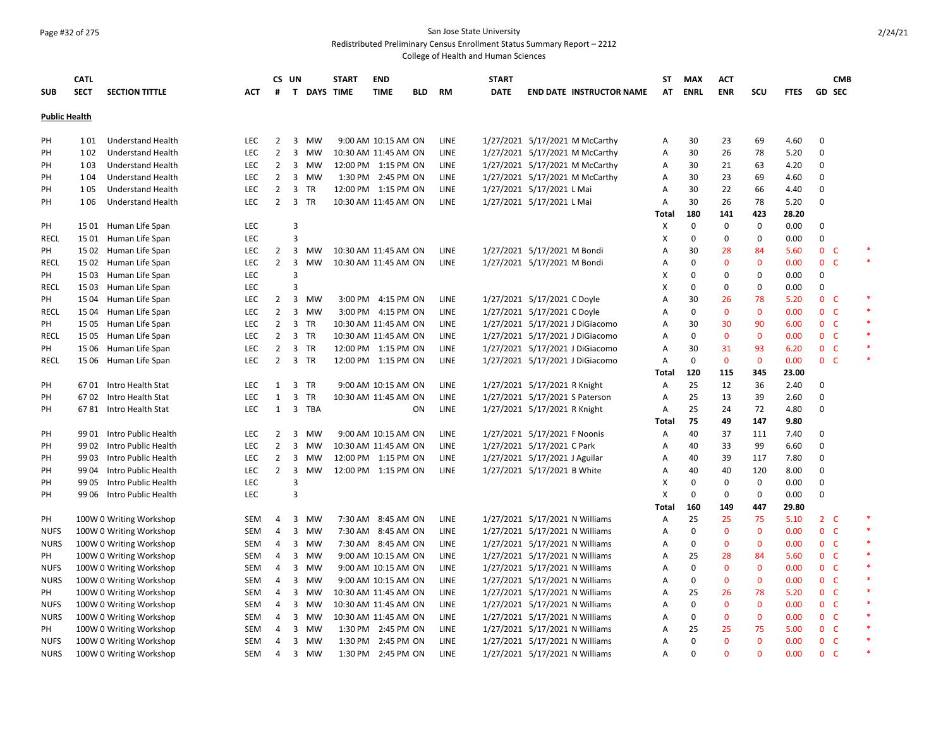### Page #32 of 275 San Jose State University

Redistributed Preliminary Census Enrollment Status Summary Report – 2212

| <b>SUB</b>           | <b>CATL</b><br><b>SECT</b> | <b>SECTION TITTLE</b>    | ACT        | CS UN<br>#     |                         | <b>T DAYS TIME</b> | <b>START</b>         | <b>END</b><br><b>TIME</b> | <b>BLD</b> | RM          | <b>START</b><br><b>DATE</b> | <b>END DATE INSTRUCTOR NAME</b> | ST<br>AT       | MAX<br><b>ENRL</b> | <b>ACT</b><br><b>ENR</b> | <b>SCU</b>   | <b>FTES</b> | <b>CMB</b><br><b>GD SEC</b> |        |
|----------------------|----------------------------|--------------------------|------------|----------------|-------------------------|--------------------|----------------------|---------------------------|------------|-------------|-----------------------------|---------------------------------|----------------|--------------------|--------------------------|--------------|-------------|-----------------------------|--------|
|                      |                            |                          |            |                |                         |                    |                      |                           |            |             |                             |                                 |                |                    |                          |              |             |                             |        |
| <b>Public Health</b> |                            |                          |            |                |                         |                    |                      |                           |            |             |                             |                                 |                |                    |                          |              |             |                             |        |
| PH                   | 101                        | <b>Understand Health</b> | LEC        | 2              | 3                       | MW                 |                      | 9:00 AM 10:15 AM ON       |            | <b>LINE</b> |                             | 1/27/2021 5/17/2021 M McCarthy  | Α              | 30                 | 23                       | 69           | 4.60        | $\Omega$                    |        |
| PH                   | 102                        | <b>Understand Health</b> | <b>LEC</b> | $\overline{2}$ |                         | 3 MW               | 10:30 AM 11:45 AM ON |                           |            | LINE        |                             | 1/27/2021 5/17/2021 M McCarthy  | Α              | 30                 | 26                       | 78           | 5.20        | $\mathbf 0$                 |        |
| PH                   | 103                        | <b>Understand Health</b> | <b>LEC</b> | $\overline{2}$ |                         | 3 MW               | 12:00 PM 1:15 PM ON  |                           |            | LINE        |                             | 1/27/2021 5/17/2021 M McCarthy  | Α              | 30                 | 21                       | 63           | 4.20        | 0                           |        |
| <b>PH</b>            | 104                        | <b>Understand Health</b> | <b>LEC</b> | $\overline{2}$ |                         | 3 MW               |                      | 1:30 PM 2:45 PM ON        |            | LINE        |                             | 1/27/2021 5/17/2021 M McCarthy  | Α              | 30                 | 23                       | 69           | 4.60        | $\mathbf 0$                 |        |
| PH                   | 105                        | <b>Understand Health</b> | LEC        | $\overline{2}$ |                         | 3 TR               | 12:00 PM 1:15 PM ON  |                           |            | LINE        |                             | 1/27/2021 5/17/2021 L Mai       | Α              | 30                 | 22                       | 66           | 4.40        | 0                           |        |
| PH                   | 1 0 6                      | <b>Understand Health</b> | <b>LEC</b> | $\overline{2}$ | $\overline{3}$          | <b>TR</b>          | 10:30 AM 11:45 AM ON |                           |            | <b>LINE</b> |                             | 1/27/2021 5/17/2021 L Mai       | Α              | 30                 | 26                       | 78           | 5.20        | 0                           |        |
|                      |                            |                          |            |                |                         |                    |                      |                           |            |             |                             |                                 | Total          | 180                | 141                      | 423          | 28.20       |                             |        |
| PH                   | 15 01                      | Human Life Span          | LEC        |                | 3                       |                    |                      |                           |            |             |                             |                                 | Χ              | $\mathbf 0$        | $\mathbf 0$              | 0            | 0.00        | 0                           |        |
| <b>RECL</b>          | 15 01                      | Human Life Span          | LEC        |                | 3                       |                    |                      |                           |            |             |                             |                                 | х              | $\mathbf 0$        | $\mathbf 0$              | $\pmb{0}$    | 0.00        | $\mathbf 0$                 |        |
| PH                   |                            | 1502 Human Life Span     | <b>LEC</b> | $\overline{2}$ | $\overline{3}$          | MW                 | 10:30 AM 11:45 AM ON |                           |            | LINE        |                             | 1/27/2021 5/17/2021 M Bondi     | A              | 30                 | 28                       | 84           | 5.60        | $\mathbf{0}$<br>- C         |        |
| <b>RECL</b>          | 15 02                      | Human Life Span          | <b>LEC</b> | $\overline{2}$ | $\overline{3}$          | MW                 | 10:30 AM 11:45 AM ON |                           |            | LINE        |                             | 1/27/2021 5/17/2021 M Bondi     | Α              | $\mathbf 0$        | $\mathbf 0$              | $\mathbf 0$  | 0.00        | 0 <sub>c</sub>              |        |
| PH                   | 1503                       | Human Life Span          | <b>LEC</b> |                | 3                       |                    |                      |                           |            |             |                             |                                 | х              | 0                  | 0                        | 0            | 0.00        | 0                           |        |
| <b>RECL</b>          | 1503                       | Human Life Span          | <b>LEC</b> |                | 3                       |                    |                      |                           |            |             |                             |                                 | х              | 0                  | 0                        | 0            | 0.00        | $\mathbf 0$                 |        |
| PH                   | 1504                       | Human Life Span          | <b>LEC</b> | $\overline{2}$ | 3                       | MW                 |                      | 3:00 PM 4:15 PM ON        |            | LINE        |                             | 1/27/2021 5/17/2021 C Doyle     | $\overline{A}$ | 30                 | 26                       | 78           | 5.20        | 0 <sup>o</sup>              |        |
| <b>RECL</b>          | 15 04                      | Human Life Span          | <b>LEC</b> | $\overline{2}$ | 3                       | MW                 |                      | 3:00 PM 4:15 PM ON        |            | LINE        |                             | 1/27/2021 5/17/2021 C Doyle     | A              | $\mathbf 0$        | $\mathbf 0$              | $\mathbf{0}$ | 0.00        | 0 <sub>c</sub>              | $\ast$ |
| PH                   | 15 05                      | Human Life Span          | <b>LEC</b> | $\overline{2}$ |                         | 3 TR               | 10:30 AM 11:45 AM ON |                           |            | LINE        |                             | 1/27/2021 5/17/2021 J DiGiacomo | Α              | 30                 | 30                       | 90           | 6.00        | 0 <sub>c</sub>              | $\ast$ |
| <b>RECL</b>          | 15 05                      | Human Life Span          | LEC        | $\overline{2}$ |                         | 3 TR               | 10:30 AM 11:45 AM ON |                           |            | LINE        |                             | 1/27/2021 5/17/2021 J DiGiacomo | $\overline{A}$ | $\mathbf 0$        | $\mathbf 0$              | $\mathbf{0}$ | 0.00        | 0 <sup>o</sup>              | $\ast$ |
| PH                   | 15 06                      | Human Life Span          | LEC        | $\overline{2}$ |                         | 3 TR               | 12:00 PM 1:15 PM ON  |                           |            | LINE        |                             | 1/27/2021 5/17/2021 J DiGiacomo | Α              | 30                 | 31                       | 93           | 6.20        | 0 <sup>o</sup>              |        |
| <b>RECL</b>          |                            | 1506 Human Life Span     | <b>LEC</b> | $\overline{2}$ |                         | 3 TR               | 12:00 PM 1:15 PM ON  |                           |            | LINE        |                             | 1/27/2021 5/17/2021 J DiGiacomo | Α              | $\mathbf 0$        | $\Omega$                 | $\mathbf{0}$ | 0.00        | 0 <sup>o</sup>              | $\ast$ |
|                      |                            |                          |            |                |                         |                    |                      |                           |            |             |                             |                                 | Total          | 120                | 115                      | 345          | 23.00       |                             |        |
| PH                   |                            | 6701 Intro Health Stat   | LEC        | $\mathbf{1}$   |                         | 3 TR               |                      | 9:00 AM 10:15 AM ON       |            | LINE        |                             | 1/27/2021 5/17/2021 R Knight    | Α              | 25                 | 12                       | 36           | 2.40        | 0                           |        |
| PH                   | 6702                       | Intro Health Stat        | LEC        | $\mathbf{1}$   |                         | 3 TR               | 10:30 AM 11:45 AM ON |                           |            | LINE        |                             | 1/27/2021 5/17/2021 S Paterson  | Α              | 25                 | 13                       | 39           | 2.60        | $\pmb{0}$                   |        |
| PH                   |                            | 6781 Intro Health Stat   | <b>LEC</b> | $\mathbf{1}$   |                         | 3 TBA              |                      |                           | ON         | LINE        |                             | 1/27/2021 5/17/2021 R Knight    | Α              | 25                 | 24                       | 72           | 4.80        | $\mathbf 0$                 |        |
|                      |                            |                          |            |                |                         |                    |                      |                           |            |             |                             |                                 | Total          | 75                 | 49                       | 147          | 9.80        |                             |        |
| PH                   | 9901                       | Intro Public Health      | LEC        | 2              | $\overline{3}$          | MW                 |                      | 9:00 AM 10:15 AM ON       |            | LINE        |                             | 1/27/2021 5/17/2021 F Noonis    | Α              | 40                 | 37                       | 111          | 7.40        | 0                           |        |
| PH                   | 9902                       | Intro Public Health      | LEC        | $\overline{2}$ | $\overline{3}$          | MW                 | 10:30 AM 11:45 AM ON |                           |            | LINE        |                             | 1/27/2021 5/17/2021 C Park      | Α              | 40                 | 33                       | 99           | 6.60        | $\mathbf 0$                 |        |
| PH                   | 99 03                      | Intro Public Health      | <b>LEC</b> | $\overline{2}$ | 3                       | <b>MW</b>          | 12:00 PM 1:15 PM ON  |                           |            | <b>LINE</b> |                             | 1/27/2021 5/17/2021 J Aguilar   | A              | 40                 | 39                       | 117          | 7.80        | $\Omega$                    |        |
| PH                   | 9904                       | Intro Public Health      | <b>LEC</b> | $\overline{2}$ | $\overline{3}$          | <b>MW</b>          | 12:00 PM 1:15 PM ON  |                           |            | LINE        |                             | 1/27/2021 5/17/2021 B White     | Α              | 40                 | 40                       | 120          | 8.00        | $\pmb{0}$                   |        |
| PH                   | 99 05                      | Intro Public Health      | <b>LEC</b> |                | $\overline{3}$          |                    |                      |                           |            |             |                             |                                 | х              | 0                  | $\mathbf 0$              | 0            | 0.00        | $\mathbf 0$                 |        |
| PH                   | 99 06                      | Intro Public Health      | <b>LEC</b> |                | 3                       |                    |                      |                           |            |             |                             |                                 | X              | $\mathbf 0$        | 0                        | 0            | 0.00        | $\mathbf 0$                 |        |
|                      |                            |                          |            |                |                         |                    |                      |                           |            |             |                             |                                 | Total          | 160                | 149                      | 447          | 29.80       |                             |        |
| PH                   |                            | 100W 0 Writing Workshop  | <b>SEM</b> | 4              | 3                       | MW                 |                      | 7:30 AM 8:45 AM ON        |            | LINE        |                             | 1/27/2021 5/17/2021 N Williams  | Α              | 25                 | 25                       | 75           | 5.10        | $2\degree$ C                |        |
| <b>NUFS</b>          |                            | 100W 0 Writing Workshop  | <b>SEM</b> | 4              |                         | 3 MW               |                      | 7:30 AM 8:45 AM ON        |            | LINE        |                             | 1/27/2021 5/17/2021 N Williams  | Α              | $\mathbf 0$        | $\mathbf 0$              | $\mathbf 0$  | 0.00        | 0 <sub>c</sub>              | $\ast$ |
| <b>NURS</b>          |                            | 100W 0 Writing Workshop  | SEM        | 4              |                         | 3 MW               |                      | 7:30 AM 8:45 AM ON        |            | LINE        |                             | 1/27/2021 5/17/2021 N Williams  | Α              | $\mathbf 0$        | $\mathbf 0$              | $\mathbf 0$  | 0.00        | 0 <sup>o</sup>              | $\ast$ |
| PH                   |                            | 100W 0 Writing Workshop  | SEM        | 4              | 3                       | MW                 |                      | 9:00 AM 10:15 AM ON       |            | LINE        |                             | 1/27/2021 5/17/2021 N Williams  | A              | 25                 | 28                       | 84           | 5.60        | 0 <sub>c</sub>              | $\ast$ |
| <b>NUFS</b>          |                            | 100W 0 Writing Workshop  | <b>SEM</b> | 4              | $\overline{\mathbf{3}}$ | MW                 |                      | 9:00 AM 10:15 AM ON       |            | LINE        |                             | 1/27/2021 5/17/2021 N Williams  | A              | $\mathbf 0$        | $\Omega$                 | $\mathbf 0$  | 0.00        | 0 <sup>o</sup>              | $\ast$ |
| <b>NURS</b>          |                            | 100W 0 Writing Workshop  | <b>SEM</b> | 4              | $\overline{3}$          | MW                 |                      | 9:00 AM 10:15 AM ON       |            | LINE        |                             | 1/27/2021 5/17/2021 N Williams  | $\overline{A}$ | $\mathbf 0$        | $\mathbf 0$              | $\mathbf 0$  | 0.00        | 0 <sup>o</sup>              | $\ast$ |
| PH                   |                            | 100W 0 Writing Workshop  | SEM        | 4              |                         | 3 MW               | 10:30 AM 11:45 AM ON |                           |            | LINE        |                             | 1/27/2021 5/17/2021 N Williams  | Α              | 25                 | 26                       | 78           | 5.20        | 0 <sub>c</sub>              | $\ast$ |
| <b>NUFS</b>          |                            | 100W 0 Writing Workshop  | SEM        | 4              | $\overline{\mathbf{3}}$ | MW                 | 10:30 AM 11:45 AM ON |                           |            | LINE        |                             | 1/27/2021 5/17/2021 N Williams  | Α              | 0                  | 0                        | $\mathbf 0$  | 0.00        | 0 <sup>o</sup>              | $\ast$ |
| <b>NURS</b>          |                            | 100W 0 Writing Workshop  | SEM        | 4              |                         | 3 MW               | 10:30 AM 11:45 AM ON |                           |            | LINE        |                             | 1/27/2021 5/17/2021 N Williams  | $\overline{A}$ | 0                  | $\mathbf{0}$             | $\mathbf{0}$ | 0.00        | 0 <sub>c</sub>              | $\ast$ |
| PH                   |                            | 100W 0 Writing Workshop  | SEM        | 4              | 3                       | MW                 |                      | 1:30 PM 2:45 PM ON        |            | LINE        |                             | 1/27/2021 5/17/2021 N Williams  | Α              | 25                 | 25                       | 75           | 5.00        | 0 <sub>c</sub>              | $\ast$ |
| <b>NUFS</b>          |                            | 100W 0 Writing Workshop  | SEM        | 4              |                         | 3 MW               |                      | 1:30 PM 2:45 PM ON        |            | LINE        |                             | 1/27/2021 5/17/2021 N Williams  | Α              | $\mathbf 0$        | $\mathbf 0$              | $\mathbf 0$  | 0.00        | 0 <sup>o</sup>              | $\ast$ |
| <b>NURS</b>          |                            | 100W 0 Writing Workshop  | SEM        | 4              | $\overline{3}$          | MW                 |                      | 1:30 PM 2:45 PM ON        |            | <b>LINE</b> |                             | 1/27/2021 5/17/2021 N Williams  | $\overline{A}$ | $\Omega$           | $\Omega$                 | $\Omega$     | 0.00        | $\Omega$<br>-C              |        |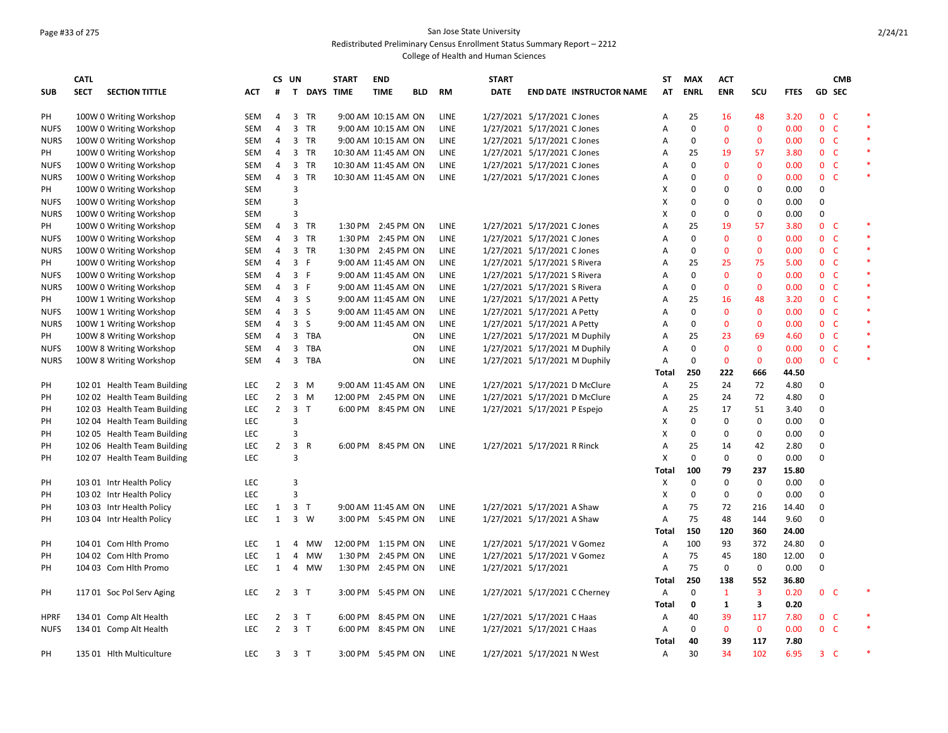## Page #33 of 275 San Jose State University

Redistributed Preliminary Census Enrollment Status Summary Report – 2212

|             | <b>CATL</b> |                             |            | CS UN          |                |                    | <b>START</b> | <b>END</b>           |            |             | <b>START</b> |                                 | ST             | <b>MAX</b>  | <b>ACT</b>   |              |             |                | <b>CMB</b>    |                  |
|-------------|-------------|-----------------------------|------------|----------------|----------------|--------------------|--------------|----------------------|------------|-------------|--------------|---------------------------------|----------------|-------------|--------------|--------------|-------------|----------------|---------------|------------------|
| <b>SUB</b>  | <b>SECT</b> | <b>SECTION TITTLE</b>       | ACT        | #              |                | <b>T DAYS TIME</b> |              | <b>TIME</b>          | <b>BLD</b> | <b>RM</b>   | <b>DATE</b>  | <b>END DATE INSTRUCTOR NAME</b> | AT             | <b>ENRL</b> | <b>ENR</b>   | SCU          | <b>FTES</b> |                | <b>GD SEC</b> |                  |
| PH          |             | 100W 0 Writing Workshop     | <b>SEM</b> | 4              |                | 3 TR               |              | 9:00 AM 10:15 AM ON  |            | <b>LINE</b> |              | 1/27/2021 5/17/2021 C Jones     | A              | 25          | <b>16</b>    | 48           | 3.20        | 0 <sup>o</sup> |               |                  |
| <b>NUFS</b> |             | 100W 0 Writing Workshop     | <b>SEM</b> | 4              | 3              | TR                 |              | 9:00 AM 10:15 AM ON  |            | <b>LINE</b> |              | 1/27/2021 5/17/2021 C Jones     | Α              | $\mathbf 0$ | $\mathbf 0$  | $\mathbf 0$  | 0.00        | 0 <sub>c</sub> |               | $\ast$           |
| <b>NURS</b> |             | 100W 0 Writing Workshop     | <b>SEM</b> | $\overline{4}$ |                | 3 TR               |              | 9:00 AM 10:15 AM ON  |            | <b>LINE</b> |              | 1/27/2021 5/17/2021 C Jones     | A              | 0           | 0            | $\mathbf{0}$ | 0.00        | 0 <sup>o</sup> |               | $\ast$           |
| PH          |             | 100W 0 Writing Workshop     | <b>SEM</b> | 4              |                | 3 TR               |              | 10:30 AM 11:45 AM ON |            | LINE        |              | 1/27/2021 5/17/2021 C Jones     | Α              | 25          | 19           | 57           | 3.80        | 0 <sub>c</sub> |               | $\ast$           |
| <b>NUFS</b> |             | 100W 0 Writing Workshop     | <b>SEM</b> | 4              | 3              | TR                 |              | 10:30 AM 11:45 AM ON |            | LINE        |              | 1/27/2021 5/17/2021 C Jones     | A              | 0           | $\mathbf{0}$ | $\mathbf{0}$ | 0.00        | 0 <sup>o</sup> |               | $\ast$           |
| <b>NURS</b> |             | 100W 0 Writing Workshop     | <b>SEM</b> | 4              | 3              | TR                 |              | 10:30 AM 11:45 AM ON |            | LINE        |              | 1/27/2021 5/17/2021 C Jones     | Α              | 0           | $\mathbf{0}$ | $\mathbf 0$  | 0.00        | $\mathbf{0}$   | - C           | $\ast$           |
| PH          |             | 100W 0 Writing Workshop     | <b>SEM</b> |                | 3              |                    |              |                      |            |             |              |                                 | х              | 0           | 0            | $\mathbf 0$  | 0.00        | $\mathbf 0$    |               |                  |
| <b>NUFS</b> |             | 100W 0 Writing Workshop     | <b>SEM</b> |                | 3              |                    |              |                      |            |             |              |                                 | х              | 0           | $\Omega$     | $\mathbf 0$  | 0.00        | 0              |               |                  |
| <b>NURS</b> |             | 100W 0 Writing Workshop     | <b>SEM</b> |                | $\overline{3}$ |                    |              |                      |            |             |              |                                 | X              | 0           | $\Omega$     | $\mathbf 0$  | 0.00        | $\Omega$       |               | $\ast$           |
| PH          |             | 100W 0 Writing Workshop     | SEM        | 4              |                | 3 TR               |              | 1:30 PM 2:45 PM ON   |            | LINE        |              | 1/27/2021 5/17/2021 C Jones     | A              | 25          | 19           | 57           | 3.80        | $\mathbf{0}$   | - C           | $\ast$           |
| <b>NUFS</b> |             | 100W 0 Writing Workshop     | <b>SEM</b> | 4              |                | 3 TR               |              | 1:30 PM 2:45 PM ON   |            | <b>LINE</b> |              | 1/27/2021 5/17/2021 C Jones     | A              | $\mathbf 0$ | $\mathbf 0$  | $\mathbf{0}$ | 0.00        | 0 <sup>o</sup> |               | $\ast$           |
| <b>NURS</b> |             | 100W 0 Writing Workshop     | <b>SEM</b> | 4              | 3              | <b>TR</b>          |              | 1:30 PM 2:45 PM ON   |            | LINE        |              | 1/27/2021 5/17/2021 C Jones     | Α              | 0           | $\mathbf 0$  | $\mathbf 0$  | 0.00        | 0 <sup>o</sup> |               | $\ast$           |
| PH          |             | 100W 0 Writing Workshop     | <b>SEM</b> | $\overline{4}$ | 3 F            |                    |              | 9:00 AM 11:45 AM ON  |            | <b>LINE</b> |              | 1/27/2021 5/17/2021 S Rivera    | A              | 25          | 25           | 75           | 5.00        | 0 <sup>o</sup> |               | $\ast$           |
| <b>NUFS</b> |             | 100W 0 Writing Workshop     | <b>SEM</b> | 4              | 3 F            |                    |              | 9:00 AM 11:45 AM ON  |            | <b>LINE</b> |              | 1/27/2021 5/17/2021 S Rivera    | $\overline{A}$ | $\Omega$    | $\Omega$     | $\mathbf 0$  | 0.00        | 0 <sup>o</sup> |               | $\ast$           |
| <b>NURS</b> |             | 100W 0 Writing Workshop     | <b>SEM</b> | $\overline{4}$ | 3 F            |                    |              | 9:00 AM 11:45 AM ON  |            | LINE        |              | 1/27/2021 5/17/2021 S Rivera    | Α              | 0           | $\mathbf{0}$ | $\mathbf{0}$ | 0.00        | 0 <sup>o</sup> |               |                  |
| PH          |             | 100W 1 Writing Workshop     | <b>SEM</b> | $\overline{4}$ | 3 <sub>5</sub> |                    |              | 9:00 AM 11:45 AM ON  |            | LINE        |              | 1/27/2021 5/17/2021 A Petty     | A              | 25          | <b>16</b>    | 48           | 3.20        | 0 <sup>o</sup> |               | $\ast$<br>$\ast$ |
| <b>NUFS</b> |             | 100W 1 Writing Workshop     | <b>SEM</b> | 4              | 3 <sub>5</sub> |                    |              | 9:00 AM 11:45 AM ON  |            | LINE        |              | 1/27/2021 5/17/2021 A Petty     | Α              | 0           | $\mathbf 0$  | $\mathbf 0$  | 0.00        | 0 <sub>c</sub> |               |                  |
| <b>NURS</b> |             | 100W 1 Writing Workshop     | <b>SEM</b> | $\overline{4}$ | 3              | <sub>S</sub>       |              | 9:00 AM 11:45 AM ON  |            | <b>LINE</b> |              | 1/27/2021 5/17/2021 A Petty     | A              | 0           | $\mathbf{0}$ | $\mathbf{0}$ | 0.00        | 0 <sub>c</sub> |               | $\ast$           |
| PH          |             | 100W 8 Writing Workshop     | <b>SEM</b> | 4              | 3              | TBA                |              |                      | 0N         | <b>LINE</b> |              | 1/27/2021 5/17/2021 M Duphily   | $\overline{A}$ | 25          | 23           | 69           | 4.60        | 0 <sup>o</sup> |               | $\ast$           |
| <b>NUFS</b> |             | 100W 8 Writing Workshop     | <b>SEM</b> | 4              | 3              | TBA                |              |                      | ON         | LINE        |              | 1/27/2021 5/17/2021 M Duphily   | Α              | 0           | 0            | $\mathbf 0$  | 0.00        | 0 <sup>o</sup> |               | $\ast$           |
| <b>NURS</b> |             | 100W 8 Writing Workshop     | <b>SEM</b> | $\overline{4}$ | 3              | TBA                |              |                      | ON         | LINE        |              | 1/27/2021 5/17/2021 M Duphily   | A              | $\mathbf 0$ | $\mathbf 0$  | $\mathbf{0}$ | 0.00        | 0 <sup>o</sup> |               | $\ast$           |
|             |             |                             |            |                |                |                    |              |                      |            |             |              |                                 | Total          | 250         | 222          | 666          | 44.50       |                |               |                  |
| PH          |             | 102 01 Health Team Building | <b>LEC</b> | 2              | 3              | M                  |              | 9:00 AM 11:45 AM ON  |            | <b>LINE</b> |              | 1/27/2021 5/17/2021 D McClure   | A              | 25          | 24           | 72           | 4.80        | $\Omega$       |               |                  |
| PH          |             | 102 02 Health Team Building | <b>LEC</b> | $\overline{2}$ |                | $3 \, M$           |              | 12:00 PM 2:45 PM ON  |            | LINE        |              | 1/27/2021 5/17/2021 D McClure   | $\overline{A}$ | 25          | 24           | 72           | 4.80        | $\mathbf 0$    |               |                  |
| PH          |             | 102 03 Health Team Building | <b>LEC</b> | $\overline{2}$ | 3 <sub>T</sub> |                    |              | 6:00 PM 8:45 PM ON   |            | LINE        |              | 1/27/2021 5/17/2021 P Espejo    | Α              | 25          | 17           | 51           | 3.40        | 0              |               |                  |
| PH          |             | 102 04 Health Team Building | <b>LEC</b> |                | 3              |                    |              |                      |            |             |              |                                 | х              | 0           | 0            | $\mathbf 0$  | 0.00        | 0              |               |                  |
| PH          |             | 102 05 Health Team Building | <b>LEC</b> |                | 3              |                    |              |                      |            |             |              |                                 | X              | 0           | 0            | 0            | 0.00        | 0              |               |                  |
| PH          |             | 102 06 Health Team Building | <b>LEC</b> | $\overline{2}$ | 3 R            |                    |              | 6:00 PM 8:45 PM ON   |            | <b>LINE</b> |              | 1/27/2021 5/17/2021 R Rinck     | A              | 25          | 14           | 42           | 2.80        | 0              |               |                  |
| PH          |             | 102 07 Health Team Building | <b>LEC</b> |                | 3              |                    |              |                      |            |             |              |                                 | Χ              | $\mathbf 0$ | 0            | $\mathbf 0$  | 0.00        | $\Omega$       |               |                  |
|             |             |                             |            |                |                |                    |              |                      |            |             |              |                                 | Total          | 100         | 79           | 237          | 15.80       |                |               |                  |
| PH          |             | 103 01 Intr Health Policy   | <b>LEC</b> |                | 3              |                    |              |                      |            |             |              |                                 | х              | 0           | 0            | 0            | 0.00        | 0              |               |                  |
| PH          |             | 103 02 Intr Health Policy   | LEC        |                | 3              |                    |              |                      |            |             |              |                                 | X              | 0           | 0            | 0            | 0.00        | 0              |               |                  |
| PH          |             | 103 03 Intr Health Policy   | <b>LEC</b> | 1              | 3 <sub>T</sub> |                    |              | 9:00 AM 11:45 AM ON  |            | LINE        |              | 1/27/2021 5/17/2021 A Shaw      | A              | 75          | 72           | 216          | 14.40       | $\Omega$       |               |                  |
| PH          |             | 103 04 Intr Health Policy   | <b>LEC</b> | $\mathbf{1}$   |                | $3 \quad W$        |              | 3:00 PM 5:45 PM ON   |            | LINE        |              | 1/27/2021 5/17/2021 A Shaw      | A              | 75          | 48           | 144          | 9.60        | 0              |               |                  |
|             |             |                             |            |                |                |                    |              |                      |            |             |              |                                 | Total          | 150         | 120          | 360          | 24.00       |                |               |                  |
| PH          |             | 104 01 Com Hith Promo       | <b>LEC</b> | $\mathbf{1}$   | $\overline{4}$ | <b>MW</b>          |              | 12:00 PM 1:15 PM ON  |            | LINE        |              | 1/27/2021 5/17/2021 V Gomez     | $\overline{A}$ | 100         | 93           | 372          | 24.80       | 0              |               |                  |
| PH          |             | 104 02 Com Hith Promo       | LEC        | 1              | 4              | MW                 | 1:30 PM      | 2:45 PM ON           |            | LINE        |              | 1/27/2021 5/17/2021 V Gomez     | Α              | 75          | 45           | 180          | 12.00       | 0              |               |                  |
| PH          |             | 104 03 Com Hith Promo       | <b>LEC</b> | 1              |                | 4 MW               |              | 1:30 PM 2:45 PM ON   |            | LINE        |              | 1/27/2021 5/17/2021             | Α              | 75          | 0            | 0            | 0.00        | 0              |               |                  |
|             |             |                             |            |                |                |                    |              |                      |            |             |              |                                 | Total          | 250         | 138          | 552          | 36.80       |                |               |                  |
| PH          |             | 11701 Soc Pol Serv Aging    | LEC        | $\overline{2}$ | 3 <sub>T</sub> |                    |              | 3:00 PM 5:45 PM ON   |            | LINE        |              | 1/27/2021 5/17/2021 C Cherney   | Α              | 0           | $\mathbf{1}$ | 3            | 0.20        | 0 <sup>o</sup> |               |                  |
|             |             |                             |            |                |                |                    |              |                      |            |             |              |                                 | Total          | 0           | 1            | 3            | 0.20        |                |               |                  |
| <b>HPRF</b> |             | 134 01 Comp Alt Health      | <b>LEC</b> | $\overline{2}$ | 3 <sub>T</sub> |                    | 6:00 PM      | 8:45 PM ON           |            | LINE        |              | 1/27/2021 5/17/2021 C Haas      | Α              | 40          | 39           | 117          | 7.80        | 0 <sup>o</sup> |               |                  |
| <b>NUFS</b> |             | 134 01 Comp Alt Health      | <b>LEC</b> | $\overline{2}$ | 3 <sub>T</sub> |                    | 6:00 PM      | 8:45 PM ON           |            | LINE        |              | 1/27/2021 5/17/2021 C Haas      | A              | $\mathbf 0$ | $\mathbf{0}$ | $\mathbf 0$  | 0.00        | 0 <sub>c</sub> |               | $\ast$           |
|             |             |                             |            |                |                |                    |              |                      |            |             |              |                                 | Total          | 40          | 39           | 117          | 7.80        |                |               |                  |
| PH          |             | 135 01 Hith Multiculture    | <b>LEC</b> | 3              | 3 T            |                    |              | 3:00 PM 5:45 PM ON   |            | LINE        |              | 1/27/2021 5/17/2021 N West      | Α              | 30          | 34           | 102          | 6.95        | $3-$           |               | $\ast$           |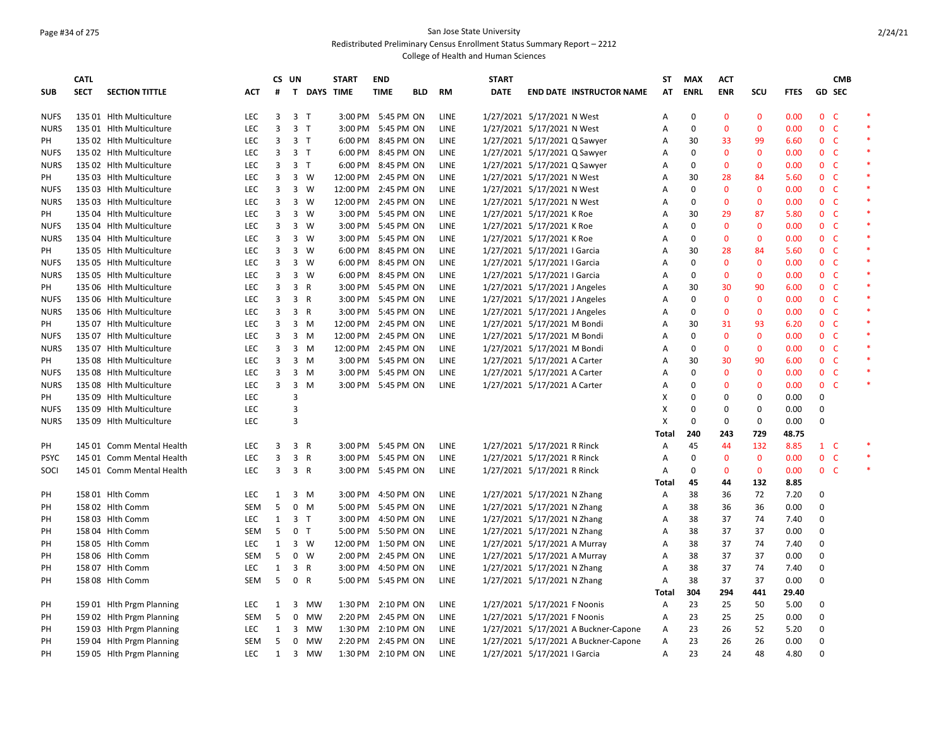## Page #34 of 275 San Jose State University

Redistributed Preliminary Census Enrollment Status Summary Report – 2212

|             | <b>CATL</b> |                           |            | CS UN        |                |                | <b>START</b> | <b>END</b>         |            |             | <b>START</b> |                                      | ST           | <b>MAX</b>  | <b>ACT</b>   |              |             |                | <b>CMB</b>    |        |
|-------------|-------------|---------------------------|------------|--------------|----------------|----------------|--------------|--------------------|------------|-------------|--------------|--------------------------------------|--------------|-------------|--------------|--------------|-------------|----------------|---------------|--------|
| <b>SUB</b>  | <b>SECT</b> | <b>SECTION TITTLE</b>     | ACT        | #            |                | T DAYS TIME    |              | <b>TIME</b>        | <b>BLD</b> | <b>RM</b>   | <b>DATE</b>  | <b>END DATE INSTRUCTOR NAME</b>      | AT           | <b>ENRL</b> | <b>ENR</b>   | SCU          | <b>FTES</b> |                | <b>GD SEC</b> |        |
| <b>NUFS</b> |             | 135 01 Hith Multiculture  | <b>LEC</b> | 3            | 3 <sub>1</sub> |                |              | 3:00 PM 5:45 PM ON |            | <b>LINE</b> |              | 1/27/2021 5/17/2021 N West           | A            | $\Omega$    | $\mathbf{0}$ | $\mathbf{0}$ | 0.00        | $\mathbf{0}$   | <b>C</b>      | $\ast$ |
| <b>NURS</b> |             | 135 01 Hith Multiculture  | LEC        | 3            | 3 <sub>T</sub> |                |              | 3:00 PM 5:45 PM ON |            | LINE        |              | 1/27/2021 5/17/2021 N West           | A            | $\mathbf 0$ | 0            | $\mathbf 0$  | 0.00        | $\mathbf 0$    | $\mathsf{C}$  | $\ast$ |
| PH          |             | 135 02 Hlth Multiculture  | LEC        | 3            | 3 <sub>T</sub> |                | 6:00 PM      | 8:45 PM ON         |            | <b>LINE</b> |              | 1/27/2021 5/17/2021 Q Sawyer         | Α            | 30          | 33           | 99           | 6.60        | 0 <sub>c</sub> |               | $\ast$ |
| <b>NUFS</b> |             | 135 02 Hlth Multiculture  | LEC        | 3            | 3 <sub>1</sub> |                | 6:00 PM      | 8:45 PM ON         |            | <b>LINE</b> |              | 1/27/2021 5/17/2021 Q Sawyer         | Α            | 0           | 0            | $\mathbf 0$  | 0.00        | 0 <sub>c</sub> |               | $\ast$ |
| <b>NURS</b> |             | 135 02 Hith Multiculture  | LEC        | 3            |                | 3 <sub>T</sub> | 6:00 PM      | 8:45 PM ON         |            | LINE        |              | 1/27/2021 5/17/2021 Q Sawyer         | Α            | 0           | $\mathbf{0}$ | $\mathbf{0}$ | 0.00        | 0 <sub>c</sub> |               | $\ast$ |
| PH          |             | 135 03 Hlth Multiculture  | LEC        | 3            |                | 3 W            | 12:00 PM     | 2:45 PM ON         |            | <b>LINE</b> |              | 1/27/2021 5/17/2021 N West           | A            | 30          | 28           | 84           | 5.60        | 0 <sup>o</sup> |               | $\ast$ |
| <b>NUFS</b> |             | 135 03 Hith Multiculture  | LEC        | 3            |                | 3 W            | 12:00 PM     | 2:45 PM ON         |            | LINE        |              | 1/27/2021 5/17/2021 N West           | Α            | $\mathbf 0$ | $\mathbf{0}$ | $\mathbf 0$  | 0.00        | $\mathbf{0}$   | $\mathsf{C}$  | $\ast$ |
| <b>NURS</b> |             | 135 03 Hlth Multiculture  | <b>LEC</b> | 3            |                | 3 W            | 12:00 PM     | 2:45 PM ON         |            | <b>LINE</b> |              | 1/27/2021 5/17/2021 N West           | Α            | 0           | $\mathbf{0}$ | $\mathbf 0$  | 0.00        | 0 <sup>o</sup> |               | $\ast$ |
| PH          |             | 135 04 Hlth Multiculture  | LEC        | 3            |                | 3 W            | 3:00 PM      | 5:45 PM ON         |            | <b>LINE</b> |              | 1/27/2021 5/17/2021 K Roe            | Α            | 30          | 29           | 87           | 5.80        | 0 <sup>o</sup> |               |        |
| <b>NUFS</b> |             | 135 04 Hith Multiculture  | LEC        | 3            |                | 3 W            | 3:00 PM      | 5:45 PM ON         |            | <b>LINE</b> |              | 1/27/2021 5/17/2021 K Roe            | Α            | 0           | $\mathbf{0}$ | $\mathbf 0$  | 0.00        | 0 <sub>c</sub> |               | $\ast$ |
| <b>NURS</b> |             | 135 04 Hlth Multiculture  | <b>LEC</b> | 3            |                | 3 W            | 3:00 PM      | 5:45 PM ON         |            | <b>LINE</b> |              | 1/27/2021 5/17/2021 K Roe            | Α            | 0           | $\mathbf{0}$ | $\mathbf 0$  | 0.00        | 0 <sup>o</sup> |               |        |
| PH          |             | 135 05 Hlth Multiculture  | LEC        | 3            | $\overline{3}$ | W              | 6:00 PM      | 8:45 PM ON         |            | <b>LINE</b> |              | 1/27/2021 5/17/2021   Garcia         | Α            | 30          | 28           | 84           | 5.60        | 0 <sup>o</sup> |               | $\ast$ |
| <b>NUFS</b> |             | 135 05 Hith Multiculture  | LEC        | 3            |                | 3 W            | 6:00 PM      | 8:45 PM ON         |            | LINE        |              | 1/27/2021 5/17/2021   Garcia         | A            | 0           | $\mathbf{0}$ | $\mathbf 0$  | 0.00        | 0 <sub>c</sub> |               | *      |
| <b>NURS</b> |             | 135 05 Hlth Multiculture  | LEC        | 3            | 3              | W              | 6:00 PM      | 8:45 PM ON         |            | LINE        |              | 1/27/2021 5/17/2021   Garcia         | Α            | $\Omega$    | 0            | $\mathbf 0$  | 0.00        | 0 <sub>c</sub> |               | $\ast$ |
| PH          |             | 135 06 Hith Multiculture  | LEC        | 3            | 3 R            |                |              | 3:00 PM 5:45 PM ON |            | <b>LINE</b> |              | 1/27/2021 5/17/2021 J Angeles        | А            | 30          | 30           | 90           | 6.00        | 0 <sub>c</sub> |               | $\ast$ |
| <b>NUFS</b> |             | 135 06 Hith Multiculture  | <b>LEC</b> | 3            |                | 3 R            | 3:00 PM      | 5:45 PM ON         |            | <b>LINE</b> |              | 1/27/2021 5/17/2021 J Angeles        | A            | $\Omega$    | $\mathbf{0}$ | $\mathbf 0$  | 0.00        | $\mathbf{0}$   | <b>C</b>      | $\ast$ |
| <b>NURS</b> |             | 135 06 Hlth Multiculture  | LEC        | 3            |                | 3 R            | 3:00 PM      | 5:45 PM ON         |            | <b>LINE</b> |              | 1/27/2021 5/17/2021 J Angeles        | Α            | 0           | $\mathbf 0$  | $\mathbf 0$  | 0.00        | $0-$           |               | $\ast$ |
| PH          |             | 135 07 Hlth Multiculture  | LEC        | 3            |                | 3 M            | 12:00 PM     | 2:45 PM ON         |            | <b>LINE</b> |              | 1/27/2021 5/17/2021 M Bondi          | Α            | 30          | 31           | 93           | 6.20        | 0 <sub>c</sub> |               | $\ast$ |
| <b>NUFS</b> |             | 135 07 Hlth Multiculture  | LEC        | 3            |                | 3 M            | 12:00 PM     | 2:45 PM ON         |            | LINE        |              | 1/27/2021 5/17/2021 M Bondi          | A            | 0           | $\mathbf 0$  | $\mathbf 0$  | 0.00        | 0 <sup>o</sup> |               | *      |
| <b>NURS</b> |             | 135 07 Hlth Multiculture  | LEC        | 3            |                | 3 M            | 12:00 PM     | 2:45 PM ON         |            | <b>LINE</b> |              | 1/27/2021 5/17/2021 M Bondi          | Α            | 0           | $\mathbf 0$  | $\mathbf 0$  | 0.00        | 0 <sub>c</sub> |               |        |
| PH          |             | 135 08 Hlth Multiculture  | <b>LEC</b> | 3            | 3              | M              | 3:00 PM      | 5:45 PM ON         |            | <b>LINE</b> |              | 1/27/2021 5/17/2021 A Carter         | A            | 30          | 30           | 90           | 6.00        | $\mathbf{0}$   | <b>C</b>      |        |
| <b>NUFS</b> |             | 135 08 Hith Multiculture  | LEC        | 3            |                | 3 M            |              | 3:00 PM 5:45 PM ON |            | LINE        |              | 1/27/2021 5/17/2021 A Carter         | А            | $\mathbf 0$ | $\mathbf 0$  | $\mathbf 0$  | 0.00        | 0 <sup>o</sup> |               |        |
| <b>NURS</b> |             | 135 08 Hith Multiculture  | <b>LEC</b> | 3            | 3              | M              |              | 3:00 PM 5:45 PM ON |            | LINE        |              | 1/27/2021 5/17/2021 A Carter         | Α            | $\Omega$    | $\mathbf{0}$ | $\mathbf{0}$ | 0.00        | 0 <sup>o</sup> |               | $\ast$ |
| PH          |             | 135 09 Hlth Multiculture  | LEC        |              | 3              |                |              |                    |            |             |              |                                      | X            | 0           | 0            | 0            | 0.00        | 0              |               |        |
| <b>NUFS</b> |             | 135 09 Hith Multiculture  | LEC        |              | 3              |                |              |                    |            |             |              |                                      | Χ            | 0           | 0            | 0            | 0.00        | 0              |               |        |
| <b>NURS</b> |             | 135 09 Hlth Multiculture  | LEC        |              | $\overline{3}$ |                |              |                    |            |             |              |                                      | X            | $\mathbf 0$ | 0            | $\mathbf 0$  | 0.00        | $\mathbf 0$    |               |        |
|             |             |                           |            |              |                |                |              |                    |            |             |              |                                      | <b>Total</b> | 240         | 243          | 729          | 48.75       |                |               |        |
| PH          |             | 145 01 Comm Mental Health | LEC        | 3            | 3 R            |                |              | 3:00 PM 5:45 PM ON |            | LINE        |              | 1/27/2021 5/17/2021 R Rinck          | Α            | 45          | 44           | 132          | 8.85        | $1 \quad C$    |               | $\ast$ |
| <b>PSYC</b> |             | 145 01 Comm Mental Health | LEC        | 3            | 3 R            |                | 3:00 PM      | 5:45 PM ON         |            | LINE        |              | 1/27/2021 5/17/2021 R Rinck          | Α            | 0           | $\mathbf 0$  | $\mathbf 0$  | 0.00        | $\mathbf{0}$   | $\mathsf{C}$  |        |
| SOCI        |             | 145 01 Comm Mental Health | <b>LEC</b> | 3            | 3 R            |                | 3:00 PM      | 5:45 PM ON         |            | LINE        |              | 1/27/2021 5/17/2021 R Rinck          | Α            | 0           | $\mathbf{0}$ | $\mathbf 0$  | 0.00        | 0 <sub>c</sub> |               | $\ast$ |
|             |             |                           |            |              |                |                |              |                    |            |             |              |                                      | Total        | 45          | 44           | 132          | 8.85        |                |               |        |
| PH          |             | 158 01 Hlth Comm          | <b>LEC</b> | $\mathbf{1}$ | 3              | M              | 3:00 PM      | 4:50 PM ON         |            | <b>LINE</b> |              | 1/27/2021 5/17/2021 N Zhang          | Α            | 38          | 36           | 72           | 7.20        | 0              |               |        |
| PH          |             | 158 02 Hith Comm          | <b>SEM</b> | 5            |                | $0$ M          |              | 5:00 PM 5:45 PM ON |            | LINE        |              | 1/27/2021 5/17/2021 N Zhang          | Α            | 38          | 36           | 36           | 0.00        | 0              |               |        |
| PH          |             | 158 03 Hith Comm          | LEC        | $\mathbf{1}$ | 3 <sub>1</sub> |                | 3:00 PM      | 4:50 PM ON         |            | LINE        |              | 1/27/2021 5/17/2021 N Zhang          | Α            | 38          | 37           | 74           | 7.40        | 0              |               |        |
| PH          |             | 158 04 Hith Comm          | <b>SEM</b> | 5            |                | 0 <sub>T</sub> | 5:00 PM      | 5:50 PM ON         |            | <b>LINE</b> |              | 1/27/2021 5/17/2021 N Zhang          | Α            | 38          | 37           | 37           | 0.00        | 0              |               |        |
| PH          |             | 158 05 Hith Comm          | <b>LEC</b> | $\mathbf{1}$ |                | $3 \quad W$    | 12:00 PM     | 1:50 PM ON         |            | LINE        |              | 1/27/2021 5/17/2021 A Murray         | Α            | 38          | 37           | 74           | 7.40        | $\mathbf 0$    |               |        |
| PH          |             | 158 06 Hith Comm          | <b>SEM</b> | 5            | 0              | <b>W</b>       | 2:00 PM      | 2:45 PM ON         |            | <b>LINE</b> |              | 1/27/2021 5/17/2021 A Murray         | Α            | 38          | 37           | 37           | 0.00        | 0              |               |        |
| PH          |             | 158 07 Hith Comm          | <b>LEC</b> | $\mathbf{1}$ | 3 R            |                | 3:00 PM      | 4:50 PM ON         |            | LINE        |              | 1/27/2021 5/17/2021 N Zhang          | Α            | 38          | 37           | 74           | 7.40        | 0              |               |        |
| PH          |             | 158 08 Hlth Comm          | SEM        | 5            | 0              | $\mathsf{R}$   | 5:00 PM      | 5:45 PM ON         |            | LINE        |              | 1/27/2021 5/17/2021 N Zhang          | Α            | 38          | 37           | 37           | 0.00        | 0              |               |        |
|             |             |                           |            |              |                |                |              |                    |            |             |              |                                      | Total        | 304         | 294          | 441          | 29.40       |                |               |        |
| PH          |             | 159 01 Hith Prgm Planning | <b>LEC</b> | 1            | 3              | <b>MW</b>      | 1:30 PM      | 2:10 PM ON         |            | <b>LINE</b> |              | 1/27/2021 5/17/2021 F Noonis         | A            | 23          | 25           | 50           | 5.00        | $\mathbf 0$    |               |        |
| PH          |             | 159 02 Hlth Prgm Planning | <b>SEM</b> | 5            |                | 0 MW           | 2:20 PM      | 2:45 PM ON         |            | <b>LINE</b> |              | 1/27/2021 5/17/2021 F Noonis         | Α            | 23          | 25           | 25           | 0.00        | 0              |               |        |
| PH          |             | 159 03 Hith Prgm Planning | <b>LEC</b> | 1            |                | 3 MW           | 1:30 PM      | 2:10 PM ON         |            | <b>LINE</b> |              | 1/27/2021 5/17/2021 A Buckner-Capone | Α            | 23          | 26           | 52           | 5.20        | 0              |               |        |
| PH          |             | 159 04 Hlth Prgm Planning | <b>SEM</b> | 5            | 0              | MW             | 2:20 PM      | 2:45 PM ON         |            | <b>LINE</b> |              | 1/27/2021 5/17/2021 A Buckner-Capone | Α            | 23          | 26           | 26           | 0.00        | 0              |               |        |
| PH          |             | 159 05 Hith Prgm Planning | LEC        | $\mathbf{1}$ |                | 3 MW           | 1:30 PM      | 2:10 PM ON         |            | LINE        |              | 1/27/2021 5/17/2021   Garcia         | A            | 23          | 24           | 48           | 4.80        | $\Omega$       |               |        |
|             |             |                           |            |              |                |                |              |                    |            |             |              |                                      |              |             |              |              |             |                |               |        |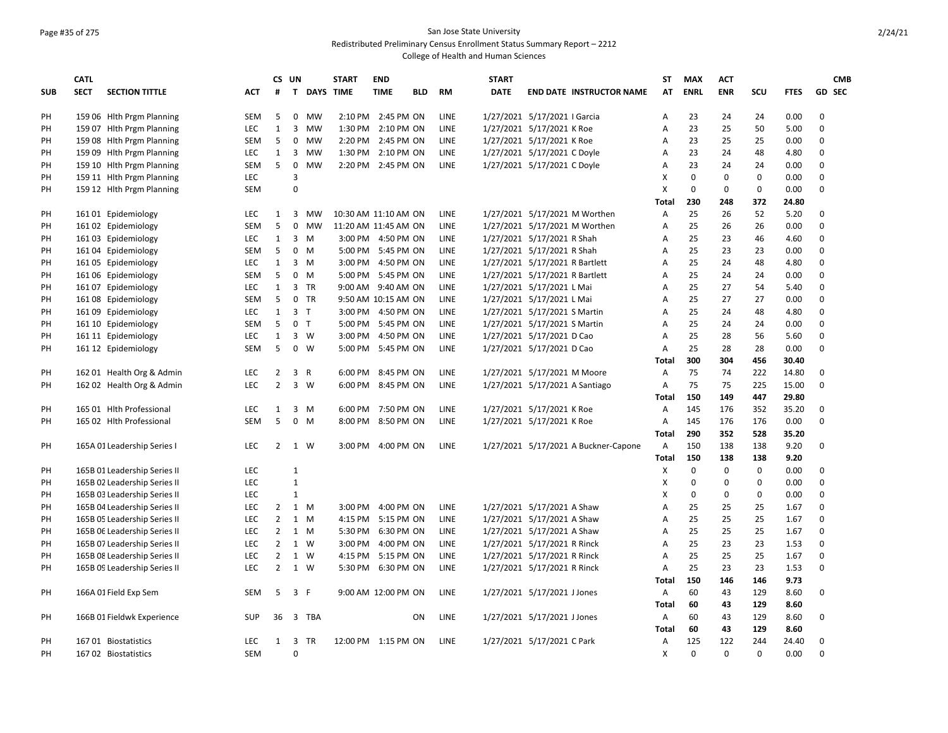### Page #35 of 275 San Jose State University Redistributed Preliminary Census Enrollment Status Summary Report – 2212

|            | <b>CATL</b> |                              |            |                | CS UN          |             | <b>START</b>         | <b>END</b>          |            |             | <b>START</b> |                                      | <b>ST</b>      | <b>MAX</b>              | <b>ACT</b>      |                    |             |             | <b>CMB</b>    |
|------------|-------------|------------------------------|------------|----------------|----------------|-------------|----------------------|---------------------|------------|-------------|--------------|--------------------------------------|----------------|-------------------------|-----------------|--------------------|-------------|-------------|---------------|
| <b>SUB</b> | <b>SECT</b> | <b>SECTION TITTLE</b>        | <b>ACT</b> | #              |                | T DAYS TIME |                      | <b>TIME</b>         | <b>BLD</b> | <b>RM</b>   | <b>DATE</b>  | <b>END DATE INSTRUCTOR NAME</b>      | AT             | <b>ENRL</b>             | <b>ENR</b>      | <b>SCU</b>         | <b>FTES</b> |             | <b>GD SEC</b> |
|            |             |                              |            |                |                |             |                      |                     |            |             |              |                                      |                |                         |                 |                    |             |             |               |
| PH         |             | 159 06 Hith Prgm Planning    | <b>SEM</b> | 5              | 0              | <b>MW</b>   |                      | 2:10 PM 2:45 PM ON  |            | <b>LINE</b> |              | 1/27/2021 5/17/2021   Garcia         | Α              | 23                      | 24              | 24                 | 0.00        | $\Omega$    |               |
| PH         |             | 159 07 Hith Prgm Planning    | <b>LEC</b> | $\mathbf{1}$   | 3              | MW          | 1:30 PM              | 2:10 PM ON          |            | LINE        |              | 1/27/2021 5/17/2021 K Roe            | А              | 23                      | 25              | 50                 | 5.00        | $\Omega$    |               |
| PH         |             | 159 08 Hlth Prgm Planning    | <b>SEM</b> | 5              | 0              | <b>MW</b>   |                      | 2:20 PM 2:45 PM ON  |            | <b>LINE</b> |              | 1/27/2021 5/17/2021 K Roe            | A              | 23                      | 25              | 25                 | 0.00        | $\Omega$    |               |
| PH         |             | 159 09 Hith Prgm Planning    | <b>LEC</b> | 1              | 3              | MW          |                      | 1:30 PM 2:10 PM ON  |            | LINE        |              | 1/27/2021 5/17/2021 C Doyle          | A              | 23                      | 24              | 48                 | 4.80        | $\Omega$    |               |
| PH         |             | 159 10 Hith Prgm Planning    | <b>SEM</b> | 5              | $\mathbf 0$    | <b>MW</b>   |                      | 2:20 PM 2:45 PM ON  |            | LINE        |              | 1/27/2021 5/17/2021 C Doyle          | Α              | 23                      | 24              | 24                 | 0.00        | $\Omega$    |               |
| PH         |             | 159 11 Hlth Prgm Planning    | <b>LEC</b> |                | $\overline{3}$ |             |                      |                     |            |             |              |                                      | X              | 0                       | 0               | $\mathbf 0$        | 0.00        | $\Omega$    |               |
| PH         |             | 159 12 Hith Prgm Planning    | <b>SEM</b> |                | $\mathbf 0$    |             |                      |                     |            |             |              |                                      | X              | 0                       | 0               | $\pmb{0}$          | 0.00        | $\Omega$    |               |
|            |             |                              |            |                |                |             |                      |                     |            |             |              |                                      | Total          | 230                     | 248             | 372                | 24.80       |             |               |
| PH         |             | 161 01 Epidemiology          | LEC        | $\mathbf{1}$   | 3              | <b>MW</b>   | 10:30 AM 11:10 AM ON |                     |            | LINE        |              | 1/27/2021 5/17/2021 M Worthen        | Α              | 25                      | 26              | 52                 | 5.20        | $\Omega$    |               |
| PH         |             | 16102 Epidemiology           | <b>SEM</b> | 5              | 0              | MW          | 11:20 AM 11:45 AM ON |                     |            | LINE        |              | 1/27/2021 5/17/2021 M Worthen        | Α              | 25                      | 26              | 26                 | 0.00        | $\Omega$    |               |
| PH         |             | 16103 Epidemiology           | <b>LEC</b> | $\mathbf{1}$   | 3 M            |             |                      | 3:00 PM 4:50 PM ON  |            | LINE        |              | 1/27/2021 5/17/2021 R Shah           | A              | 25                      | 23              | 46                 | 4.60        | $\Omega$    |               |
| PH         |             | 16104 Epidemiology           | <b>SEM</b> | 5              | $0 \quad M$    |             |                      | 5:00 PM 5:45 PM ON  |            | <b>LINE</b> |              | 1/27/2021 5/17/2021 R Shah           | A              | 25                      | 23              | 23                 | 0.00        | $\Omega$    |               |
| PH         |             | 16105 Epidemiology           | <b>LEC</b> | $\mathbf{1}$   | $3 \, M$       |             |                      | 3:00 PM 4:50 PM ON  |            | <b>LINE</b> |              | 1/27/2021 5/17/2021 R Bartlett       | A              | 25                      | 24              | 48                 | 4.80        | $\Omega$    |               |
| PH         |             | 16106 Epidemiology           | <b>SEM</b> | 5              | $0 \quad M$    |             |                      | 5:00 PM 5:45 PM ON  |            | LINE        |              | 1/27/2021 5/17/2021 R Bartlett       | A              | 25                      | 24              | 24                 | 0.00        | $\Omega$    |               |
| PH         |             | 16107 Epidemiology           | <b>LEC</b> | $\mathbf{1}$   |                | 3 TR        |                      | 9:00 AM 9:40 AM ON  |            | LINE        |              | 1/27/2021 5/17/2021 L Mai            | A              | 25                      | 27              | 54                 | 5.40        | $\Omega$    |               |
| PН         |             | 16108 Epidemiology           | <b>SEM</b> | 5              |                | $0$ TR      |                      | 9:50 AM 10:15 AM ON |            | LINE        |              | 1/27/2021 5/17/2021 L Mai            | А              | 25                      | 27              | 27                 | 0.00        | $\Omega$    |               |
| PH         |             | 161 09 Epidemiology          | <b>LEC</b> | $\mathbf{1}$   | 3 <sub>1</sub> |             |                      | 3:00 PM 4:50 PM ON  |            | LINE        |              | 1/27/2021 5/17/2021 S Martin         | A              | 25                      | 24              | 48                 | 4.80        | $\Omega$    |               |
| PH         |             | 161 10 Epidemiology          | <b>SEM</b> | 5              | 0 <sub>T</sub> |             |                      | 5:00 PM 5:45 PM ON  |            | LINE        |              | 1/27/2021 5/17/2021 S Martin         | A              | 25                      | 24              | 24                 | 0.00        | $\Omega$    |               |
| PH         |             | 161 11 Epidemiology          | LEC        | $\mathbf{1}$   | $3 \quad W$    |             | 3:00 PM              | 4:50 PM ON          |            | LINE        |              | 1/27/2021 5/17/2021 D Cao            | А              | 25                      | 28              | 56                 | 5.60        | 0           |               |
| PH         |             | 161 12 Epidemiology          | <b>SEM</b> | 5              | $0 \quad W$    |             |                      | 5:00 PM 5:45 PM ON  |            | LINE        |              | 1/27/2021 5/17/2021 D Cao            | A              | 25                      | 28              | 28                 | 0.00        | $\Omega$    |               |
|            |             |                              |            |                |                |             |                      |                     |            |             |              |                                      | Total          | 300                     | 304             | 456                | 30.40       |             |               |
| PH         |             | 162 01 Health Org & Admin    | LEC        | $\overline{2}$ | 3 R            |             |                      | 6:00 PM 8:45 PM ON  |            | LINE        |              | 1/27/2021 5/17/2021 M Moore          | Α              | 75                      | 74              | 222                | 14.80       | $\Omega$    |               |
| PH         |             | 162 02 Health Org & Admin    | LEC        | $\overline{2}$ | 3 W            |             | 6:00 PM              | 8:45 PM ON          |            | LINE        |              | 1/27/2021 5/17/2021 A Santiago       | A              | 75                      | 75              | 225                | 15.00       | 0           |               |
|            |             |                              |            |                |                |             |                      |                     |            |             |              |                                      | <b>Total</b>   | 150                     | 149             | 447                | 29.80       |             |               |
| PH         |             | 165 01 Hlth Professional     | LEC        | $\mathbf{1}$   | 3 M            |             |                      | 6:00 PM 7:50 PM ON  |            | LINE        |              | 1/27/2021 5/17/2021 K Roe            | Α              | 145                     | 176             | 352                | 35.20       | $\mathbf 0$ |               |
| PH         |             | 165 02 Hith Professional     | <b>SEM</b> | 5              | $0 \quad M$    |             | 8:00 PM              | 8:50 PM ON          |            | LINE        |              | 1/27/2021 5/17/2021 K Roe            | $\overline{A}$ | 145                     | 176             | 176                | 0.00        | $\Omega$    |               |
|            |             |                              |            |                |                |             |                      |                     |            |             |              |                                      | <b>Total</b>   | 290                     | 352             | 528                | 35.20       |             |               |
|            |             |                              |            | $\overline{2}$ |                |             |                      |                     |            |             |              |                                      |                |                         |                 |                    | 9.20        | $\mathbf 0$ |               |
| PH         |             | 165A 01 Leadership Series I  | LEC        |                | 1 W            |             | 3:00 PM              | 4:00 PM ON          |            | LINE        |              | 1/27/2021 5/17/2021 A Buckner-Capone | A              | 150                     | 138             | 138                |             |             |               |
|            |             |                              |            |                | $\mathbf{1}$   |             |                      |                     |            |             |              |                                      | <b>Total</b>   | 150                     | 138<br>$\Omega$ | 138<br>$\mathbf 0$ | 9.20        | $\Omega$    |               |
| PH         |             | 165B 01 Leadership Series II | <b>LEC</b> |                | $\overline{1}$ |             |                      |                     |            |             |              |                                      | X              | $\mathbf 0$<br>$\Omega$ | $\Omega$        |                    | 0.00        | $\Omega$    |               |
| PH         |             | 165B 02 Leadership Series II | <b>LEC</b> |                |                |             |                      |                     |            |             |              |                                      | X              | $\Omega$                |                 | $\pmb{0}$          | 0.00        |             |               |
| PH         |             | 165B 03 Leadership Series II | <b>LEC</b> |                | $\mathbf{1}$   |             |                      |                     |            |             |              |                                      | X              |                         | $\mathbf 0$     | $\mathbf 0$        | 0.00        | $\Omega$    |               |
| PH         |             | 165B 04 Leadership Series II | <b>LEC</b> | $\overline{2}$ | 1 M            |             | 3:00 PM              | 4:00 PM ON          |            | LINE        |              | 1/27/2021 5/17/2021 A Shaw           | A              | 25                      | 25              | 25                 | 1.67        | $\Omega$    |               |
| PH         |             | 165B 05 Leadership Series II | LEC        | $\overline{2}$ | 1 M            |             | 4:15 PM              | 5:15 PM ON          |            | LINE        |              | 1/27/2021 5/17/2021 A Shaw           | Α              | 25                      | 25              | 25                 | 1.67        | $\Omega$    |               |
| PH         |             | 165B 06 Leadership Series II | <b>LEC</b> | $\overline{2}$ | 1 M            |             | 5:30 PM              | 6:30 PM ON          |            | LINE        |              | 1/27/2021 5/17/2021 A Shaw           | A              | 25                      | 25              | 25                 | 1.67        | $\Omega$    |               |
| PH         |             | 165B 07 Leadership Series II | <b>LEC</b> | $\overline{2}$ | $1 \quad W$    |             | 3:00 PM              | 4:00 PM ON          |            | <b>LINE</b> |              | 1/27/2021 5/17/2021 R Rinck          | A              | 25                      | 23              | 23                 | 1.53        | $\Omega$    |               |
| PH         |             | 165B 08 Leadership Series II | <b>LEC</b> | $\overline{2}$ | 1 W            |             | 4:15 PM              | 5:15 PM ON          |            | LINE        |              | 1/27/2021 5/17/2021 R Rinck          | A              | 25                      | 25              | 25                 | 1.67        | $\Omega$    |               |
| PH         |             | 165B 09 Leadership Series II | LEC        | $\overline{2}$ | 1 W            |             |                      | 5:30 PM 6:30 PM ON  |            | LINE        |              | 1/27/2021 5/17/2021 R Rinck          | A              | 25                      | 23              | 23                 | 1.53        | $\Omega$    |               |
|            |             |                              |            |                |                |             |                      |                     |            |             |              |                                      | Total          | 150                     | 146             | 146                | 9.73        |             |               |
| PH         |             | 166A 01 Field Exp Sem        | <b>SEM</b> | 5              | 3 F            |             |                      | 9:00 AM 12:00 PM ON |            | LINE        |              | 1/27/2021 5/17/2021 J Jones          | A              | 60                      | 43              | 129                | 8.60        | $\Omega$    |               |
|            |             |                              |            |                |                |             |                      |                     |            |             |              |                                      | <b>Total</b>   | 60                      | 43              | 129                | 8.60        |             |               |
| PH         |             | 166B 01 Fieldwk Experience   | SUP        | 36             |                | 3 TBA       |                      |                     | ON         | LINE        |              | 1/27/2021 5/17/2021 J Jones          | Α              | 60                      | 43              | 129                | 8.60        | $\Omega$    |               |
|            |             |                              |            |                |                |             |                      |                     |            |             |              |                                      | <b>Total</b>   | 60                      | 43              | 129                | 8.60        |             |               |
| PH         |             | 16701 Biostatistics          | <b>LEC</b> | $\mathbf{1}$   | 3              | <b>TR</b>   | 12:00 PM 1:15 PM ON  |                     |            | LINE        |              | 1/27/2021 5/17/2021 C Park           | Α              | 125                     | 122             | 244                | 24.40       | $\Omega$    |               |
| PH         |             | 167 02 Biostatistics         | <b>SEM</b> |                | $\Omega$       |             |                      |                     |            |             |              |                                      | X              | $\Omega$                | $\Omega$        | $\Omega$           | 0.00        | $\Omega$    |               |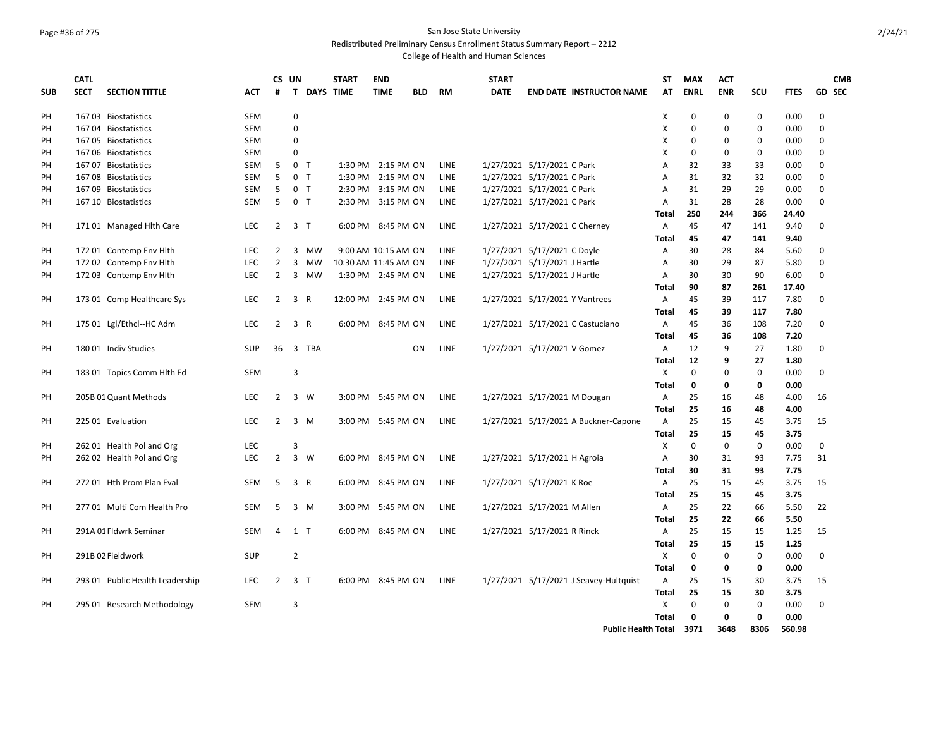# Page #36 of 275 San Jose State University

Redistributed Preliminary Census Enrollment Status Summary Report – 2212

|            | <b>CATL</b> |                                 |            | CS UN          |                |           | <b>START</b>         | <b>END</b>          |            |             | <b>START</b> |                                |                                        | <b>ST</b>      | <b>MAX</b>  | <b>ACT</b>  |             |             | <b>CMB</b>    |
|------------|-------------|---------------------------------|------------|----------------|----------------|-----------|----------------------|---------------------|------------|-------------|--------------|--------------------------------|----------------------------------------|----------------|-------------|-------------|-------------|-------------|---------------|
| <b>SUB</b> | <b>SECT</b> | <b>SECTION TITTLE</b>           | <b>ACT</b> | #              | T.             | DAYS TIME |                      | <b>TIME</b>         | <b>BLD</b> | <b>RM</b>   | <b>DATE</b>  |                                | <b>END DATE INSTRUCTOR NAME</b>        | AT             | <b>ENRL</b> | <b>ENR</b>  | SCU         | <b>FTES</b> | <b>GD SEC</b> |
|            |             |                                 |            |                |                |           |                      |                     |            |             |              |                                |                                        |                |             |             |             |             |               |
| PH         |             | 167 03 Biostatistics            | <b>SEM</b> |                | 0              |           |                      |                     |            |             |              |                                |                                        | X              | $\Omega$    | $\mathbf 0$ | 0           | 0.00        | $\mathbf 0$   |
| PH         |             | 16704 Biostatistics             | <b>SEM</b> |                | 0              |           |                      |                     |            |             |              |                                |                                        | X              | $\mathbf 0$ | $\mathbf 0$ | $\pmb{0}$   | 0.00        | $\mathbf 0$   |
| PH         |             | 167 05 Biostatistics            | <b>SEM</b> |                | 0              |           |                      |                     |            |             |              |                                |                                        | Χ              | $\Omega$    | 0           | 0           | 0.00        | $\Omega$      |
| PH         |             | 167 06 Biostatistics            | <b>SEM</b> |                | 0              |           |                      |                     |            |             |              |                                |                                        | X              | $\Omega$    | 0           | 0           | 0.00        | $\Omega$      |
| PH         |             | 167 07 Biostatistics            | SEM        | 5              | 0 <sub>T</sub> |           |                      | 1:30 PM 2:15 PM ON  |            | LINE        |              | 1/27/2021 5/17/2021 C Park     |                                        | Α              | 32          | 33          | 33          | 0.00        | 0             |
| PH         |             | 16708 Biostatistics             | <b>SEM</b> | 5              | 0 <sub>T</sub> |           |                      | 1:30 PM 2:15 PM ON  |            | LINE        |              | 1/27/2021 5/17/2021 C Park     |                                        | A              | 31          | 32          | 32          | 0.00        | 0             |
| PH         |             | 167 09 Biostatistics            | SEM        | 5              | 0 <sub>T</sub> |           |                      | 2:30 PM 3:15 PM ON  |            | LINE        |              | 1/27/2021 5/17/2021 C Park     |                                        | A              | 31          | 29          | 29          | 0.00        | $\mathbf 0$   |
| PH         |             | 167 10 Biostatistics            | <b>SEM</b> | 5              | 0 <sub>T</sub> |           |                      | 2:30 PM 3:15 PM ON  |            | <b>LINE</b> |              | 1/27/2021 5/17/2021 C Park     |                                        | $\overline{A}$ | 31          | 28          | 28          | 0.00        | $\Omega$      |
|            |             |                                 |            |                |                |           |                      |                     |            |             |              |                                |                                        | <b>Total</b>   | 250         | 244         | 366         | 24.40       |               |
| PH         |             | 17101 Managed Hith Care         | <b>LEC</b> | $\overline{2}$ | 3 <sub>T</sub> |           |                      | 6:00 PM 8:45 PM ON  |            | <b>LINE</b> |              | 1/27/2021 5/17/2021 C Cherney  |                                        | A              | 45          | 47          | 141         | 9.40        | 0             |
|            |             |                                 |            |                |                |           |                      |                     |            |             |              |                                |                                        | <b>Total</b>   | 45          | 47          | 141         | 9.40        |               |
| PH         |             | 172 01 Contemp Env Hith         | <b>LEC</b> | 2              | $\overline{3}$ | <b>MW</b> |                      | 9:00 AM 10:15 AM ON |            | <b>LINE</b> |              | 1/27/2021 5/17/2021 C Doyle    |                                        | A              | 30          | 28          | 84          | 5.60        | $\Omega$      |
| PH         |             | 172 02 Contemp Env Hlth         | LEC        | $\overline{2}$ | 3              | MW        | 10:30 AM 11:45 AM ON |                     |            | LINE        |              | 1/27/2021 5/17/2021 J Hartle   |                                        | Α              | 30          | 29          | 87          | 5.80        | 0             |
| PH         |             | 172 03 Contemp Env Hlth         | <b>LEC</b> | $\overline{2}$ | 3              | MW        |                      | 1:30 PM 2:45 PM ON  |            | LINE        |              | 1/27/2021 5/17/2021 J Hartle   |                                        | Α              | 30          | 30          | 90          | 6.00        | $\Omega$      |
|            |             |                                 |            |                |                |           |                      |                     |            |             |              |                                |                                        | <b>Total</b>   | 90          | 87          | 261         | 17.40       |               |
| PH         |             | 173 01 Comp Healthcare Sys      | LEC        | $\overline{2}$ | 3 R            |           | 12:00 PM 2:45 PM ON  |                     |            | <b>LINE</b> |              | 1/27/2021 5/17/2021 Y Vantrees |                                        | Α              | 45          | 39          | 117         | 7.80        | $\Omega$      |
|            |             |                                 |            |                |                |           |                      |                     |            |             |              |                                |                                        | <b>Total</b>   | 45          | 39          | 117         | 7.80        |               |
| PH         |             | 175 01 Lgl/Ethcl--HC Adm        | <b>LEC</b> | $\overline{2}$ | 3 R            |           |                      | 6:00 PM 8:45 PM ON  |            | <b>LINE</b> |              |                                | 1/27/2021 5/17/2021 C Castuciano       | Α              | 45          | 36          | 108         | 7.20        | 0             |
|            |             |                                 |            |                |                |           |                      |                     |            |             |              |                                |                                        | <b>Total</b>   | 45          | 36          | 108         | 7.20        |               |
| PH         |             | 180 01 Indiv Studies            | <b>SUP</b> | 36             | $\overline{3}$ | TBA       |                      |                     | <b>ON</b>  | <b>LINE</b> |              | 1/27/2021 5/17/2021 V Gomez    |                                        | $\overline{A}$ | 12          | 9           | 27          | 1.80        | 0             |
|            |             |                                 |            |                |                |           |                      |                     |            |             |              |                                |                                        | <b>Total</b>   | 12          | 9           | 27          | 1.80        |               |
| PH         |             | 183 01 Topics Comm Hlth Ed      | <b>SEM</b> |                | 3              |           |                      |                     |            |             |              |                                |                                        | X              | $\mathbf 0$ | 0           | 0           | 0.00        | $\Omega$      |
|            |             |                                 |            |                |                |           |                      |                     |            |             |              |                                |                                        | <b>Total</b>   | 0           | $\mathbf 0$ | 0           | 0.00        |               |
| PH         |             | 205B 01 Quant Methods           | <b>LEC</b> | $\overline{2}$ | 3 W            |           |                      | 3:00 PM 5:45 PM ON  |            | <b>LINE</b> |              | 1/27/2021 5/17/2021 M Dougan   |                                        | A              | 25          | 16          | 48          | 4.00        | 16            |
|            |             |                                 |            |                |                |           |                      |                     |            |             |              |                                |                                        | Total          | 25          | 16          | 48          | 4.00        |               |
| PH         |             | 225 01 Evaluation               | <b>LEC</b> | $\overline{2}$ |                | 3 M       |                      | 3:00 PM 5:45 PM ON  |            | <b>LINE</b> |              |                                | 1/27/2021 5/17/2021 A Buckner-Capone   | Α              | 25          | 15          | 45          | 3.75        | 15            |
|            |             |                                 |            |                |                |           |                      |                     |            |             |              |                                |                                        | Total          | 25          | 15          | 45          | 3.75        |               |
| PH         |             | 262 01 Health Pol and Org       | LEC        |                | 3              |           |                      |                     |            |             |              |                                |                                        | X              | 0           | 0           | 0           | 0.00        | $\mathbf 0$   |
| PH         |             | 262 02 Health Pol and Org       | LEC        | $\overline{2}$ | 3 W            |           |                      | 6:00 PM 8:45 PM ON  |            | <b>LINE</b> |              | 1/27/2021 5/17/2021 H Agroia   |                                        | A              | 30          | 31          | 93          | 7.75        | 31            |
|            |             |                                 |            |                |                |           |                      |                     |            |             |              |                                |                                        | <b>Total</b>   | 30          | 31          | 93          | 7.75        |               |
| PH         |             | 272 01 Hth Prom Plan Eval       | <b>SEM</b> | 5              | 3 R            |           |                      | 6:00 PM 8:45 PM ON  |            | <b>LINE</b> |              | 1/27/2021 5/17/2021 K Roe      |                                        | $\overline{A}$ | 25          | 15          | 45          | 3.75        | 15            |
|            |             |                                 |            |                |                |           |                      |                     |            |             |              |                                |                                        | <b>Total</b>   | 25          | 15          | 45          | 3.75        |               |
| PH         |             | 277 01 Multi Com Health Pro     | <b>SEM</b> | 5              | 3 M            |           |                      | 3:00 PM 5:45 PM ON  |            | LINE        |              | 1/27/2021 5/17/2021 M Allen    |                                        | $\overline{A}$ | 25          | 22          | 66          | 5.50        | 22            |
|            |             |                                 |            |                |                |           |                      |                     |            |             |              |                                |                                        | <b>Total</b>   | 25          | 22          | 66          | 5.50        |               |
| PH         |             | 291A 01 Fldwrk Seminar          | <b>SEM</b> | $\overline{4}$ | 1 T            |           |                      | 6:00 PM 8:45 PM ON  |            | <b>LINE</b> |              | 1/27/2021 5/17/2021 R Rinck    |                                        | A              | 25          | 15          | 15          | 1.25        | 15            |
|            |             |                                 |            |                |                |           |                      |                     |            |             |              |                                |                                        | <b>Total</b>   | 25          | 15          | 15          | 1.25        |               |
| PH         |             | 291B 02 Fieldwork               | <b>SUP</b> |                | $\overline{2}$ |           |                      |                     |            |             |              |                                |                                        | X              | $\mathbf 0$ | $\mathbf 0$ | 0           | 0.00        | $\mathbf 0$   |
|            |             |                                 |            |                |                |           |                      |                     |            |             |              |                                |                                        | <b>Total</b>   | 0           | 0           | 0           | 0.00        |               |
| PH         |             | 293 01 Public Health Leadership | <b>LEC</b> | $\overline{2}$ | 3 <sub>1</sub> |           |                      | 6:00 PM 8:45 PM ON  |            | <b>LINE</b> |              |                                | 1/27/2021 5/17/2021 J Seavey-Hultquist | $\overline{A}$ | 25          | 15          | 30          | 3.75        | 15            |
|            |             |                                 |            |                |                |           |                      |                     |            |             |              |                                |                                        | <b>Total</b>   | 25          | 15          | 30          | 3.75        |               |
| PH         |             | 295 01 Research Methodology     | <b>SEM</b> |                | 3              |           |                      |                     |            |             |              |                                |                                        | X              | $\Omega$    | $\Omega$    | $\mathbf 0$ | 0.00        | $\Omega$      |
|            |             |                                 |            |                |                |           |                      |                     |            |             |              |                                |                                        | <b>Total</b>   | 0           | $\mathbf 0$ | $\mathbf 0$ | 0.00        |               |
|            |             |                                 |            |                |                |           |                      |                     |            |             |              |                                | <b>Public Health Total</b>             |                | 3971        | 3648        | 8306        | 560.98      |               |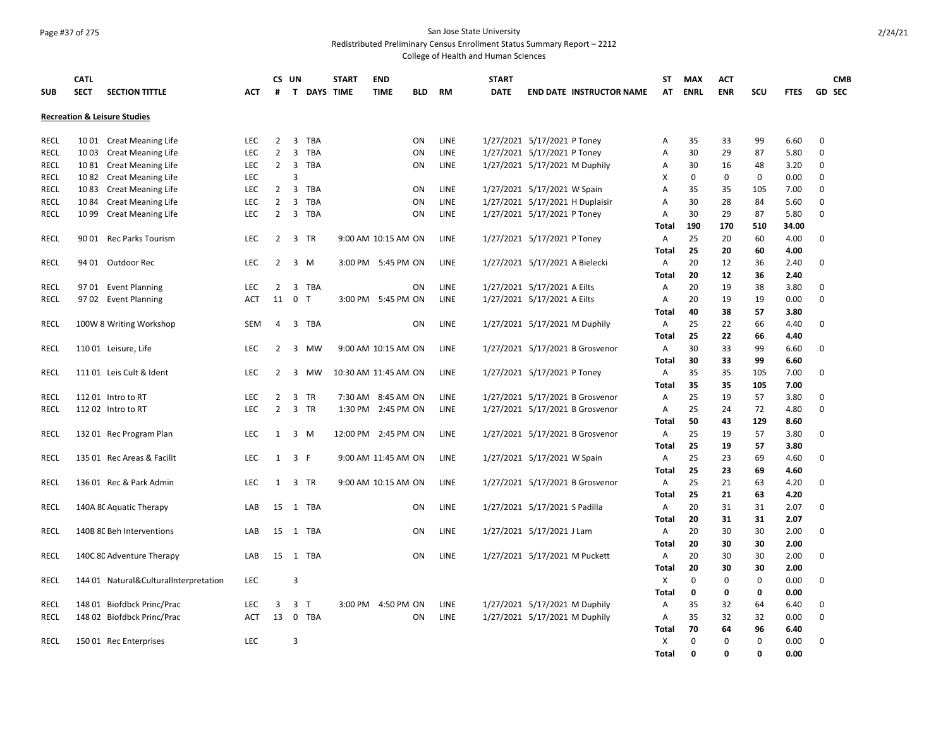# Page #37 of 275 San Jose State University

Redistributed Preliminary Census Enrollment Status Summary Report – 2212

|             | <b>CATL</b> |                                         |            | CS UN          |                              | <b>START</b> | <b>END</b>           |            |             | <b>START</b>                   |                                 | <b>ST</b>    | <b>MAX</b>  | <b>ACT</b>  |             |             | <b>CMB</b>    |  |
|-------------|-------------|-----------------------------------------|------------|----------------|------------------------------|--------------|----------------------|------------|-------------|--------------------------------|---------------------------------|--------------|-------------|-------------|-------------|-------------|---------------|--|
| <b>SUB</b>  | <b>SECT</b> | <b>SECTION TITTLE</b>                   | АСТ        | #              |                              | T DAYS TIME  | <b>TIME</b>          | <b>BLD</b> | <b>RM</b>   | <b>DATE</b>                    | <b>END DATE INSTRUCTOR NAME</b> | AΤ           | <b>ENRL</b> | <b>ENR</b>  | scu         | <b>FTES</b> | <b>GD SEC</b> |  |
|             |             | <b>Recreation &amp; Leisure Studies</b> |            |                |                              |              |                      |            |             |                                |                                 |              |             |             |             |             |               |  |
| <b>RECL</b> |             | 1001 Creat Meaning Life                 | <b>LEC</b> | $\overline{2}$ | 3<br><b>TBA</b>              |              |                      | ON         | <b>LINE</b> | 1/27/2021 5/17/2021 P Toney    |                                 | Α            | 35          | 33          | 99          | 6.60        | 0             |  |
| <b>RECL</b> | 1003        | <b>Creat Meaning Life</b>               | <b>LEC</b> | $\overline{2}$ | $\overline{3}$<br><b>TBA</b> |              |                      | ON         | LINE        | 1/27/2021 5/17/2021 P Toney    |                                 | А            | 30          | 29          | 87          | 5.80        | $\mathbf 0$   |  |
| RECL        | 1081        | <b>Creat Meaning Life</b>               | LEC        | $\overline{2}$ | $\overline{3}$<br><b>TBA</b> |              |                      | ON         | LINE        | 1/27/2021 5/17/2021 M Duphily  |                                 | Α            | 30          | 16          | 48          | 3.20        | 0             |  |
| <b>RECL</b> | 1082        | <b>Creat Meaning Life</b>               | LEC        |                | $\overline{3}$               |              |                      |            |             |                                |                                 | X            | 0           | $\mathbf 0$ | 0           | 0.00        | 0             |  |
| <b>RECL</b> | 1083        | <b>Creat Meaning Life</b>               | LEC        | $\overline{2}$ | $\overline{3}$<br><b>TBA</b> |              |                      | ON         | LINE        | 1/27/2021 5/17/2021 W Spain    |                                 | Α            | 35          | 35          | 105         | 7.00        | $\mathbf 0$   |  |
| <b>RECL</b> | 1084        | <b>Creat Meaning Life</b>               | <b>LEC</b> | 2              | <b>TBA</b><br>3              |              |                      | ON         | <b>LINE</b> |                                | 1/27/2021 5/17/2021 H Duplaisir | А            | 30          | 28          | 84          | 5.60        | $\mathbf 0$   |  |
| <b>RECL</b> | 1099        | <b>Creat Meaning Life</b>               | LEC        | $\overline{2}$ | 3 TBA                        |              |                      | ON         | LINE        | 1/27/2021 5/17/2021 P Toney    |                                 | Α            | 30          | 29          | 87          | 5.80        | $\Omega$      |  |
|             |             |                                         |            |                |                              |              |                      |            |             |                                |                                 | Total        | 190         | 170         | 510         | 34.00       |               |  |
| <b>RECL</b> |             | 90 01 Rec Parks Tourism                 | <b>LEC</b> | $\overline{2}$ | 3 TR                         |              | 9:00 AM 10:15 AM ON  |            | LINE        | 1/27/2021 5/17/2021 P Toney    |                                 | Α            | 25          | 20          | 60          | 4.00        | 0             |  |
|             |             |                                         |            |                |                              |              |                      |            |             |                                |                                 | Total        | 25          | 20          | 60          | 4.00        |               |  |
| <b>RECL</b> |             | 94 01 Outdoor Rec                       | LEC        | $\overline{2}$ | 3 M                          |              | 3:00 PM 5:45 PM ON   |            | LINE        | 1/27/2021 5/17/2021 A Bielecki |                                 | Α            | 20          | 12          | 36          | 2.40        | $\mathbf 0$   |  |
|             |             |                                         |            |                |                              |              |                      |            |             |                                |                                 | <b>Total</b> | 20          | 12          | 36          | 2.40        |               |  |
| <b>RECL</b> |             | 97 01 Event Planning                    | LEC        | 2              | TBA<br>3                     |              |                      | ON         | LINE        | 1/27/2021 5/17/2021 A Eilts    |                                 | Α            | 20          | 19          | 38          | 3.80        | 0             |  |
| <b>RECL</b> |             | 97 02 Event Planning                    | <b>ACT</b> | 11             | $\mathbf 0$<br>T             |              | 3:00 PM 5:45 PM ON   |            | LINE        | 1/27/2021 5/17/2021 A Eilts    |                                 | Α            | 20          | 19          | 19          | 0.00        | $\mathbf 0$   |  |
|             |             |                                         |            |                |                              |              |                      |            |             |                                |                                 | <b>Total</b> | 40          | 38          | 57          | 3.80        |               |  |
| <b>RECL</b> |             | 100W 8 Writing Workshop                 | <b>SEM</b> | 4              | 3 TBA                        |              |                      | ON         | LINE        | 1/27/2021 5/17/2021 M Duphily  |                                 | Α            | 25          | 22          | 66          | 4.40        | 0             |  |
|             |             |                                         |            |                |                              |              |                      |            |             |                                |                                 | <b>Total</b> | 25          | 22          | 66          | 4.40        |               |  |
| <b>RECL</b> |             | 11001 Leisure, Life                     | <b>LEC</b> | 2              | 3 MW                         |              | 9:00 AM 10:15 AM ON  |            | <b>LINE</b> |                                | 1/27/2021 5/17/2021 B Grosvenor | А            | 30          | 33          | 99          | 6.60        | 0             |  |
|             |             |                                         |            |                |                              |              |                      |            |             |                                |                                 | <b>Total</b> | 30          | 33          | 99          | 6.60        |               |  |
| <b>RECL</b> |             | 111 01 Leis Cult & Ident                | LEC        | $\overline{2}$ | 3 MW                         |              | 10:30 AM 11:45 AM ON |            | LINE        | 1/27/2021 5/17/2021 P Toney    |                                 | Α            | 35          | 35          | 105         | 7.00        | 0             |  |
|             |             |                                         |            |                |                              |              |                      |            |             |                                |                                 | <b>Total</b> | 35          | 35          | 105         | 7.00        |               |  |
| <b>RECL</b> |             | 112 01 Intro to RT                      | <b>LEC</b> | 2              | 3<br>TR                      |              | 7:30 AM 8:45 AM ON   |            | <b>LINE</b> |                                | 1/27/2021 5/17/2021 B Grosvenor | Α            | 25          | 19          | 57          | 3.80        | 0             |  |
| <b>RECL</b> |             | 112 02 Intro to RT                      | <b>LEC</b> | $\overline{2}$ | 3 TR                         |              | 1:30 PM 2:45 PM ON   |            | <b>LINE</b> |                                | 1/27/2021 5/17/2021 B Grosvenor | Α            | 25          | 24          | 72          | 4.80        | $\Omega$      |  |
|             |             |                                         |            |                |                              |              |                      |            |             |                                |                                 | <b>Total</b> | 50          | 43          | 129         | 8.60        |               |  |
| <b>RECL</b> |             | 132 01 Rec Program Plan                 | LEC        | $\mathbf{1}$   | 3 M                          |              | 12:00 PM 2:45 PM ON  |            | <b>LINE</b> |                                | 1/27/2021 5/17/2021 B Grosvenor | Α            | 25          | 19          | 57          | 3.80        | 0             |  |
|             |             |                                         |            |                |                              |              |                      |            |             |                                |                                 | <b>Total</b> | 25          | 19          | 57          | 3.80        |               |  |
| <b>RECL</b> |             | 135 01 Rec Areas & Facilit              | <b>LEC</b> | $\mathbf{1}$   | 3 F                          |              | 9:00 AM 11:45 AM ON  |            | <b>LINE</b> | 1/27/2021 5/17/2021 W Spain    |                                 | A            | 25          | 23          | 69          | 4.60        | $\Omega$      |  |
|             |             |                                         |            |                |                              |              |                      |            |             |                                |                                 | Total        | 25          | 23          | 69          | 4.60        |               |  |
| <b>RECL</b> |             | 136 01 Rec & Park Admin                 | <b>LEC</b> | $\mathbf{1}$   | 3 TR                         |              | 9:00 AM 10:15 AM ON  |            | LINE        |                                | 1/27/2021 5/17/2021 B Grosvenor | Α            | 25          | 21          | 63          | 4.20        | 0             |  |
|             |             |                                         |            |                |                              |              |                      |            |             |                                |                                 | <b>Total</b> | 25          | 21          | 63          | 4.20        |               |  |
| <b>RECL</b> |             | 140A 8C Aquatic Therapy                 | LAB        | 15             | <b>TBA</b><br>1              |              |                      | <b>ON</b>  | <b>LINE</b> | 1/27/2021 5/17/2021 S Padilla  |                                 | Α            | 20          | 31          | 31          | 2.07        | 0             |  |
|             |             |                                         |            |                |                              |              |                      |            |             |                                |                                 | Total        | 20          | 31          | 31          | 2.07        |               |  |
| <b>RECL</b> |             | 140B 80 Beh Interventions               | LAB        | 15             | 1<br>TBA                     |              |                      | ON         | LINE        | 1/27/2021 5/17/2021 J Lam      |                                 | Α            | 20          | 30          | 30          | 2.00        | 0             |  |
|             |             |                                         |            |                |                              |              |                      |            |             |                                |                                 | <b>Total</b> | 20          | 30          | 30          | 2.00        |               |  |
| <b>RECL</b> |             | 140C 80 Adventure Therapy               | LAB        | 15             | <b>TBA</b><br>1              |              |                      | ON         | <b>LINE</b> | 1/27/2021 5/17/2021 M Puckett  |                                 | A            | 20          | 30          | 30          | 2.00        | $\mathbf 0$   |  |
|             |             |                                         |            |                |                              |              |                      |            |             |                                |                                 | Total        | 20          | 30          | 30          | 2.00        |               |  |
| <b>RECL</b> |             | 144 01 Natural&CulturalInterpretation   | LEC        |                | 3                            |              |                      |            |             |                                |                                 | X            | 0           | 0           | 0           | 0.00        | 0             |  |
|             |             |                                         |            |                |                              |              |                      |            |             |                                |                                 | Total        | 0           | 0           | 0           | 0.00        |               |  |
| <b>RECL</b> |             | 148 01 Biofdbck Princ/Prac              | LEC        | 3              | 3<br>$\mathsf{T}$            |              | 3:00 PM 4:50 PM ON   |            | LINE        | 1/27/2021 5/17/2021 M Duphily  |                                 | Α            | 35          | 32          | 64          | 6.40        | 0             |  |
| <b>RECL</b> |             | 148 02 Biofdbck Princ/Prac              | <b>ACT</b> | 13             | $\mathbf 0$<br>TBA           |              |                      | ON         | LINE        | 1/27/2021 5/17/2021 M Duphily  |                                 | Α            | 35          | 32          | 32          | 0.00        | $\mathbf 0$   |  |
|             |             |                                         |            |                |                              |              |                      |            |             |                                |                                 | Total        | 70          | 64          | 96          | 6.40        |               |  |
| <b>RECL</b> |             | 150 01 Rec Enterprises                  | LEC        |                | 3                            |              |                      |            |             |                                |                                 | X            | $\mathbf 0$ | $\mathbf 0$ | $\mathbf 0$ | 0.00        | 0             |  |
|             |             |                                         |            |                |                              |              |                      |            |             |                                |                                 | <b>Total</b> | $\mathbf 0$ | $\Omega$    | $\Omega$    | 0.00        |               |  |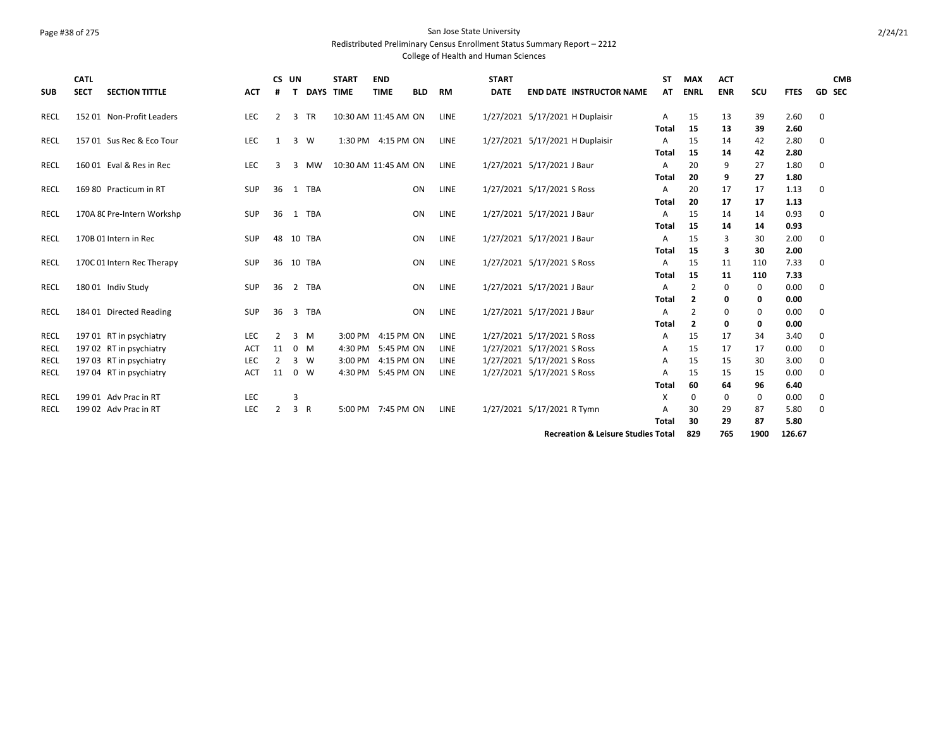### Page #38 of 275 San Jose State University Redistributed Preliminary Census Enrollment Status Summary Report – 2212

| <b>SUB</b>  | <b>CATL</b><br><b>SECT</b> | <b>SECTION TITTLE</b>      | <b>ACT</b> | CS UN<br># | т           |            | <b>START</b><br><b>DAYS TIME</b> | <b>END</b><br><b>TIME</b> | <b>BLD</b> | RM          | <b>START</b><br><b>DATE</b> | <b>END DATE INSTRUCTOR NAME</b>               | SΤ<br>AT          | <b>MAX</b><br><b>ENRL</b> | <b>ACT</b><br><b>ENR</b> | scu      | <b>FTES</b>  | <b>CMB</b><br><b>GD SEC</b> |
|-------------|----------------------------|----------------------------|------------|------------|-------------|------------|----------------------------------|---------------------------|------------|-------------|-----------------------------|-----------------------------------------------|-------------------|---------------------------|--------------------------|----------|--------------|-----------------------------|
| RECL        |                            | 152 01 Non-Profit Leaders  | <b>LEC</b> | 2          | 3 TR        |            | 10:30 AM 11:45 AM ON             |                           |            | LINE        |                             | 1/27/2021 5/17/2021 H Duplaisir               | A                 | 15                        | 13                       | 39       | 2.60         | 0                           |
|             |                            |                            |            |            |             |            |                                  |                           |            |             |                             |                                               | Total             | 15                        | 13                       | 39       | 2.60         |                             |
| <b>RECL</b> |                            | 157 01 Sus Rec & Eco Tour  | <b>LEC</b> | 1          | 3 W         |            |                                  | 1:30 PM 4:15 PM ON        |            | LINE        |                             | 1/27/2021 5/17/2021 H Duplaisir               | Α                 | 15                        | 14                       | 42       | 2.80         | 0                           |
|             |                            |                            |            |            |             |            |                                  |                           |            |             |                             |                                               | Total             | 15                        | 14                       | 42       | 2.80         |                             |
| RECL        |                            | 160 01 Eval & Res in Rec   | <b>LEC</b> | 3          | 3 MW        |            | 10:30 AM 11:45 AM ON             |                           |            | LINE        |                             | 1/27/2021 5/17/2021 J Baur                    | A<br><b>Total</b> | 20<br>20                  | 9<br>9                   | 27<br>27 | 1.80<br>1.80 | 0                           |
| <b>RECL</b> |                            | 169 80 Practicum in RT     | SUP        | 36         | 1 TBA       |            |                                  |                           | ON         | LINE        |                             | 1/27/2021 5/17/2021 S Ross                    | А                 | 20                        | 17                       | 17       | 1.13         | 0                           |
|             |                            |                            |            |            |             |            |                                  |                           |            |             |                             |                                               | Total             | 20                        | 17                       | 17       | 1.13         |                             |
| RECL        |                            | 170A 8C Pre-Intern Workshp | <b>SUP</b> | 36         | 1 TBA       |            |                                  |                           | <b>ON</b>  | LINE        |                             | 1/27/2021 5/17/2021 J Baur                    | A                 | 15                        | 14                       | 14       | 0.93         | 0                           |
|             |                            |                            |            |            |             |            |                                  |                           |            |             |                             |                                               | Total             | 15                        | 14                       | 14       | 0.93         |                             |
| <b>RECL</b> |                            | 170B 01 Intern in Rec      | <b>SUP</b> | 48         | 10 TBA      |            |                                  |                           | ON         | LINE        |                             | 1/27/2021 5/17/2021 J Baur                    | Α                 | 15                        | 3                        | 30       | 2.00         | 0                           |
|             |                            |                            |            |            |             |            |                                  |                           |            |             |                             |                                               | Total             | 15                        | 3                        | 30       | 2.00         |                             |
| RECL        |                            | 170C 01 Intern Rec Therapy | <b>SUP</b> | 36         | 10 TBA      |            |                                  |                           | <b>ON</b>  | LINE        |                             | 1/27/2021 5/17/2021 S Ross                    | A                 | 15                        | 11                       | 110      | 7.33         | 0                           |
|             |                            |                            |            |            |             |            |                                  |                           |            |             |                             |                                               | Total             | 15                        | 11                       | 110      | 7.33         |                             |
| RECL        |                            | 180 01 Indiv Study         | SUP        | 36         | 2           | <b>TBA</b> |                                  |                           | ON         | LINE        |                             | 1/27/2021 5/17/2021 J Baur                    | Α                 | 2                         | 0                        | 0        | 0.00         | 0                           |
|             |                            |                            |            |            |             |            |                                  |                           |            |             |                             |                                               | Total             | $\overline{2}$            | 0                        | 0        | 0.00         |                             |
| RECL        |                            | 184 01 Directed Reading    | SUP        | 36         | 3           | TBA        |                                  |                           | ON         | LINE        |                             | 1/27/2021 5/17/2021 J Baur                    | Α                 | $\overline{2}$            | 0                        | 0        | 0.00         | 0                           |
|             |                            |                            |            |            |             |            |                                  |                           |            |             |                             |                                               | <b>Total</b>      | $\overline{2}$            | 0                        | 0        | 0.00         |                             |
| RECL        |                            | 197 01 RT in psychiatry    | LEC        | 2          | 3<br>M      |            |                                  | 3:00 PM 4:15 PM ON        |            | LINE        |                             | 1/27/2021 5/17/2021 S Ross                    | Α                 | 15                        | 17                       | 34       | 3.40         | 0                           |
| RECL        |                            | 197 02 RT in psychiatry    | <b>ACT</b> | 11         | $0 \quad M$ |            |                                  | 4:30 PM 5:45 PM ON        |            | <b>LINE</b> |                             | 1/27/2021 5/17/2021 S Ross                    | Α                 | 15                        | 17                       | 17       | 0.00         | 0                           |
| RECL        |                            | 197 03 RT in psychiatry    | <b>LEC</b> | 2          | 3           | W          |                                  | 3:00 PM 4:15 PM ON        |            | LINE        |                             | 1/27/2021 5/17/2021 S Ross                    | A                 | 15                        | 15                       | 30       | 3.00         | 0                           |
| <b>RECL</b> |                            | 197 04 RT in psychiatry    | <b>ACT</b> | 11         | $0 \quad W$ |            |                                  | 4:30 PM 5:45 PM ON        |            | <b>LINE</b> |                             | 1/27/2021 5/17/2021 S Ross                    | А                 | 15                        | 15                       | 15       | 0.00         | 0                           |
|             |                            |                            |            |            |             |            |                                  |                           |            |             |                             |                                               | <b>Total</b>      | 60                        | 64                       | 96       | 6.40         |                             |
| <b>RECL</b> |                            | 199 01 Adv Prac in RT      | LEC        |            | 3           |            |                                  |                           |            |             |                             |                                               | х                 | 0                         | 0                        | 0        | 0.00         | 0                           |
| RECL        |                            | 199 02 Adv Prac in RT      | LEC        | 2          | 3 R         |            |                                  | 5:00 PM 7:45 PM ON        |            | LINE        |                             | 1/27/2021 5/17/2021 R Tymn                    | А                 | 30                        | 29                       | 87       | 5.80         | 0                           |
|             |                            |                            |            |            |             |            |                                  |                           |            |             |                             |                                               | <b>Total</b>      | 30                        | 29                       | 87       | 5.80         |                             |
|             |                            |                            |            |            |             |            |                                  |                           |            |             |                             | <b>Recreation &amp; Leisure Studies Total</b> |                   | 829                       | 765                      | 1900     | 126.67       |                             |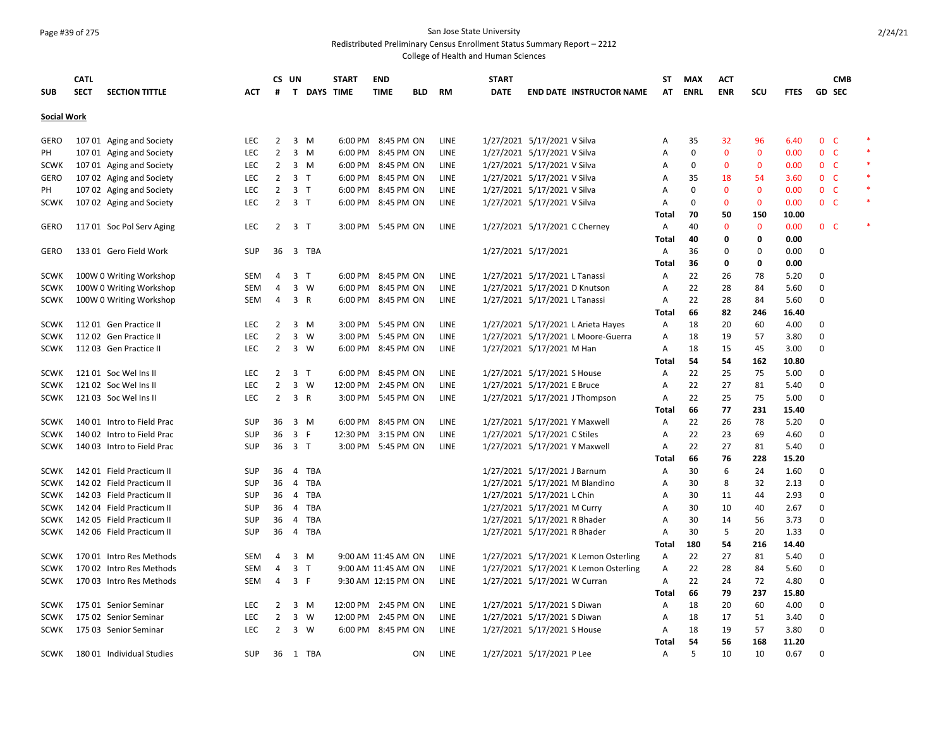## Page #39 of 275 San Jose State University

Redistributed Preliminary Census Enrollment Status Summary Report – 2212

|                    | <b>CATL</b> |                            |            |                | CS UN          |             | <b>START</b>        | <b>END</b>          |     |             | <b>START</b> |                                       | ST           | MAX         | ACT          |              |             |                | <b>CMB</b>    |        |
|--------------------|-------------|----------------------------|------------|----------------|----------------|-------------|---------------------|---------------------|-----|-------------|--------------|---------------------------------------|--------------|-------------|--------------|--------------|-------------|----------------|---------------|--------|
| <b>SUB</b>         | <b>SECT</b> | <b>SECTION TITTLE</b>      | <b>ACT</b> | #              |                | T DAYS TIME |                     | <b>TIME</b>         | BLD | RM          | <b>DATE</b>  | <b>END DATE INSTRUCTOR NAME</b>       | AT           | <b>ENRL</b> | <b>ENR</b>   | SCU          | <b>FTES</b> |                | <b>GD SEC</b> |        |
| <b>Social Work</b> |             |                            |            |                |                |             |                     |                     |     |             |              |                                       |              |             |              |              |             |                |               |        |
| <b>GERO</b>        |             | 107 01 Aging and Society   | <b>LEC</b> | 2              |                | 3 M         | 6:00 PM             | 8:45 PM ON          |     | LINE        |              | 1/27/2021 5/17/2021 V Silva           | A            | 35          | 32           | 96           | 6.40        | $\mathbf{0}$   | $\mathsf{C}$  | $\ast$ |
| PH                 |             | 107 01 Aging and Society   | LEC        | $\overline{2}$ |                | 3 M         | 6:00 PM             | 8:45 PM ON          |     | LINE        |              | 1/27/2021 5/17/2021 V Silva           | А            | $\mathbf 0$ | $\mathbf 0$  | $\mathbf 0$  | 0.00        | 0 <sup>o</sup> |               | $\ast$ |
| <b>SCWK</b>        |             | 107 01 Aging and Society   | <b>LEC</b> | $\overline{2}$ |                | 3 M         | 6:00 PM             | 8:45 PM ON          |     | LINE        |              | 1/27/2021 5/17/2021 V Silva           | A            | 0           | $\mathbf{0}$ | 0            | 0.00        | 0 <sup>o</sup> |               | $\ast$ |
| <b>GERO</b>        |             | 107 02 Aging and Society   | <b>LEC</b> | $\overline{2}$ | 3 <sub>T</sub> |             | 6:00 PM             | 8:45 PM ON          |     | <b>LINE</b> |              | 1/27/2021 5/17/2021 V Silva           | Α            | 35          | 18           | 54           | 3.60        | 0 <sub>c</sub> |               | $\ast$ |
| PH                 |             | 107 02 Aging and Society   | LEC        | $\overline{2}$ | 3 <sub>T</sub> |             | 6:00 PM             | 8:45 PM ON          |     | LINE        |              | 1/27/2021 5/17/2021 V Silva           | Α            | 0           | $\mathbf{0}$ | $\mathbf{0}$ | 0.00        | 0 <sub>c</sub> |               |        |
| <b>SCWK</b>        |             | 107 02 Aging and Society   | <b>LEC</b> | 2              | 3 <sub>T</sub> |             | 6:00 PM             | 8:45 PM ON          |     | LINE        |              | 1/27/2021 5/17/2021 V Silva           | Α            | 0           | $\Omega$     | $\mathbf 0$  | 0.00        | 0 <sub>c</sub> |               | $\ast$ |
|                    |             |                            |            |                |                |             |                     |                     |     |             |              |                                       | Total        | 70          | 50           | 150          | 10.00       |                |               |        |
| <b>GERO</b>        |             | 117 01 Soc Pol Serv Aging  | <b>LEC</b> | $\overline{2}$ | 3 <sub>1</sub> |             |                     | 3:00 PM 5:45 PM ON  |     | LINE        |              | 1/27/2021 5/17/2021 C Cherney         | Α            | 40          | $\mathbf 0$  | $\mathbf{0}$ | 0.00        | 0 <sup>o</sup> |               | $\ast$ |
|                    |             |                            |            |                |                |             |                     |                     |     |             |              |                                       | Total        | 40          | 0            | 0            | 0.00        |                |               |        |
| GERO               |             | 133 01 Gero Field Work     | <b>SUP</b> | 36             |                | 3 TBA       |                     |                     |     |             |              | 1/27/2021 5/17/2021                   | Α            | 36          | 0            | $\Omega$     | 0.00        | 0              |               |        |
|                    |             |                            |            |                |                |             |                     |                     |     |             |              |                                       | <b>Total</b> | 36          | 0            | 0            | 0.00        |                |               |        |
| <b>SCWK</b>        |             | 100W 0 Writing Workshop    | SEM        | 4              | 3 <sub>1</sub> |             |                     | 6:00 PM 8:45 PM ON  |     | LINE        |              | 1/27/2021 5/17/2021 L Tanassi         | Α            | 22          | 26           | 78           | 5.20        | 0              |               |        |
| <b>SCWK</b>        |             | 100W 0 Writing Workshop    | <b>SEM</b> | 4              |                | $3 \quad W$ |                     | 6:00 PM 8:45 PM ON  |     | LINE        |              | 1/27/2021 5/17/2021 D Knutson         | Α            | 22          | 28           | 84           | 5.60        | 0              |               |        |
| <b>SCWK</b>        |             | 100W 0 Writing Workshop    | <b>SEM</b> | 4              | 3 R            |             | 6:00 PM             | 8:45 PM ON          |     | LINE        |              | 1/27/2021 5/17/2021 L Tanassi         | Α            | 22          | 28           | 84           | 5.60        | $\Omega$       |               |        |
|                    |             |                            |            |                |                |             |                     |                     |     |             |              |                                       | <b>Total</b> | 66          | 82           | 246          | 16.40       |                |               |        |
| <b>SCWK</b>        |             | 112 01 Gen Practice II     | <b>LEC</b> | 2              |                | $3 \, M$    | 3:00 PM             | 5:45 PM ON          |     | LINE        |              | 1/27/2021 5/17/2021 L Arieta Hayes    | Α            | 18          | 20           | 60           | 4.00        | 0              |               |        |
| <b>SCWK</b>        |             | 112 02 Gen Practice II     | <b>LEC</b> | $\overline{2}$ |                | 3 W         | 3:00 PM             | 5:45 PM ON          |     | LINE        |              | 1/27/2021 5/17/2021 L Moore-Guerra    | Α            | 18          | 19           | 57           | 3.80        | 0              |               |        |
| <b>SCWK</b>        |             | 112 03 Gen Practice II     | LEC        | $\overline{2}$ |                | 3 W         |                     | 6:00 PM 8:45 PM ON  |     | LINE        |              | 1/27/2021 5/17/2021 M Han             | Α            | 18          | 15           | 45           | 3.00        | $\Omega$       |               |        |
|                    |             |                            |            |                |                |             |                     |                     |     |             |              |                                       | Total        | 54          | 54           | 162          | 10.80       |                |               |        |
| <b>SCWK</b>        |             | 121 01 Soc Wel Ins II      | <b>LEC</b> | 2              | 3 <sub>T</sub> |             | 6:00 PM             | 8:45 PM ON          |     | LINE        |              | 1/27/2021 5/17/2021 S House           | Α            | 22          | 25           | 75           | 5.00        | 0              |               |        |
| <b>SCWK</b>        |             | 121 02 Soc Wel Ins II      | <b>LEC</b> | $\overline{2}$ |                | $3 \quad W$ | 12:00 PM            | 2:45 PM ON          |     | LINE        |              | 1/27/2021 5/17/2021 E Bruce           | Α            | 22          | 27           | 81           | 5.40        | $\Omega$       |               |        |
| <b>SCWK</b>        |             | 121 03 Soc Wel Ins II      | LEC        | $\overline{2}$ | 3 R            |             |                     | 3:00 PM 5:45 PM ON  |     | LINE        |              | 1/27/2021 5/17/2021 J Thompson        | Α            | 22          | 25           | 75           | 5.00        | 0              |               |        |
|                    |             |                            |            |                |                |             |                     |                     |     |             |              |                                       | Total        | 66          | 77           | 231          | 15.40       |                |               |        |
| <b>SCWK</b>        |             | 140 01 Intro to Field Prac | <b>SUP</b> | 36             |                | 3 M         | 6:00 PM             | 8:45 PM ON          |     | LINE        |              | 1/27/2021 5/17/2021 Y Maxwell         | Α            | 22          | 26           | 78           | 5.20        | $\Omega$       |               |        |
| <b>SCWK</b>        |             | 140 02 Intro to Field Prac | SUP        | 36             | 3 F            |             | 12:30 PM            | 3:15 PM ON          |     | LINE        |              | 1/27/2021 5/17/2021 C Stiles          | Α            | 22          | 23           | 69           | 4.60        | $\mathbf 0$    |               |        |
| <b>SCWK</b>        |             | 140 03 Intro to Field Prac | <b>SUP</b> | 36             | 3 <sub>T</sub> |             |                     | 3:00 PM 5:45 PM ON  |     | LINE        |              | 1/27/2021 5/17/2021 Y Maxwell         | Α            | 22          | 27           | 81           | 5.40        | 0              |               |        |
|                    |             |                            |            |                |                |             |                     |                     |     |             |              |                                       | Total        | 66          | 76           | 228          | 15.20       |                |               |        |
| <b>SCWK</b>        |             | 142 01 Field Practicum II  | SUP        | 36             |                | 4 TBA       |                     |                     |     |             |              | 1/27/2021 5/17/2021 J Barnum          | Α            | 30          | 6            | 24           | 1.60        | $\Omega$       |               |        |
| <b>SCWK</b>        |             | 142 02 Field Practicum II  | <b>SUP</b> | 36             |                | 4 TBA       |                     |                     |     |             |              | 1/27/2021 5/17/2021 M Blandino        | Α            | 30          | 8            | 32           | 2.13        | $\Omega$       |               |        |
| <b>SCWK</b>        |             | 142 03 Field Practicum II  | <b>SUP</b> | 36             |                | 4 TBA       |                     |                     |     |             |              | 1/27/2021 5/17/2021 L Chin            | Α            | 30          | 11           | 44           | 2.93        | $\Omega$       |               |        |
| <b>SCWK</b>        |             | 142 04 Field Practicum II  | <b>SUP</b> | 36             |                | 4 TBA       |                     |                     |     |             |              | 1/27/2021 5/17/2021 M Curry           | A            | 30          | 10           | 40           | 2.67        | 0              |               |        |
| <b>SCWK</b>        |             | 142 05 Field Practicum II  | <b>SUP</b> | 36             |                | 4 TBA       |                     |                     |     |             |              | 1/27/2021 5/17/2021 R Bhader          | Α            | 30          | 14           | 56           | 3.73        | $\mathbf 0$    |               |        |
| SCWK               |             | 142 06 Field Practicum II  | <b>SUP</b> | 36             |                | 4 TBA       |                     |                     |     |             |              | 1/27/2021 5/17/2021 R Bhader          | Α            | 30          | 5            | 20           | 1.33        | $\Omega$       |               |        |
|                    |             |                            |            |                |                |             |                     |                     |     |             |              |                                       | <b>Total</b> | 180         | 54           | 216          | 14.40       |                |               |        |
| <b>SCWK</b>        |             | 170 01 Intro Res Methods   | <b>SEM</b> | 4              | 3              | M           |                     | 9:00 AM 11:45 AM ON |     | LINE        |              | 1/27/2021 5/17/2021 K Lemon Osterling | Α            | 22          | 27           | 81           | 5.40        | 0              |               |        |
| <b>SCWK</b>        |             | 170 02 Intro Res Methods   | <b>SEM</b> | $\overline{4}$ | 3 <sub>1</sub> |             |                     | 9:00 AM 11:45 AM ON |     | LINE        |              | 1/27/2021 5/17/2021 K Lemon Osterling | Α            | 22          | 28           | 84           | 5.60        | $\Omega$       |               |        |
| <b>SCWK</b>        |             | 170 03 Intro Res Methods   | <b>SEM</b> | 4              | 3 F            |             |                     | 9:30 AM 12:15 PM ON |     | LINE        |              | 1/27/2021 5/17/2021 W Curran          | Α            | 22          | 24           | 72           | 4.80        | $\Omega$       |               |        |
|                    |             |                            |            |                |                |             |                     |                     |     |             |              |                                       | <b>Total</b> | 66          | 79           | 237          | 15.80       |                |               |        |
| <b>SCWK</b>        |             | 175 01 Senior Seminar      | <b>LEC</b> | 2              |                | 3 M         | 12:00 PM            | 2:45 PM ON          |     | LINE        |              | 1/27/2021 5/17/2021 S Diwan           | Α            | 18          | 20           | 60           | 4.00        | 0              |               |        |
| <b>SCWK</b>        |             | 175 02 Senior Seminar      | <b>LEC</b> | $\overline{2}$ |                | 3 W         | 12:00 PM 2:45 PM ON |                     |     | LINE        |              | 1/27/2021 5/17/2021 S Diwan           | Α            | 18          | 17           | 51           | 3.40        | 0              |               |        |
| <b>SCWK</b>        |             | 175 03 Senior Seminar      | <b>LEC</b> | $\overline{2}$ |                | 3 W         |                     | 6:00 PM 8:45 PM ON  |     | LINE        |              | 1/27/2021 5/17/2021 S House           | Α            | 18          | 19           | 57           | 3.80        | $\Omega$       |               |        |
|                    |             |                            |            |                |                |             |                     |                     |     |             |              |                                       | Total        | 54          | 56           | 168          | 11.20       |                |               |        |
| <b>SCWK</b>        |             | 18001 Individual Studies   | <b>SUP</b> |                |                | 36 1 TBA    |                     |                     | 0N  | LINE        |              | 1/27/2021 5/17/2021 P Lee             | A            | 5           | 10           | 10           | 0.67        | $\Omega$       |               |        |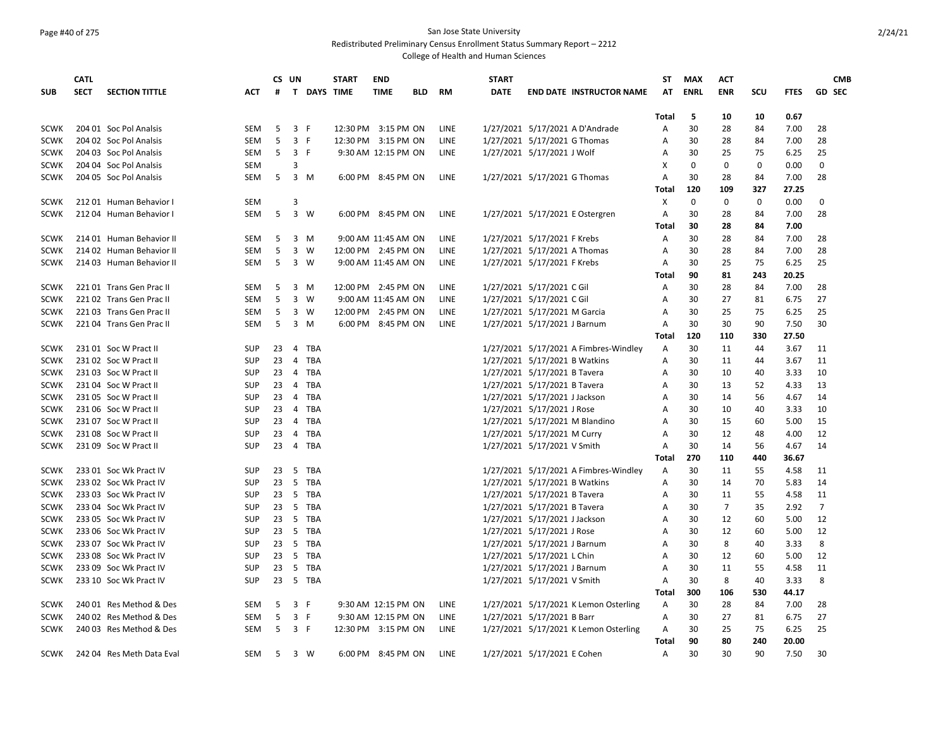## Page #40 of 275 San Jose State University

Redistributed Preliminary Census Enrollment Status Summary Report – 2212

|             | <b>CATL</b> |                           |            |    | CS UN          |             | <b>START</b>        | <b>END</b>  |            |             | <b>START</b> |                                       | ST           | <b>MAX</b>  | <b>ACT</b> |             |             | <b>CMB</b>     |
|-------------|-------------|---------------------------|------------|----|----------------|-------------|---------------------|-------------|------------|-------------|--------------|---------------------------------------|--------------|-------------|------------|-------------|-------------|----------------|
| <b>SUB</b>  | <b>SECT</b> | <b>SECTION TITTLE</b>     | ACT        | #  |                | T DAYS TIME |                     | <b>TIME</b> | <b>BLD</b> | <b>RM</b>   | <b>DATE</b>  | <b>END DATE INSTRUCTOR NAME</b>       | AT           | <b>ENRL</b> | <b>ENR</b> | SCU         | <b>FTES</b> | <b>GD SEC</b>  |
|             |             |                           |            |    |                |             |                     |             |            |             |              |                                       |              |             |            |             |             |                |
|             |             |                           |            |    |                |             |                     |             |            |             |              |                                       | Total        | 5           | 10         | 10          | 0.67        |                |
| <b>SCWK</b> |             | 204 01 Soc Pol Analsis    | <b>SEM</b> | 5  | 3 F            |             | 12:30 PM 3:15 PM ON |             |            | LINE        |              | 1/27/2021 5/17/2021 A D'Andrade       | A            | 30          | 28         | 84          | 7.00        | 28             |
| <b>SCWK</b> |             | 204 02 Soc Pol Analsis    | SEM        | 5  | 3 F            |             | 12:30 PM 3:15 PM ON |             |            | <b>LINE</b> |              | 1/27/2021 5/17/2021 G Thomas          | A            | 30          | 28         | 84          | 7.00        | 28             |
| <b>SCWK</b> |             | 204 03 Soc Pol Analsis    | <b>SEM</b> | 5  | 3 F            |             | 9:30 AM 12:15 PM ON |             |            | <b>LINE</b> |              | 1/27/2021 5/17/2021 J Wolf            | A            | 30          | 25         | 75          | 6.25        | 25             |
| <b>SCWK</b> |             | 204 04 Soc Pol Analsis    | <b>SEM</b> |    | 3              |             |                     |             |            |             |              |                                       | X            | $\Omega$    | $\Omega$   | $\mathbf 0$ | 0.00        | $\Omega$       |
| <b>SCWK</b> |             | 204 05 Soc Pol Analsis    | <b>SEM</b> |    | 5 3 M          |             | 6:00 PM 8:45 PM ON  |             |            | LINE        |              | 1/27/2021 5/17/2021 G Thomas          | A            | 30          | 28         | 84          | 7.00        | 28             |
|             |             |                           |            |    |                |             |                     |             |            |             |              |                                       | Total        | 120         | 109        | 327         | 27.25       |                |
| <b>SCWK</b> |             | 21201 Human Behavior      | <b>SEM</b> |    | 3              |             |                     |             |            |             |              |                                       | X            | 0           | 0          | $\mathbf 0$ | 0.00        | 0              |
| <b>SCWK</b> |             | 212 04 Human Behavior I   | SEM        | 5  | 3 W            |             | 6:00 PM 8:45 PM ON  |             |            | LINE        |              | 1/27/2021 5/17/2021 E Ostergren       | Α            | 30          | 28         | 84          | 7.00        | 28             |
|             |             |                           |            |    |                |             |                     |             |            |             |              |                                       | Total        | 30          | 28         | 84          | 7.00        |                |
| <b>SCWK</b> |             | 214 01 Human Behavior II  | <b>SEM</b> | 5  | 3 M            |             | 9:00 AM 11:45 AM ON |             |            | LINE        |              | 1/27/2021 5/17/2021 F Krebs           | Α            | 30          | 28         | 84          | 7.00        | 28             |
| <b>SCWK</b> |             | 214 02 Human Behavior II  | <b>SEM</b> | 5  | 3 W            |             | 12:00 PM 2:45 PM ON |             |            | <b>LINE</b> |              | 1/27/2021 5/17/2021 A Thomas          | A            | 30          | 28         | 84          | 7.00        | 28             |
| <b>SCWK</b> |             | 214 03 Human Behavior II  | SEM        | 5  | 3 W            |             | 9:00 AM 11:45 AM ON |             |            | <b>LINE</b> |              | 1/27/2021 5/17/2021 F Krebs           | A            | 30          | 25         | 75          | 6.25        | 25             |
|             |             |                           |            |    |                |             |                     |             |            |             |              |                                       | Total        | 90          | 81         | 243         | 20.25       |                |
| <b>SCWK</b> |             | 22101 Trans Gen Prac II   | SEM        | 5  | 3 M            |             | 12:00 PM 2:45 PM ON |             |            | LINE        |              | 1/27/2021 5/17/2021 C Gil             | Α            | 30          | 28         | 84          | 7.00        | 28             |
| <b>SCWK</b> |             | 221 02 Trans Gen Prac II  | <b>SEM</b> | 5  | 3 W            |             | 9:00 AM 11:45 AM ON |             |            | LINE        |              | 1/27/2021 5/17/2021 C Gil             | A            | 30          | 27         | 81          | 6.75        | 27             |
| <b>SCWK</b> |             | 22103 Trans Gen Prac II   | SEM        | 5  | 3 W            |             | 12:00 PM 2:45 PM ON |             |            | LINE        |              | 1/27/2021 5/17/2021 M Garcia          | Α            | 30          | 25         | 75          | 6.25        | 25             |
| <b>SCWK</b> |             | 221 04 Trans Gen Prac II  | SEM        | 5  | 3 M            |             | 6:00 PM 8:45 PM ON  |             |            | LINE        |              | 1/27/2021 5/17/2021 J Barnum          | Α            | 30          | 30         | 90          | 7.50        | 30             |
|             |             |                           |            |    |                |             |                     |             |            |             |              |                                       | <b>Total</b> | 120         | 110        | 330         | 27.50       |                |
| <b>SCWK</b> |             | 231 01 Soc W Pract II     | <b>SUP</b> | 23 | 4 TBA          |             |                     |             |            |             |              | 1/27/2021 5/17/2021 A Fimbres-Windley | Α            | 30          | 11         | 44          | 3.67        | 11             |
| <b>SCWK</b> |             | 231 02 Soc W Pract II     | <b>SUP</b> | 23 | $\overline{4}$ | TBA         |                     |             |            |             |              | 1/27/2021 5/17/2021 B Watkins         | Α            | 30          | 11         | 44          | 3.67        | 11             |
| <b>SCWK</b> |             | 231 03 Soc W Pract II     | SUP        |    | 23 4 TBA       |             |                     |             |            |             |              | 1/27/2021 5/17/2021 B Tavera          | A            | 30          | 10         | 40          | 3.33        | 10             |
| <b>SCWK</b> |             | 231 04 Soc W Pract II     | <b>SUP</b> | 23 | 4 TBA          |             |                     |             |            |             |              | 1/27/2021 5/17/2021 B Tavera          | A            | 30          | 13         | 52          | 4.33        | 13             |
| <b>SCWK</b> |             | 231 05 Soc W Pract II     | SUP        | 23 | 4 TBA          |             |                     |             |            |             |              | 1/27/2021 5/17/2021 J Jackson         | Α            | 30          | 14         | 56          | 4.67        | 14             |
| <b>SCWK</b> |             | 231 06 Soc W Pract II     | <b>SUP</b> | 23 | 4 TBA          |             |                     |             |            |             |              | 1/27/2021 5/17/2021 J Rose            | A            | 30          | 10         | 40          | 3.33        | 10             |
| <b>SCWK</b> |             | 231 07 Soc W Pract II     | <b>SUP</b> | 23 |                | 4 TBA       |                     |             |            |             |              | 1/27/2021 5/17/2021 M Blandino        | A            | 30          | 15         | 60          | 5.00        | 15             |
| <b>SCWK</b> |             | 231 08 Soc W Pract II     | <b>SUP</b> | 23 | 4 TBA          |             |                     |             |            |             |              | 1/27/2021 5/17/2021 M Curry           | A            | 30          | 12         | 48          | 4.00        | 12             |
| <b>SCWK</b> |             | 231 09 Soc W Pract II     | <b>SUP</b> | 23 |                | 4 TBA       |                     |             |            |             |              | 1/27/2021 5/17/2021 V Smith           | Α            | 30          | 14         | 56          | 4.67        | 14             |
|             |             |                           |            |    |                |             |                     |             |            |             |              |                                       | Total        | 270         | 110        | 440         | 36.67       |                |
| <b>SCWK</b> |             | 233 01 Soc Wk Pract IV    | <b>SUP</b> | 23 | 5              | TBA         |                     |             |            |             |              | 1/27/2021 5/17/2021 A Fimbres-Windley | A            | 30          | 11         | 55          | 4.58        | 11             |
| <b>SCWK</b> |             | 233 02 Soc Wk Pract IV    | <b>SUP</b> | 23 | 5 TBA          |             |                     |             |            |             |              | 1/27/2021 5/17/2021 B Watkins         | A            | 30          | 14         | 70          | 5.83        | 14             |
| <b>SCWK</b> |             | 233 03 Soc Wk Pract IV    | SUP        |    | 23 5 TBA       |             |                     |             |            |             |              | 1/27/2021 5/17/2021 B Tavera          | Α            | 30          | 11         | 55          | 4.58        | 11             |
| <b>SCWK</b> |             | 233 04 Soc Wk Pract IV    | <b>SUP</b> |    | 23 5 TBA       |             |                     |             |            |             |              | 1/27/2021 5/17/2021 B Tavera          | A            | 30          | 7          | 35          | 2.92        | $\overline{7}$ |
| <b>SCWK</b> |             | 233 05 Soc Wk Pract IV    | <b>SUP</b> |    | 23 5 TBA       |             |                     |             |            |             |              | 1/27/2021 5/17/2021 J Jackson         | A            | 30          | 12         | 60          | 5.00        | 12             |
| <b>SCWK</b> |             | 233 06 Soc Wk Pract IV    | <b>SUP</b> | 23 | 5 TBA          |             |                     |             |            |             |              | 1/27/2021 5/17/2021 J Rose            | A            | 30          | 12         | 60          | 5.00        | 12             |
| <b>SCWK</b> |             | 233 07 Soc Wk Pract IV    | <b>SUP</b> | 23 | 5 TBA          |             |                     |             |            |             |              | 1/27/2021 5/17/2021 J Barnum          | A            | 30          | 8          | 40          | 3.33        | 8              |
| <b>SCWK</b> |             | 233 08 Soc Wk Pract IV    | <b>SUP</b> | 23 | 5 TBA          |             |                     |             |            |             |              | 1/27/2021 5/17/2021 L Chin            | A            | 30          | 12         | 60          | 5.00        | 12             |
| <b>SCWK</b> |             | 233 09 Soc Wk Pract IV    | <b>SUP</b> | 23 | 5 TBA          |             |                     |             |            |             |              | 1/27/2021 5/17/2021 J Barnum          | A            | 30          | 11         | 55          | 4.58        | 11             |
| <b>SCWK</b> |             | 233 10 Soc Wk Pract IV    | <b>SUP</b> | 23 | 5 TBA          |             |                     |             |            |             |              | 1/27/2021 5/17/2021 V Smith           | A            | 30          | 8          | 40          | 3.33        | 8              |
|             |             |                           |            |    |                |             |                     |             |            |             |              |                                       | Total        | 300         | 106        | 530         | 44.17       |                |
| <b>SCWK</b> |             | 240 01 Res Method & Des   | SEM        | 5  | 3 F            |             | 9:30 AM 12:15 PM ON |             |            | LINE        |              | 1/27/2021 5/17/2021 K Lemon Osterling | A            | 30          | 28         | 84          | 7.00        | 28             |
| <b>SCWK</b> |             | 240 02 Res Method & Des   | <b>SEM</b> | 5  | 3 F            |             | 9:30 AM 12:15 PM ON |             |            | LINE        |              | 1/27/2021 5/17/2021 B Barr            | Α            | 30          | 27         | 81          | 6.75        | 27             |
| <b>SCWK</b> |             | 240 03 Res Method & Des   | SEM        | -5 | 3 F            |             | 12:30 PM 3:15 PM ON |             |            | <b>LINE</b> |              | 1/27/2021 5/17/2021 K Lemon Osterling | Α            | 30          | 25         | 75          | 6.25        | 25             |
|             |             |                           |            |    |                |             |                     |             |            |             |              |                                       | Total        | 90          | 80         | 240         | 20.00       |                |
| SCWK        |             | 242 04 Res Meth Data Eval | <b>SEM</b> | 5  | 3 W            |             | 6:00 PM 8:45 PM ON  |             |            | LINE        |              | 1/27/2021 5/17/2021 E Cohen           | A            | 30          | 30         | 90          | 7.50        | 30             |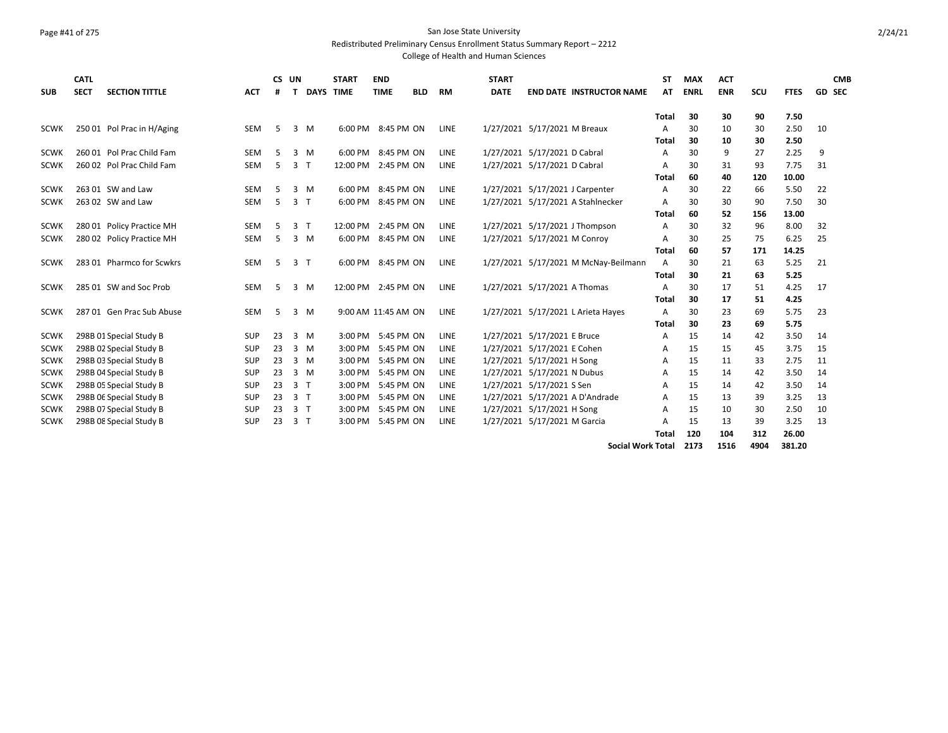# Page #41 of 275 San Jose State University

Redistributed Preliminary Census Enrollment Status Summary Report – 2212

| <b>SUB</b>  | CATL<br><b>SECT</b> | <b>SECTION TITTLE</b>      | <b>ACT</b> | CS UN<br># | т                 | <b>START</b><br><b>DAYS TIME</b> | <b>END</b><br><b>TIME</b> | <b>BLD</b> | RM          | <b>START</b><br><b>DATE</b> | <b>END DATE INSTRUCTOR NAME</b>      | <b>ST</b><br>AT | <b>MAX</b><br><b>ENRL</b> | <b>ACT</b><br><b>ENR</b> | scu  | <b>FTES</b> | <b>CMB</b><br><b>GD SEC</b> |
|-------------|---------------------|----------------------------|------------|------------|-------------------|----------------------------------|---------------------------|------------|-------------|-----------------------------|--------------------------------------|-----------------|---------------------------|--------------------------|------|-------------|-----------------------------|
|             |                     |                            |            |            |                   |                                  |                           |            |             |                             |                                      | Total           | 30                        | 30                       | 90   | 7.50        |                             |
| <b>SCWK</b> |                     | 250 01 Pol Prac in H/Aging | <b>SEM</b> | 5          | $3 \, M$          |                                  | 6:00 PM 8:45 PM ON        |            | LINE        |                             | 1/27/2021 5/17/2021 M Breaux         | A               | 30                        | 10                       | 30   | 2.50        | 10                          |
|             |                     |                            |            |            |                   |                                  |                           |            |             |                             |                                      | Total           | 30                        | 10                       | 30   | 2.50        |                             |
| <b>SCWK</b> |                     | 260 01 Pol Prac Child Fam  | <b>SEM</b> | 5          | $3 \, M$          | 6:00 PM                          | 8:45 PM ON                |            | LINE        |                             | 1/27/2021 5/17/2021 D Cabral         | A               | 30                        | 9                        | 27   | 2.25        | 9                           |
| <b>SCWK</b> |                     | 260 02 Pol Prac Child Fam  | <b>SEM</b> | 5          | 3<br>$\mathsf{T}$ | 12:00 PM                         | 2:45 PM ON                |            | <b>LINE</b> |                             | 1/27/2021 5/17/2021 D Cabral         | A               | 30                        | 31                       | 93   | 7.75        | 31                          |
|             |                     |                            |            |            |                   |                                  |                           |            |             |                             |                                      | Total           | 60                        | 40                       | 120  | 10.00       |                             |
| <b>SCWK</b> |                     | 263 01 SW and Law          | <b>SEM</b> | 5          | 3<br>M            | 6:00 PM                          | 8:45 PM ON                |            | LINE        |                             | 1/27/2021 5/17/2021 J Carpenter      | A               | 30                        | 22                       | 66   | 5.50        | 22                          |
| <b>SCWK</b> |                     | 263 02 SW and Law          | <b>SEM</b> | 5          | 3 <sub>7</sub>    | 6:00 PM                          | 8:45 PM ON                |            | LINE        |                             | 1/27/2021 5/17/2021 A Stahlnecker    | A               | 30                        | 30                       | 90   | 7.50        | 30                          |
|             |                     |                            |            |            |                   |                                  |                           |            |             |                             |                                      | <b>Total</b>    | 60                        | 52                       | 156  | 13.00       |                             |
| <b>SCWK</b> |                     | 280 01 Policy Practice MH  | <b>SEM</b> | 5          | 3 <sub>1</sub>    | 12:00 PM                         | 2:45 PM ON                |            | LINE        |                             | 1/27/2021 5/17/2021 J Thompson       | A               | 30                        | 32                       | 96   | 8.00        | 32                          |
| <b>SCWK</b> |                     | 280 02 Policy Practice MH  | <b>SEM</b> | 5          | 3 M               |                                  | 6:00 PM 8:45 PM ON        |            | <b>LINE</b> |                             | 1/27/2021 5/17/2021 M Conroy         | A               | 30                        | 25                       | 75   | 6.25        | 25                          |
|             |                     |                            |            |            |                   |                                  |                           |            |             |                             |                                      | Total           | 60                        | 57                       | 171  | 14.25       |                             |
| <b>SCWK</b> |                     | 283 01 Pharmco for Scwkrs  | <b>SEM</b> | 5          | 3 <sub>1</sub>    | 6:00 PM                          | 8:45 PM ON                |            | LINE        |                             | 1/27/2021 5/17/2021 M McNay-Beilmann | A               | 30                        | 21                       | 63   | 5.25        | 21                          |
|             |                     |                            |            |            |                   |                                  |                           |            |             |                             |                                      | <b>Total</b>    | 30                        | 21                       | 63   | 5.25        |                             |
| <b>SCWK</b> |                     | 285 01 SW and Soc Prob     | <b>SEM</b> | -5         | $3 \, M$          | 12:00 PM 2:45 PM ON              |                           |            | <b>LINE</b> |                             | 1/27/2021 5/17/2021 A Thomas         | A               | 30                        | 17                       | 51   | 4.25        | 17                          |
|             |                     |                            |            |            |                   |                                  |                           |            |             |                             |                                      | <b>Total</b>    | 30                        | 17                       | 51   | 4.25        |                             |
| <b>SCWK</b> |                     | 287 01 Gen Prac Sub Abuse  | <b>SEM</b> | 5          | 3 M               |                                  | 9:00 AM 11:45 AM ON       |            | <b>LINE</b> |                             | 1/27/2021 5/17/2021 L Arieta Hayes   | A               | 30                        | 23                       | 69   | 5.75        | 23                          |
|             |                     |                            |            |            |                   |                                  |                           |            |             |                             |                                      | <b>Total</b>    | 30                        | 23                       | 69   | 5.75        |                             |
| <b>SCWK</b> |                     | 298B 01 Special Study B    | <b>SUP</b> | 23         | $3 \, M$          | $3:00$ PM                        | 5:45 PM ON                |            | <b>LINE</b> |                             | 1/27/2021 5/17/2021 E Bruce          | A               | 15                        | 14                       | 42   | 3.50        | 14                          |
| <b>SCWK</b> |                     | 298B 02 Special Study B    | <b>SUP</b> | 23         | 3 M               | 3:00 PM                          | 5:45 PM ON                |            | <b>LINE</b> |                             | 1/27/2021 5/17/2021 E Cohen          | A               | 15                        | 15                       | 45   | 3.75        | 15                          |
| <b>SCWK</b> |                     | 298B 03 Special Study B    | <b>SUP</b> | 23         | $3 \, M$          | $3:00$ PM                        | 5:45 PM ON                |            | LINE        |                             | 1/27/2021 5/17/2021 H Song           | A               | 15                        | 11                       | 33   | 2.75        | 11                          |
| <b>SCWK</b> |                     | 298B 04 Special Study B    | <b>SUP</b> | 23         | $3 \, M$          | 3:00 PM                          | 5:45 PM ON                |            | <b>LINE</b> |                             | 1/27/2021 5/17/2021 N Dubus          | A               | 15                        | 14                       | 42   | 3.50        | 14                          |
| <b>SCWK</b> |                     | 298B 05 Special Study B    | <b>SUP</b> | 23         | 3 <sub>1</sub>    | 3:00 PM                          | 5:45 PM ON                |            | LINE        |                             | 1/27/2021 5/17/2021 S Sen            | A               | 15                        | 14                       | 42   | 3.50        | 14                          |
| <b>SCWK</b> |                     | 298B 06 Special Study B    | <b>SUP</b> | 23         | 3 <sub>1</sub>    | 3:00 PM                          | 5:45 PM ON                |            | <b>LINE</b> |                             | 1/27/2021 5/17/2021 A D'Andrade      | A               | 15                        | 13                       | 39   | 3.25        | 13                          |
| <b>SCWK</b> |                     | 298B 07 Special Study B    | <b>SUP</b> | 23         | 3 <sub>1</sub>    | 3:00 PM                          | 5:45 PM ON                |            | LINE        |                             | 1/27/2021 5/17/2021 H Song           | А               | 15                        | 10                       | 30   | 2.50        | 10                          |
| <b>SCWK</b> |                     | 298B 08 Special Study B    | <b>SUP</b> | 23         | 3 <sub>1</sub>    | 3:00 PM                          | 5:45 PM ON                |            | LINE        |                             | 1/27/2021 5/17/2021 M Garcia         | A               | 15                        | 13                       | 39   | 3.25        | 13                          |
|             |                     |                            |            |            |                   |                                  |                           |            |             |                             |                                      | Total           | 120                       | 104                      | 312  | 26.00       |                             |
|             |                     |                            |            |            |                   |                                  |                           |            |             |                             | <b>Social Work Total</b>             |                 | 2173                      | 1516                     | 4904 | 381.20      |                             |